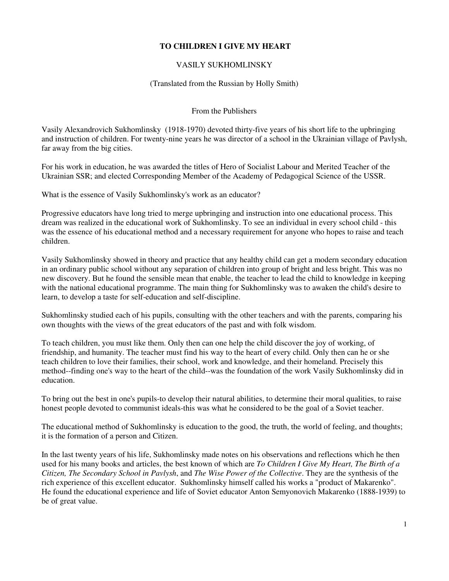# **TO CHILDREN I GIVE MY HEART**

## VASILY SUKHOMLINSKY

### (Translated from the Russian by Holly Smith)

### From the Publishers

Vasily Alexandrovich Sukhomlinsky (1918-1970) devoted thirty-five years of his short life to the upbringing and instruction of children. For twenty-nine years he was director of a school in the Ukrainian village of Pavlysh, far away from the big cities.

For his work in education, he was awarded the titles of Hero of Socialist Labour and Merited Teacher of the Ukrainian SSR; and elected Corresponding Member of the Academy of Pedagogical Science of the USSR.

What is the essence of Vasily Sukhomlinsky's work as an educator?

Progressive educators have long tried to merge upbringing and instruction into one educational process. This dream was realized in the educational work of Sukhomlinsky. To see an individual in every school child - this was the essence of his educational method and a necessary requirement for anyone who hopes to raise and teach children.

Vasily Sukhomlinsky showed in theory and practice that any healthy child can get a modern secondary education in an ordinary public school without any separation of children into group of bright and less bright. This was no new discovery. But he found the sensible mean that enable, the teacher to lead the child to knowledge in keeping with the national educational programme. The main thing for Sukhomlinsky was to awaken the child's desire to learn, to develop a taste for self-education and self-discipline.

Sukhomlinsky studied each of his pupils, consulting with the other teachers and with the parents, comparing his own thoughts with the views of the great educators of the past and with folk wisdom.

To teach children, you must like them. Only then can one help the child discover the joy of working, of friendship, and humanity. The teacher must find his way to the heart of every child. Only then can he or she teach children to love their families, their school, work and knowledge, and their homeland. Precisely this method--finding one's way to the heart of the child--was the foundation of the work Vasily Sukhomlinsky did in education.

To bring out the best in one's pupils-to develop their natural abilities, to determine their moral qualities, to raise honest people devoted to communist ideals-this was what he considered to be the goal of a Soviet teacher.

The educational method of Sukhomlinsky is education to the good, the truth, the world of feeling, and thoughts; it is the formation of a person and Citizen.

In the last twenty years of his life, Sukhomlinsky made notes on his observations and reflections which he then used for his many books and articles, the best known of which are *To Children I Give My Heart, The Birth of a Citizen, The Secondary School in Pavlysh*, and *The Wise Power of the Collective*. They are the synthesis of the rich experience of this excellent educator. Sukhomlinsky himself called his works a "product of Makarenko". He found the educational experience and life of Soviet educator Anton Semyonovich Makarenko (1888-1939) to be of great value.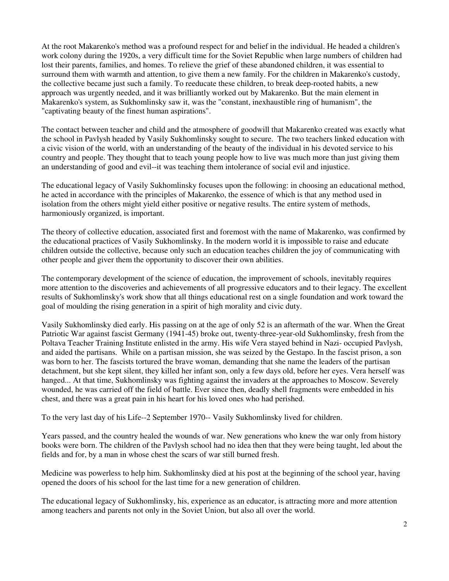At the root Makarenko's method was a profound respect for and belief in the individual. He headed a children's work colony during the 1920s, a very difficult time for the Soviet Republic when large numbers of children had lost their parents, families, and homes. To relieve the grief of these abandoned children, it was essential to surround them with warmth and attention, to give them a new family. For the children in Makarenko's custody, the collective became just such a family. To reeducate these children, to break deep-rooted habits, a new approach was urgently needed, and it was brilliantly worked out by Makarenko. But the main element in Makarenko's system, as Sukhomlinsky saw it, was the "constant, inexhaustible ring of humanism", the "captivating beauty of the finest human aspirations".

The contact between teacher and child and the atmosphere of goodwill that Makarenko created was exactly what the school in Pavlysh headed by Vasily Sukhomlinsky sought to secure. The two teachers linked education with a civic vision of the world, with an understanding of the beauty of the individual in his devoted service to his country and people. They thought that to teach young people how to live was much more than just giving them an understanding of good and evil--it was teaching them intolerance of social evil and injustice.

The educational legacy of Vasily Sukhomlinsky focuses upon the following: in choosing an educational method, he acted in accordance with the principles of Makarenko, the essence of which is that any method used in isolation from the others might yield either positive or negative results. The entire system of methods, harmoniously organized, is important.

The theory of collective education, associated first and foremost with the name of Makarenko, was confirmed by the educational practices of Vasily Sukhomlinsky. In the modern world it is impossible to raise and educate children outside the collective, because only such an education teaches children the joy of communicating with other people and giver them the opportunity to discover their own abilities.

The contemporary development of the science of education, the improvement of schools, inevitably requires more attention to the discoveries and achievements of all progressive educators and to their legacy. The excellent results of Sukhomlinsky's work show that all things educational rest on a single foundation and work toward the goal of moulding the rising generation in a spirit of high morality and civic duty.

Vasily Sukhomlinsky died early. His passing on at the age of only 52 is an aftermath of the war. When the Great Patriotic War against fascist Germany (1941-45) broke out, twenty-three-year-old Sukhomlinsky, fresh from the Poltava Teacher Training Institute enlisted in the army. His wife Vera stayed behind in Nazi- occupied Pavlysh, and aided the partisans. While on a partisan mission, she was seized by the Gestapo. In the fascist prison, a son was born to her. The fascists tortured the brave woman, demanding that she name the leaders of the partisan detachment, but she kept silent, they killed her infant son, only a few days old, before her eyes. Vera herself was hanged... At that time, Sukhomlinsky was fighting against the invaders at the approaches to Moscow. Severely wounded, he was carried off the field of battle. Ever since then, deadly shell fragments were embedded in his chest, and there was a great pain in his heart for his loved ones who had perished.

To the very last day of his Life--2 September 1970-- Vasily Sukhomlinsky lived for children.

Years passed, and the country healed the wounds of war. New generations who knew the war only from history books were born. The children of the Pavlysh school had no idea then that they were being taught, led about the fields and for, by a man in whose chest the scars of war still burned fresh.

Medicine was powerless to help him. Sukhomlinsky died at his post at the beginning of the school year, having opened the doors of his school for the last time for a new generation of children.

The educational legacy of Sukhomlinsky, his, experience as an educator, is attracting more and more attention among teachers and parents not only in the Soviet Union, but also all over the world.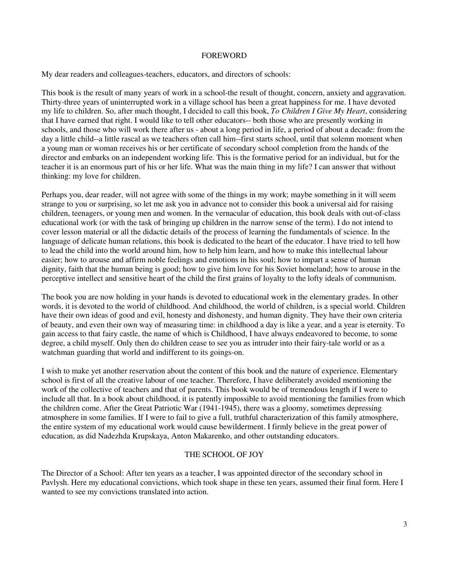### FOREWORD

My dear readers and colleagues-teachers, educators, and directors of schools:

This book is the result of many years of work in a school-the result of thought, concern, anxiety and aggravation. Thirty-three years of uninterrupted work in a village school has been a great happiness for me. I have devoted my life to children. So, after much thought, I decided to call this book, *To Children I Give My Heart*, considering that I have earned that right. I would like to tell other educators-- both those who are presently working in schools, and those who will work there after us - about a long period in life, a period of about a decade: from the day a little child--a little rascal as we teachers often call him--first starts school, until that solemn moment when a young man or woman receives his or her certificate of secondary school completion from the hands of the director and embarks on an independent working life. This is the formative period for an individual, but for the teacher it is an enormous part of his or her life. What was the main thing in my life? I can answer that without thinking: my love for children.

Perhaps you, dear reader, will not agree with some of the things in my work; maybe something in it will seem strange to you or surprising, so let me ask you in advance not to consider this book a universal aid for raising children, teenagers, or young men and women. In the vernacular of education, this book deals with out-of-class educational work (or with the task of bringing up children in the narrow sense of the term). I do not intend to cover lesson material or all the didactic details of the process of learning the fundamentals of science. In the language of delicate human relations, this book is dedicated to the heart of the educator. I have tried to tell how to lead the child into the world around him, how to help him learn, and how to make this intellectual labour easier; how to arouse and affirm noble feelings and emotions in his soul; how to impart a sense of human dignity, faith that the human being is good; how to give him love for his Soviet homeland; how to arouse in the perceptive intellect and sensitive heart of the child the first grains of loyalty to the lofty ideals of communism.

The book you are now holding in your hands is devoted to educational work in the elementary grades. In other words, it is devoted to the world of childhood. And childhood, the world of children, is a special world. Children have their own ideas of good and evil, honesty and dishonesty, and human dignity. They have their own criteria of beauty, and even their own way of measuring time: in childhood a day is like a year, and a year is eternity. To gain access to that fairy castle, the name of which is Childhood, I have always endeavored to become, to some degree, a child myself. Only then do children cease to see you as intruder into their fairy-tale world or as a watchman guarding that world and indifferent to its goings-on.

I wish to make yet another reservation about the content of this book and the nature of experience. Elementary school is first of all the creative labour of one teacher. Therefore, I have deliberately avoided mentioning the work of the collective of teachers and that of parents. This book would be of tremendous length if I were to include all that. In a book about childhood, it is patently impossible to avoid mentioning the families from which the children come. After the Great Patriotic War (1941-1945), there was a gloomy, sometimes depressing atmosphere in some families. If I were to fail to give a full, truthful characterization of this family atmosphere, the entire system of my educational work would cause bewilderment. I firmly believe in the great power of education, as did Nadezhda Krupskaya, Anton Makarenko, and other outstanding educators.

### THE SCHOOL OF JOY

The Director of a School: After ten years as a teacher, I was appointed director of the secondary school in Pavlysh. Here my educational convictions, which took shape in these ten years, assumed their final form. Here I wanted to see my convictions translated into action.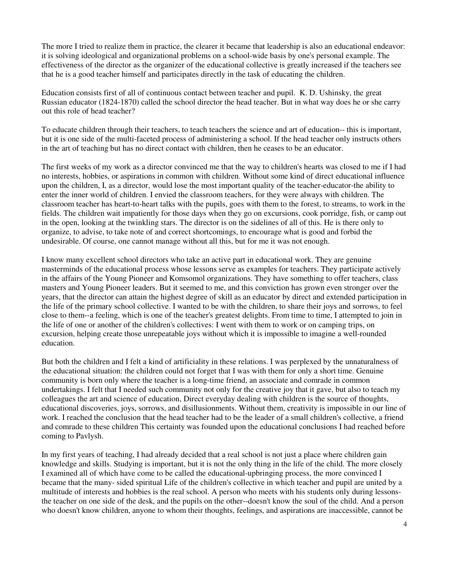The more I tried to realize them in practice, the clearer it became that leadership is also an educational endeavor: it is solving ideological and organizational problems on a school-wide basis by one's personal example. The effectiveness of the director as the organizer of the educational collective is greatly increased if the teachers see that he is a good teacher himself and participates directly in the task of educating the children.

Education consists first of all of continuous contact between teacher and pupil. K. D. Ushinsky, the great Russian educator (1824-1870) called the school director the head teacher. But in what way does he or she carry out this role of head teacher?

To educate children through their teachers, to teach teachers the science and art of education-- this is important, but it is one side of the multi-faceted process of administering a school. If the head teacher only instructs others in the art of teaching but has no direct contact with children, then he ceases to be an educator.

The first weeks of my work as a director convinced me that the way to children's hearts was closed to me if I had no interests, hobbies, or aspirations in common with children. Without some kind of direct educational influence upon the children, I, as a director, would lose the most important quality of the teacher-educator-the ability to enter the inner world of children. I envied the classroom teachers, for they were always with children. The classroom teacher has heart-to-heart talks with the pupils, goes with them to the forest, to streams, to work in the fields. The children wait impatiently for those days when they go on excursions, cook porridge, fish, or camp out in the open, looking at the twinkling stars. The director is on the sidelines of all of this. He is there only to organize, to advise, to take note of and correct shortcomings, to encourage what is good and forbid the undesirable. Of course, one cannot manage without all this, but for me it was not enough.

I know many excellent school directors who take an active part in educational work. They are genuine masterminds of the educational process whose lessons serve as examples for teachers. They participate actively in the affairs of the Young Pioneer and Komsomol organizations. They have something to offer teachers, class masters and Young Pioneer leaders. But it seemed to me, and this conviction has grown even stronger over the years, that the director can attain the highest degree of skill as an educator by direct and extended participation in the life of the primary school collective. I wanted to be with the children, to share their joys and sorrows, to feel close to them--a feeling, which is one of the teacher's greatest delights. From time to time, I attempted to join in the life of one or another of the children's collectives: I went with them to work or on camping trips, on excursion, helping create those unrepeatable joys without which it is impossible to imagine a well-rounded education.

But both the children and I felt a kind of artificiality in these relations. I was perplexed by the unnaturalness of the educational situation: the children could not forget that I was with them for only a short time. Genuine community is born only where the teacher is a long-time friend, an associate and comrade in common undertakings. I felt that I needed such community not only for the creative joy that it gave, but also to teach my colleagues the art and science of education, Direct everyday dealing with children is the source of thoughts, educational discoveries, joys, sorrows, and disillusionments. Without them, creativity is impossible in our line of work. I reached the conclusion that the head teacher had to be the leader of a small children's collective, a friend and comrade to these children This certainty was founded upon the educational conclusions I had reached before coming to Pavlysh.

In my first years of teaching, I had already decided that a real school is not just a place where children gain knowledge and skills. Studying is important, but it is not the only thing in the life of the child. The more closely I examined all of which have come to be called the educational-upbringing process, the more convinced I became that the many- sided spiritual Life of the children's collective in which teacher and pupil are united by a multitude of interests and hobbies is the real school. A person who meets with his students only during lessonsthe teacher on one side of the desk, and the pupils on the other--doesn't know the soul of the child. And a person who doesn't know children, anyone to whom their thoughts, feelings, and aspirations are inaccessible, cannot be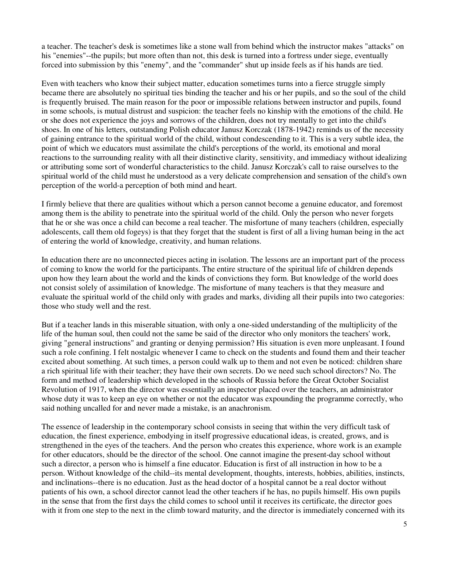a teacher. The teacher's desk is sometimes like a stone wall from behind which the instructor makes "attacks" on his "enemies"--the pupils; but more often than not, this desk is turned into a fortress under siege, eventually forced into submission by this "enemy", and the "commander" shut up inside feels as if his hands are tied.

Even with teachers who know their subject matter, education sometimes turns into a fierce struggle simply became there are absolutely no spiritual ties binding the teacher and his or her pupils, and so the soul of the child is frequently bruised. The main reason for the poor or impossible relations between instructor and pupils, found in some schools, is mutual distrust and suspicion: the teacher feels no kinship with the emotions of the child. He or she does not experience the joys and sorrows of the children, does not try mentally to get into the child's shoes. In one of his letters, outstanding Polish educator Janusz Korczak (1878-1942) reminds us of the necessity of gaining entrance to the spiritual world of the child, without condescending to it. This is a very subtle idea, the point of which we educators must assimilate the child's perceptions of the world, its emotional and moral reactions to the surrounding reality with all their distinctive clarity, sensitivity, and immediacy without idealizing or attributing some sort of wonderful characteristics to the child. Janusz Korczak's call to raise ourselves to the spiritual world of the child must he understood as a very delicate comprehension and sensation of the child's own perception of the world-a perception of both mind and heart.

I firmly believe that there are qualities without which a person cannot become a genuine educator, and foremost among them is the ability to penetrate into the spiritual world of the child. Only the person who never forgets that he or she was once a child can become a real teacher. The misfortune of many teachers (children, especially adolescents, call them old fogeys) is that they forget that the student is first of all a living human being in the act of entering the world of knowledge, creativity, and human relations.

In education there are no unconnected pieces acting in isolation. The lessons are an important part of the process of coming to know the world for the participants. The entire structure of the spiritual life of children depends upon how they learn about the world and the kinds of convictions they form. But knowledge of the world does not consist solely of assimilation of knowledge. The misfortune of many teachers is that they measure and evaluate the spiritual world of the child only with grades and marks, dividing all their pupils into two categories: those who study well and the rest.

But if a teacher lands in this miserable situation, with only a one-sided understanding of the multiplicity of the life of the human soul, then could not the same be said of the director who only monitors the teachers' work, giving "general instructions" and granting or denying permission? His situation is even more unpleasant. I found such a role confining. I felt nostalgic whenever I came to check on the students and found them and their teacher excited about something. At such times, a person could walk up to them and not even be noticed: children share a rich spiritual life with their teacher; they have their own secrets. Do we need such school directors? No. The form and method of leadership which developed in the schools of Russia before the Great October Socialist Revolution of 1917, when the director was essentially an inspector placed over the teachers, an administrator whose duty it was to keep an eye on whether or not the educator was expounding the programme correctly, who said nothing uncalled for and never made a mistake, is an anachronism.

The essence of leadership in the contemporary school consists in seeing that within the very difficult task of education, the finest experience, embodying in itself progressive educational ideas, is created, grows, and is strengthened in the eyes of the teachers. And the person who creates this experience, whore work is an example for other educators, should be the director of the school. One cannot imagine the present-day school without such a director, a person who is himself a fine educator. Education is first of all instruction in how to be a person. Without knowledge of the child--its mental development, thoughts, interests, hobbies, abilities, instincts, and inclinations--there is no education. Just as the head doctor of a hospital cannot be a real doctor without patients of his own, a school director cannot lead the other teachers if he has, no pupils himself. His own pupils in the sense that from the first days the child comes to school until it receives its certificate, the director goes with it from one step to the next in the climb toward maturity, and the director is immediately concerned with its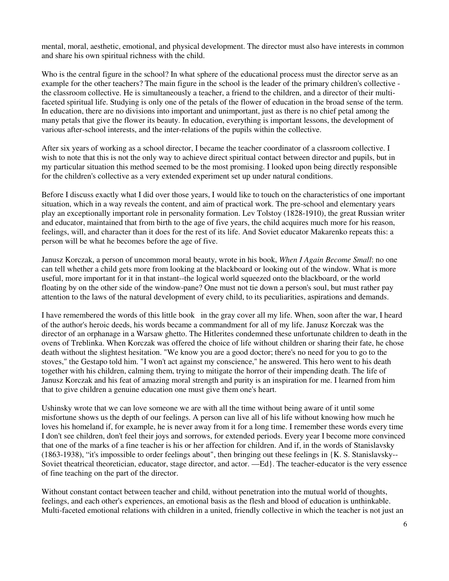mental, moral, aesthetic, emotional, and physical development. The director must also have interests in common and share his own spiritual richness with the child.

Who is the central figure in the school? In what sphere of the educational process must the director serve as an example for the other teachers? The main figure in the school is the leader of the primary children's collective the classroom collective. He is simultaneously a teacher, a friend to the children, and a director of their multifaceted spiritual life. Studying is only one of the petals of the flower of education in the broad sense of the term. In education, there are no divisions into important and unimportant, just as there is no chief petal among the many petals that give the flower its beauty. In education, everything is important lessons, the development of various after-school interests, and the inter-relations of the pupils within the collective.

After six years of working as a school director, I became the teacher coordinator of a classroom collective. I wish to note that this is not the only way to achieve direct spiritual contact between director and pupils, but in my particular situation this method seemed to be the most promising. I looked upon being directly responsible for the children's collective as a very extended experiment set up under natural conditions.

Before I discuss exactly what I did over those years, I would like to touch on the characteristics of one important situation, which in a way reveals the content, and aim of practical work. The pre-school and elementary years play an exceptionally important role in personality formation. Lev Tolstoy (1828-1910), the great Russian writer and educator, maintained that from birth to the age of five years, the child acquires much more for his reason, feelings, will, and character than it does for the rest of its life. And Soviet educator Makarenko repeats this: a person will be what he becomes before the age of five.

Janusz Korczak, a person of uncommon moral beauty, wrote in his book, *When I Again Become Small*: no one can tell whether a child gets more from looking at the blackboard or looking out of the window. What is more useful, more important for it in that instant--the logical world squeezed onto the blackboard, or the world floating by on the other side of the window-pane? One must not tie down a person's soul, but must rather pay attention to the laws of the natural development of every child, to its peculiarities, aspirations and demands.

I have remembered the words of this little book in the gray cover all my life. When, soon after the war, I heard of the author's heroic deeds, his words became a commandment for all of my life. Janusz Korczak was the director of an orphanage in a Warsaw ghetto. The Hitlerites condemned these unfortunate children to death in the ovens of Treblinka. When Korczak was offered the choice of life without children or sharing their fate, he chose death without the slightest hesitation. "We know you are a good doctor; there's no need for you to go to the stoves," the Gestapo told him. "I won't act against my conscience," he answered. This hero went to his death together with his children, calming them, trying to mitigate the horror of their impending death. The life of Janusz Korczak and his feat of amazing moral strength and purity is an inspiration for me. I learned from him that to give children a genuine education one must give them one's heart.

Ushinsky wrote that we can love someone we are with all the time without being aware of it until some misfortune shows us the depth of our feelings. A person can live all of his life without knowing how much he loves his homeland if, for example, he is never away from it for a long time. I remember these words every time I don't see children, don't feel their joys and sorrows, for extended periods. Every year I become more convinced that one of the marks of a fine teacher is his or her affection for children. And if, in the words of Stanislavsky (1863-1938), "it's impossible to order feelings about", then bringing out these feelings in {K. S. Stanislavsky-- Soviet theatrical theoretician, educator, stage director, and actor. —Ed}. The teacher-educator is the very essence of fine teaching on the part of the director.

Without constant contact between teacher and child, without penetration into the mutual world of thoughts, feelings, and each other's experiences, an emotional basis as the flesh and blood of education is unthinkable. Multi-faceted emotional relations with children in a united, friendly collective in which the teacher is not just an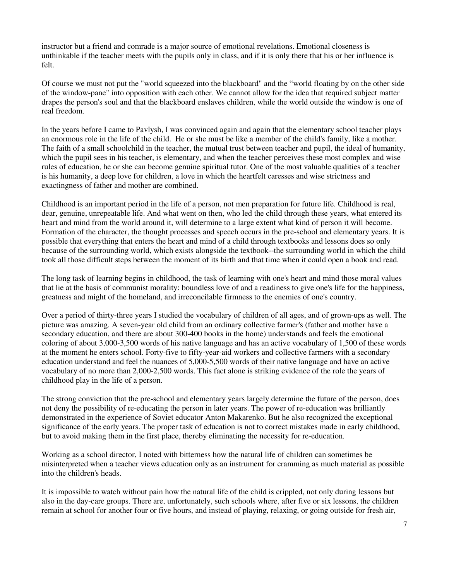instructor but a friend and comrade is a major source of emotional revelations. Emotional closeness is unthinkable if the teacher meets with the pupils only in class, and if it is only there that his or her influence is felt.

Of course we must not put the "world squeezed into the blackboard" and the "world floating by on the other side of the window-pane" into opposition with each other. We cannot allow for the idea that required subject matter drapes the person's soul and that the blackboard enslaves children, while the world outside the window is one of real freedom.

In the years before I came to Pavlysh, I was convinced again and again that the elementary school teacher plays an enormous role in the life of the child. He or she must be like a member of the child's family, like a mother. The faith of a small schoolchild in the teacher, the mutual trust between teacher and pupil, the ideal of humanity, which the pupil sees in his teacher, is elementary, and when the teacher perceives these most complex and wise rules of education, he or she can become genuine spiritual tutor. One of the most valuable qualities of a teacher is his humanity, a deep love for children, a love in which the heartfelt caresses and wise strictness and exactingness of father and mother are combined.

Childhood is an important period in the life of a person, not men preparation for future life. Childhood is real, dear, genuine, unrepeatable life. And what went on then, who led the child through these years, what entered its heart and mind from the world around it, will determine to a large extent what kind of person it will become. Formation of the character, the thought processes and speech occurs in the pre-school and elementary years. It is possible that everything that enters the heart and mind of a child through textbooks and lessons does so only because of the surrounding world, which exists alongside the textbook--the surrounding world in which the child took all those difficult steps between the moment of its birth and that time when it could open a book and read.

The long task of learning begins in childhood, the task of learning with one's heart and mind those moral values that lie at the basis of communist morality: boundless love of and a readiness to give one's life for the happiness, greatness and might of the homeland, and irreconcilable firmness to the enemies of one's country.

Over a period of thirty-three years I studied the vocabulary of children of all ages, and of grown-ups as well. The picture was amazing. A seven-year old child from an ordinary collective farmer's (father and mother have a secondary education, and there are about 300-400 books in the home) understands and feels the emotional coloring of about 3,000-3,500 words of his native language and has an active vocabulary of 1,500 of these words at the moment he enters school. Forty-five to fifty-year-aid workers and collective farmers with a secondary education understand and feel the nuances of 5,000-5,500 words of their native language and have an active vocabulary of no more than 2,000-2,500 words. This fact alone is striking evidence of the role the years of childhood play in the life of a person.

The strong conviction that the pre-school and elementary years largely determine the future of the person, does not deny the possibility of re-educating the person in later years. The power of re-education was brilliantly demonstrated in the experience of Soviet educator Anton Makarenko. But he also recognized the exceptional significance of the early years. The proper task of education is not to correct mistakes made in early childhood, but to avoid making them in the first place, thereby eliminating the necessity for re-education.

Working as a school director, I noted with bitterness how the natural life of children can sometimes be misinterpreted when a teacher views education only as an instrument for cramming as much material as possible into the children's heads.

It is impossible to watch without pain how the natural life of the child is crippled, not only during lessons but also in the day-care groups. There are, unfortunately, such schools where, after five or six lessons, the children remain at school for another four or five hours, and instead of playing, relaxing, or going outside for fresh air,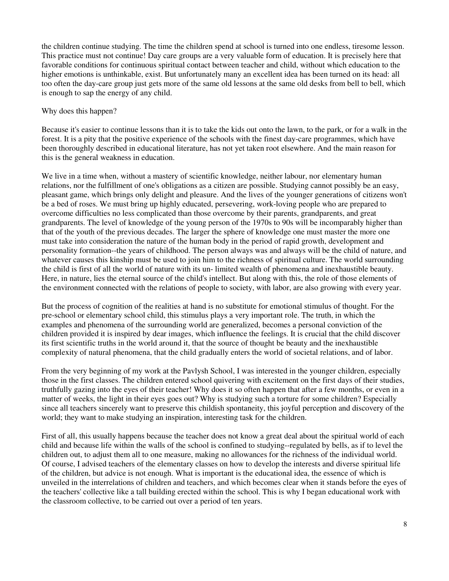the children continue studying. The time the children spend at school is turned into one endless, tiresome lesson. This practice must not continue! Day care groups are a very valuable form of education. It is precisely here that favorable conditions for continuous spiritual contact between teacher and child, without which education to the higher emotions is unthinkable, exist. But unfortunately many an excellent idea has been turned on its head: all too often the day-care group just gets more of the same old lessons at the same old desks from bell to bell, which is enough to sap the energy of any child.

### Why does this happen?

Because it's easier to continue lessons than it is to take the kids out onto the lawn, to the park, or for a walk in the forest. It is a pity that the positive experience of the schools with the finest day-care programmes, which have been thoroughly described in educational literature, has not yet taken root elsewhere. And the main reason for this is the general weakness in education.

We live in a time when, without a mastery of scientific knowledge, neither labour, nor elementary human relations, nor the fulfillment of one's obligations as a citizen are possible. Studying cannot possibly be an easy, pleasant game, which brings only delight and pleasure. And the lives of the younger generations of citizens won't be a bed of roses. We must bring up highly educated, persevering, work-loving people who are prepared to overcome difficulties no less complicated than those overcome by their parents, grandparents, and great grandparents. The level of knowledge of the young person of the 1970s to 90s will be incomparably higher than that of the youth of the previous decades. The larger the sphere of knowledge one must master the more one must take into consideration the nature of the human body in the period of rapid growth, development and personality formation--the years of childhood. The person always was and always will be the child of nature, and whatever causes this kinship must be used to join him to the richness of spiritual culture. The world surrounding the child is first of all the world of nature with its un- limited wealth of phenomena and inexhaustible beauty. Here, in nature, lies the eternal source of the child's intellect. But along with this, the role of those elements of the environment connected with the relations of people to society, with labor, are also growing with every year.

But the process of cognition of the realities at hand is no substitute for emotional stimulus of thought. For the pre-school or elementary school child, this stimulus plays a very important role. The truth, in which the examples and phenomena of the surrounding world are generalized, becomes a personal conviction of the children provided it is inspired by dear images, which influence the feelings. It is crucial that the child discover its first scientific truths in the world around it, that the source of thought be beauty and the inexhaustible complexity of natural phenomena, that the child gradually enters the world of societal relations, and of labor.

From the very beginning of my work at the Pavlysh School, I was interested in the younger children, especially those in the first classes. The children entered school quivering with excitement on the first days of their studies, truthfully gazing into the eyes of their teacher! Why does it so often happen that after a few months, or even in a matter of weeks, the light in their eyes goes out? Why is studying such a torture for some children? Especially since all teachers sincerely want to preserve this childish spontaneity, this joyful perception and discovery of the world; they want to make studying an inspiration, interesting task for the children.

First of all, this usually happens because the teacher does not know a great deal about the spiritual world of each child and because life within the walls of the school is confined to studying--regulated by bells, as if to level the children out, to adjust them all to one measure, making no allowances for the richness of the individual world. Of course, I advised teachers of the elementary classes on how to develop the interests and diverse spiritual life of the children, but advice is not enough. What is important is the educational idea, the essence of which is unveiled in the interrelations of children and teachers, and which becomes clear when it stands before the eyes of the teachers' collective like a tall building erected within the school. This is why I began educational work with the classroom collective, to be carried out over a period of ten years.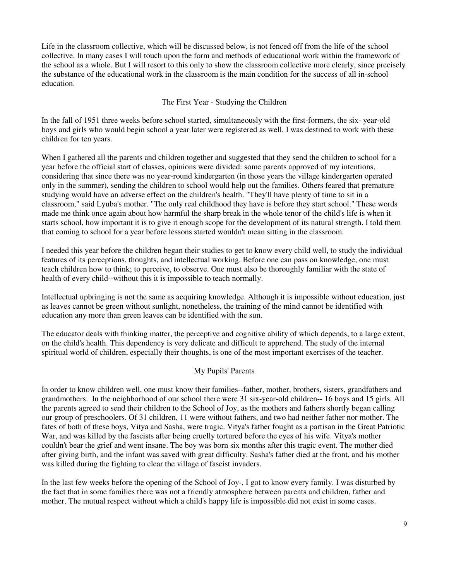Life in the classroom collective, which will be discussed below, is not fenced off from the life of the school collective. In many cases I will touch upon the form and methods of educational work within the framework of the school as a whole. But I will resort to this only to show the classroom collective more clearly, since precisely the substance of the educational work in the classroom is the main condition for the success of all in-school education.

## The First Year - Studying the Children

In the fall of 1951 three weeks before school started, simultaneously with the first-formers, the six- year-old boys and girls who would begin school a year later were registered as well. I was destined to work with these children for ten years.

When I gathered all the parents and children together and suggested that they send the children to school for a year before the official start of classes, opinions were divided: some parents approved of my intentions, considering that since there was no year-round kindergarten (in those years the village kindergarten operated only in the summer), sending the children to school would help out the families. Others feared that premature studying would have an adverse effect on the children's health. "They'll have plenty of time to sit in a classroom," said Lyuba's mother. "The only real childhood they have is before they start school." These words made me think once again about how harmful the sharp break in the whole tenor of the child's life is when it starts school, how important it is to give it enough scope for the development of its natural strength. I told them that coming to school for a year before lessons started wouldn't mean sitting in the classroom.

I needed this year before the children began their studies to get to know every child well, to study the individual features of its perceptions, thoughts, and intellectual working. Before one can pass on knowledge, one must teach children how to think; to perceive, to observe. One must also be thoroughly familiar with the state of health of every child--without this it is impossible to teach normally.

Intellectual upbringing is not the same as acquiring knowledge. Although it is impossible without education, just as leaves cannot be green without sunlight, nonetheless, the training of the mind cannot be identified with education any more than green leaves can be identified with the sun.

The educator deals with thinking matter, the perceptive and cognitive ability of which depends, to a large extent, on the child's health. This dependency is very delicate and difficult to apprehend. The study of the internal spiritual world of children, especially their thoughts, is one of the most important exercises of the teacher.

## My Pupils' Parents

In order to know children well, one must know their families--father, mother, brothers, sisters, grandfathers and grandmothers. In the neighborhood of our school there were 31 six-year-old children-- 16 boys and 15 girls. All the parents agreed to send their children to the School of Joy, as the mothers and fathers shortly began calling our group of preschoolers. Of 31 children, 11 were without fathers, and two had neither father nor mother. The fates of both of these boys, Vitya and Sasha, were tragic. Vitya's father fought as a partisan in the Great Patriotic War, and was killed by the fascists after being cruelly tortured before the eyes of his wife. Vitya's mother couldn't bear the grief and went insane. The boy was born six months after this tragic event. The mother died after giving birth, and the infant was saved with great difficulty. Sasha's father died at the front, and his mother was killed during the fighting to clear the village of fascist invaders.

In the last few weeks before the opening of the School of Joy-, I got to know every family. I was disturbed by the fact that in some families there was not a friendly atmosphere between parents and children, father and mother. The mutual respect without which a child's happy life is impossible did not exist in some cases.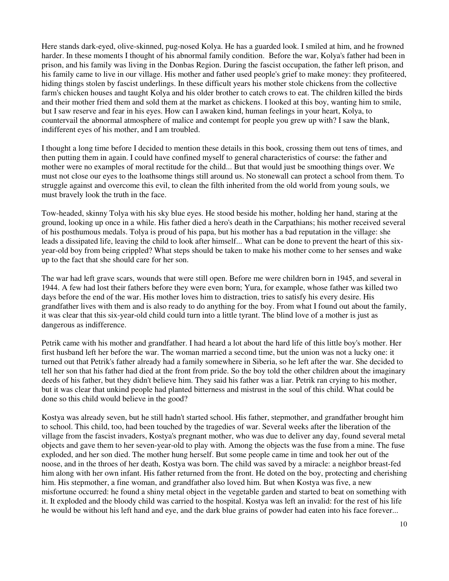Here stands dark-eyed, olive-skinned, pug-nosed Kolya. He has a guarded look. I smiled at him, and he frowned harder. In these moments I thought of his abnormal family condition. Before the war, Kolya's father had been in prison, and his family was living in the Donbas Region. During the fascist occupation, the father left prison, and his family came to live in our village. His mother and father used people's grief to make money: they profiteered, hiding things stolen by fascist underlings. In these difficult years his mother stole chickens from the collective farm's chicken houses and taught Kolya and his older brother to catch crows to eat. The children killed the birds and their mother fried them and sold them at the market as chickens. I looked at this boy, wanting him to smile, but I saw reserve and fear in his eyes. How can I awaken kind, human feelings in your heart, Kolya, to countervail the abnormal atmosphere of malice and contempt for people you grew up with? I saw the blank, indifferent eyes of his mother, and I am troubled.

I thought a long time before I decided to mention these details in this book, crossing them out tens of times, and then putting them in again. I could have confined myself to general characteristics of course: the father and mother were no examples of moral rectitude for the child... But that would just be smoothing things over. We must not close our eyes to the loathsome things still around us. No stonewall can protect a school from them. To struggle against and overcome this evil, to clean the filth inherited from the old world from young souls, we must bravely look the truth in the face.

Tow-headed, skinny Tolya with his sky blue eyes. He stood beside his mother, holding her hand, staring at the ground, looking up once in a while. His father died a hero's death in the Carpathians; his mother received several of his posthumous medals. Tolya is proud of his papa, but his mother has a bad reputation in the village: she leads a dissipated life, leaving the child to look after himself... What can be done to prevent the heart of this sixyear-old boy from being crippled? What steps should be taken to make his mother come to her senses and wake up to the fact that she should care for her son.

The war had left grave scars, wounds that were still open. Before me were children born in 1945, and several in 1944. A few had lost their fathers before they were even born; Yura, for example, whose father was killed two days before the end of the war. His mother loves him to distraction, tries to satisfy his every desire. His grandfather lives with them and is also ready to do anything for the boy. From what I found out about the family, it was clear that this six-year-old child could turn into a little tyrant. The blind love of a mother is just as dangerous as indifference.

Petrik came with his mother and grandfather. I had heard a lot about the hard life of this little boy's mother. Her first husband left her before the war. The woman married a second time, but the union was not a lucky one: it turned out that Petrik's father already had a family somewhere in Siberia, so he left after the war. She decided to tell her son that his father had died at the front from pride. So the boy told the other children about the imaginary deeds of his father, but they didn't believe him. They said his father was a liar. Petrik ran crying to his mother, but it was clear that unkind people had planted bitterness and mistrust in the soul of this child. What could be done so this child would believe in the good?

Kostya was already seven, but he still hadn't started school. His father, stepmother, and grandfather brought him to school. This child, too, had been touched by the tragedies of war. Several weeks after the liberation of the village from the fascist invaders, Kostya's pregnant mother, who was due to deliver any day, found several metal objects and gave them to her seven-year-old to play with. Among the objects was the fuse from a mine. The fuse exploded, and her son died. The mother hung herself. But some people came in time and took her out of the noose, and in the throes of her death, Kostya was born. The child was saved by a miracle: a neighbor breast-fed him along with her own infant. His father returned from the front. He doted on the boy, protecting and cherishing him. His stepmother, a fine woman, and grandfather also loved him. But when Kostya was five, a new misfortune occurred: he found a shiny metal object in the vegetable garden and started to beat on something with it. It exploded and the bloody child was carried to the hospital. Kostya was left an invalid: for the rest of his life he would be without his left hand and eye, and the dark blue grains of powder had eaten into his face forever...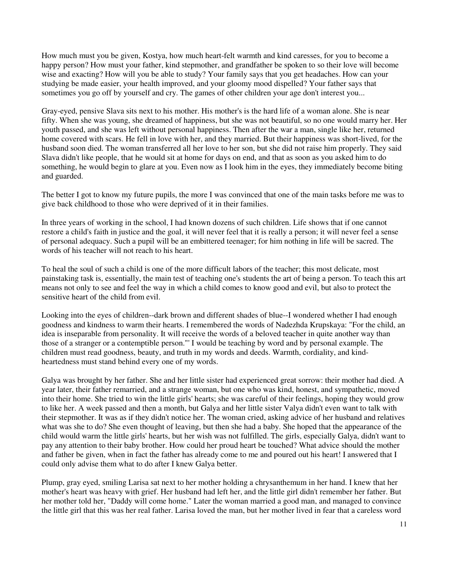How much must you be given, Kostya, how much heart-felt warmth and kind caresses, for you to become a happy person? How must your father, kind stepmother, and grandfather be spoken to so their love will become wise and exacting? How will you be able to study? Your family says that you get headaches. How can your studying be made easier, your health improved, and your gloomy mood dispelled? Your father says that sometimes you go off by yourself and cry. The games of other children your age don't interest you...

Gray-eyed, pensive Slava sits next to his mother. His mother's is the hard life of a woman alone. She is near fifty. When she was young, she dreamed of happiness, but she was not beautiful, so no one would marry her. Her youth passed, and she was left without personal happiness. Then after the war a man, single like her, returned home covered with scars. He fell in love with her, and they married. But their happiness was short-lived, for the husband soon died. The woman transferred all her love to her son, but she did not raise him properly. They said Slava didn't like people, that he would sit at home for days on end, and that as soon as you asked him to do something, he would begin to glare at you. Even now as I look him in the eyes, they immediately become biting and guarded.

The better I got to know my future pupils, the more I was convinced that one of the main tasks before me was to give back childhood to those who were deprived of it in their families.

In three years of working in the school, I had known dozens of such children. Life shows that if one cannot restore a child's faith in justice and the goal, it will never feel that it is really a person; it will never feel a sense of personal adequacy. Such a pupil will be an embittered teenager; for him nothing in life will be sacred. The words of his teacher will not reach to his heart.

To heal the soul of such a child is one of the more difficult labors of the teacher; this most delicate, most painstaking task is, essentially, the main test of teaching one's students the art of being a person. To teach this art means not only to see and feel the way in which a child comes to know good and evil, but also to protect the sensitive heart of the child from evil.

Looking into the eyes of children--dark brown and different shades of blue--I wondered whether I had enough goodness and kindness to warm their hearts. I remembered the words of Nadezhda Krupskaya: "For the child, an idea is inseparable from personality. It will receive the words of a beloved teacher in quite another way than those of a stranger or a contemptible person."' I would be teaching by word and by personal example. The children must read goodness, beauty, and truth in my words and deeds. Warmth, cordiality, and kindheartedness must stand behind every one of my words.

Galya was brought by her father. She and her little sister had experienced great sorrow: their mother had died. A year later, their father remarried, and a strange woman, but one who was kind, honest, and sympathetic, moved into their home. She tried to win the little girls' hearts; she was careful of their feelings, hoping they would grow to like her. A week passed and then a month, but Galya and her little sister Valya didn't even want to talk with their stepmother. It was as if they didn't notice her. The woman cried, asking advice of her husband and relatives what was she to do? She even thought of leaving, but then she had a baby. She hoped that the appearance of the child would warm the little girls' hearts, but her wish was not fulfilled. The girls, especially Galya, didn't want to pay any attention to their baby brother. How could her proud heart be touched? What advice should the mother and father be given, when in fact the father has already come to me and poured out his heart! I answered that I could only advise them what to do after I knew Galya better.

Plump, gray eyed, smiling Larisa sat next to her mother holding a chrysanthemum in her hand. I knew that her mother's heart was heavy with grief. Her husband had left her, and the little girl didn't remember her father. But her mother told her, "Daddy will come home." Later the woman married a good man, and managed to convince the little girl that this was her real father. Larisa loved the man, but her mother lived in fear that a careless word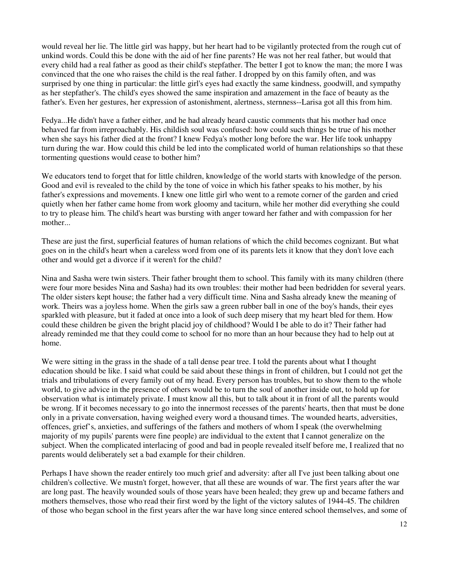would reveal her lie. The little girl was happy, but her heart had to be vigilantly protected from the rough cut of unkind words. Could this be done with the aid of her fine parents? He was not her real father, but would that every child had a real father as good as their child's stepfather. The better I got to know the man; the more I was convinced that the one who raises the child is the real father. I dropped by on this family often, and was surprised by one thing in particular: the little girl's eyes had exactly the same kindness, goodwill, and sympathy as her stepfather's. The child's eyes showed the same inspiration and amazement in the face of beauty as the father's. Even her gestures, her expression of astonishment, alertness, sternness--Larisa got all this from him.

Fedya...He didn't have a father either, and he had already heard caustic comments that his mother had once behaved far from irreproachably. His childish soul was confused: how could such things be true of his mother when she says his father died at the front? I knew Fedya's mother long before the war. Her life took unhappy turn during the war. How could this child be led into the complicated world of human relationships so that these tormenting questions would cease to bother him?

We educators tend to forget that for little children, knowledge of the world starts with knowledge of the person. Good and evil is revealed to the child by the tone of voice in which his father speaks to his mother, by his father's expressions and movements. I knew one little girl who went to a remote corner of the garden and cried quietly when her father came home from work gloomy and taciturn, while her mother did everything she could to try to please him. The child's heart was bursting with anger toward her father and with compassion for her mother...

These are just the first, superficial features of human relations of which the child becomes cognizant. But what goes on in the child's heart when a careless word from one of its parents lets it know that they don't love each other and would get a divorce if it weren't for the child?

Nina and Sasha were twin sisters. Their father brought them to school. This family with its many children (there were four more besides Nina and Sasha) had its own troubles: their mother had been bedridden for several years. The older sisters kept house; the father had a very difficult time. Nina and Sasha already knew the meaning of work. Theirs was a joyless home. When the girls saw a green rubber ball in one of the boy's hands, their eyes sparkled with pleasure, but it faded at once into a look of such deep misery that my heart bled for them. How could these children be given the bright placid joy of childhood? Would I be able to do it? Their father had already reminded me that they could come to school for no more than an hour because they had to help out at home.

We were sitting in the grass in the shade of a tall dense pear tree. I told the parents about what I thought education should be like. I said what could be said about these things in front of children, but I could not get the trials and tribulations of every family out of my head. Every person has troubles, but to show them to the whole world, to give advice in the presence of others would be to turn the soul of another inside out, to hold up for observation what is intimately private. I must know all this, but to talk about it in front of all the parents would be wrong. If it becomes necessary to go into the innermost recesses of the parents' hearts, then that must be done only in a private conversation, having weighed every word a thousand times. The wounded hearts, adversities, offences, grief's, anxieties, and sufferings of the fathers and mothers of whom I speak (the overwhelming majority of my pupils' parents were fine people) are individual to the extent that I cannot generalize on the subject. When the complicated interlacing of good and bad in people revealed itself before me, I realized that no parents would deliberately set a bad example for their children.

Perhaps I have shown the reader entirely too much grief and adversity: after all I've just been talking about one children's collective. We mustn't forget, however, that all these are wounds of war. The first years after the war are long past. The heavily wounded souls of those years have been healed; they grew up and became fathers and mothers themselves, those who read their first word by the light of the victory salutes of 1944-45. The children of those who began school in the first years after the war have long since entered school themselves, and some of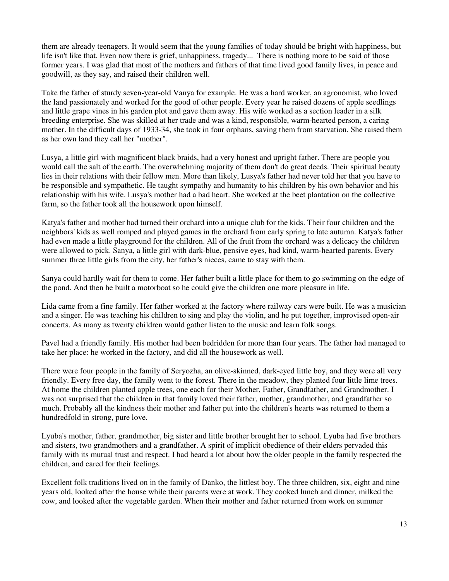them are already teenagers. It would seem that the young families of today should be bright with happiness, but life isn't like that. Even now there is grief, unhappiness, tragedy... There is nothing more to be said of those former years. I was glad that most of the mothers and fathers of that time lived good family lives, in peace and goodwill, as they say, and raised their children well.

Take the father of sturdy seven-year-old Vanya for example. He was a hard worker, an agronomist, who loved the land passionately and worked for the good of other people. Every year he raised dozens of apple seedlings and little grape vines in his garden plot and gave them away. His wife worked as a section leader in a silk breeding enterprise. She was skilled at her trade and was a kind, responsible, warm-hearted person, a caring mother. In the difficult days of 1933-34, she took in four orphans, saving them from starvation. She raised them as her own land they call her "mother".

Lusya, a little girl with magnificent black braids, had a very honest and upright father. There are people you would call the salt of the earth. The overwhelming majority of them don't do great deeds. Their spiritual beauty lies in their relations with their fellow men. More than likely, Lusya's father had never told her that you have to be responsible and sympathetic. He taught sympathy and humanity to his children by his own behavior and his relationship with his wife. Lusya's mother had a bad heart. She worked at the beet plantation on the collective farm, so the father took all the housework upon himself.

Katya's father and mother had turned their orchard into a unique club for the kids. Their four children and the neighbors' kids as well romped and played games in the orchard from early spring to late autumn. Katya's father had even made a little playground for the children. All of the fruit from the orchard was a delicacy the children were allowed to pick. Sanya, a little girl with dark-blue, pensive eyes, had kind, warm-hearted parents. Every summer three little girls from the city, her father's nieces, came to stay with them.

Sanya could hardly wait for them to come. Her father built a little place for them to go swimming on the edge of the pond. And then he built a motorboat so he could give the children one more pleasure in life.

Lida came from a fine family. Her father worked at the factory where railway cars were built. He was a musician and a singer. He was teaching his children to sing and play the violin, and he put together, improvised open-air concerts. As many as twenty children would gather listen to the music and learn folk songs.

Pavel had a friendly family. His mother had been bedridden for more than four years. The father had managed to take her place: he worked in the factory, and did all the housework as well.

There were four people in the family of Seryozha, an olive-skinned, dark-eyed little boy, and they were all very friendly. Every free day, the family went to the forest. There in the meadow, they planted four little lime trees. At home the children planted apple trees, one each for their Mother, Father, Grandfather, and Grandmother. I was not surprised that the children in that family loved their father, mother, grandmother, and grandfather so much. Probably all the kindness their mother and father put into the children's hearts was returned to them a hundredfold in strong, pure love.

Lyuba's mother, father, grandmother, big sister and little brother brought her to school. Lyuba had five brothers and sisters, two grandmothers and a grandfather. A spirit of implicit obedience of their elders pervaded this family with its mutual trust and respect. I had heard a lot about how the older people in the family respected the children, and cared for their feelings.

Excellent folk traditions lived on in the family of Danko, the littlest boy. The three children, six, eight and nine years old, looked after the house while their parents were at work. They cooked lunch and dinner, milked the cow, and looked after the vegetable garden. When their mother and father returned from work on summer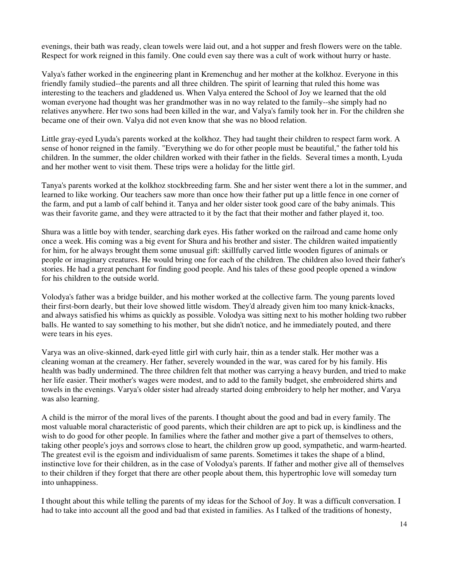evenings, their bath was ready, clean towels were laid out, and a hot supper and fresh flowers were on the table. Respect for work reigned in this family. One could even say there was a cult of work without hurry or haste.

Valya's father worked in the engineering plant in Kremenchug and her mother at the kolkhoz. Everyone in this friendly family studied--the parents and all three children. The spirit of learning that ruled this home was interesting to the teachers and gladdened us. When Valya entered the School of Joy we learned that the old woman everyone had thought was her grandmother was in no way related to the family--she simply had no relatives anywhere. Her two sons had been killed in the war, and Valya's family took her in. For the children she became one of their own. Valya did not even know that she was no blood relation.

Little gray-eyed Lyuda's parents worked at the kolkhoz. They had taught their children to respect farm work. A sense of honor reigned in the family. "Everything we do for other people must be beautiful," the father told his children. In the summer, the older children worked with their father in the fields. Several times a month, Lyuda and her mother went to visit them. These trips were a holiday for the little girl.

Tanya's parents worked at the kolkhoz stockbreeding farm. She and her sister went there a lot in the summer, and learned to like working. Our teachers saw more than once how their father put up a little fence in one corner of the farm, and put a lamb of calf behind it. Tanya and her older sister took good care of the baby animals. This was their favorite game, and they were attracted to it by the fact that their mother and father played it, too.

Shura was a little boy with tender, searching dark eyes. His father worked on the railroad and came home only once a week. His coming was a big event for Shura and his brother and sister. The children waited impatiently for him, for he always brought them some unusual gift: skillfully carved little wooden figures of animals or people or imaginary creatures. He would bring one for each of the children. The children also loved their father's stories. He had a great penchant for finding good people. And his tales of these good people opened a window for his children to the outside world.

Volodya's father was a bridge builder, and his mother worked at the collective farm. The young parents loved their first-born dearly, but their love showed little wisdom. They'd already given him too many knick-knacks, and always satisfied his whims as quickly as possible. Volodya was sitting next to his mother holding two rubber balls. He wanted to say something to his mother, but she didn't notice, and he immediately pouted, and there were tears in his eyes.

Varya was an olive-skinned, dark-eyed little girl with curly hair, thin as a tender stalk. Her mother was a cleaning woman at the creamery. Her father, severely wounded in the war, was cared for by his family. His health was badly undermined. The three children felt that mother was carrying a heavy burden, and tried to make her life easier. Their mother's wages were modest, and to add to the family budget, she embroidered shirts and towels in the evenings. Varya's older sister had already started doing embroidery to help her mother, and Varya was also learning.

A child is the mirror of the moral lives of the parents. I thought about the good and bad in every family. The most valuable moral characteristic of good parents, which their children are apt to pick up, is kindliness and the wish to do good for other people. In families where the father and mother give a part of themselves to others, taking other people's joys and sorrows close to heart, the children grow up good, sympathetic, and warm-hearted. The greatest evil is the egoism and individualism of same parents. Sometimes it takes the shape of a blind, instinctive love for their children, as in the case of Volodya's parents. If father and mother give all of themselves to their children if they forget that there are other people about them, this hypertrophic love will someday turn into unhappiness.

I thought about this while telling the parents of my ideas for the School of Joy. It was a difficult conversation. I had to take into account all the good and bad that existed in families. As I talked of the traditions of honesty,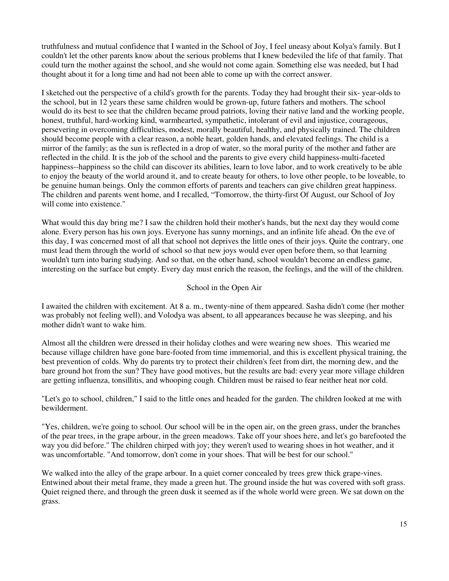truthfulness and mutual confidence that I wanted in the School of Joy, I feel uneasy about Kolya's family. But I couldn't let the other parents know about the serious problems that I knew bedeviled the life of that family. That could turn the mother against the school, and she would not come again. Something else was needed, but I had thought about it for a long time and had not been able to come up with the correct answer.

I sketched out the perspective of a child's growth for the parents. Today they had brought their six- year-olds to the school, but in 12 years these same children would be grown-up, future fathers and mothers. The school would do its best to see that the children became proud patriots, loving their native land and the working people, honest, truthful, hard-working kind, warmhearted, sympathetic, intolerant of evil and injustice, courageous, persevering in overcoming difficulties, modest, morally beautiful, healthy, and physically trained. The children should become people with a clear reason, a noble heart, golden hands, and elevated feelings. The child is a mirror of the family; as the sun is reflected in a drop of water, so the moral purity of the mother and father are reflected in the child. It is the job of the school and the parents to give every child happiness-multi-faceted happiness--happiness so the child can discover its abilities, learn to love labor, and to work creatively to be able to enjoy the beauty of the world around it, and to create beauty for others, to love other people, to be loveable, to be genuine human beings. Only the common efforts of parents and teachers can give children great happiness. The children and parents went home, and I recalled, "Tomorrow, the thirty-first Of August, our School of Joy will come into existence."

What would this day bring me? I saw the children hold their mother's hands, but the next day they would come alone. Every person has his own joys. Everyone has sunny mornings, and an infinite life ahead. On the eve of this day, I was concerned most of all that school not deprives the little ones of their joys. Quite the contrary, one must lead them through the world of school so that new joys would ever open before them, so that learning wouldn't turn into baring studying. And so that, on the other hand, school wouldn't become an endless game, interesting on the surface but empty. Every day must enrich the reason, the feelings, and the will of the children.

### School in the Open Air

I awaited the children with excitement. At 8 a. m., twenty-nine of them appeared. Sasha didn't come (her mother was probably not feeling well), and Volodya was absent, to all appearances because he was sleeping, and his mother didn't want to wake him.

Almost all the children were dressed in their holiday clothes and were wearing new shoes. This wearied me because village children have gone bare-footed from time immemorial, and this is excellent physical training, the best prevention of colds. Why do parents try to protect their children's feet from dirt, the morning dew, and the bare ground hot from the sun? They have good motives, but the results are bad: every year more village children are getting influenza, tonsillitis, and whooping cough. Children must be raised to fear neither heat nor cold.

"Let's go to school, children," I said to the little ones and headed for the garden. The children looked at me with bewilderment.

"Yes, children, we're going to school. Our school will be in the open air, on the green grass, under the branches of the pear trees, in the grape arbour, in the green meadows. Take off your shoes here, and let's go barefooted the way you did before." The children chirped with joy; they weren't used to wearing shoes in hot weather, and it was uncomfortable. "And tomorrow, don't come in your shoes. That will be best for our school."

We walked into the alley of the grape arbour. In a quiet corner concealed by trees grew thick grape-vines. Entwined about their metal frame, they made a green hut. The ground inside the hut was covered with soft grass. Quiet reigned there, and through the green dusk it seemed as if the whole world were green. We sat down on the grass.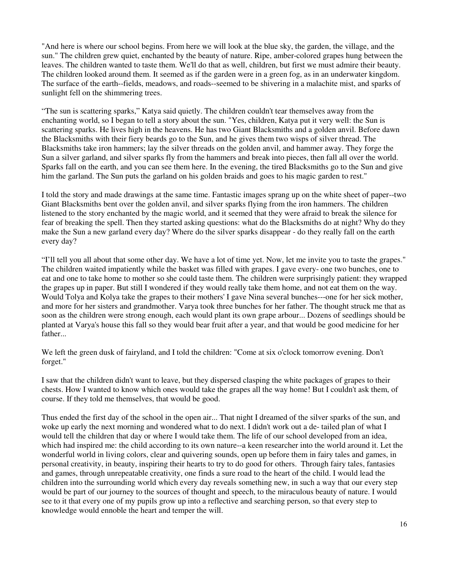"And here is where our school begins. From here we will look at the blue sky, the garden, the village, and the sun." The children grew quiet, enchanted by the beauty of nature. Ripe, amber-colored grapes hung between the leaves. The children wanted to taste them. We'll do that as well, children, but first we must admire their beauty. The children looked around them. It seemed as if the garden were in a green fog, as in an underwater kingdom. The surface of the earth--fields, meadows, and roads--seemed to be shivering in a malachite mist, and sparks of sunlight fell on the shimmering trees.

"The sun is scattering sparks," Katya said quietly. The children couldn't tear themselves away from the enchanting world, so I began to tell a story about the sun. "Yes, children, Katya put it very well: the Sun is scattering sparks. He lives high in the heavens. He has two Giant Blacksmiths and a golden anvil. Before dawn the Blacksmiths with their fiery beards go to the Sun, and he gives them two wisps of silver thread. The Blacksmiths take iron hammers; lay the silver threads on the golden anvil, and hammer away. They forge the Sun a silver garland, and silver sparks fly from the hammers and break into pieces, then fall all over the world. Sparks fall on the earth, and you can see them here. In the evening, the tired Blacksmiths go to the Sun and give him the garland. The Sun puts the garland on his golden braids and goes to his magic garden to rest."

I told the story and made drawings at the same time. Fantastic images sprang up on the white sheet of paper--two Giant Blacksmiths bent over the golden anvil, and silver sparks flying from the iron hammers. The children listened to the story enchanted by the magic world, and it seemed that they were afraid to break the silence for fear of breaking the spell. Then they started asking questions: what do the Blacksmiths do at night? Why do they make the Sun a new garland every day? Where do the silver sparks disappear - do they really fall on the earth every day?

"I'll tell you all about that some other day. We have a lot of time yet. Now, let me invite you to taste the grapes." The children waited impatiently while the basket was filled with grapes. I gave every- one two bunches, one to eat and one to take home to mother so she could taste them. The children were surprisingly patient: they wrapped the grapes up in paper. But still I wondered if they would really take them home, and not eat them on the way. Would Tolya and Kolya take the grapes to their mothers' I gave Nina several bunches---one for her sick mother, and more for her sisters and grandmother. Varya took three bunches for her father. The thought struck me that as soon as the children were strong enough, each would plant its own grape arbour... Dozens of seedlings should be planted at Varya's house this fall so they would bear fruit after a year, and that would be good medicine for her father...

We left the green dusk of fairyland, and I told the children: "Come at six o'clock tomorrow evening. Don't forget."

I saw that the children didn't want to leave, but they dispersed clasping the white packages of grapes to their chests. How I wanted to know which ones would take the grapes all the way home! But I couldn't ask them, of course. If they told me themselves, that would be good.

Thus ended the first day of the school in the open air... That night I dreamed of the silver sparks of the sun, and woke up early the next morning and wondered what to do next. I didn't work out a de- tailed plan of what I would tell the children that day or where I would take them. The life of our school developed from an idea, which had inspired me: the child according to its own nature--a keen researcher into the world around it. Let the wonderful world in living colors, clear and quivering sounds, open up before them in fairy tales and games, in personal creativity, in beauty, inspiring their hearts to try to do good for others. Through fairy tales, fantasies and games, through unrepeatable creativity, one finds a sure road to the heart of the child. I would lead the children into the surrounding world which every day reveals something new, in such a way that our every step would be part of our journey to the sources of thought and speech, to the miraculous beauty of nature. I would see to it that every one of my pupils grow up into a reflective and searching person, so that every step to knowledge would ennoble the heart and temper the will.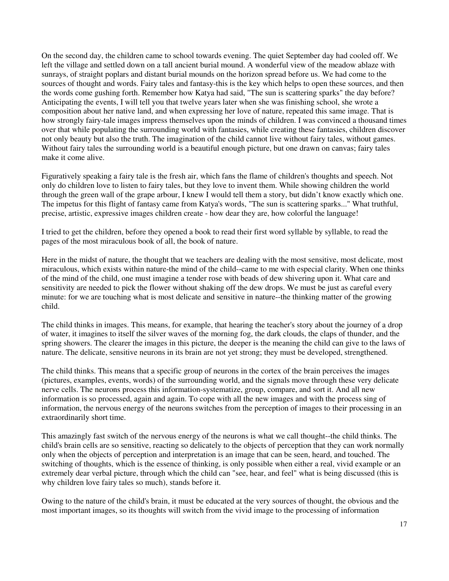On the second day, the children came to school towards evening. The quiet September day had cooled off. We left the village and settled down on a tall ancient burial mound. A wonderful view of the meadow ablaze with sunrays, of straight poplars and distant burial mounds on the horizon spread before us. We had come to the sources of thought and words. Fairy tales and fantasy-this is the key which helps to open these sources, and then the words come gushing forth. Remember how Katya had said, "The sun is scattering sparks" the day before? Anticipating the events, I will tell you that twelve years later when she was finishing school, she wrote a composition about her native land, and when expressing her love of nature, repeated this same image. That is how strongly fairy-tale images impress themselves upon the minds of children. I was convinced a thousand times over that while populating the surrounding world with fantasies, while creating these fantasies, children discover not only beauty but also the truth. The imagination of the child cannot live without fairy tales, without games. Without fairy tales the surrounding world is a beautiful enough picture, but one drawn on canvas; fairy tales make it come alive.

Figuratively speaking a fairy tale is the fresh air, which fans the flame of children's thoughts and speech. Not only do children love to listen to fairy tales, but they love to invent them. While showing children the world through the green wall of the grape arbour, I knew I would tell them a story, but didn't know exactly which one. The impetus for this flight of fantasy came from Katya's words, "The sun is scattering sparks..." What truthful, precise, artistic, expressive images children create - how dear they are, how colorful the language!

I tried to get the children, before they opened a book to read their first word syllable by syllable, to read the pages of the most miraculous book of all, the book of nature.

Here in the midst of nature, the thought that we teachers are dealing with the most sensitive, most delicate, most miraculous, which exists within nature-the mind of the child--came to me with especial clarity. When one thinks of the mind of the child, one must imagine a tender rose with beads of dew shivering upon it. What care and sensitivity are needed to pick the flower without shaking off the dew drops. We must be just as careful every minute: for we are touching what is most delicate and sensitive in nature--the thinking matter of the growing child.

The child thinks in images. This means, for example, that hearing the teacher's story about the journey of a drop of water, it imagines to itself the silver waves of the morning fog, the dark clouds, the claps of thunder, and the spring showers. The clearer the images in this picture, the deeper is the meaning the child can give to the laws of nature. The delicate, sensitive neurons in its brain are not yet strong; they must be developed, strengthened.

The child thinks. This means that a specific group of neurons in the cortex of the brain perceives the images (pictures, examples, events, words) of the surrounding world, and the signals move through these very delicate nerve cells. The neurons process this information-systematize, group, compare, and sort it. And all new information is so processed, again and again. To cope with all the new images and with the process sing of information, the nervous energy of the neurons switches from the perception of images to their processing in an extraordinarily short time.

This amazingly fast switch of the nervous energy of the neurons is what we call thought--the child thinks. The child's brain cells are so sensitive, reacting so delicately to the objects of perception that they can work normally only when the objects of perception and interpretation is an image that can be seen, heard, and touched. The switching of thoughts, which is the essence of thinking, is only possible when either a real, vivid example or an extremely dear verbal picture, through which the child can "see, hear, and feel" what is being discussed (this is why children love fairy tales so much), stands before it.

Owing to the nature of the child's brain, it must be educated at the very sources of thought, the obvious and the most important images, so its thoughts will switch from the vivid image to the processing of information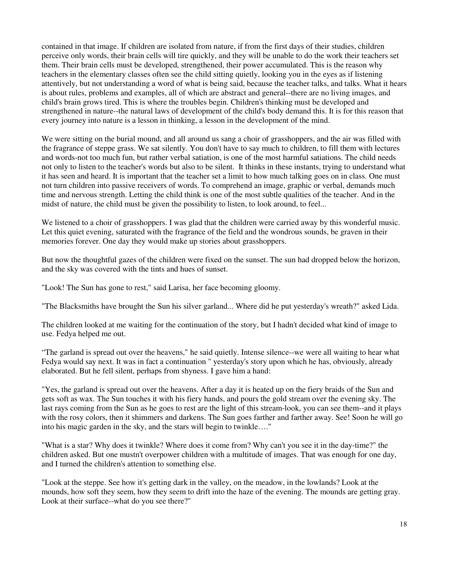contained in that image. If children are isolated from nature, if from the first days of their studies, children perceive only words, their brain cells will tire quickly, and they will be unable to do the work their teachers set them. Their brain cells must be developed, strengthened, their power accumulated. This is the reason why teachers in the elementary classes often see the child sitting quietly, looking you in the eyes as if listening attentively, but not understanding a word of what is being said, because the teacher talks, and talks. What it hears is about rules, problems and examples, all of which are abstract and general--there are no living images, and child's brain grows tired. This is where the troubles begin. Children's thinking must be developed and strengthened in nature--the natural laws of development of the child's body demand this. It is for this reason that every journey into nature is a lesson in thinking, a lesson in the development of the mind.

We were sitting on the burial mound, and all around us sang a choir of grasshoppers, and the air was filled with the fragrance of steppe grass. We sat silently. You don't have to say much to children, to fill them with lectures and words-not too much fun, but rather verbal satiation, is one of the most harmful satiations. The child needs not only to listen to the teacher's words but also to be silent. It thinks in these instants, trying to understand what it has seen and heard. It is important that the teacher set a limit to how much talking goes on in class. One must not turn children into passive receivers of words. To comprehend an image, graphic or verbal, demands much time and nervous strength. Letting the child think is one of the most subtle qualities of the teacher. And in the midst of nature, the child must be given the possibility to listen, to look around, to feel...

We listened to a choir of grasshoppers. I was glad that the children were carried away by this wonderful music. Let this quiet evening, saturated with the fragrance of the field and the wondrous sounds, be graven in their memories forever. One day they would make up stories about grasshoppers.

But now the thoughtful gazes of the children were fixed on the sunset. The sun had dropped below the horizon, and the sky was covered with the tints and hues of sunset.

"Look! The Sun has gone to rest," said Larisa, her face becoming gloomy.

"The Blacksmiths have brought the Sun his silver garland... Where did he put yesterday's wreath?" asked Lida.

The children looked at me waiting for the continuation of the story, but I hadn't decided what kind of image to use. Fedya helped me out.

"The garland is spread out over the heavens," he said quietly. Intense silence--we were all waiting to hear what Fedya would say next. It was in fact a continuation " yesterday's story upon which he has, obviously, already elaborated. But he fell silent, perhaps from shyness. I gave him a hand:

"Yes, the garland is spread out over the heavens. After a day it is heated up on the fiery braids of the Sun and gets soft as wax. The Sun touches it with his fiery hands, and pours the gold stream over the evening sky. The last rays coming from the Sun as he goes to rest are the light of this stream-look, you can see them--and it plays with the rosy colors, then it shimmers and darkens. The Sun goes farther and farther away. See! Soon he will go into his magic garden in the sky, and the stars will begin to twinkle…."

"What is a star? Why does it twinkle? Where does it come from? Why can't you see it in the day-time?" the children asked. But one mustn't overpower children with a multitude of images. That was enough for one day, and I turned the children's attention to something else.

"Look at the steppe. See how it's getting dark in the valley, on the meadow, in the lowlands? Look at the mounds, how soft they seem, how they seem to drift into the haze of the evening. The mounds are getting gray. Look at their surface--what do you see there?"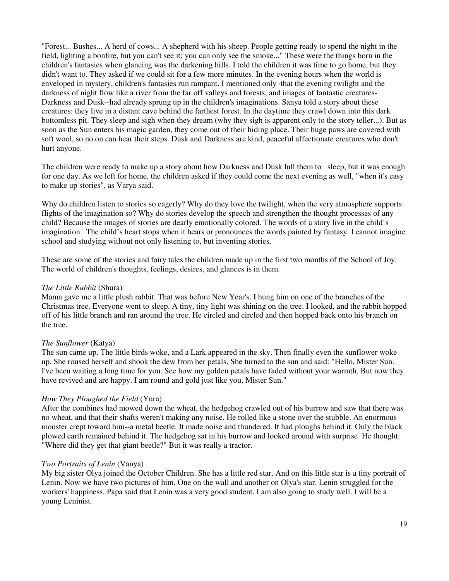"Forest... Bushes... A herd of cows... A shepherd with his sheep. People getting ready to spend the night in the field, lighting a bonfire, but you can't see it; you can only see the smoke..." These were the things born in the children's fantasies when glancing was the darkening hills. I told the children it was time to go home, but they didn't want to. They asked if we could sit for a few more minutes. In the evening hours when the world is enveloped in mystery, children's fantasies run rampant. I mentioned only ·that the evening twilight and the darkness of night flow like a river from the far off valleys and forests, and images of fantastic creatures-Darkness and Dusk--had already sprung up in the children's imaginations. Sanya told a story about these creatures: they live in a distant cave behind the farthest forest. In the daytime they crawl down into this dark bottomless pit. They sleep and sigh when they dream (why they sigh is apparent only to the story teller...). But as soon as the Sun enters his magic garden, they come out of their hiding place. Their huge paws are covered with soft wool, so no on can hear their steps. Dusk and Darkness are kind, peaceful affectionate creatures who don't hurt anyone.

The children were ready to make up a story about how Darkness and Dusk lull them to sleep, but it was enough for one day. As we left for home, the children asked if they could come the next evening as well, "when it's easy to make up stories", as Varya said.

Why do children listen to stories so eagerly? Why do they love the twilight, when the very atmosphere supports flights of the imagination so? Why do stories develop the speech and strengthen the thought processes of any child? Because the images of stories are dearly emotionally colored. The words of a story live in the child's imagination. The child's heart stops when it hears or pronounces the words painted by fantasy. I cannot imagine school and studying without not only listening to, but inventing stories.

These are some of the stories and fairy tales the children made up in the first two months of the School of Joy. The world of children's thoughts, feelings, desires, and glances is in them.

### *The Little Rabbit* (Shura)

Mama gave me a little plush rabbit. That was before New Year's. I hung him on one of the branches of the Christmas tree. Everyone went to sleep. A tiny, tiny light was shining on the tree. I looked, and the rabbit hopped off of his little branch and ran around the tree. He circled and circled and then hopped back onto his branch on the tree.

### *The Sunflower* (Katya)

The sun came up. The little birds woke, and a Lark appeared in the sky. Then finally even the sunflower woke up. She roused herself and shook the dew from her petals. She turned to the sun and said: "Hello, Mister Sun. I've been waiting a long time for you. See how my golden petals have faded without your warmth. But now they have revived and are happy. I am round and gold just like you, Mister Sun."

## *How They Ploughed the Field* (Yura)

After the combines had mowed down the wheat, the hedgehog crawled out of his burrow and saw that there was no wheat, and that their shafts weren't making any noise. He rolled like a stone over the stubble. An enormous monster crept toward him--a metal beetle. It made noise and thundered. It had ploughs behind it. Only the black plowed earth remained behind it. The hedgehog sat in his burrow and looked around with surprise. He thought: "Where did they get that giant beetle?" But it was really a tractor.

### *Two Portraits of Lenin* (Vanya)

My big sister Olya joined the October Children. She has a little red star. And on this little star is a tiny portrait of Lenin. Now we have two pictures of him. One on the wall and another on Olya's star. Lenin struggled for the workers' happiness. Papa said that Lenin was a very good student. I am also going to study well. I will be a young Leninist.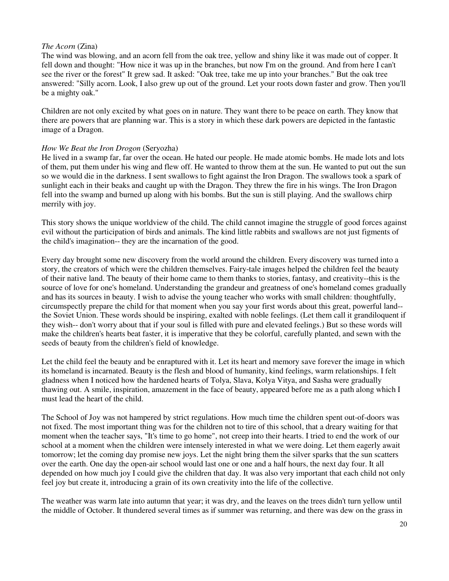## *The Acorn* (Zina)

The wind was blowing, and an acorn fell from the oak tree, yellow and shiny like it was made out of copper. It fell down and thought: "How nice it was up in the branches, but now I'm on the ground. And from here I can't see the river or the forest" It grew sad. It asked: "Oak tree, take me up into your branches." But the oak tree answered: "Silly acorn. Look, I also grew up out of the ground. Let your roots down faster and grow. Then you'll be a mighty oak."

Children are not only excited by what goes on in nature. They want there to be peace on earth. They know that there are powers that are planning war. This is a story in which these dark powers are depicted in the fantastic image of a Dragon.

## *How We Beat the Iron Drogon* (Seryozha)

He lived in a swamp far, far over the ocean. He hated our people. He made atomic bombs. He made lots and lots of them, put them under his wing and flew off. He wanted to throw them at the sun. He wanted to put out the sun so we would die in the darkness. I sent swallows to fight against the Iron Dragon. The swallows took a spark of sunlight each in their beaks and caught up with the Dragon. They threw the fire in his wings. The Iron Dragon fell into the swamp and burned up along with his bombs. But the sun is still playing. And the swallows chirp merrily with joy.

This story shows the unique worldview of the child. The child cannot imagine the struggle of good forces against evil without the participation of birds and animals. The kind little rabbits and swallows are not just figments of the child's imagination-- they are the incarnation of the good.

Every day brought some new discovery from the world around the children. Every discovery was turned into a story, the creators of which were the children themselves. Fairy-tale images helped the children feel the beauty of their native land. The beauty of their home came to them thanks to stories, fantasy, and creativity--this is the source of love for one's homeland. Understanding the grandeur and greatness of one's homeland comes gradually and has its sources in beauty. I wish to advise the young teacher who works with small children: thoughtfully, circumspectly prepare the child for that moment when you say your first words about this great, powerful land- the Soviet Union. These words should be inspiring, exalted with noble feelings. (Let them call it grandiloquent if they wish-- don't worry about that if your soul is filled with pure and elevated feelings.) But so these words will make the children's hearts beat faster, it is imperative that they be colorful, carefully planted, and sewn with the seeds of beauty from the children's field of knowledge.

Let the child feel the beauty and be enraptured with it. Let its heart and memory save forever the image in which its homeland is incarnated. Beauty is the flesh and blood of humanity, kind feelings, warm relationships. I felt gladness when I noticed how the hardened hearts of Tolya, Slava, Kolya Vitya, and Sasha were gradually thawing out. A smile, inspiration, amazement in the face of beauty, appeared before me as a path along which I must lead the heart of the child.

The School of Joy was not hampered by strict regulations. How much time the children spent out-of-doors was not fixed. The most important thing was for the children not to tire of this school, that a dreary waiting for that moment when the teacher says, "It's time to go home", not creep into their hearts. I tried to end the work of our school at a moment when the children were intensely interested in what we were doing. Let them eagerly await tomorrow; let the coming day promise new joys. Let the night bring them the silver sparks that the sun scatters over the earth. One day the open-air school would last one or one and a half hours, the next day four. It all depended on how much joy I could give the children that day. It was also very important that each child not only feel joy but create it, introducing a grain of its own creativity into the life of the collective.

The weather was warm late into autumn that year; it was dry, and the leaves on the trees didn't turn yellow until the middle of October. It thundered several times as if summer was returning, and there was dew on the grass in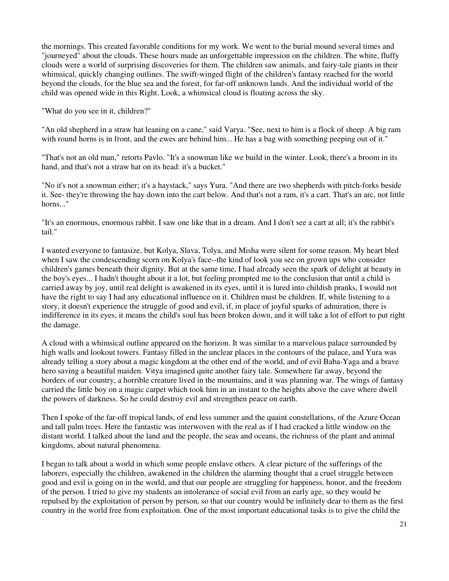the mornings. This created favorable conditions for my work. We went to the burial mound several times and "journeyed" about the clouds. These hours made an unforgettable impression on the children. The white, fluffy clouds were a world of surprising discoveries for them. The children saw animals, and fairy-tale giants in their whimsical, quickly changing outlines. The swift-winged flight of the children's fantasy reached for the world beyond the clouds, for the blue sea and the forest, for far-off unknown lands. And the individual world of the child was opened wide in this Right. Look, a whimsical cloud is floating across the sky.

"What do you see in it, children?"

"An old shepherd in a straw hat leaning on a cane," said Varya. "See, next to him is a flock of sheep. A big ram with round horns is in front, and the ewes are behind him... He has a bag with something peeping out of it."

"That's not an old man," retorts Pavlo. "It's a snowman like we build in the winter. Look, there's a broom in its hand, and that's not a straw hat on its head: it's a bucket."

"No it's not a snowman either; it's a haystack," says Yura. "And there are two shepherds with pitch-forks beside it. See- they're throwing the hay down into the cart below. And that's not a ram, it's a cart. That's an arc, not little horns..."

"It's an enormous, enormous rabbit. I saw one like that in a dream. And I don't see a cart at all; it's the rabbit's tail."

I wanted everyone to fantasize, but Kolya, Slava, Tolya, and Misha were silent for some reason. My heart bled when I saw the condescending scorn on Kolya's face--the kind of look you see on grown ups who consider children's games beneath their dignity. But at the same time, I had already seen the spark of delight at beauty in the boy's eyes... I hadn't thought about it a lot, but feeling prompted me to the conclusion that until a child is carried away by joy, until real delight is awakened in its eyes, until it is lured into childish pranks, I would not have the right to say I had any educational influence on it. Children must be children. If, while listening to a story, it doesn't experience the struggle of good and evil, if, in place of joyful sparks of admiration, there is indifference in its eyes, it means the child's soul has been broken down, and it will take a lot of effort to put right the damage.

A cloud with a whimsical outline appeared on the horizon. It was similar to a marvelous palace surrounded by high walls and lookout towers. Fantasy filled in the unclear places in the contours of the palace, and Yura was already telling a story about a magic kingdom at the other end of the world, and of evil Baba-Yaga and a brave hero saving a beautiful maiden. Vitya imagined quite another fairy tale. Somewhere far away, beyond the borders of our country, a horrible creature lived in the mountains, and it was planning war. The wings of fantasy carried the little boy on a magic carpet which took him in an instant to the heights above the cave where dwell the powers of darkness. So he could destroy evil and strengthen peace on earth.

Then I spoke of the far-off tropical lands, of end less summer and the quaint constellations, of the Azure Ocean and tall palm trees. Here the fantastic was interwoven with the real as if I had cracked a little window on the distant world. I talked about the land and the people, the seas and oceans, the richness of the plant and animal kingdoms, about natural phenomena.

I began to talk about a world in which some people enslave others. A clear picture of the sufferings of the laborers, especially the children, awakened in the children the alarming thought that a cruel struggle between good and evil is going on in the world, and that our people are struggling for happiness, honor, and the freedom of the person. I tried to give my students an intolerance of social evil from an early age, so they would be repulsed by the exploitation of person by person, so that our country would be infinitely dear to them as the first country in the world free from exploitation. One of the most important educational tasks is to give the child the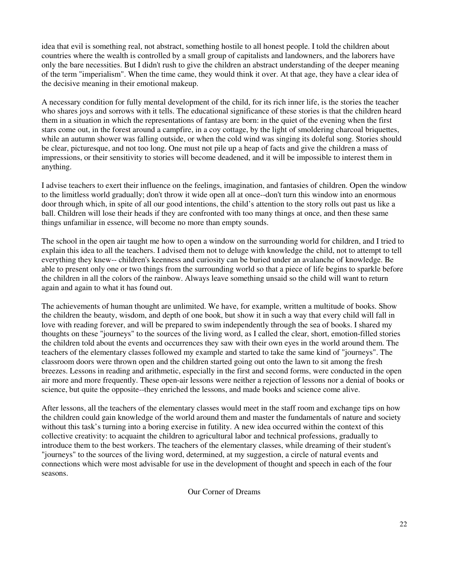idea that evil is something real, not abstract, something hostile to all honest people. I told the children about countries where the wealth is controlled by a small group of capitalists and landowners, and the laborers have only the bare necessities. But I didn't rush to give the children an abstract understanding of the deeper meaning of the term "imperialism". When the time came, they would think it over. At that age, they have a clear idea of the decisive meaning in their emotional makeup.

A necessary condition for fully mental development of the child, for its rich inner life, is the stories the teacher who shares joys and sorrows with it tells. The educational significance of these stories is that the children heard them in a situation in which the representations of fantasy are born: in the quiet of the evening when the first stars come out, in the forest around a campfire, in a coy cottage, by the light of smoldering charcoal briquettes, while an autumn shower was falling outside, or when the cold wind was singing its doleful song. Stories should be clear, picturesque, and not too long. One must not pile up a heap of facts and give the children a mass of impressions, or their sensitivity to stories will become deadened, and it will be impossible to interest them in anything.

I advise teachers to exert their influence on the feelings, imagination, and fantasies of children. Open the window to the limitless world gradually; don't throw it wide open all at once--don't turn this window into an enormous door through which, in spite of all our good intentions, the child's attention to the story rolls out past us like a ball. Children will lose their heads if they are confronted with too many things at once, and then these same things unfamiliar in essence, will become no more than empty sounds.

The school in the open air taught me how to open a window on the surrounding world for children, and I tried to explain this idea to all the teachers. I advised them not to deluge with knowledge the child, not to attempt to tell everything they knew-- children's keenness and curiosity can be buried under an avalanche of knowledge. Be able to present only one or two things from the surrounding world so that a piece of life begins to sparkle before the children in all the colors of the rainbow. Always leave something unsaid so the child will want to return again and again to what it has found out.

The achievements of human thought are unlimited. We have, for example, written a multitude of books. Show the children the beauty, wisdom, and depth of one book, but show it in such a way that every child will fall in love with reading forever, and will be prepared to swim independently through the sea of books. I shared my thoughts on these "journeys" to the sources of the living word, as I called the clear, short, emotion-filled stories the children told about the events and occurrences they saw with their own eyes in the world around them. The teachers of the elementary classes followed my example and started to take the same kind of "journeys". The classroom doors were thrown open and the children started going out onto the lawn to sit among the fresh breezes. Lessons in reading and arithmetic, especially in the first and second forms, were conducted in the open air more and more frequently. These open-air lessons were neither a rejection of lessons nor a denial of books or science, but quite the opposite--they enriched the lessons, and made books and science come alive.

After lessons, all the teachers of the elementary classes would meet in the staff room and exchange tips on how the children could gain knowledge of the world around them and master the fundamentals of nature and society without this task's turning into a boring exercise in futility. A new idea occurred within the context of this collective creativity: to acquaint the children to agricultural labor and technical professions, gradually to introduce them to the best workers. The teachers of the elementary classes, while dreaming of their student's "journeys" to the sources of the living word, determined, at my suggestion, a circle of natural events and connections which were most advisable for use in the development of thought and speech in each of the four seasons.

Our Corner of Dreams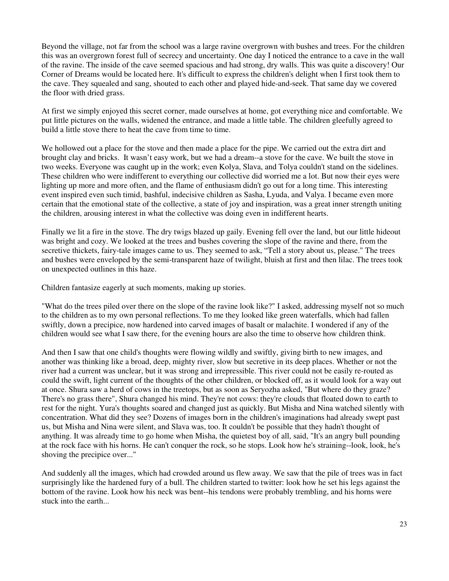Beyond the village, not far from the school was a large ravine overgrown with bushes and trees. For the children this was an overgrown forest full of secrecy and uncertainty. One day I noticed the entrance to a cave in the wall of the ravine. The inside of the cave seemed spacious and had strong, dry walls. This was quite a discovery! Our Corner of Dreams would be located here. It's difficult to express the children's delight when I first took them to the cave. They squealed and sang, shouted to each other and played hide-and-seek. That same day we covered the floor with dried grass.

At first we simply enjoyed this secret corner, made ourselves at home, got everything nice and comfortable. We put little pictures on the walls, widened the entrance, and made a little table. The children gleefully agreed to build a little stove there to heat the cave from time to time.

We hollowed out a place for the stove and then made a place for the pipe. We carried out the extra dirt and brought clay and bricks. It wasn't easy work, but we had a dream--a stove for the cave. We built the stove in two weeks. Everyone was caught up in the work; even Kolya, Slava, and Tolya couldn't stand on the sidelines. These children who were indifferent to everything our collective did worried me a lot. But now their eyes were lighting up more and more often, and the flame of enthusiasm didn't go out for a long time. This interesting event inspired even such timid, bashful, indecisive children as Sasha, Lyuda, and Valya. I became even more certain that the emotional state of the collective, a state of joy and inspiration, was a great inner strength uniting the children, arousing interest in what the collective was doing even in indifferent hearts.

Finally we lit a fire in the stove. The dry twigs blazed up gaily. Evening fell over the land, but our little hideout was bright and cozy. We looked at the trees and bushes covering the slope of the ravine and there, from the secretive thickets, fairy-tale images came to us. They seemed to ask, "Tell a story about us, please." The trees and bushes were enveloped by the semi-transparent haze of twilight, bluish at first and then lilac. The trees took on unexpected outlines in this haze.

Children fantasize eagerly at such moments, making up stories.

"What do the trees piled over there on the slope of the ravine look like?" I asked, addressing myself not so much to the children as to my own personal reflections. To me they looked like green waterfalls, which had fallen swiftly, down a precipice, now hardened into carved images of basalt or malachite. I wondered if any of the children would see what I saw there, for the evening hours are also the time to observe how children think.

And then I saw that one child's thoughts were flowing wildly and swiftly, giving birth to new images, and another was thinking like a broad, deep, mighty river, slow but secretive in its deep places. Whether or not the river had a current was unclear, but it was strong and irrepressible. This river could not be easily re-routed as could the swift, light current of the thoughts of the other children, or blocked off, as it would look for a way out at once. Shura saw a herd of cows in the treetops, but as soon as Seryozha asked, "But where do they graze? There's no grass there", Shura changed his mind. They're not cows: they're clouds that floated down to earth to rest for the night. Yura's thoughts soared and changed just as quickly. But Misha and Nina watched silently with concentration. What did they see? Dozens of images born in the children's imaginations had already swept past us, but Misha and Nina were silent, and Slava was, too. It couldn't be possible that they hadn't thought of anything. It was already time to go home when Misha, the quietest boy of all, said, "It's an angry bull pounding at the rock face with his horns. He can't conquer the rock, so he stops. Look how he's straining--look, look, he's shoving the precipice over..."

And suddenly all the images, which had crowded around us flew away. We saw that the pile of trees was in fact surprisingly like the hardened fury of a bull. The children started to twitter: look how he set his legs against the bottom of the ravine. Look how his neck was bent--his tendons were probably trembling, and his horns were stuck into the earth...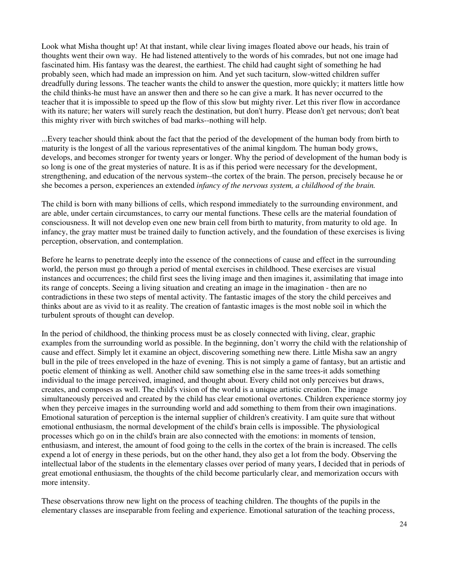Look what Misha thought up! At that instant, while clear living images floated above our heads, his train of thoughts went their own way. He had listened attentively to the words of his comrades, but not one image had fascinated him. His fantasy was the dearest, the earthiest. The child had caught sight of something he had probably seen, which had made an impression on him. And yet such taciturn, slow-witted children suffer dreadfully during lessons. The teacher wants the child to answer the question, more quickly; it matters little how the child thinks-he must have an answer then and there so he can give a mark. It has never occurred to the teacher that it is impossible to speed up the flow of this slow but mighty river. Let this river flow in accordance with its nature; her waters will surely reach the destination, but don't hurry. Please don't get nervous; don't beat this mighty river with birch switches of bad marks--nothing will help.

...Every teacher should think about the fact that the period of the development of the human body from birth to maturity is the longest of all the various representatives of the animal kingdom. The human body grows, develops, and becomes stronger for twenty years or longer. Why the period of development of the human body is so long is one of the great mysteries of nature. It is as if this period were necessary for the development, strengthening, and education of the nervous system--the cortex of the brain. The person, precisely because he or she becomes a person, experiences an extended *infancy of the nervous system, a childhood of the brain.* 

The child is born with many billions of cells, which respond immediately to the surrounding environment, and are able, under certain circumstances, to carry our mental functions. These cells are the material foundation of consciousness. It will not develop even one new brain cell from birth to maturity, from maturity to old age. In infancy, the gray matter must be trained daily to function actively, and the foundation of these exercises is living perception, observation, and contemplation.

Before he learns to penetrate deeply into the essence of the connections of cause and effect in the surrounding world, the person must go through a period of mental exercises in childhood. These exercises are visual instances and occurrences; the child first sees the living image and then imagines it, assimilating that image into its range of concepts. Seeing a living situation and creating an image in the imagination - then are no contradictions in these two steps of mental activity. The fantastic images of the story the child perceives and thinks about are as vivid to it as reality. The creation of fantastic images is the most noble soil in which the turbulent sprouts of thought can develop.

In the period of childhood, the thinking process must be as closely connected with living, clear, graphic examples from the surrounding world as possible. In the beginning, don't worry the child with the relationship of cause and effect. Simply let it examine an object, discovering something new there. Little Misha saw an angry bull in the pile of trees enveloped in the haze of evening. This is not simply a game of fantasy, but an artistic and poetic element of thinking as well. Another child saw something else in the same trees-it adds something individual to the image perceived, imagined, and thought about. Every child not only perceives but draws, creates, and composes as well. The child's vision of the world is a unique artistic creation. The image simultaneously perceived and created by the child has clear emotional overtones. Children experience stormy joy when they perceive images in the surrounding world and add something to them from their own imaginations. Emotional saturation of perception is the internal supplier of children's creativity. I am quite sure that without emotional enthusiasm, the normal development of the child's brain cells is impossible. The physiological processes which go on in the child's brain are also connected with the emotions: in moments of tension, enthusiasm, and interest, the amount of food going to the cells in the cortex of the brain is increased. The cells expend a lot of energy in these periods, but on the other hand, they also get a lot from the body. Observing the intellectual labor of the students in the elementary classes over period of many years, I decided that in periods of great emotional enthusiasm, the thoughts of the child become particularly clear, and memorization occurs with more intensity.

These observations throw new light on the process of teaching children. The thoughts of the pupils in the elementary classes are inseparable from feeling and experience. Emotional saturation of the teaching process,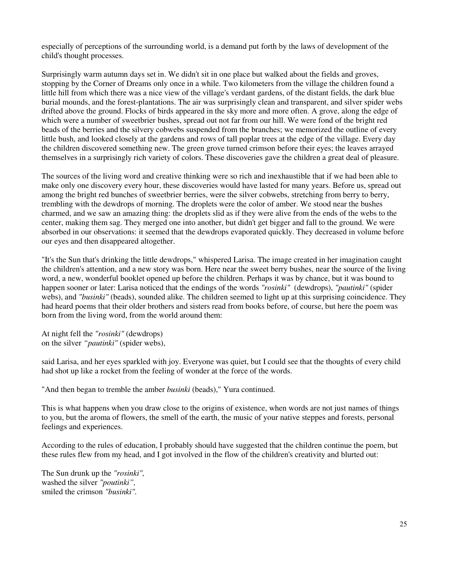especially of perceptions of the surrounding world, is a demand put forth by the laws of development of the child's thought processes.

Surprisingly warm autumn days set in. We didn't sit in one place but walked about the fields and groves, stopping by the Corner of Dreams only once in a while. Two kilometers from the village the children found a little hill from which there was a nice view of the village's verdant gardens, of the distant fields, the dark blue burial mounds, and the forest-plantations. The air was surprisingly clean and transparent, and silver spider webs drifted above the ground. Flocks of birds appeared in the sky more and more often. A grove, along the edge of which were a number of sweetbrier bushes, spread out not far from our hill. We were fond of the bright red beads of the berries and the silvery cobwebs suspended from the branches; we memorized the outline of every little bush, and looked closely at the gardens and rows of tall poplar trees at the edge of the village. Every day the children discovered something new. The green grove turned crimson before their eyes; the leaves arrayed themselves in a surprisingly rich variety of colors. These discoveries gave the children a great deal of pleasure.

The sources of the living word and creative thinking were so rich and inexhaustible that if we had been able to make only one discovery every hour, these discoveries would have lasted for many years. Before us, spread out among the bright red bunches of sweetbrier berries, were the silver cobwebs, stretching from berry to berry, trembling with the dewdrops of morning. The droplets were the color of amber. We stood near the bushes charmed, and we saw an amazing thing: the droplets slid as if they were alive from the ends of the webs to the center, making them sag. They merged one into another, but didn't get bigger and fall to the ground. We were absorbed in our observations: it seemed that the dewdrops evaporated quickly. They decreased in volume before our eyes and then disappeared altogether.

"It's the Sun that's drinking the little dewdrops," whispered Larisa. The image created in her imagination caught the children's attention, and a new story was born. Here near the sweet berry bushes, near the source of the living word, a new, wonderful booklet opened up before the children. Perhaps it was by chance, but it was bound to happen sooner or later: Larisa noticed that the endings of the words *"rosinki"* (dewdrops), *"pautinki"* (spider webs), and *"businki"* (beads), sounded alike. The children seemed to light up at this surprising coincidence. They had heard poems that their older brothers and sisters read from books before, of course, but here the poem was born from the living word, from the world around them:

At night fell the *"rosinki"* (dewdrops) on the silver *"pautinki"* (spider webs),

said Larisa, and her eyes sparkled with joy. Everyone was quiet, but I could see that the thoughts of every child had shot up like a rocket from the feeling of wonder at the force of the words.

"And then began to tremble the amber *businki* (beads)," Yura continued.

This is what happens when you draw close to the origins of existence, when words are not just names of things to you, but the aroma of flowers, the smell of the earth, the music of your native steppes and forests, personal feelings and experiences.

According to the rules of education, I probably should have suggested that the children continue the poem, but these rules flew from my head, and I got involved in the flow of the children's creativity and blurted out:

The Sun drunk up the *"rosinki",* washed the silver *"poutinki",* smiled the crimson *"businki".*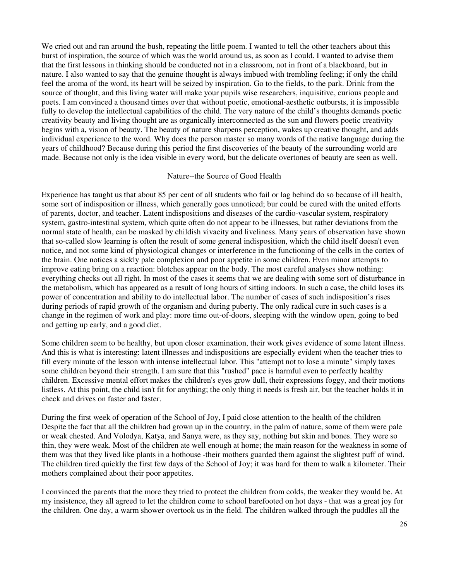We cried out and ran around the bush, repeating the little poem. I wanted to tell the other teachers about this burst of inspiration, the source of which was the world around us, as soon as I could. I wanted to advise them that the first lessons in thinking should be conducted not in a classroom, not in front of a blackboard, but in nature. I also wanted to say that the genuine thought is always imbued with trembling feeling; if only the child feel the aroma of the word, its heart will be seized by inspiration. Go to the fields, to the park. Drink from the source of thought, and this living water will make your pupils wise researchers, inquisitive, curious people and poets. I am convinced a thousand times over that without poetic, emotional-aesthetic outbursts, it is impossible fully to develop the intellectual capabilities of the child. The very nature of the child's thoughts demands poetic creativity beauty and living thought are as organically interconnected as the sun and flowers poetic creativity begins with a, vision of beauty. The beauty of nature sharpens perception, wakes up creative thought, and adds individual experience to the word. Why does the person master so many words of the native language during the years of childhood? Because during this period the first discoveries of the beauty of the surrounding world are made. Because not only is the idea visible in every word, but the delicate overtones of beauty are seen as well.

### Nature--the Source of Good Health

Experience has taught us that about 85 per cent of all students who fail or lag behind do so because of ill health, some sort of indisposition or illness, which generally goes unnoticed; bur could be cured with the united efforts of parents, doctor, and teacher. Latent indispositions and diseases of the cardio-vascular system, respiratory system, gastro-intestinal system, which quite often do not appear to be illnesses, but rather deviations from the normal state of health, can be masked by childish vivacity and liveliness. Many years of observation have shown that so-called slow learning is often the result of some general indisposition, which the child itself doesn't even notice, and not some kind of physiological changes or interference in the functioning of the cells in the cortex of the brain. One notices a sickly pale complexion and poor appetite in some children. Even minor attempts to improve eating bring on a reaction: blotches appear on the body. The most careful analyses show nothing: everything checks out all right. In most of the cases it seems that we are dealing with some sort of disturbance in the metabolism, which has appeared as a result of long hours of sitting indoors. In such a case, the child loses its power of concentration and ability to do intellectual labor. The number of cases of such indisposition's rises during periods of rapid growth of the organism and during puberty. The only radical cure in such cases is a change in the regimen of work and play: more time out-of-doors, sleeping with the window open, going to bed and getting up early, and a good diet.

Some children seem to be healthy, but upon closer examination, their work gives evidence of some latent illness. And this is what is interesting: latent illnesses and indispositions are especially evident when the teacher tries to fill every minute of the lesson with intense intellectual labor. This "attempt not to lose a minute" simply taxes some children beyond their strength. I am sure that this "rushed" pace is harmful even to perfectly healthy children. Excessive mental effort makes the children's eyes grow dull, their expressions foggy, and their motions listless. At this point, the child isn't fit for anything; the only thing it needs is fresh air, but the teacher holds it in check and drives on faster and faster.

During the first week of operation of the School of Joy, I paid close attention to the health of the children Despite the fact that all the children had grown up in the country, in the palm of nature, some of them were pale or weak chested. And Volodya, Katya, and Sanya were, as they say, nothing but skin and bones. They were so thin, they were weak. Most of the children ate well enough at home; the main reason for the weakness in some of them was that they lived like plants in a hothouse -their mothers guarded them against the slightest puff of wind. The children tired quickly the first few days of the School of Joy; it was hard for them to walk a kilometer. Their mothers complained about their poor appetites.

I convinced the parents that the more they tried to protect the children from colds, the weaker they would be. At my insistence, they all agreed to let the children come to school barefooted on hot days - that was a great joy for the children. One day, a warm shower overtook us in the field. The children walked through the puddles all the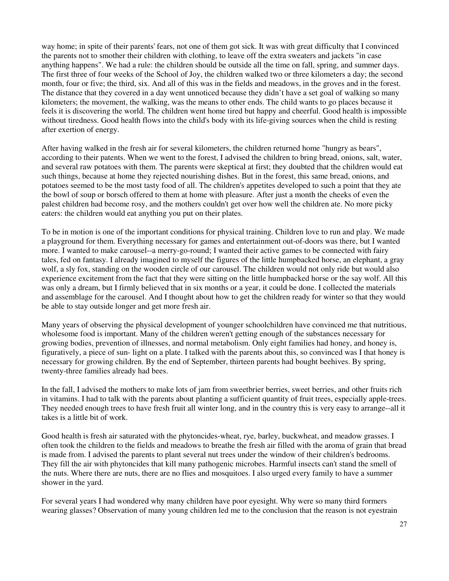way home; in spite of their parents' fears, not one of them got sick. It was with great difficulty that I convinced the parents not to smother their children with clothing, to leave off the extra sweaters and jackets "in case anything happens". We had a rule: the children should be outside all the time on fall, spring, and summer days. The first three of four weeks of the School of Joy, the children walked two or three kilometers a day; the second month, four or five; the third, six. And all of this was in the fields and meadows, in the groves and in the forest. The distance that they covered in a day went unnoticed because they didn't have a set goal of walking so many kilometers; the movement, the walking, was the means to other ends. The child wants to go places because it feels it is discovering the world. The children went home tired but happy and cheerful. Good health is impossible without tiredness. Good health flows into the child's body with its life-giving sources when the child is resting after exertion of energy.

After having walked in the fresh air for several kilometers, the children returned home "hungry as bears", according to their patents. When we went to the forest, I advised the children to bring bread, onions, salt, water, and several raw potatoes with them. The parents were skeptical at first; they doubted that the children would eat such things, because at home they rejected nourishing dishes. But in the forest, this same bread, onions, and potatoes seemed to be the most tasty food of all. The children's appetites developed to such a point that they ate the bowl of soup or borsch offered to them at home with pleasure. After just a month the cheeks of even the palest children had become rosy, and the mothers couldn't get over how well the children ate. No more picky eaters: the children would eat anything you put on their plates.

To be in motion is one of the important conditions for physical training. Children love to run and play. We made a playground for them. Everything necessary for games and entertainment out-of-doors was there, but I wanted more. I wanted to make carousel--a merry-go-round; I wanted their active games to be connected with fairy tales, fed on fantasy. I already imagined to myself the figures of the little humpbacked horse, an elephant, a gray wolf, a sly fox, standing on the wooden circle of our carousel. The children would not only ride but would also experience excitement from the fact that they were sitting on the little humpbacked horse or the say wolf. All this was only a dream, but I firmly believed that in six months or a year, it could be done. I collected the materials and assemblage for the carousel. And I thought about how to get the children ready for winter so that they would be able to stay outside longer and get more fresh air.

Many years of observing the physical development of younger schoolchildren have convinced me that nutritious, wholesome food is important. Many of the children weren't getting enough of the substances necessary for growing bodies, prevention of illnesses, and normal metabolism. Only eight families had honey, and honey is, figuratively, a piece of sun- light on a plate. I talked with the parents about this, so convinced was I that honey is necessary for growing children. By the end of September, thirteen parents had bought beehives. By spring, twenty-three families already had bees.

In the fall, I advised the mothers to make lots of jam from sweetbrier berries, sweet berries, and other fruits rich in vitamins. I had to talk with the parents about planting a sufficient quantity of fruit trees, especially apple-trees. They needed enough trees to have fresh fruit all winter long, and in the country this is very easy to arrange--all it takes is a little bit of work.

Good health is fresh air saturated with the phytoncides-wheat, rye, barley, buckwheat, and meadow grasses. I often took the children to the fields and meadows to breathe the fresh air filled with the aroma of grain that bread is made from. I advised the parents to plant several nut trees under the window of their children's bedrooms. They fill the air with phytoncides that kill many pathogenic microbes. Harmful insects can't stand the smell of the nuts. Where there are nuts, there are no flies and mosquitoes. I also urged every family to have a summer shower in the yard.

For several years I had wondered why many children have poor eyesight. Why were so many third formers wearing glasses? Observation of many young children led me to the conclusion that the reason is not eyestrain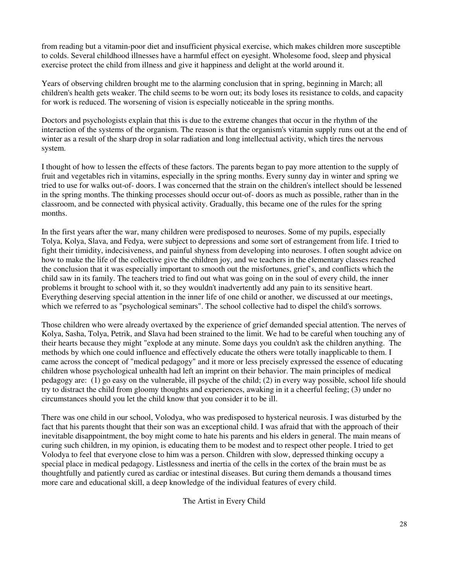from reading but a vitamin-poor diet and insufficient physical exercise, which makes children more susceptible to colds. Several childhood illnesses have a harmful effect on eyesight. Wholesome food, sleep and physical exercise protect the child from illness and give it happiness and delight at the world around it.

Years of observing children brought me to the alarming conclusion that in spring, beginning in March; all children's health gets weaker. The child seems to be worn out; its body loses its resistance to colds, and capacity for work is reduced. The worsening of vision is especially noticeable in the spring months.

Doctors and psychologists explain that this is due to the extreme changes that occur in the rhythm of the interaction of the systems of the organism. The reason is that the organism's vitamin supply runs out at the end of winter as a result of the sharp drop in solar radiation and long intellectual activity, which tires the nervous system.

I thought of how to lessen the effects of these factors. The parents began to pay more attention to the supply of fruit and vegetables rich in vitamins, especially in the spring months. Every sunny day in winter and spring we tried to use for walks out-of- doors. I was concerned that the strain on the children's intellect should be lessened in the spring months. The thinking processes should occur out-of- doors as much as possible, rather than in the classroom, and be connected with physical activity. Gradually, this became one of the rules for the spring months.

In the first years after the war, many children were predisposed to neuroses. Some of my pupils, especially Tolya, Kolya, Slava, and Fedya, were subject to depressions and some sort of estrangement from life. I tried to fight their timidity, indecisiveness, and painful shyness from developing into neuroses. I often sought advice on how to make the life of the collective give the children joy, and we teachers in the elementary classes reached the conclusion that it was especially important to smooth out the misfortunes, grief's, and conflicts which the child saw in its family. The teachers tried to find out what was going on in the soul of every child, the inner problems it brought to school with it, so they wouldn't inadvertently add any pain to its sensitive heart. Everything deserving special attention in the inner life of one child or another, we discussed at our meetings, which we referred to as "psychological seminars". The school collective had to dispel the child's sorrows.

Those children who were already overtaxed by the experience of grief demanded special attention. The nerves of Kolya, Sasha, Tolya, Petrik, and Slava had been strained to the limit. We had to be careful when touching any of their hearts because they might "explode at any minute. Some days you couldn't ask the children anything. The methods by which one could influence and effectively educate the others were totally inapplicable to them. I came across the concept of "medical pedagogy" and it more or less precisely expressed the essence of educating children whose psychological unhealth had left an imprint on their behavior. The main principles of medical pedagogy are: (1) go easy on the vulnerable, ill psyche of the child; (2) in every way possible, school life should try to distract the child from gloomy thoughts and experiences, awaking in it a cheerful feeling; (3) under no circumstances should you let the child know that you consider it to be ill.

There was one child in our school, Volodya, who was predisposed to hysterical neurosis. I was disturbed by the fact that his parents thought that their son was an exceptional child. I was afraid that with the approach of their inevitable disappointment, the boy might come to hate his parents and his elders in general. The main means of curing such children, in my opinion, is educating them to be modest and to respect other people. I tried to get Volodya to feel that everyone close to him was a person. Children with slow, depressed thinking occupy a special place in medical pedagogy. Listlessness and inertia of the cells in the cortex of the brain must be as thoughtfully and patiently cured as cardiac or intestinal diseases. But curing them demands a thousand times more care and educational skill, a deep knowledge of the individual features of every child.

The Artist in Every Child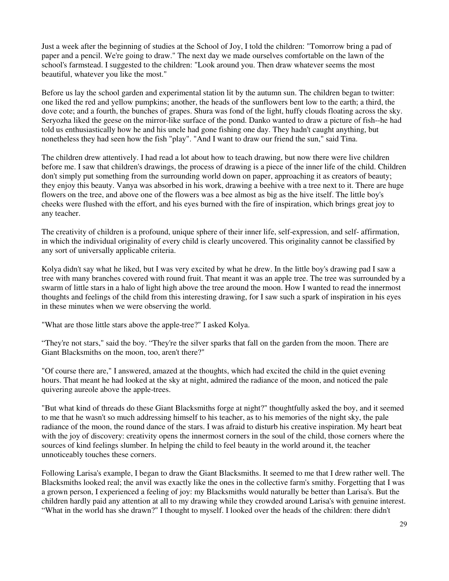Just a week after the beginning of studies at the School of Joy, I told the children: "Tomorrow bring a pad of paper and a pencil. We're going to draw." The next day we made ourselves comfortable on the lawn of the school's farmstead. I suggested to the children: "Look around you. Then draw whatever seems the most beautiful, whatever you like the most."

Before us lay the school garden and experimental station lit by the autumn sun. The children began to twitter: one liked the red and yellow pumpkins; another, the heads of the sunflowers bent low to the earth; a third, the dove cote; and a fourth, the bunches of grapes. Shura was fond of the light, huffy clouds floating across the sky. Seryozha liked the geese on the mirror-like surface of the pond. Danko wanted to draw a picture of fish--he had told us enthusiastically how he and his uncle had gone fishing one day. They hadn't caught anything, but nonetheless they had seen how the fish "play". "And I want to draw our friend the sun," said Tina.

The children drew attentively. I had read a lot about how to teach drawing, but now there were live children before me. I saw that children's drawings, the process of drawing is a piece of the inner life of the child. Children don't simply put something from the surrounding world down on paper, approaching it as creators of beauty; they enjoy this beauty. Vanya was absorbed in his work, drawing a beehive with a tree next to it. There are huge flowers on the tree, and above one of the flowers was a bee almost as big as the hive itself. The little boy's cheeks were flushed with the effort, and his eyes burned with the fire of inspiration, which brings great joy to any teacher.

The creativity of children is a profound, unique sphere of their inner life, self-expression, and self- affirmation, in which the individual originality of every child is clearly uncovered. This originality cannot be classified by any sort of universally applicable criteria.

Kolya didn't say what he liked, but I was very excited by what he drew. In the little boy's drawing pad I saw a tree with many branches covered with round fruit. That meant it was an apple tree. The tree was surrounded by a swarm of little stars in a halo of light high above the tree around the moon. How I wanted to read the innermost thoughts and feelings of the child from this interesting drawing, for I saw such a spark of inspiration in his eyes in these minutes when we were observing the world.

"What are those little stars above the apple-tree?" I asked Kolya.

"They're not stars," said the boy. "They're the silver sparks that fall on the garden from the moon. There are Giant Blacksmiths on the moon, too, aren't there?"

"Of course there are," I answered, amazed at the thoughts, which had excited the child in the quiet evening hours. That meant he had looked at the sky at night, admired the radiance of the moon, and noticed the pale quivering aureole above the apple-trees.

"But what kind of threads do these Giant Blacksmiths forge at night?" thoughtfully asked the boy, and it seemed to me that he wasn't so much addressing himself to his teacher, as to his memories of the night sky, the pale radiance of the moon, the round dance of the stars. I was afraid to disturb his creative inspiration. My heart beat with the joy of discovery: creativity opens the innermost corners in the soul of the child, those corners where the sources of kind feelings slumber. In helping the child to feel beauty in the world around it, the teacher unnoticeably touches these corners.

Following Larisa's example, I began to draw the Giant Blacksmiths. It seemed to me that I drew rather well. The Blacksmiths looked real; the anvil was exactly like the ones in the collective farm's smithy. Forgetting that I was a grown person, I experienced a feeling of joy: my Blacksmiths would naturally be better than Larisa's. But the children hardly paid any attention at all to my drawing while they crowded around Larisa's with genuine interest. "What in the world has she drawn?" I thought to myself. I looked over the heads of the children: there didn't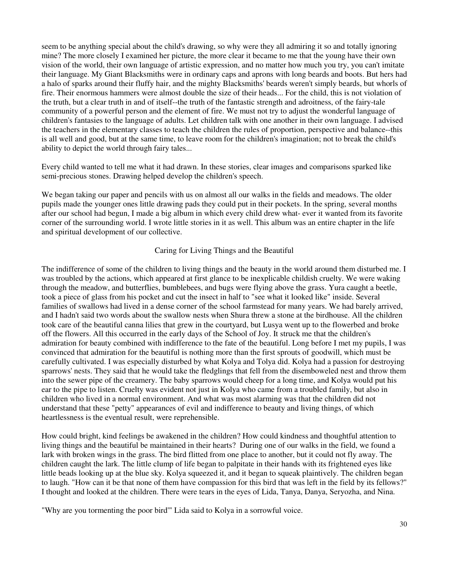seem to be anything special about the child's drawing, so why were they all admiring it so and totally ignoring mine? The more closely I examined her picture, the more clear it became to me that the young have their own vision of the world, their own language of artistic expression, and no matter how much you try, you can't imitate their language. My Giant Blacksmiths were in ordinary caps and aprons with long beards and boots. But hers had a halo of sparks around their fluffy hair, and the mighty Blacksmiths' beards weren't simply beards, but whorls of fire. Their enormous hammers were almost double the size of their heads... For the child, this is not violation of the truth, but a clear truth in and of itself--the truth of the fantastic strength and adroitness, of the fairy-tale community of a powerful person and the element of fire. We must not try to adjust the wonderful language of children's fantasies to the language of adults. Let children talk with one another in their own language. I advised the teachers in the elementary classes to teach the children the rules of proportion, perspective and balance--this is all well and good, but at the same time, to leave room for the children's imagination; not to break the child's ability to depict the world through fairy tales...

Every child wanted to tell me what it had drawn. In these stories, clear images and comparisons sparked like semi-precious stones. Drawing helped develop the children's speech.

We began taking our paper and pencils with us on almost all our walks in the fields and meadows. The older pupils made the younger ones little drawing pads they could put in their pockets. In the spring, several months after our school had begun, I made a big album in which every child drew what- ever it wanted from its favorite corner of the surrounding world. I wrote little stories in it as well. This album was an entire chapter in the life and spiritual development of our collective.

### Caring for Living Things and the Beautiful

The indifference of some of the children to living things and the beauty in the world around them disturbed me. I was troubled by the actions, which appeared at first glance to be inexplicable childish cruelty. We were waking through the meadow, and butterflies, bumblebees, and bugs were flying above the grass. Yura caught a beetle, took a piece of glass from his pocket and cut the insect in half to "see what it looked like" inside. Several families of swallows had lived in a dense corner of the school farmstead for many years. We had barely arrived, and I hadn't said two words about the swallow nests when Shura threw a stone at the birdhouse. All the children took care of the beautiful canna lilies that grew in the courtyard, but Lusya went up to the flowerbed and broke off the flowers. All this occurred in the early days of the School of Joy. It struck me that the children's admiration for beauty combined with indifference to the fate of the beautiful. Long before I met my pupils, I was convinced that admiration for the beautiful is nothing more than the first sprouts of goodwill, which must be carefully cultivated. I was especially disturbed by what Kolya and Tolya did. Kolya had a passion for destroying sparrows' nests. They said that he would take the fledglings that fell from the disemboweled nest and throw them into the sewer pipe of the creamery. The baby sparrows would cheep for a long time, and Kolya would put his ear to the pipe to listen. Cruelty was evident not just in Kolya who came from a troubled family, but also in children who lived in a normal environment. And what was most alarming was that the children did not understand that these "petty" appearances of evil and indifference to beauty and living things, of which heartlessness is the eventual result, were reprehensible.

How could bright, kind feelings be awakened in the children? How could kindness and thoughtful attention to living things and the beautiful be maintained in their hearts? During one of our walks in the field, we found a lark with broken wings in the grass. The bird flitted from one place to another, but it could not fly away. The children caught the lark. The little clump of life began to palpitate in their hands with its frightened eyes like little beads looking up at the blue sky. Kolya squeezed it, and it began to squeak plaintively. The children began to laugh. "How can it be that none of them have compassion for this bird that was left in the field by its fellows?" I thought and looked at the children. There were tears in the eyes of Lida, Tanya, Danya, Seryozha, and Nina.

"Why are you tormenting the poor bird'" Lida said to Kolya in a sorrowful voice.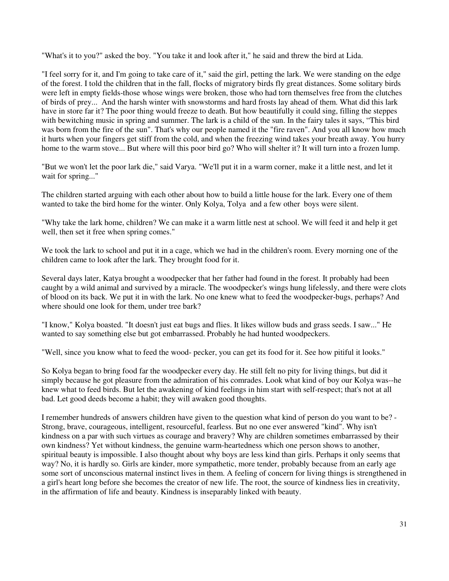"What's it to you?" asked the boy. "You take it and look after it," he said and threw the bird at Lida.

"I feel sorry for it, and I'm going to take care of it," said the girl, petting the lark. We were standing on the edge of the forest. I told the children that in the fall, flocks of migratory birds fly great distances. Some solitary birds were left in empty fields-those whose wings were broken, those who had torn themselves free from the clutches of birds of prey... And the harsh winter with snowstorms and hard frosts lay ahead of them. What did this lark have in store far it? The poor thing would freeze to death. But how beautifully it could sing, filling the steppes with bewitching music in spring and summer. The lark is a child of the sun. In the fairy tales it says, "This bird was born from the fire of the sun". That's why our people named it the "fire raven". And you all know how much it hurts when your fingers get stiff from the cold, and when the freezing wind takes your breath away. You hurry home to the warm stove... But where will this poor bird go? Who will shelter it? It will turn into a frozen lump.

"But we won't let the poor lark die," said Varya. "We'll put it in a warm corner, make it a little nest, and let it wait for spring..."

The children started arguing with each other about how to build a little house for the lark. Every one of them wanted to take the bird home for the winter. Only Kolya, Tolya and a few other boys were silent.

"Why take the lark home, children? We can make it a warm little nest at school. We will feed it and help it get well, then set it free when spring comes."

We took the lark to school and put it in a cage, which we had in the children's room. Every morning one of the children came to look after the lark. They brought food for it.

Several days later, Katya brought a woodpecker that her father had found in the forest. It probably had been caught by a wild animal and survived by a miracle. The woodpecker's wings hung lifelessly, and there were clots of blood on its back. We put it in with the lark. No one knew what to feed the woodpecker-bugs, perhaps? And where should one look for them, under tree bark?

"I know," Kolya boasted. "It doesn't just eat bugs and flies. It likes willow buds and grass seeds. I saw..." He wanted to say something else but got embarrassed. Probably he had hunted woodpeckers.

"Well, since you know what to feed the wood- pecker, you can get its food for it. See how pitiful it looks."

So Kolya began to bring food far the woodpecker every day. He still felt no pity for living things, but did it simply because he got pleasure from the admiration of his comrades. Look what kind of boy our Kolya was--he knew what to feed birds. But let the awakening of kind feelings in him start with self-respect; that's not at all bad. Let good deeds become a habit; they will awaken good thoughts.

I remember hundreds of answers children have given to the question what kind of person do you want to be? - Strong, brave, courageous, intelligent, resourceful, fearless. But no one ever answered "kind". Why isn't kindness on a par with such virtues as courage and bravery? Why are children sometimes embarrassed by their own kindness? Yet without kindness, the genuine warm-heartedness which one person shows to another, spiritual beauty is impossible. I also thought about why boys are less kind than girls. Perhaps it only seems that way? No, it is hardly so. Girls are kinder, more sympathetic, more tender, probably because from an early age some sort of unconscious maternal instinct lives in them. A feeling of concern for living things is strengthened in a girl's heart long before she becomes the creator of new life. The root, the source of kindness lies in creativity, in the affirmation of life and beauty. Kindness is inseparably linked with beauty.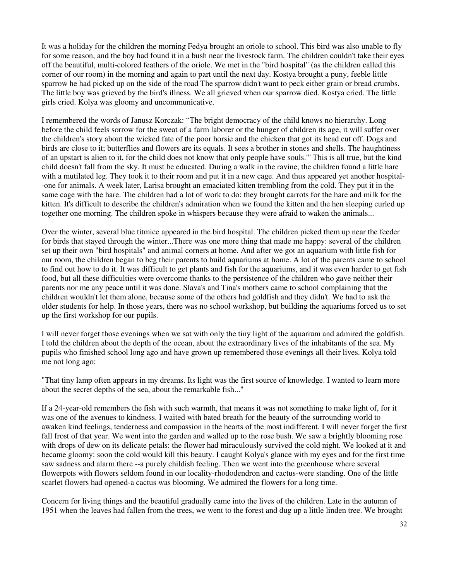It was a holiday for the children the morning Fedya brought an oriole to school. This bird was also unable to fly for some reason, and the boy had found it in a bush near the livestock farm. The children couldn't take their eyes off the beautiful, multi-colored feathers of the oriole. We met in the "bird hospital" (as the children called this corner of our room) in the morning and again to part until the next day. Kostya brought a puny, feeble little sparrow he had picked up on the side of the road The sparrow didn't want to peck either grain or bread crumbs. The little boy was grieved by the bird's illness. We all grieved when our sparrow died. Kostya cried. The little girls cried. Kolya was gloomy and uncommunicative.

I remembered the words of Janusz Korczak: "The bright democracy of the child knows no hierarchy. Long before the child feels sorrow for the sweat of a farm laborer or the hunger of children its age, it will suffer over the children's story about the wicked fate of the poor horsie and the chicken that got its head cut off. Dogs and birds are close to it; butterflies and flowers are its equals. It sees a brother in stones and shells. The haughtiness of an upstart is alien to it, for the child does not know that only people have souls."' This is all true, but the kind child doesn't fall from the sky. It must be educated. During a walk in the ravine, the children found a little hare with a mutilated leg. They took it to their room and put it in a new cage. And thus appeared yet another hospital--one for animals. A week later, Larisa brought an emaciated kitten trembling from the cold. They put it in the same cage with the hare. The children had a lot of work to do: they brought carrots for the hare and milk for the kitten. It's difficult to describe the children's admiration when we found the kitten and the hen sleeping curled up together one morning. The children spoke in whispers because they were afraid to waken the animals...

Over the winter, several blue titmice appeared in the bird hospital. The children picked them up near the feeder for birds that stayed through the winter...There was one more thing that made me happy: several of the children set up their own "bird hospitals" and animal corners at home. And after we got an aquarium with little fish for our room, the children began to beg their parents to build aquariums at home. A lot of the parents came to school to find out how to do it. It was difficult to get plants and fish for the aquariums, and it was even harder to get fish food, but all these difficulties were overcome thanks to the persistence of the children who gave neither their parents nor me any peace until it was done. Slava's and Tina's mothers came to school complaining that the children wouldn't let them alone, because some of the others had goldfish and they didn't. We had to ask the older students for help. In those years, there was no school workshop, but building the aquariums forced us to set up the first workshop for our pupils.

I will never forget those evenings when we sat with only the tiny light of the aquarium and admired the goldfish. I told the children about the depth of the ocean, about the extraordinary lives of the inhabitants of the sea. My pupils who finished school long ago and have grown up remembered those evenings all their lives. Kolya told me not long ago:

"That tiny lamp often appears in my dreams. Its light was the first source of knowledge. I wanted to learn more about the secret depths of the sea, about the remarkable fish..."

If a 24-year-old remembers the fish with such warmth, that means it was not something to make light of, for it was one of the avenues to kindness. I waited with bated breath for the beauty of the surrounding world to awaken kind feelings, tenderness and compassion in the hearts of the most indifferent. I will never forget the first fall frost of that year. We went into the garden and walled up to the rose bush. We saw a brightly blooming rose with drops of dew on its delicate petals: the flower had miraculously survived the cold night. We looked at it and became gloomy: soon the cold would kill this beauty. I caught Kolya's glance with my eyes and for the first time saw sadness and alarm there --a purely childish feeling. Then we went into the greenhouse where several flowerpots with flowers seldom found in our locality-rhododendron and cactus-were standing. One of the little scarlet flowers had opened-a cactus was blooming. We admired the flowers for a long time.

Concern for living things and the beautiful gradually came into the lives of the children. Late in the autumn of 1951 when the leaves had fallen from the trees, we went to the forest and dug up a little linden tree. We brought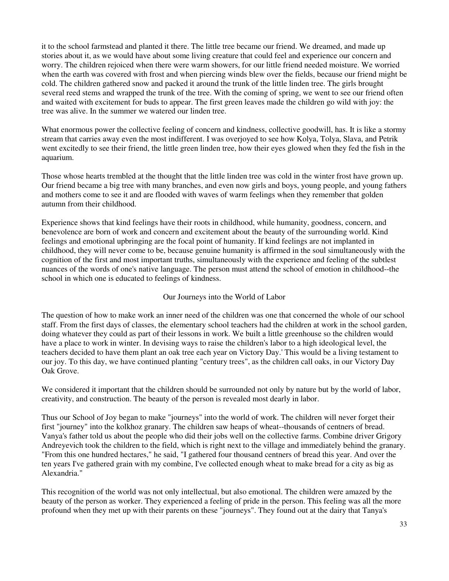it to the school farmstead and planted it there. The little tree became our friend. We dreamed, and made up stories about it, as we would have about some living creature that could feel and experience our concern and worry. The children rejoiced when there were warm showers, for our little friend needed moisture. We worried when the earth was covered with frost and when piercing winds blew over the fields, because our friend might be cold. The children gathered snow and packed it around the trunk of the little linden tree. The girls brought several reed stems and wrapped the trunk of the tree. With the coming of spring, we went to see our friend often and waited with excitement for buds to appear. The first green leaves made the children go wild with joy: the tree was alive. In the summer we watered our linden tree.

What enormous power the collective feeling of concern and kindness, collective goodwill, has. It is like a stormy stream that carries away even the most indifferent. I was overjoyed to see how Kolya, Tolya, Slava, and Petrik went excitedly to see their friend, the little green linden tree, how their eyes glowed when they fed the fish in the aquarium.

Those whose hearts trembled at the thought that the little linden tree was cold in the winter frost have grown up. Our friend became a big tree with many branches, and even now girls and boys, young people, and young fathers and mothers come to see it and are flooded with waves of warm feelings when they remember that golden autumn from their childhood.

Experience shows that kind feelings have their roots in childhood, while humanity, goodness, concern, and benevolence are born of work and concern and excitement about the beauty of the surrounding world. Kind feelings and emotional upbringing are the focal point of humanity. If kind feelings are not implanted in childhood, they will never come to be, because genuine humanity is affirmed in the soul simultaneously with the cognition of the first and most important truths, simultaneously with the experience and feeling of the subtlest nuances of the words of one's native language. The person must attend the school of emotion in childhood--the school in which one is educated to feelings of kindness.

## Our Journeys into the World of Labor

The question of how to make work an inner need of the children was one that concerned the whole of our school staff. From the first days of classes, the elementary school teachers had the children at work in the school garden, doing whatever they could as part of their lessons in work. We built a little greenhouse so the children would have a place to work in winter. In devising ways to raise the children's labor to a high ideological level, the teachers decided to have them plant an oak tree each year on Victory Day.' This would be a living testament to our joy. To this day, we have continued planting "century trees", as the children call oaks, in our Victory Day Oak Grove.

We considered it important that the children should be surrounded not only by nature but by the world of labor, creativity, and construction. The beauty of the person is revealed most dearly in labor.

Thus our School of Joy began to make "journeys" into the world of work. The children will never forget their first "journey" into the kolkhoz granary. The children saw heaps of wheat--thousands of centners of bread. Vanya's father told us about the people who did their jobs well on the collective farms. Combine driver Grigory Andreyevich took the children to the field, which is right next to the village and immediately behind the granary. "From this one hundred hectares," he said, "I gathered four thousand centners of bread this year. And over the ten years I've gathered grain with my combine, I've collected enough wheat to make bread for a city as big as Alexandria."

This recognition of the world was not only intellectual, but also emotional. The children were amazed by the beauty of the person as worker. They experienced a feeling of pride in the person. This feeling was all the more profound when they met up with their parents on these "journeys". They found out at the dairy that Tanya's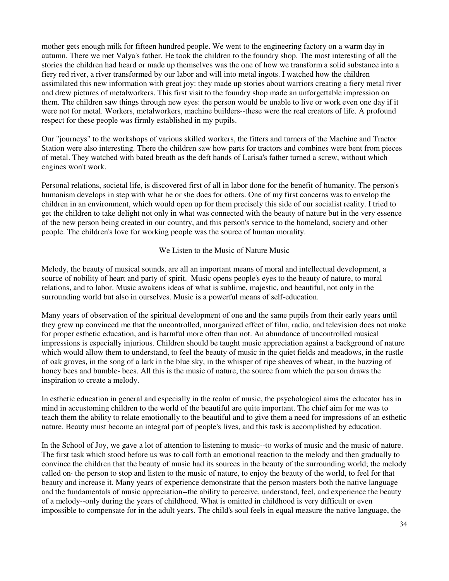mother gets enough milk for fifteen hundred people. We went to the engineering factory on a warm day in autumn. There we met Valya's father. He took the children to the foundry shop. The most interesting of all the stories the children had heard or made up themselves was the one of how we transform a solid substance into a fiery red river, a river transformed by our labor and will into metal ingots. I watched how the children assimilated this new information with great joy: they made up stories about warriors creating a fiery metal river and drew pictures of metalworkers. This first visit to the foundry shop made an unforgettable impression on them. The children saw things through new eyes: the person would be unable to live or work even one day if it were not for metal. Workers, metalworkers, machine builders--these were the real creators of life. A profound respect for these people was firmly established in my pupils.

Our "journeys" to the workshops of various skilled workers, the fitters and turners of the Machine and Tractor Station were also interesting. There the children saw how parts for tractors and combines were bent from pieces of metal. They watched with bated breath as the deft hands of Larisa's father turned a screw, without which engines won't work.

Personal relations, societal life, is discovered first of all in labor done for the benefit of humanity. The person's humanism develops in step with what he or she does for others. One of my first concerns was to envelop the children in an environment, which would open up for them precisely this side of our socialist reality. I tried to get the children to take delight not only in what was connected with the beauty of nature but in the very essence of the new person being created in our country, and this person's service to the homeland, society and other people. The children's love for working people was the source of human morality.

## We Listen to the Music of Nature Music

Melody, the beauty of musical sounds, are all an important means of moral and intellectual development, a source of nobility of heart and party of spirit. Music opens people's eyes to the beauty of nature, to moral relations, and to labor. Music awakens ideas of what is sublime, majestic, and beautiful, not only in the surrounding world but also in ourselves. Music is a powerful means of self-education.

Many years of observation of the spiritual development of one and the same pupils from their early years until they grew up convinced me that the uncontrolled, unorganized effect of film, radio, and television does not make for proper esthetic education, and is harmful more often than not. An abundance of uncontrolled musical impressions is especially injurious. Children should be taught music appreciation against a background of nature which would allow them to understand, to feel the beauty of music in the quiet fields and meadows, in the rustle of oak groves, in the song of a lark in the blue sky, in the whisper of ripe sheaves of wheat, in the buzzing of honey bees and bumble- bees. All this is the music of nature, the source from which the person draws the inspiration to create a melody.

In esthetic education in general and especially in the realm of music, the psychological aims the educator has in mind in accustoming children to the world of the beautiful are quite important. The chief aim for me was to teach them the ability to relate emotionally to the beautiful and to give them a need for impressions of an esthetic nature. Beauty must become an integral part of people's lives, and this task is accomplished by education.

In the School of Joy, we gave a lot of attention to listening to music--to works of music and the music of nature. The first task which stood before us was to call forth an emotional reaction to the melody and then gradually to convince the children that the beauty of music had its sources in the beauty of the surrounding world; the melody called on· the person to stop and listen to the music of nature, to enjoy the beauty of the world, to feel for that beauty and increase it. Many years of experience demonstrate that the person masters both the native language and the fundamentals of music appreciation--the ability to perceive, understand, feel, and experience the beauty of a melody--only during the years of childhood. What is omitted in childhood is very difficult or even impossible to compensate for in the adult years. The child's soul feels in equal measure the native language, the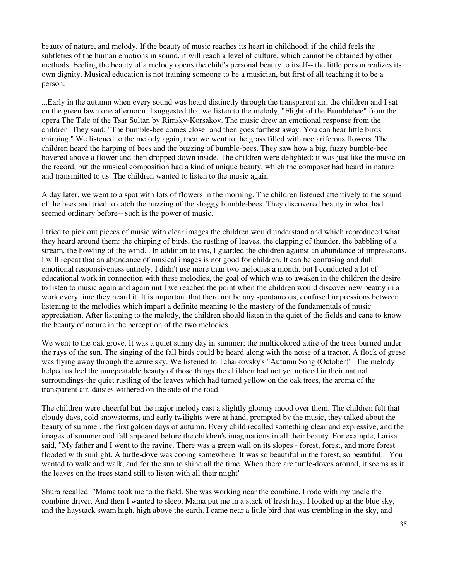beauty of nature, and melody. If the beauty of music reaches its heart in childhood, if the child feels the subtleties of the human emotions in sound, it will reach a level of culture, which cannot be obtained by other methods. Feeling the beauty of a melody opens the child's personal beauty to itself-- the little person realizes its own dignity. Musical education is not training someone to be a musician, but first of all teaching it to be a person.

...Early in the autumn when every sound was heard distinctly through the transparent air, the children and I sat on the green lawn one afternoon. I suggested that we listen to the melody, "Flight of the Bumblebee" from the opera The Tale of the Tsar Sultan by Rimsky-Korsakov. The music drew an emotional response from the children. They said: "The bumble-bee comes closer and then goes farthest away. You can hear little birds chirping." We listened to the melody again, then we went to the grass filled with nectariferous flowers. The children heard the harping of bees and the buzzing of bumble-bees. They saw how a big, fuzzy bumble-bee hovered above a flower and then dropped down inside. The children were delighted: it was just like the music on the record, but the musical composition had a kind of unique beauty, which the composer had heard in nature and transmitted to us. The children wanted to listen to the music again.

A day later, we went to a spot with lots of flowers in the morning. The children listened attentively to the sound of the bees and tried to catch the buzzing of the shaggy bumble-bees. They discovered beauty in what had seemed ordinary before-- such is the power of music.

I tried to pick out pieces of music with clear images the children would understand and which reproduced what they heard around them: the chirping of birds, the rustling of leaves, the clapping of thunder, the babbling of a stream, the howling of the wind... In addition to this, I guarded the children against an abundance of impressions. I will repeat that an abundance of musical images is not good for children. It can be confusing and dull emotional responsiveness entirely. I didn't use more than two melodies a month, but I conducted a lot of educational work in connection with these melodies, the goal of which was to awaken in the children the desire to listen to music again and again until we reached the point when the children would discover new beauty in a work every time they heard it. It is important that there not be any spontaneous, confused impressions between listening to the melodies which impart a definite meaning to the mastery of the fundamentals of music appreciation. After listening to the melody, the children should listen in the quiet of the fields and cane to know the beauty of nature in the perception of the two melodies.

We went to the oak grove. It was a quiet sunny day in summer; the multicolored attire of the trees burned under the rays of the sun. The singing of the fall birds could be heard along with the noise of a tractor. A flock of geese was flying away through the azure sky. We listened to Tchaikovsky's "Autumn Song (October)". The melody helped us feel the unrepeatable beauty of those things the children had not yet noticed in their natural surroundings-the quiet rustling of the leaves which had turned yellow on the oak trees, the aroma of the transparent air, daisies withered on the side of the road.

The children were cheerful but the major melody cast a slightly gloomy mood over them. The children felt that cloudy days, cold snowstorms, and early twilights were at hand, prompted by the music, they talked about the beauty of summer, the first golden days of autumn. Every child recalled something clear and expressive, and the images of summer and fall appeared before the children's imaginations in all their beauty. For example, Larisa said, "My father and I went to the ravine. There was a green wall on its slopes - forest, forest, and more forest flooded with sunlight. A turtle-dove was cooing somewhere. It was so beautiful in the forest, so beautiful... You wanted to walk and walk, and for the sun to shine all the time. When there are turtle-doves around, it seems as if the leaves on the trees stand still to listen with all their might"

Shura recalled: "Mama took me to the field. She was working near the combine. I rode with my uncle the combine driver. And then I wanted to sleep. Mama put me in a stack of fresh hay. I looked up at the blue sky, and the haystack swam high, high above the earth. I came near a little bird that was trembling in the sky, and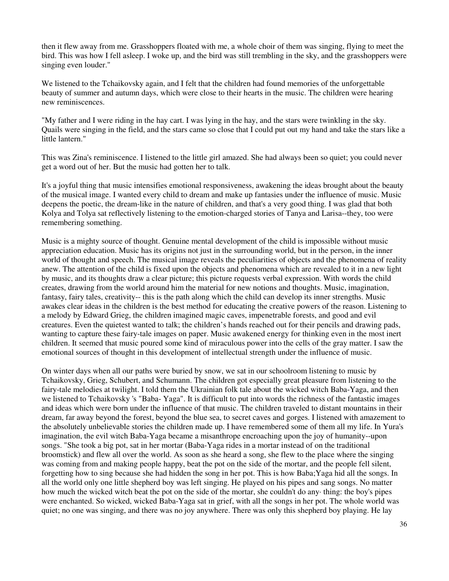then it flew away from me. Grasshoppers floated with me, a whole choir of them was singing, flying to meet the bird. This was how I fell asleep. I woke up, and the bird was still trembling in the sky, and the grasshoppers were singing even louder."

We listened to the Tchaikovsky again, and I felt that the children had found memories of the unforgettable beauty of summer and autumn days, which were close to their hearts in the music. The children were hearing new reminiscences.

"My father and I were riding in the hay cart. I was lying in the hay, and the stars were twinkling in the sky. Quails were singing in the field, and the stars came so close that I could put out my hand and take the stars like a little lantern."

This was Zina's reminiscence. I listened to the little girl amazed. She had always been so quiet; you could never get a word out of her. But the music had gotten her to talk.

It's a joyful thing that music intensifies emotional responsiveness, awakening the ideas brought about the beauty of the musical image. I wanted every child to dream and make up fantasies under the influence of music. Music deepens the poetic, the dream-like in the nature of children, and that's a very good thing. I was glad that both Kolya and Tolya sat reflectively listening to the emotion-charged stories of Tanya and Larisa--they, too were remembering something.

Music is a mighty source of thought. Genuine mental development of the child is impossible without music appreciation education. Music has its origins not just in the surrounding world, but in the person, in the inner world of thought and speech. The musical image reveals the peculiarities of objects and the phenomena of reality anew. The attention of the child is fixed upon the objects and phenomena which are revealed to it in a new light by music, and its thoughts draw a clear picture; this picture requests verbal expression. With words the child creates, drawing from the world around him the material for new notions and thoughts. Music, imagination, fantasy, fairy tales, creativity-- this is the path along which the child can develop its inner strengths. Music awakes clear ideas in the children is the best method for educating the creative powers of the reason. Listening to a melody by Edward Grieg, the children imagined magic caves, impenetrable forests, and good and evil creatures. Even the quietest wanted to talk; the children's hands reached out for their pencils and drawing pads, wanting to capture these fairy-tale images on paper. Music awakened energy for thinking even in the most inert children. It seemed that music poured some kind of miraculous power into the cells of the gray matter. I saw the emotional sources of thought in this development of intellectual strength under the influence of music.

On winter days when all our paths were buried by snow, we sat in our schoolroom listening to music by Tchaikovsky, Grieg, Schubert, and Schumann. The children got especially great pleasure from listening to the fairy-tale melodies at twilight. I told them the Ukrainian folk tale about the wicked witch Baba-Yaga, and then we listened to Tchaikovsky 's "Baba- Yaga". It is difficult to put into words the richness of the fantastic images and ideas which were born under the influence of that music. The children traveled to distant mountains in their dream, far away beyond the forest, beyond the blue sea, to secret caves and gorges. I listened with amazement to the absolutely unbelievable stories the children made up. I have remembered some of them all my life. In Yura's imagination, the evil witch Baba-Yaga became a misanthrope encroaching upon the joy of humanity--upon songs. "She took a big pot, sat in her mortar (Baba-Yaga rides in a mortar instead of on the traditional broomstick) and flew all over the world. As soon as she heard a song, she flew to the place where the singing was coming from and making people happy, beat the pot on the side of the mortar, and the people fell silent, forgetting how to sing because she had hidden the song in her pot. This is how Baba;Yaga hid all the songs. In all the world only one little shepherd boy was left singing. He played on his pipes and sang songs. No matter how much the wicked witch beat the pot on the side of the mortar, she couldn't do any· thing: the boy's pipes were enchanted. So wicked, wicked Baba-Yaga sat in grief, with all the songs in her pot. The whole world was quiet; no one was singing, and there was no joy anywhere. There was only this shepherd boy playing. He lay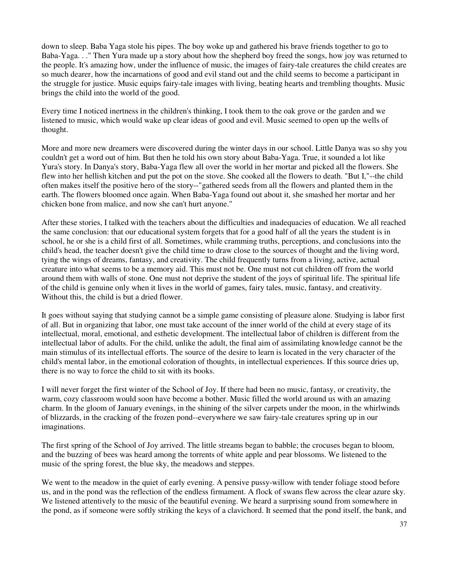down to sleep. Baba Yaga stole his pipes. The boy woke up and gathered his brave friends together to go to Baba-Yaga. . ." Then Yura made up a story about how the shepherd boy freed the songs, how joy was returned to the people. It's amazing how, under the influence of music, the images of fairy-tale creatures the child creates are so much dearer, how the incarnations of good and evil stand out and the child seems to become a participant in the struggle for justice. Music equips fairy-tale images with living, beating hearts and trembling thoughts. Music brings the child into the world of the good.

Every time I noticed inertness in the children's thinking, I took them to the oak grove or the garden and we listened to music, which would wake up clear ideas of good and evil. Music seemed to open up the wells of thought.

More and more new dreamers were discovered during the winter days in our school. Little Danya was so shy you couldn't get a word out of him. But then he told his own story about Baba-Yaga. True, it sounded a lot like Yura's story. In Danya's story, Baba-Yaga flew all over the world in her mortar and picked all the flowers. She flew into her hellish kitchen and put the pot on the stove. She cooked all the flowers to death. "But I,"--the child often makes itself the positive hero of the story--"gathered seeds from all the flowers and planted them in the earth. The flowers bloomed once again. When Baba-Yaga found out about it, she smashed her mortar and her chicken bone from malice, and now she can't hurt anyone."

After these stories, I talked with the teachers about the difficulties and inadequacies of education. We all reached the same conclusion: that our educational system forgets that for a good half of all the years the student is in school, he or she is a child first of all. Sometimes, while cramming truths, perceptions, and conclusions into the child's head, the teacher doesn't give the child time to draw close to the sources of thought and the living word, tying the wings of dreams, fantasy, and creativity. The child frequently turns from a living, active, actual creature into what seems to be a memory aid. This must not be. One must not cut children off from the world around them with walls of stone. One must not deprive the student of the joys of spiritual life. The spiritual life of the child is genuine only when it lives in the world of games, fairy tales, music, fantasy, and creativity. Without this, the child is but a dried flower.

It goes without saying that studying cannot be a simple game consisting of pleasure alone. Studying is labor first of all. But in organizing that labor, one must take account of the inner world of the child at every stage of its intellectual, moral, emotional, and esthetic development. The intellectual labor of children is different from the intellectual labor of adults. For the child, unlike the adult, the final aim of assimilating knowledge cannot be the main stimulus of its intellectual efforts. The source of the desire to learn is located in the very character of the child's mental labor, in the emotional coloration of thoughts, in intellectual experiences. If this source dries up, there is no way to force the child to sit with its books.

I will never forget the first winter of the School of Joy. If there had been no music, fantasy, or creativity, the warm, cozy classroom would soon have become a bother. Music filled the world around us with an amazing charm. In the gloom of January evenings, in the shining of the silver carpets under the moon, in the whirlwinds of blizzards, in the cracking of the frozen pond--everywhere we saw fairy-tale creatures spring up in our imaginations.

The first spring of the School of Joy arrived. The little streams began to babble; the crocuses began to bloom, and the buzzing of bees was heard among the torrents of white apple and pear blossoms. We listened to the music of the spring forest, the blue sky, the meadows and steppes.

We went to the meadow in the quiet of early evening. A pensive pussy-willow with tender foliage stood before us, and in the pond was the reflection of the endless firmament. A flock of swans flew across the clear azure sky. We listened attentively to the music of the beautiful evening. We heard a surprising sound from somewhere in the pond, as if someone were softly striking the keys of a clavichord. It seemed that the pond itself, the bank, and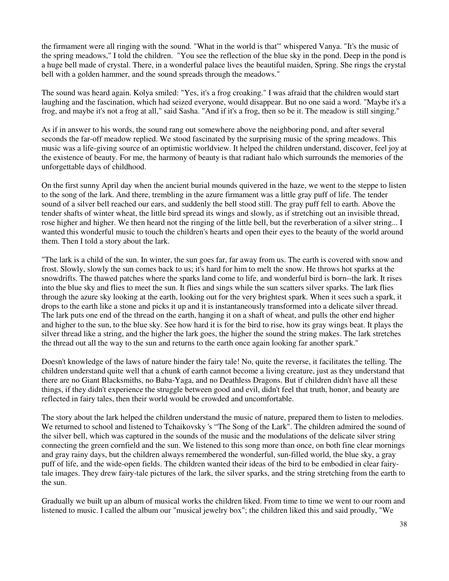the firmament were all ringing with the sound. "What in the world is that'" whispered Vanya. "It's the music of the spring meadows," I told the children. "You see the reflection of the blue sky in the pond. Deep in the pond is a huge bell made of crystal. There, in a wonderful palace lives the beautiful maiden, Spring. She rings the crystal bell with a golden hammer, and the sound spreads through the meadows."

The sound was heard again. Kolya smiled: "Yes, it's a frog croaking." I was afraid that the children would start laughing and the fascination, which had seized everyone, would disappear. But no one said a word. "Maybe it's a frog, and maybe it's not a frog at all," said Sasha. "And if it's a frog, then so be it. The meadow is still singing."

As if in answer to his words, the sound rang out somewhere above the neighboring pond, and after several seconds the far-off meadow replied. We stood fascinated by the surprising music of the spring meadows. This music was a life-giving source of an optimistic worldview. It helped the children understand, discover, feel joy at the existence of beauty. For me, the harmony of beauty is that radiant halo which surrounds the memories of the unforgettable days of childhood.

On the first sunny April day when the ancient burial mounds quivered in the haze, we went to the steppe to listen to the song of the lark. And there, trembling in the azure firmament was a little gray puff of life. The tender sound of a silver bell reached our ears, and suddenly the bell stood still. The gray puff fell to earth. Above the tender shafts of winter wheat, the little bird spread its wings and slowly, as if stretching out an invisible thread, rose higher and higher. We then heard not the ringing of the little bell, but the reverberation of a silver string... I wanted this wonderful music to touch the children's hearts and open their eyes to the beauty of the world around them. Then I told a story about the lark.

"The lark is a child of the sun. In winter, the sun goes far, far away from us. The earth is covered with snow and frost. Slowly, slowly the sun comes back to us; it's hard for him to melt the snow. He throws hot sparks at the snowdrifts. The thawed patches where the sparks land come to life, and wonderful bird is born--the lark. It rises into the blue sky and flies to meet the sun. It flies and sings while the sun scatters silver sparks. The lark flies through the azure sky looking at the earth, looking out for the very brightest spark. When it sees such a spark, it drops to the earth like a stone and picks it up and it is instantaneously transformed into a delicate silver thread. The lark puts one end of the thread on the earth, hanging it on a shaft of wheat, and pulls the other end higher and higher to the sun, to the blue sky. See how hard it is for the bird to rise, how its gray wings beat. It plays the silver thread like a string, and the higher the lark goes, the higher the sound the string makes. The lark stretches the thread out all the way to the sun and returns to the earth once again looking far another spark."

Doesn't knowledge of the laws of nature hinder the fairy tale! No, quite the reverse, it facilitates the telling. The children understand quite well that a chunk of earth cannot become a living creature, just as they understand that there are no Giant Blacksmiths, no Baba-Yaga, and no Deathless Dragons. But if children didn't have all these things, if they didn't experience the struggle between good and evil, didn't feel that truth, honor, and beauty are reflected in fairy tales, then their world would be crowded and uncomfortable.

The story about the lark helped the children understand the music of nature, prepared them to listen to melodies. We returned to school and listened to Tchaikovsky 's "The Song of the Lark". The children admired the sound of the silver bell, which was captured in the sounds of the music and the modulations of the delicate silver string connecting the green cornfield and the sun. We listened to this song more than once, on both fine clear mornings and gray rainy days, but the children always remembered the wonderful, sun-filled world, the blue sky, a gray puff of life, and the wide-open fields. The children wanted their ideas of the bird to be embodied in clear fairytale images. They drew fairy-tale pictures of the lark, the silver sparks, and the string stretching from the earth to the sun.

Gradually we built up an album of musical works the children liked. From time to time we went to our room and listened to music. I called the album our "musical jewelry box"; the children liked this and said proudly, "We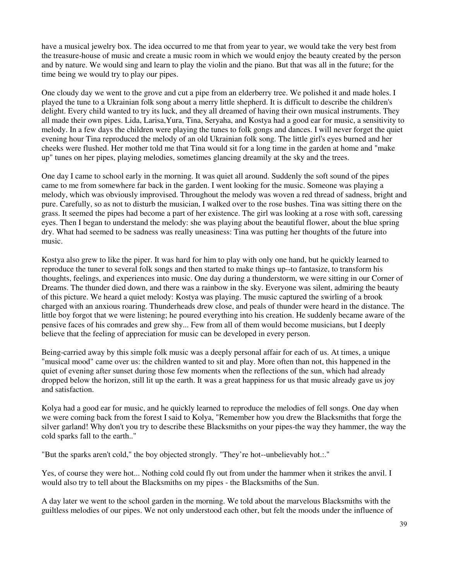have a musical jewelry box. The idea occurred to me that from year to year, we would take the very best from the treasure-house of music and create a music room in which we would enjoy the beauty created by the person and by nature. We would sing and learn to play the violin and the piano. But that was all in the future; for the time being we would try to play our pipes.

One cloudy day we went to the grove and cut a pipe from an elderberry tree. We polished it and made holes. I played the tune to a Ukrainian folk song about a merry little shepherd. It is difficult to describe the children's delight. Every child wanted to try its luck, and they all dreamed of having their own musical instruments. They all made their own pipes. Lida, Larisa,Yura, Tina, Seryaha, and Kostya had a good ear for music, a sensitivity to melody. In a few days the children were playing the tunes to folk gongs and dances. I will never forget the quiet evening hour Tina reproduced the melody of an old Ukrainian folk song. The little girl's eyes burned and her cheeks were flushed. Her mother told me that Tina would sit for a long time in the garden at home and "make up" tunes on her pipes, playing melodies, sometimes glancing dreamily at the sky and the trees.

One day I came to school early in the morning. It was quiet all around. Suddenly the soft sound of the pipes came to me from somewhere far back in the garden. I went looking for the music. Someone was playing a melody, which was obviously improvised. Throughout the melody was woven a red thread of sadness, bright and pure. Carefully, so as not to disturb the musician, I walked over to the rose bushes. Tina was sitting there on the grass. It seemed the pipes had become a part of her existence. The girl was looking at a rose with soft, caressing eyes. Then I began to understand the melody: she was playing about the beautiful flower, about the blue spring dry. What had seemed to be sadness was really uneasiness: Tina was putting her thoughts of the future into music.

Kostya also grew to like the piper. It was hard for him to play with only one hand, but he quickly learned to reproduce the tuner to several folk songs and then started to make things up--to fantasize, to transform his thoughts, feelings, and experiences into music. One day during a thunderstorm, we were sitting in our Corner of Dreams. The thunder died down, and there was a rainbow in the sky. Everyone was silent, admiring the beauty of this picture. We heard a quiet melody: Kostya was playing. The music captured the swirling of a brook charged with an anxious roaring. Thunderheads drew close, and peals of thunder were heard in the distance. The little boy forgot that we were listening; he poured everything into his creation. He suddenly became aware of the pensive faces of his comrades and grew shy... Few from all of them would become musicians, but I deeply believe that the feeling of appreciation for music can be developed in every person.

Being-carried away by this simple folk music was a deeply personal affair for each of us. At times, a unique "musical mood" came over us: the children wanted to sit and play. More often than not, this happened in the quiet of evening after sunset during those few moments when the reflections of the sun, which had already dropped below the horizon, still lit up the earth. It was a great happiness for us that music already gave us joy and satisfaction.

Kolya had a good ear for music, and he quickly learned to reproduce the melodies of fell songs. One day when we were coming back from the forest I said to Kolya, "Remember how you drew the Blacksmiths that forge the silver garland! Why don't you try to describe these Blacksmiths on your pipes-the way they hammer, the way the cold sparks fall to the earth.."

"But the sparks aren't cold," the boy objected strongly. "They're hot--unbelievably hot.:."

Yes, of course they were hot... Nothing cold could fly out from under the hammer when it strikes the anvil. I would also try to tell about the Blacksmiths on my pipes - the Blacksmiths of the Sun.

A day later we went to the school garden in the morning. We told about the marvelous Blacksmiths with the guiltless melodies of our pipes. We not only understood each other, but felt the moods under the influence of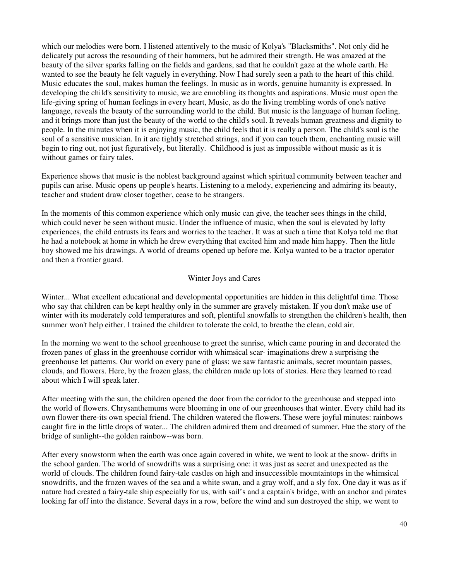which our melodies were born. I listened attentively to the music of Kolya's "Blacksmiths". Not only did he delicately put across the resounding of their hammers, but he admired their strength. He was amazed at the beauty of the silver sparks falling on the fields and gardens, sad that he couldn't gaze at the whole earth. He wanted to see the beauty he felt vaguely in everything. Now I had surely seen a path to the heart of this child. Music educates the soul, makes human the feelings. In music as in words, genuine humanity is expressed. In developing the child's sensitivity to music, we are ennobling its thoughts and aspirations. Music must open the life-giving spring of human feelings in every heart, Music, as do the living trembling words of one's native language, reveals the beauty of the surrounding world to the child. But music is the language of human feeling, and it brings more than just the beauty of the world to the child's soul. It reveals human greatness and dignity to people. In the minutes when it is enjoying music, the child feels that it is really a person. The child's soul is the soul of a sensitive musician. In it are tightly stretched strings, and if you can touch them, enchanting music will begin to ring out, not just figuratively, but literally. Childhood is just as impossible without music as it is without games or fairy tales.

Experience shows that music is the noblest background against which spiritual community between teacher and pupils can arise. Music opens up people's hearts. Listening to a melody, experiencing and admiring its beauty, teacher and student draw closer together, cease to be strangers.

In the moments of this common experience which only music can give, the teacher sees things in the child, which could never be seen without music. Under the influence of music, when the soul is elevated by lofty experiences, the child entrusts its fears and worries to the teacher. It was at such a time that Kolya told me that he had a notebook at home in which he drew everything that excited him and made him happy. Then the little boy showed me his drawings. A world of dreams opened up before me. Kolya wanted to be a tractor operator and then a frontier guard.

## Winter Joys and Cares

Winter... What excellent educational and developmental opportunities are hidden in this delightful time. Those who say that children can be kept healthy only in the summer are gravely mistaken. If you don't make use of winter with its moderately cold temperatures and soft, plentiful snowfalls to strengthen the children's health, then summer won't help either. I trained the children to tolerate the cold, to breathe the clean, cold air.

In the morning we went to the school greenhouse to greet the sunrise, which came pouring in and decorated the frozen panes of glass in the greenhouse corridor with whimsical scar- imaginations drew a surprising the greenhouse let patterns. Our world on every pane of glass: we saw fantastic animals, secret mountain passes, clouds, and flowers. Here, by the frozen glass, the children made up lots of stories. Here they learned to read about which I will speak later.

After meeting with the sun, the children opened the door from the corridor to the greenhouse and stepped into the world of flowers. Chrysanthemums were blooming in one of our greenhouses that winter. Every child had its own flower there-its own special friend. The children watered the flowers. These were joyful minutes: rainbows caught fire in the little drops of water... The children admired them and dreamed of summer. Hue the story of the bridge of sunlight--the golden rainbow--was born.

After every snowstorm when the earth was once again covered in white, we went to look at the snow- drifts in the school garden. The world of snowdrifts was a surprising one: it was just as secret and unexpected as the world of clouds. The children found fairy-tale castles on high and insuccessible mountaintops in the whimsical snowdrifts, and the frozen waves of the sea and a white swan, and a gray wolf, and a sly fox. One day it was as if nature had created a fairy-tale ship especially for us, with sail's and a captain's bridge, with an anchor and pirates looking far off into the distance. Several days in a row, before the wind and sun destroyed the ship, we went to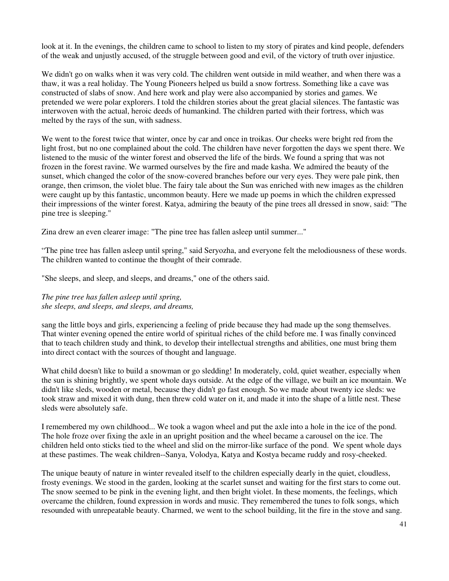look at it. In the evenings, the children came to school to listen to my story of pirates and kind people, defenders of the weak and unjustly accused, of the struggle between good and evil, of the victory of truth over injustice.

We didn't go on walks when it was very cold. The children went outside in mild weather, and when there was a thaw, it was a real holiday. The Young Pioneers helped us build a snow fortress. Something like a cave was constructed of slabs of snow. And here work and play were also accompanied by stories and games. We pretended we were polar explorers. I told the children stories about the great glacial silences. The fantastic was interwoven with the actual, heroic deeds of humankind. The children parted with their fortress, which was melted by the rays of the sun, with sadness.

We went to the forest twice that winter, once by car and once in troikas. Our cheeks were bright red from the light frost, but no one complained about the cold. The children have never forgotten the days we spent there. We listened to the music of the winter forest and observed the life of the birds. We found a spring that was not frozen in the forest ravine. We warmed ourselves by the fire and made kasha. We admired the beauty of the sunset, which changed the color of the snow-covered branches before our very eyes. They were pale pink, then orange, then crimson, the violet blue. The fairy tale about the Sun was enriched with new images as the children were caught up by this fantastic, uncommon beauty. Here we made up poems in which the children expressed their impressions of the winter forest. Katya, admiring the beauty of the pine trees all dressed in snow, said: "The pine tree is sleeping."

Zina drew an even clearer image: "The pine tree has fallen asleep until summer..."

"The pine tree has fallen asleep until spring," said Seryozha, and everyone felt the melodiousness of these words. The children wanted to continue the thought of their comrade.

"She sleeps, and sleep, and sleeps, and dreams," one of the others said.

*The pine tree has fallen asleep until spring, she sleeps, and sleeps, and sleeps, and dreams,*

sang the little boys and girls, experiencing a feeling of pride because they had made up the song themselves. That winter evening opened the entire world of spiritual riches of the child before me. I was finally convinced that to teach children study and think, to develop their intellectual strengths and abilities, one must bring them into direct contact with the sources of thought and language.

What child doesn't like to build a snowman or go sledding! In moderately, cold, quiet weather, especially when the sun is shining brightly, we spent whole days outside. At the edge of the village, we built an ice mountain. We didn't like sleds, wooden or metal, because they didn't go fast enough. So we made about twenty ice sleds: we took straw and mixed it with dung, then threw cold water on it, and made it into the shape of a little nest. These sleds were absolutely safe.

I remembered my own childhood... We took a wagon wheel and put the axle into a hole in the ice of the pond. The hole froze over fixing the axle in an upright position and the wheel became a carousel on the ice. The children held onto sticks tied to the wheel and slid on the mirror-like surface of the pond. We spent whole days at these pastimes. The weak children--Sanya, Volodya, Katya and Kostya became ruddy and rosy-cheeked.

The unique beauty of nature in winter revealed itself to the children especially dearly in the quiet, cloudless, frosty evenings. We stood in the garden, looking at the scarlet sunset and waiting for the first stars to come out. The snow seemed to be pink in the evening light, and then bright violet. In these moments, the feelings, which overcame the children, found expression in words and music. They remembered the tunes to folk songs, which resounded with unrepeatable beauty. Charmed, we went to the school building, lit the fire in the stove and sang.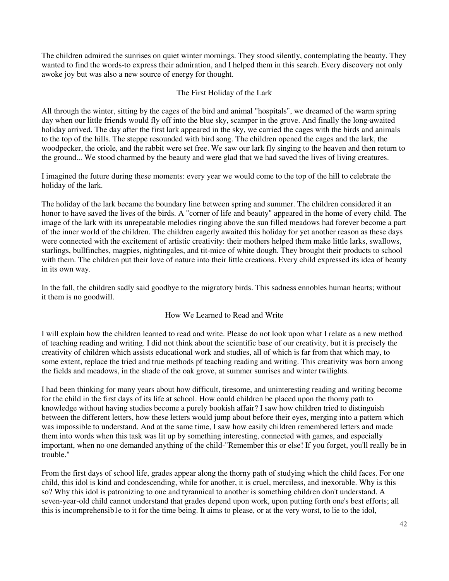The children admired the sunrises on quiet winter mornings. They stood silently, contemplating the beauty. They wanted to find the words-to express their admiration, and I helped them in this search. Every discovery not only awoke joy but was also a new source of energy for thought.

## The First Holiday of the Lark

All through the winter, sitting by the cages of the bird and animal "hospitals", we dreamed of the warm spring day when our little friends would fly off into the blue sky, scamper in the grove. And finally the long-awaited holiday arrived. The day after the first lark appeared in the sky, we carried the cages with the birds and animals to the top of the hills. The steppe resounded with bird song. The children opened the cages and the lark, the woodpecker, the oriole, and the rabbit were set free. We saw our lark fly singing to the heaven and then return to the ground... We stood charmed by the beauty and were glad that we had saved the lives of living creatures.

I imagined the future during these moments: every year we would come to the top of the hill to celebrate the holiday of the lark.

The holiday of the lark became the boundary line between spring and summer. The children considered it an honor to have saved the lives of the birds. A "corner of life and beauty" appeared in the home of every child. The image of the lark with its unrepeatable melodies ringing above the sun filled meadows had forever become a part of the inner world of the children. The children eagerly awaited this holiday for yet another reason as these days were connected with the excitement of artistic creativity: their mothers helped them make little larks, swallows, starlings, bullfinches, magpies, nightingales, and tit-mice of white dough. They brought their products to school with them. The children put their love of nature into their little creations. Every child expressed its idea of beauty in its own way.

In the fall, the children sadly said goodbye to the migratory birds. This sadness ennobles human hearts; without it them is no goodwill.

## How We Learned to Read and Write

I will explain how the children learned to read and write. Please do not look upon what I relate as a new method of teaching reading and writing. I did not think about the scientific base of our creativity, but it is precisely the creativity of children which assists educational work and studies, all of which is far from that which may, to some extent, replace the tried and true methods pf teaching reading and writing. This creativity was born among the fields and meadows, in the shade of the oak grove, at summer sunrises and winter twilights.

I had been thinking for many years about how difficult, tiresome, and uninteresting reading and writing become for the child in the first days of its life at school. How could children be placed upon the thorny path to knowledge without having studies become a purely bookish affair? I saw how children tried to distinguish between the different letters, how these letters would jump about before their eyes, merging into a pattern which was impossible to understand. And at the same time, I saw how easily children remembered letters and made them into words when this task was lit up by something interesting, connected with games, and especially important, when no one demanded anything of the child-"Remember this or else! If you forget, you'll really be in trouble."

From the first days of school life, grades appear along the thorny path of studying which the child faces. For one child, this idol is kind and condescending, while for another, it is cruel, merciless, and inexorable. Why is this so? Why this idol is patronizing to one and tyrannical to another is something children don't understand. A seven-year-old child cannot understand that grades depend upon work, upon putting forth one's best efforts; all this is incomprehensib1e to it for the time being. It aims to please, or at the very worst, to lie to the idol,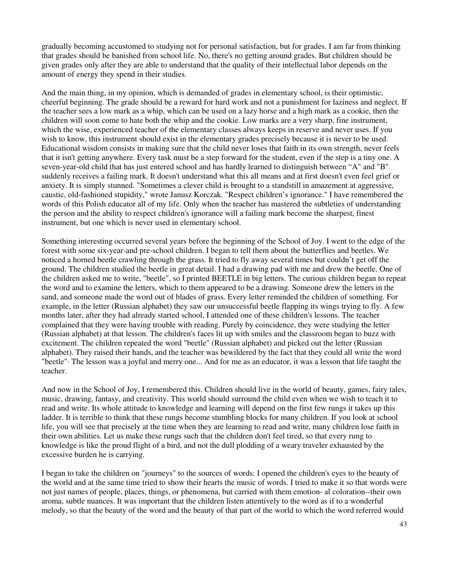gradually becoming accustomed to studying not for personal satisfaction, but for grades. I am far from thinking that grades should be banished from school life. No, there's no getting around grades. But children should be given grades only after they are able to understand that the quality of their intellectual labor depends on the amount of energy they spend in their studies.

And the main thing, in my opinion, which is demanded of grades in elementary school, is their optimistic, cheerful beginning. The grade should be a reward for hard work and not a punishment for laziness and neglect. If the teacher sees a low mark as a whip, which can be used on a lazy horse and a high mark as a cookie, then the children will soon come to hate both the whip and the cookie. Low marks are a very sharp, fine instrument, which the wise, experienced teacher of the elementary classes always keeps in reserve and never uses. If you wish to know, this instrument should exist in the elementary grades precisely because it is never to be used. Educational wisdom consists in making sure that the child never loses that faith in its own strength, never feels that it isn't getting anywhere. Every task must be a step forward for the student, even if the step is a tiny one. A seven-year-old child that has just entered school and has hardly learned to distinguish between "A" and "B" suddenly receives a failing mark. It doesn't understand what this all means and at first doesn't even feel grief or anxiety. It is simply stunned. "Sometimes a clever child is brought to a standstill in amazement at aggressive, caustic, old-fashioned stupidity," wrote Janusz Korczak. "Respect children's ignorance." I have remembered the words of this Polish educator all of my life. Only when the teacher has mastered the subtleties of understanding the person and the ability to respect children's ignorance will a failing mark become the sharpest, finest instrument, but one which is never used in elementary school.

Something interesting occurred several years before the beginning of the School of Joy. I went to the edge of the forest with some six-year-and pre-school children. I began to tell them about the butterflies and beetles. We noticed a horned beetle crawling through the grass. It tried to fly away several times but couldn't get off the ground. The children studied the beetle in great detail. I had a drawing pad with me and drew the beetle. One of the children asked me to write, "beetle", so I printed BEETLE in big letters. The curious children began to repeat the word and to examine the letters, which to them appeared to be a drawing. Someone drew the letters in the sand, and someone made the word out of blades of grass. Every letter reminded the children of something. For example, in the letter (Russian alphabet) they saw our unsuccessful beetle flapping its wings trying to fly. A few months later, after they had already started school, I attended one of these children's lessons. The teacher complained that they were having trouble with reading. Purely by coincidence, they were studying the letter (Russian alphabet) at that lesson. The children's faces lit up with smiles and the classroom began to buzz with excitement. The children repeated the word "beetle" (Russian alphabet) and picked out the letter (Russian alphabet). They raised their hands, and the teacher was bewildered by the fact that they could all write the word "beetle"· The lesson was a joyful and merry one... And for me as an educator, it was a lesson that life taught the teacher.

And now in the School of Joy, I remembered this. Children should live in the world of beauty, games, fairy tales, music, drawing, fantasy, and creativity. This world should surround the child even when we wish to teach it to read and write. Its whole attitude to knowledge and learning will depend on the first few rungs it takes up this ladder. It is terrible to think that these rungs become stumbling blocks for many children. If you look at school life, you will see that precisely at the time when they are learning to read and write, many children lose faith in their own abilities. Let us make these rungs such that the children don't feel tired, so that every rung to knowledge is like the proud flight of a bird, and not the dull plodding of a weary traveler exhausted by the excessive burden he is carrying.

I began to take the children on "journeys" to the sources of words: I opened the children's eyes to the beauty of the world and at the same time tried to show their hearts the music of words. I tried to make it so that words were not just names of people, places, things, or phenomena, but carried with them emotion- al coloration--their own aroma, subtle nuances. It was important that the children listen attentively to the word as if to a wonderful melody, so that the beauty of the word and the beauty of that part of the world to which the word referred would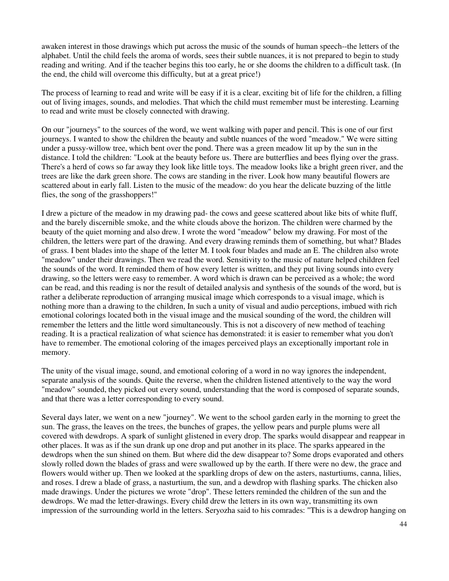awaken interest in those drawings which put across the music of the sounds of human speech--the letters of the alphabet. Until the child feels the aroma of words, sees their subtle nuances, it is not prepared to begin to study reading and writing. And if the teacher begins this too early, he or she dooms the children to a difficult task. (In the end, the child will overcome this difficulty, but at a great price!)

The process of learning to read and write will be easy if it is a clear, exciting bit of life for the children, a filling out of living images, sounds, and melodies. That which the child must remember must be interesting. Learning to read and write must be closely connected with drawing.

On our "journeys" to the sources of the word, we went walking with paper and pencil. This is one of our first journeys. I wanted to show the children the beauty and subtle nuances of the word "meadow." We were sitting under a pussy-willow tree, which bent over the pond. There was a green meadow lit up by the sun in the distance. I told the children: "Look at the beauty before us. There are butterflies and bees flying over the grass. There's a herd of cows so far away they look like little toys. The meadow looks like a bright green river, and the trees are like the dark green shore. The cows are standing in the river. Look how many beautiful flowers are scattered about in early fall. Listen to the music of the meadow: do you hear the delicate buzzing of the little flies, the song of the grasshoppers!"

I drew a picture of the meadow in my drawing pad- the cows and geese scattered about like bits of white fluff, and the barely discernible smoke, and the white clouds above the horizon. The children were charmed by the beauty of the quiet morning and also drew. I wrote the word "meadow" below my drawing. For most of the children, the letters were part of the drawing. And every drawing reminds them of something, but what? Blades of grass. I bent blades into the shape of the letter M. I took four blades and made an E. The children also wrote "meadow" under their drawings. Then we read the word. Sensitivity to the music of nature helped children feel the sounds of the word. It reminded them of how every letter is written, and they put living sounds into every drawing, so the letters were easy to remember. A word which is drawn can be perceived as a whole; the word can be read, and this reading is nor the result of detailed analysis and synthesis of the sounds of the word, but is rather a deliberate reproduction of arranging musical image which corresponds to a visual image, which is nothing more than a drawing to the children, In such a unity of visual and audio perceptions, imbued with rich emotional colorings located both in the visual image and the musical sounding of the word, the children will remember the letters and the little word simultaneously. This is not a discovery of new method of teaching reading. It is a practical realization of what science has demonstrated: it is easier to remember what you don't have to remember. The emotional coloring of the images perceived plays an exceptionally important role in memory.

The unity of the visual image, sound, and emotional coloring of a word in no way ignores the independent, separate analysis of the sounds. Quite the reverse, when the children listened attentively to the way the word "meadow" sounded, they picked out every sound, understanding that the word is composed of separate sounds, and that there was a letter corresponding to every sound.

Several days later, we went on a new "journey". We went to the school garden early in the morning to greet the sun. The grass, the leaves on the trees, the bunches of grapes, the yellow pears and purple plums were all covered with dewdrops. A spark of sunlight glistened in every drop. The sparks would disappear and reappear in other places. It was as if the sun drank up one drop and put another in its place. The sparks appeared in the dewdrops when the sun shined on them. But where did the dew disappear to? Some drops evaporated and others slowly rolled down the blades of grass and were swallowed up by the earth. If there were no dew, the grace and flowers would wither up. Then we looked at the sparkling drops of dew on the asters, nasturtiums, canna, lilies, and roses. I drew a blade of grass, a nasturtium, the sun, and a dewdrop with flashing sparks. The chicken also made drawings. Under the pictures we wrote "drop". These letters reminded the children of the sun and the dewdrops. We mad the letter-drawings. Every child drew the letters in its own way, transmitting its own impression of the surrounding world in the letters. Seryozha said to his comrades: "This is a dewdrop hanging on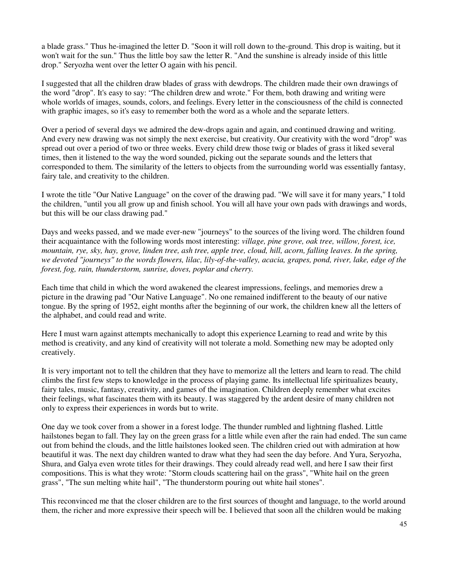a blade grass." Thus he-imagined the letter D. "Soon it will roll down to the-ground. This drop is waiting, but it won't wait for the sun." Thus the little boy saw the letter R. "And the sunshine is already inside of this little drop." Seryozha went over the letter O again with his pencil.

I suggested that all the children draw blades of grass with dewdrops. The children made their own drawings of the word "drop". It's easy to say: "The children drew and wrote." For them, both drawing and writing were whole worlds of images, sounds, colors, and feelings. Every letter in the consciousness of the child is connected with graphic images, so it's easy to remember both the word as a whole and the separate letters.

Over a period of several days we admired the dew-drops again and again, and continued drawing and writing. And every new drawing was not simply the next exercise, but creativity. Our creativity with the word "drop" was spread out over a period of two or three weeks. Every child drew those twig or blades of grass it liked several times, then it listened to the way the word sounded, picking out the separate sounds and the letters that corresponded to them. The similarity of the letters to objects from the surrounding world was essentially fantasy, fairy tale, and creativity to the children.

I wrote the title "Our Native Language" on the cover of the drawing pad. "We will save it for many years," I told the children, "until you all grow up and finish school. You will all have your own pads with drawings and words, but this will be our class drawing pad."

Days and weeks passed, and we made ever-new "journeys" to the sources of the living word. The children found their acquaintance with the following words most interesting: *village, pine grove, oak tree, willow, forest, ice, mountain, rye, sky, hay, grove, linden tree, ash tree, apple tree, cloud, hill, acorn, falling leaves. In the spring, we devoted "journeys" to the words flowers, lilac, lily-of-the-valley, acacia, grapes, pond, river, lake, edge of the forest, fog, rain, thunderstorm, sunrise, doves, poplar and cherry.* 

Each time that child in which the word awakened the clearest impressions, feelings, and memories drew a picture in the drawing pad "Our Native Language". No one remained indifferent to the beauty of our native tongue. By the spring of 1952, eight months after the beginning of our work, the children knew all the letters of the alphabet, and could read and write.

Here I must warn against attempts mechanically to adopt this experience Learning to read and write by this method is creativity, and any kind of creativity will not tolerate a mold. Something new may be adopted only creatively.

It is very important not to tell the children that they have to memorize all the letters and learn to read. The child climbs the first few steps to knowledge in the process of playing game. Its intellectual life spiritualizes beauty, fairy tales, music, fantasy, creativity, and games of the imagination. Children deeply remember what excites their feelings, what fascinates them with its beauty. I was staggered by the ardent desire of many children not only to express their experiences in words but to write.

One day we took cover from a shower in a forest lodge. The thunder rumbled and lightning flashed. Little hailstones began to fall. They lay on the green grass for a little while even after the rain had ended. The sun came out from behind the clouds, and the little hailstones looked seen. The children cried out with admiration at how beautiful it was. The next day children wanted to draw what they had seen the day before. And Yura, Seryozha, Shura, and Galya even wrote titles for their drawings. They could already read well, and here I saw their first compositions. This is what they wrote: "Storm clouds scattering hail on the grass", "White hail on the green grass", "The sun melting white hail", "The thunderstorm pouring out white hail stones".

This reconvinced me that the closer children are to the first sources of thought and language, to the world around them, the richer and more expressive their speech will be. I believed that soon all the children would be making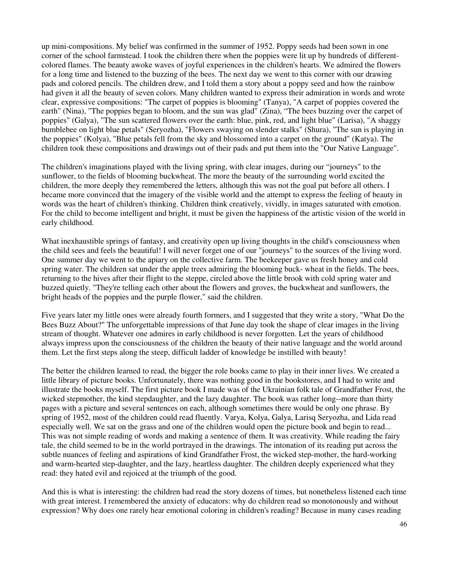up mini-compositions. My belief was confirmed in the summer of 1952. Poppy seeds had been sown in one corner of the school farmstead. I took the children there when the poppies were lit up by hundreds of differentcolored flames. The beauty awoke waves of joyful experiences in the children's hearts. We admired the flowers for a long time and listened to the buzzing of the bees. The next day we went to this corner with our drawing pads and colored pencils. The children drew, and I told them a story about a poppy seed and how the rainbow had given it all the beauty of seven colors. Many children wanted to express their admiration in words and wrote clear, expressive compositions: "The carpet of poppies is blooming" (Tanya), "A carpet of poppies covered the earth" (Nina), "The poppies began to bloom, and the sun was glad" (Zina), "The bees buzzing over the carpet of poppies" (Galya), "The sun scattered flowers over the earth: blue, pink, red, and light blue" (Larisa), "A shaggy bumblebee on light blue petals" (Seryozha), "Flowers swaying on slender stalks" (Shura), "The sun is playing in the poppies" (Kolya), "Blue petals fell from the sky and blossomed into a carpet on the ground" (Katya). The children took these compositions and drawings out of their pads and put them into the "Our Native Language".

The children's imaginations played with the living spring, with clear images, during our "journeys" to the sunflower, to the fields of blooming buckwheat. The more the beauty of the surrounding world excited the children, the more deeply they remembered the letters, although this was not the goal put before all others. I became more convinced that the imagery of the visible world and the attempt to express the feeling of beauty in words was the heart of children's thinking. Children think creatively, vividly, in images saturated with emotion. For the child to become intelligent and bright, it must be given the happiness of the artistic vision of the world in early childhood.

What inexhaustible springs of fantasy, and creativity open up living thoughts in the child's consciousness when the child sees and feels the beautiful! I will never forget one of our "journeys" to the sources of the living word. One summer day we went to the apiary on the collective farm. The beekeeper gave us fresh honey and cold spring water. The children sat under the apple trees admiring the blooming buck- wheat in the fields. The bees, returning to the hives after their flight to the steppe, circled above the little brook with cold spring water and buzzed quietly. "They're telling each other about the flowers and groves, the buckwheat and sunflowers, the bright heads of the poppies and the purple flower," said the children.

Five years later my little ones were already fourth formers, and I suggested that they write a story, "What Do the Bees Buzz About?" The unforgettable impressions of that June day took the shape of clear images in the living stream of thought. Whatever one admires in early childhood is never forgotten. Let the years of childhood always impress upon the consciousness of the children the beauty of their native language and the world around them. Let the first steps along the steep, difficult ladder of knowledge be instilled with beauty!

The better the children learned to read, the bigger the role books came to play in their inner lives. We created a little library of picture books. Unfortunately, there was nothing good in the bookstores, and I had to write and illustrate the books myself. The first picture book I made was of the Ukrainian folk tale of Grandfather Frost, the wicked stepmother, the kind stepdaughter, and the lazy daughter. The book was rather long--more than thirty pages with a picture and several sentences on each, although sometimes there would be only one phrase. By spring of 1952, most of the children could read fluently. Varya, Kolya, Galya, Larisq Seryozha, and Lida read especially well. We sat on the grass and one of the children would open the picture book and begin to read... This was not simple reading of words and making a sentence of them. It was creativity. While reading the fairy tale, the child seemed to be in the world portrayed in the drawings. The intonation of its reading put across the subtle nuances of feeling and aspirations of kind Grandfather Frost, the wicked step-mother, the hard-working and warm-hearted step-daughter, and the lazy, heartless daughter. The children deeply experienced what they read: they hated evil and rejoiced at the triumph of the good.

And this is what is interesting: the children had read the story dozens of times, but nonetheless listened each time with great interest. I remembered the anxiety of educators: why do children read so monotonously and without expression? Why does one rarely hear emotional coloring in children's reading? Because in many cases reading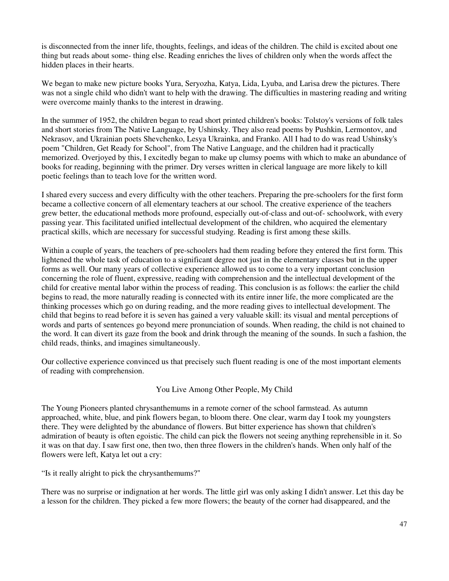is disconnected from the inner life, thoughts, feelings, and ideas of the children. The child is excited about one thing but reads about some- thing else. Reading enriches the lives of children only when the words affect the hidden places in their hearts.

We began to make new picture books Yura, Seryozha, Katya, Lida, Lyuba, and Larisa drew the pictures. There was not a single child who didn't want to help with the drawing. The difficulties in mastering reading and writing were overcome mainly thanks to the interest in drawing.

In the summer of 1952, the children began to read short printed children's books: Tolstoy's versions of folk tales and short stories from The Native Language, by Ushinsky. They also read poems by Pushkin, Lermontov, and Nekrasov, and Ukrainian poets Shevchenko, Lesya Ukrainka, and Franko. All I had to do was read Ushinsky's poem "Children, Get Ready for School", from The Native Language, and the children had it practically memorized. Overjoyed by this, I excitedly began to make up clumsy poems with which to make an abundance of books for reading, beginning with the primer. Dry verses written in clerical language are more likely to kill poetic feelings than to teach love for the written word.

I shared every success and every difficulty with the other teachers. Preparing the pre-schoolers for the first form became a collective concern of all elementary teachers at our school. The creative experience of the teachers grew better, the educational methods more profound, especially out-of-class and out-of- schoolwork, with every passing year. This facilitated unified intellectual development of the children, who acquired the elementary practical skills, which are necessary for successful studying. Reading is first among these skills.

Within a couple of years, the teachers of pre-schoolers had them reading before they entered the first form. This lightened the whole task of education to a significant degree not just in the elementary classes but in the upper forms as well. Our many years of collective experience allowed us to come to a very important conclusion concerning the role of fluent, expressive, reading with comprehension and the intellectual development of the child for creative mental labor within the process of reading. This conclusion is as follows: the earlier the child begins to read, the more naturally reading is connected with its entire inner life, the more complicated are the thinking processes which go on during reading, and the more reading gives to intellectual development. The child that begins to read before it is seven has gained a very valuable skill: its visual and mental perceptions of words and parts of sentences go beyond mere pronunciation of sounds. When reading, the child is not chained to the word. It can divert its gaze from the book and drink through the meaning of the sounds. In such a fashion, the child reads, thinks, and imagines simultaneously.

Our collective experience convinced us that precisely such fluent reading is one of the most important elements of reading with comprehension.

# You Live Among Other People, My Child

The Young Pioneers planted chrysanthemums in a remote corner of the school farmstead. As autumn approached, white, blue, and pink flowers began, to bloom there. One clear, warm day I took my youngsters there. They were delighted by the abundance of flowers. But bitter experience has shown that children's admiration of beauty is often egoistic. The child can pick the flowers not seeing anything reprehensible in it. So it was on that day. I saw first one, then two, then three flowers in the children's hands. When only half of the flowers were left, Katya let out a cry:

"Is it really alright to pick the chrysanthemums?"

There was no surprise or indignation at her words. The little girl was only asking I didn't answer. Let this day be a lesson for the children. They picked a few more flowers; the beauty of the corner had disappeared, and the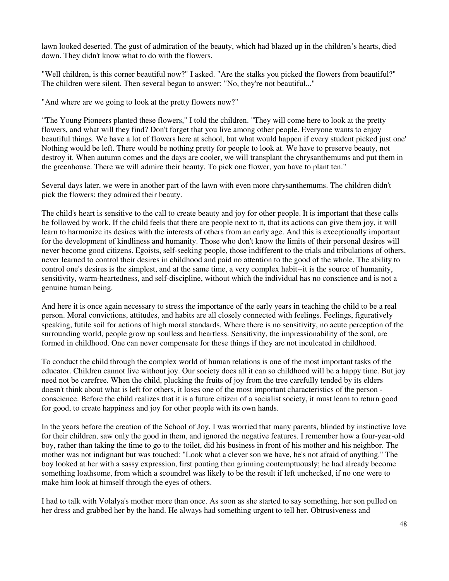lawn looked deserted. The gust of admiration of the beauty, which had blazed up in the children's hearts, died down. They didn't know what to do with the flowers.

"Well children, is this corner beautiful now?" I asked. "Are the stalks you picked the flowers from beautiful?" The children were silent. Then several began to answer: "No, they're not beautiful..."

"And where are we going to look at the pretty flowers now?"

"The Young Pioneers planted these flowers," I told the children. "They will come here to look at the pretty flowers, and what will they find? Don't forget that you live among other people. Everyone wants to enjoy beautiful things. We have a lot of flowers here at school, but what would happen if every student picked just one' Nothing would be left. There would be nothing pretty for people to look at. We have to preserve beauty, not destroy it. When autumn comes and the days are cooler, we will transplant the chrysanthemums and put them in the greenhouse. There we will admire their beauty. To pick one flower, you have to plant ten."

Several days later, we were in another part of the lawn with even more chrysanthemums. The children didn't pick the flowers; they admired their beauty.

The child's heart is sensitive to the call to create beauty and joy for other people. It is important that these calls be followed by work. If the child feels that there are people next to it, that its actions can give them joy, it will learn to harmonize its desires with the interests of others from an early age. And this is exceptionally important for the development of kindliness and humanity. Those who don't know the limits of their personal desires will never become good citizens. Egoists, self-seeking people, those indifferent to the trials and tribulations of others, never learned to control their desires in childhood and paid no attention to the good of the whole. The ability to control one's desires is the simplest, and at the same time, a very complex habit--it is the source of humanity, sensitivity, warm-heartedness, and self-discipline, without which the individual has no conscience and is not a genuine human being.

And here it is once again necessary to stress the importance of the early years in teaching the child to be a real person. Moral convictions, attitudes, and habits are all closely connected with feelings. Feelings, figuratively speaking, futile soil for actions of high moral standards. Where there is no sensitivity, no acute perception of the surrounding world, people grow up soulless and heartless. Sensitivity, the impressionability of the soul, are formed in childhood. One can never compensate for these things if they are not inculcated in childhood.

To conduct the child through the complex world of human relations is one of the most important tasks of the educator. Children cannot live without joy. Our society does all it can so childhood will be a happy time. But joy need not be carefree. When the child, plucking the fruits of joy from the tree carefully tended by its elders doesn't think about what is left for others, it loses one of the most important characteristics of the person conscience. Before the child realizes that it is a future citizen of a socialist society, it must learn to return good for good, to create happiness and joy for other people with its own hands.

In the years before the creation of the School of Joy, I was worried that many parents, blinded by instinctive love for their children, saw only the good in them, and ignored the negative features. I remember how a four-year-old boy, rather than taking the time to go to the toilet, did his business in front of his mother and his neighbor. The mother was not indignant but was touched: "Look what a clever son we have, he's not afraid of anything." The boy looked at her with a sassy expression, first pouting then grinning contemptuously; he had already become something loathsome, from which a scoundrel was likely to be the result if left unchecked, if no one were to make him look at himself through the eyes of others.

I had to talk with Volalya's mother more than once. As soon as she started to say something, her son pulled on her dress and grabbed her by the hand. He always had something urgent to tell her. Obtrusiveness and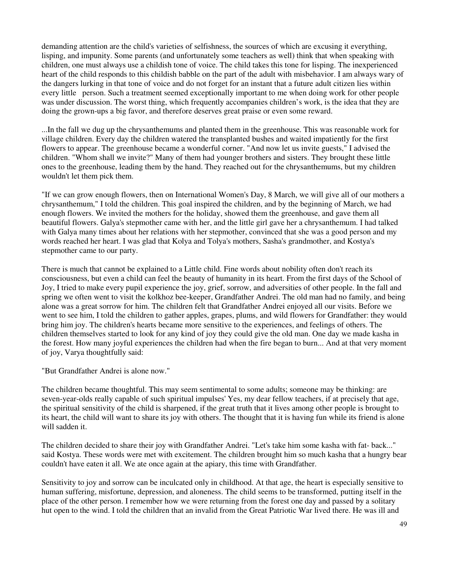demanding attention are the child's varieties of selfishness, the sources of which are excusing it everything, lisping, and impunity. Some parents (and unfortunately some teachers as well) think that when speaking with children, one must always use a childish tone of voice. The child takes this tone for lisping. The inexperienced heart of the child responds to this childish babble on the part of the adult with misbehavior. I am always wary of the dangers lurking in that tone of voice and do not forget for an instant that a future adult citizen lies within every little person. Such a treatment seemed exceptionally important to me when doing work for other people was under discussion. The worst thing, which frequently accompanies children's work, is the idea that they are doing the grown-ups a big favor, and therefore deserves great praise or even some reward.

...In the fall we dug up the chrysanthemums and planted them in the greenhouse. This was reasonable work for village children. Every day the children watered the transplanted bushes and waited impatiently for the first flowers to appear. The greenhouse became a wonderful corner. "And now let us invite guests," I advised the children. "Whom shall we invite?" Many of them had younger brothers and sisters. They brought these little ones to the greenhouse, leading them by the hand. They reached out for the chrysanthemums, but my children wouldn't let them pick them.

"If we can grow enough flowers, then on International Women's Day, 8 March, we will give all of our mothers a chrysanthemum," I told the children. This goal inspired the children, and by the beginning of March, we had enough flowers. We invited the mothers for the holiday, showed them the greenhouse, and gave them all beautiful flowers. Galya's stepmother came with her, and the little girl gave her a chrysanthemum. I had talked with Galya many times about her relations with her stepmother, convinced that she was a good person and my words reached her heart. I was glad that Kolya and Tolya's mothers, Sasha's grandmother, and Kostya's stepmother came to our party.

There is much that cannot be explained to a Little child. Fine words about nobility often don't reach its consciousness, but even a child can feel the beauty of humanity in its heart. From the first days of the School of Joy, I tried to make every pupil experience the joy, grief, sorrow, and adversities of other people. In the fall and spring we often went to visit the kolkhoz bee-keeper, Grandfather Andrei. The old man had no family, and being alone was a great sorrow for him. The children felt that Grandfather Andrei enjoyed all our visits. Before we went to see him, I told the children to gather apples, grapes, plums, and wild flowers for Grandfather: they would bring him joy. The children's hearts became more sensitive to the experiences, and feelings of others. The children themselves started to look for any kind of joy they could give the old man. One day we made kasha in the forest. How many joyful experiences the children had when the fire began to burn... And at that very moment of joy, Varya thoughtfully said:

"But Grandfather Andrei is alone now."

The children became thoughtful. This may seem sentimental to some adults; someone may be thinking: are seven-year-olds really capable of such spiritual impulses' Yes, my dear fellow teachers, if at precisely that age, the spiritual sensitivity of the child is sharpened, if the great truth that it lives among other people is brought to its heart, the child will want to share its joy with others. The thought that it is having fun while its friend is alone will sadden it.

The children decided to share their joy with Grandfather Andrei. "Let's take him some kasha with fat- back..." said Kostya. These words were met with excitement. The children brought him so much kasha that a hungry bear couldn't have eaten it all. We ate once again at the apiary, this time with Grandfather.

Sensitivity to joy and sorrow can be inculcated only in childhood. At that age, the heart is especially sensitive to human suffering, misfortune, depression, and aloneness. The child seems to be transformed, putting itself in the place of the other person. I remember how we were returning from the forest one day and passed by a solitary hut open to the wind. I told the children that an invalid from the Great Patriotic War lived there. He was ill and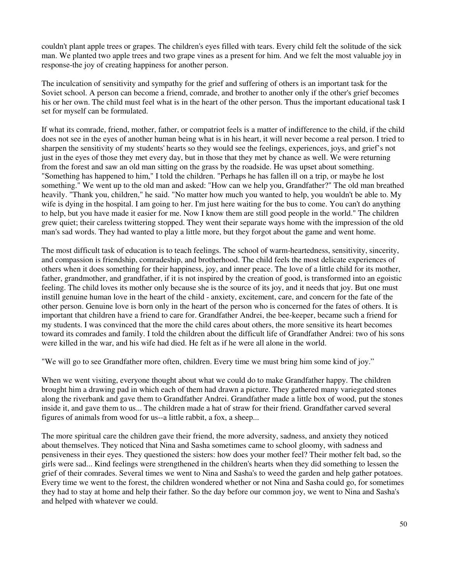couldn't plant apple trees or grapes. The children's eyes filled with tears. Every child felt the solitude of the sick man. We planted two apple trees and two grape vines as a present for him. And we felt the most valuable joy in response-the joy of creating happiness for another person.

The inculcation of sensitivity and sympathy for the grief and suffering of others is an important task for the Soviet school. A person can become a friend, comrade, and brother to another only if the other's grief becomes his or her own. The child must feel what is in the heart of the other person. Thus the important educational task I set for myself can be formulated.

If what its comrade, friend, mother, father, or compatriot feels is a matter of indifference to the child, if the child does not see in the eyes of another human being what is in his heart, it will never become a real person. I tried to sharpen the sensitivity of my students' hearts so they would see the feelings, experiences, joys, and grief's not just in the eyes of those they met every day, but in those that they met by chance as well. We were returning from the forest and saw an old man sitting on the grass by the roadside. He was upset about something. "Something has happened to him," I told the children. "Perhaps he has fallen ill on a trip, or maybe he lost something." We went up to the old man and asked: "How can we help you, Grandfather?" The old man breathed heavily. "Thank you, children," he said. "No matter how much you wanted to help, you wouldn't be able to. My wife is dying in the hospital. I am going to her. I'm just here waiting for the bus to come. You can't do anything to help, but you have made it easier for me. Now I know them are still good people in the world." The children grew quiet; their careless twittering stopped. They went their separate ways home with the impression of the old man's sad words. They had wanted to play a little more, but they forgot about the game and went home.

The most difficult task of education is to teach feelings. The school of warm-heartedness, sensitivity, sincerity, and compassion is friendship, comradeship, and brotherhood. The child feels the most delicate experiences of others when it does something for their happiness, joy, and inner peace. The love of a little child for its mother, father, grandmother, and grandfather, if it is not inspired by the creation of good, is transformed into an egoistic feeling. The child loves its mother only because she is the source of its joy, and it needs that joy. But one must instill genuine human love in the heart of the child - anxiety, excitement, care, and concern for the fate of the other person. Genuine love is born only in the heart of the person who is concerned for the fates of others. It is important that children have a friend to care for. Grandfather Andrei, the bee-keeper, became such a friend for my students. I was convinced that the more the child cares about others, the more sensitive its heart becomes toward its comrades and family. I told the children about the difficult life of Grandfather Andrei: two of his sons were killed in the war, and his wife had died. He felt as if he were all alone in the world.

"We will go to see Grandfather more often, children. Every time we must bring him some kind of joy."

When we went visiting, everyone thought about what we could do to make Grandfather happy. The children brought him a drawing pad in which each of them had drawn a picture. They gathered many variegated stones along the riverbank and gave them to Grandfather Andrei. Grandfather made a little box of wood, put the stones inside it, and gave them to us... The children made a hat of straw for their friend. Grandfather carved several figures of animals from wood for us--a little rabbit, a fox, a sheep...

The more spiritual care the children gave their friend, the more adversity, sadness, and anxiety they noticed about themselves. They noticed that Nina and Sasha sometimes came to school gloomy, with sadness and pensiveness in their eyes. They questioned the sisters: how does your mother feel? Their mother felt bad, so the girls were sad... Kind feelings were strengthened in the children's hearts when they did something to lessen the grief of their comrades. Several times we went to Nina and Sasha's to weed the garden and help gather potatoes. Every time we went to the forest, the children wondered whether or not Nina and Sasha could go, for sometimes they had to stay at home and help their father. So the day before our common joy, we went to Nina and Sasha's and helped with whatever we could.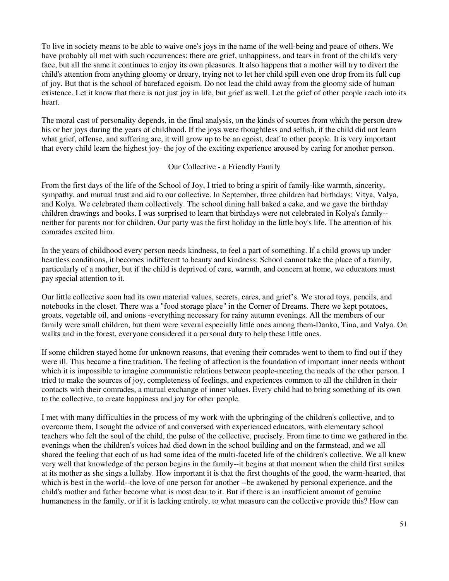To live in society means to be able to waive one's joys in the name of the well-being and peace of others. We have probably all met with such occurrences: there are grief, unhappiness, and tears in front of the child's very face, but all the same it continues to enjoy its own pleasures. It also happens that a mother will try to divert the child's attention from anything gloomy or dreary, trying not to let her child spill even one drop from its full cup of joy. But that is the school of barefaced egoism. Do not lead the child away from the gloomy side of human existence. Let it know that there is not just joy in life, but grief as well. Let the grief of other people reach into its heart.

The moral cast of personality depends, in the final analysis, on the kinds of sources from which the person drew his or her joys during the years of childhood. If the joys were thoughtless and selfish, if the child did not learn what grief, offense, and suffering are, it will grow up to be an egoist, deaf to other people. It is very important that every child learn the highest joy- the joy of the exciting experience aroused by caring for another person.

#### Our Collective - a Friendly Family

From the first days of the life of the School of Joy, I tried to bring a spirit of family-like warmth, sincerity, sympathy, and mutual trust and aid to our collective. In September, three children had birthdays: Vitya, Valya, and Kolya. We celebrated them collectively. The school dining hall baked a cake, and we gave the birthday children drawings and books. I was surprised to learn that birthdays were not celebrated in Kolya's family- neither for parents nor for children. Our party was the first holiday in the little boy's life. The attention of his comrades excited him.

In the years of childhood every person needs kindness, to feel a part of something. If a child grows up under heartless conditions, it becomes indifferent to beauty and kindness. School cannot take the place of a family, particularly of a mother, but if the child is deprived of care, warmth, and concern at home, we educators must pay special attention to it.

Our little collective soon had its own material values, secrets, cares, and grief's. We stored toys, pencils, and notebooks in the closet. There was a "food storage place" in the Corner of Dreams. There we kept potatoes, groats, vegetable oil, and onions -everything necessary for rainy autumn evenings. All the members of our family were small children, but them were several especially little ones among them-Danko, Tina, and Valya. On walks and in the forest, everyone considered it a personal duty to help these little ones.

If some children stayed home for unknown reasons, that evening their comrades went to them to find out if they were ill. This became a fine tradition. The feeling of affection is the foundation of important inner needs without which it is impossible to imagine communistic relations between people-meeting the needs of the other person. I tried to make the sources of joy, completeness of feelings, and experiences common to all the children in their contacts with their comrades, a mutual exchange of inner values. Every child had to bring something of its own to the collective, to create happiness and joy for other people.

I met with many difficulties in the process of my work with the upbringing of the children's collective, and to overcome them, I sought the advice of and conversed with experienced educators, with elementary school teachers who felt the soul of the child, the pulse of the collective, precisely. From time to time we gathered in the evenings when the children's voices had died down in the school building and on the farmstead, and we all shared the feeling that each of us had some idea of the multi-faceted life of the children's collective. We all knew very well that knowledge of the person begins in the family--it begins at that moment when the child first smiles at its mother as she sings a lullaby. How important it is that the first thoughts of the good, the warm-hearted, that which is best in the world--the love of one person for another --be awakened by personal experience, and the child's mother and father become what is most dear to it. But if there is an insufficient amount of genuine humaneness in the family, or if it is lacking entirely, to what measure can the collective provide this? How can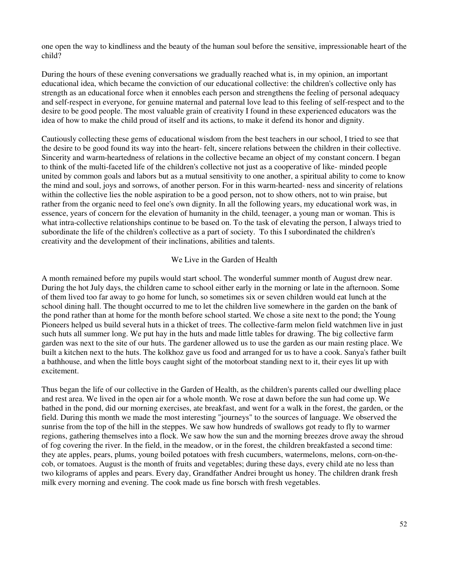one open the way to kindliness and the beauty of the human soul before the sensitive, impressionable heart of the child?

During the hours of these evening conversations we gradually reached what is, in my opinion, an important educational idea, which became the conviction of our educational collective: the children's collective only has strength as an educational force when it ennobles each person and strengthens the feeling of personal adequacy and self-respect in everyone, for genuine maternal and paternal love lead to this feeling of self-respect and to the desire to be good people. The most valuable grain of creativity I found in these experienced educators was the idea of how to make the child proud of itself and its actions, to make it defend its honor and dignity.

Cautiously collecting these gems of educational wisdom from the best teachers in our school, I tried to see that the desire to be good found its way into the heart- felt, sincere relations between the children in their collective. Sincerity and warm-heartedness of relations in the collective became an object of my constant concern. I began to think of the multi-faceted life of the children's collective not just as a cooperative of like- minded people united by common goals and labors but as a mutual sensitivity to one another, a spiritual ability to come to know the mind and soul, joys and sorrows, of another person. For in this warm-hearted- ness and sincerity of relations within the collective lies the noble aspiration to be a good person, not to show others, not to win praise, but rather from the organic need to feel one's own dignity. In all the following years, my educational work was, in essence, years of concern for the elevation of humanity in the child, teenager, a young man or woman. This is what intra-collective relationships continue to be based on. To the task of elevating the person, I always tried to subordinate the life of the children's collective as a part of society. To this I subordinated the children's creativity and the development of their inclinations, abilities and talents.

## We Live in the Garden of Health

A month remained before my pupils would start school. The wonderful summer month of August drew near. During the hot July days, the children came to school either early in the morning or late in the afternoon. Some of them lived too far away to go home for lunch, so sometimes six or seven children would eat lunch at the school dining hall. The thought occurred to me to let the children live somewhere in the garden on the bank of the pond rather than at home for the month before school started. We chose a site next to the pond; the Young Pioneers helped us build several huts in a thicket of trees. The collective-farm melon field watchmen live in just such huts all summer long. We put hay in the huts and made little tables for drawing. The big collective farm garden was next to the site of our huts. The gardener allowed us to use the garden as our main resting place. We built a kitchen next to the huts. The kolkhoz gave us food and arranged for us to have a cook. Sanya's father built a bathhouse, and when the little boys caught sight of the motorboat standing next to it, their eyes lit up with excitement.

Thus began the life of our collective in the Garden of Health, as the children's parents called our dwelling place and rest area. We lived in the open air for a whole month. We rose at dawn before the sun had come up. We bathed in the pond, did our morning exercises, ate breakfast, and went for a walk in the forest, the garden, or the field. During this month we made the most interesting "journeys" to the sources of language. We observed the sunrise from the top of the hill in the steppes. We saw how hundreds of swallows got ready to fly to warmer regions, gathering themselves into a flock. We saw how the sun and the morning breezes drove away the shroud of fog covering the river. In the field, in the meadow, or in the forest, the children breakfasted a second time: they ate apples, pears, plums, young boiled potatoes with fresh cucumbers, watermelons, melons, corn-on-thecob, or tomatoes. August is the month of fruits and vegetables; during these days, every child ate no less than two kilograms of apples and pears. Every day, Grandfather Andrei brought us honey. The children drank fresh milk every morning and evening. The cook made us fine borsch with fresh vegetables.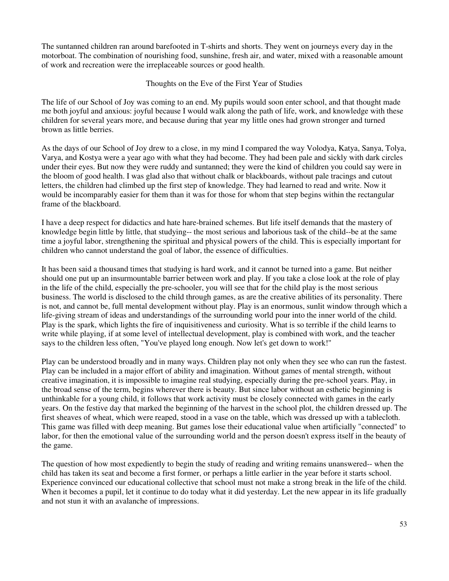The suntanned children ran around barefooted in T-shirts and shorts. They went on journeys every day in the motorboat. The combination of nourishing food, sunshine, fresh air, and water, mixed with a reasonable amount of work and recreation were the irreplaceable sources or good health.

Thoughts on the Eve of the First Year of Studies

The life of our School of Joy was coming to an end. My pupils would soon enter school, and that thought made me both joyful and anxious: joyful because I would walk along the path of life, work, and knowledge with these children for several years more, and because during that year my little ones had grown stronger and turned brown as little berries.

As the days of our School of Joy drew to a close, in my mind I compared the way Volodya, Katya, Sanya, Tolya, Varya, and Kostya were a year ago with what they had become. They had been pale and sickly with dark circles under their eyes. But now they were ruddy and suntanned; they were the kind of children you could say were in the bloom of good health. I was glad also that without chalk or blackboards, without pale tracings and cutout letters, the children had climbed up the first step of knowledge. They had learned to read and write. Now it would be incomparably easier for them than it was for those for whom that step begins within the rectangular frame of the blackboard.

I have a deep respect for didactics and hate hare-brained schemes. But life itself demands that the mastery of knowledge begin little by little, that studying-- the most serious and laborious task of the child--be at the same time a joyful labor, strengthening the spiritual and physical powers of the child. This is especially important for children who cannot understand the goal of labor, the essence of difficulties.

It has been said a thousand times that studying is hard work, and it cannot be turned into a game. But neither should one put up an insurmountable barrier between work and play. If you take a close look at the role of play in the life of the child, especially the pre-schooler, you will see that for the child play is the most serious business. The world is disclosed to the child through games, as are the creative abilities of its personality. There is not, and cannot be, full mental development without play. Play is an enormous, sunlit window through which a life-giving stream of ideas and understandings of the surrounding world pour into the inner world of the child. Play is the spark, which lights the fire of inquisitiveness and curiosity. What is so terrible if the child learns to write while playing, if at some level of intellectual development, play is combined with work, and the teacher says to the children less often, "You've played long enough. Now let's get down to work!"

Play can be understood broadly and in many ways. Children play not only when they see who can run the fastest. Play can be included in a major effort of ability and imagination. Without games of mental strength, without creative imagination, it is impossible to imagine real studying, especially during the pre-school years. Play, in the broad sense of the term, begins wherever there is beauty. But since labor without an esthetic beginning is unthinkable for a young child, it follows that work activity must be closely connected with games in the early years. On the festive day that marked the beginning of the harvest in the school plot, the children dressed up. The first sheaves of wheat, which were reaped, stood in a vase on the table, which was dressed up with a tablecloth. This game was filled with deep meaning. But games lose their educational value when artificially "connected" to labor, for then the emotional value of the surrounding world and the person doesn't express itself in the beauty of the game.

The question of how most expediently to begin the study of reading and writing remains unanswered-- when the child has taken its seat and become a first former, or perhaps a little earlier in the year before it starts school. Experience convinced our educational collective that school must not make a strong break in the life of the child. When it becomes a pupil, let it continue to do today what it did yesterday. Let the new appear in its life gradually and not stun it with an avalanche of impressions.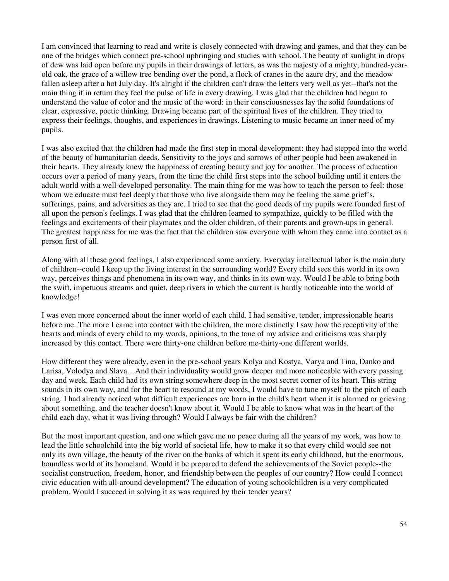I am convinced that learning to read and write is closely connected with drawing and games, and that they can be one of the bridges which connect pre-school upbringing and studies with school. The beauty of sunlight in drops of dew was laid open before my pupils in their drawings of letters, as was the majesty of a mighty, hundred-yearold oak, the grace of a willow tree bending over the pond, a flock of cranes in the azure dry, and the meadow fallen asleep after a hot July day. It's alright if the children can't draw the letters very well as yet--that's not the main thing if in return they feel the pulse of life in every drawing. I was glad that the children had begun to understand the value of color and the music of the word: in their consciousnesses lay the solid foundations of clear, expressive, poetic thinking. Drawing became part of the spiritual lives of the children. They tried to express their feelings, thoughts, and experiences in drawings. Listening to music became an inner need of my pupils.

I was also excited that the children had made the first step in moral development: they had stepped into the world of the beauty of humanitarian deeds. Sensitivity to the joys and sorrows of other people had been awakened in their hearts. They already knew the happiness of creating beauty and joy for another. The process of education occurs over a period of many years, from the time the child first steps into the school building until it enters the adult world with a well-developed personality. The main thing for me was how to teach the person to feel: those whom we educate must feel deeply that those who live alongside them may be feeling the same grief's, sufferings, pains, and adversities as they are. I tried to see that the good deeds of my pupils were founded first of all upon the person's feelings. I was glad that the children learned to sympathize, quickly to be filled with the feelings and excitements of their playmates and the older children, of their parents and grown-ups in general. The greatest happiness for me was the fact that the children saw everyone with whom they came into contact as a person first of all.

Along with all these good feelings, I also experienced some anxiety. Everyday intellectual labor is the main duty of children--could I keep up the living interest in the surrounding world? Every child sees this world in its own way, perceives things and phenomena in its own way, and thinks in its own way. Would I be able to bring both the swift, impetuous streams and quiet, deep rivers in which the current is hardly noticeable into the world of knowledge!

I was even more concerned about the inner world of each child. I had sensitive, tender, impressionable hearts before me. The more I came into contact with the children, the more distinctly I saw how the receptivity of the hearts and minds of every child to my words, opinions, to the tone of my advice and criticisms was sharply increased by this contact. There were thirty-one children before me-thirty-one different worlds.

How different they were already, even in the pre-school years Kolya and Kostya, Varya and Tina, Danko and Larisa, Volodya and Slava... And their individuality would grow deeper and more noticeable with every passing day and week. Each child had its own string somewhere deep in the most secret corner of its heart. This string sounds in its own way, and for the heart to resound at my words, I would have to tune myself to the pitch of each string. I had already noticed what difficult experiences are born in the child's heart when it is alarmed or grieving about something, and the teacher doesn't know about it. Would I be able to know what was in the heart of the child each day, what it was living through? Would I always be fair with the children?

But the most important question, and one which gave me no peace during all the years of my work, was how to lead the little schoolchild into the big world of societal life, how to make it so that every child would see not only its own village, the beauty of the river on the banks of which it spent its early childhood, but the enormous, boundless world of its homeland. Would it be prepared to defend the achievements of the Soviet people--the socialist construction, freedom, honor, and friendship between the peoples of our country? How could I connect civic education with all-around development? The education of young schoolchildren is a very complicated problem. Would I succeed in solving it as was required by their tender years?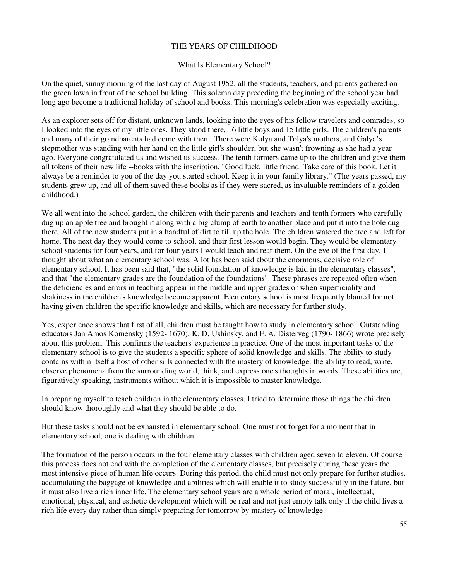## THE YEARS OF CHILDHOOD

### What Is Elementary School?

On the quiet, sunny morning of the last day of August 1952, all the students, teachers, and parents gathered on the green lawn in front of the school building. This solemn day preceding the beginning of the school year had long ago become a traditional holiday of school and books. This morning's celebration was especially exciting.

As an explorer sets off for distant, unknown lands, looking into the eyes of his fellow travelers and comrades, so I looked into the eyes of my little ones. They stood there, 16 little boys and 15 little girls. The children's parents and many of their grandparents had come with them. There were Kolya and Tolya's mothers, and Galya's stepmother was standing with her hand on the little girl's shoulder, but she wasn't frowning as she had a year ago. Everyone congratulated us and wished us success. The tenth formers came up to the children and gave them all tokens of their new life --books with the inscription, "Good luck, little friend. Take care of this book. Let it always be a reminder to you of the day you started school. Keep it in your family library." (The years passed, my students grew up, and all of them saved these books as if they were sacred, as invaluable reminders of a golden childhood.)

We all went into the school garden, the children with their parents and teachers and tenth formers who carefully dug up an apple tree and brought it along with a big clump of earth to another place and put it into the hole dug there. All of the new students put in a handful of dirt to fill up the hole. The children watered the tree and left for home. The next day they would come to school, and their first lesson would begin. They would be elementary school students for four years, and for four years I would teach and rear them. On the eve of the first day, I thought about what an elementary school was. A lot has been said about the enormous, decisive role of elementary school. It has been said that, "the solid foundation of knowledge is laid in the elementary classes", and that "the elementary grades are the foundation of the foundations". These phrases are repeated often when the deficiencies and errors in teaching appear in the middle and upper grades or when superficiality and shakiness in the children's knowledge become apparent. Elementary school is most frequently blamed for not having given children the specific knowledge and skills, which are necessary for further study.

Yes, experience shows that first of all, children must be taught how to study in elementary school. Outstanding educators Jan Amos Komensky (1592- 1670), K. D. Ushinsky, and F. A. Disterveg (1790- 1866) wrote precisely about this problem. This confirms the teachers' experience in practice. One of the most important tasks of the elementary school is to give the students a specific sphere of solid knowledge and skills. The ability to study contains within itself a host of other sills connected with the mastery of knowledge: the ability to read, write, observe phenomena from the surrounding world, think, and express one's thoughts in words. These abilities are, figuratively speaking, instruments without which it is impossible to master knowledge.

In preparing myself to teach children in the elementary classes, I tried to determine those things the children should know thoroughly and what they should be able to do.

But these tasks should not be exhausted in elementary school. One must not forget for a moment that in elementary school, one is dealing with children.

The formation of the person occurs in the four elementary classes with children aged seven to eleven. Of course this process does not end with the completion of the elementary classes, but precisely during these years the most intensive piece of human life occurs. During this period, the child must not only prepare for further studies, accumulating the baggage of knowledge and abilities which will enable it to study successfully in the future, but it must also live a rich inner life. The elementary school years are a whole period of moral, intellectual, emotional, physical, and esthetic development which will be real and not just empty talk only if the child lives a rich life every day rather than simply preparing for tomorrow by mastery of knowledge.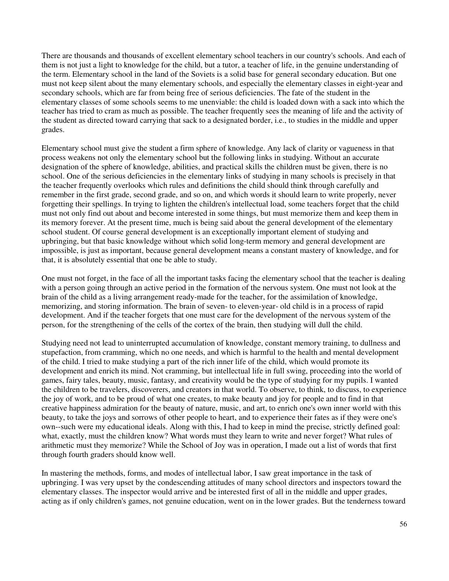There are thousands and thousands of excellent elementary school teachers in our country's schools. And each of them is not just a light to knowledge for the child, but a tutor, a teacher of life, in the genuine understanding of the term. Elementary school in the land of the Soviets is a solid base for general secondary education. But one must not keep silent about the many elementary schools, and especially the elementary classes in eight-year and secondary schools, which are far from being free of serious deficiencies. The fate of the student in the elementary classes of some schools seems to me unenviable: the child is loaded down with a sack into which the teacher has tried to cram as much as possible. The teacher frequently sees the meaning of life and the activity of the student as directed toward carrying that sack to a designated border, i.e., to studies in the middle and upper grades.

Elementary school must give the student a firm sphere of knowledge. Any lack of clarity or vagueness in that process weakens not only the elementary school but the following links in studying. Without an accurate designation of the sphere of knowledge, abilities, and practical skills the children must be given, there is no school. One of the serious deficiencies in the elementary links of studying in many schools is precisely in that the teacher frequently overlooks which rules and definitions the child should think through carefully and remember in the first grade, second grade, and so on, and which words it should learn to write properly, never forgetting their spellings. In trying to lighten the children's intellectual load, some teachers forget that the child must not only find out about and become interested in some things, but must memorize them and keep them in its memory forever. At the present time, much is being said about the general development of the elementary school student. Of course general development is an exceptionally important element of studying and upbringing, but that basic knowledge without which solid long-term memory and general development are impossible, is just as important, because general development means a constant mastery of knowledge, and for that, it is absolutely essential that one be able to study.

One must not forget, in the face of all the important tasks facing the elementary school that the teacher is dealing with a person going through an active period in the formation of the nervous system. One must not look at the brain of the child as a living arrangement ready-made for the teacher, for the assimilation of knowledge, memorizing, and storing information. The brain of seven- to eleven-year- old child is in a process of rapid development. And if the teacher forgets that one must care for the development of the nervous system of the person, for the strengthening of the cells of the cortex of the brain, then studying will dull the child.

Studying need not lead to uninterrupted accumulation of knowledge, constant memory training, to dullness and stupefaction, from cramming, which no one needs, and which is harmful to the health and mental development of the child. I tried to make studying a part of the rich inner life of the child, which would promote its development and enrich its mind. Not cramming, but intellectual life in full swing, proceeding into the world of games, fairy tales, beauty, music, fantasy, and creativity would be the type of studying for my pupils. I wanted the children to be travelers, discoverers, and creators in that world. To observe, to think, to discuss, to experience the joy of work, and to be proud of what one creates, to make beauty and joy for people and to find in that creative happiness admiration for the beauty of nature, music, and art, to enrich one's own inner world with this beauty, to take the joys and sorrows of other people to heart, and to experience their fates as if they were one's own--such were my educational ideals. Along with this, I had to keep in mind the precise, strictly defined goal: what, exactly, must the children know? What words must they learn to write and never forget? What rules of arithmetic must they memorize? While the School of Joy was in operation, I made out a list of words that first through fourth graders should know well.

In mastering the methods, forms, and modes of intellectual labor, I saw great importance in the task of upbringing. I was very upset by the condescending attitudes of many school directors and inspectors toward the elementary classes. The inspector would arrive and be interested first of all in the middle and upper grades, acting as if only children's games, not genuine education, went on in the lower grades. But the tenderness toward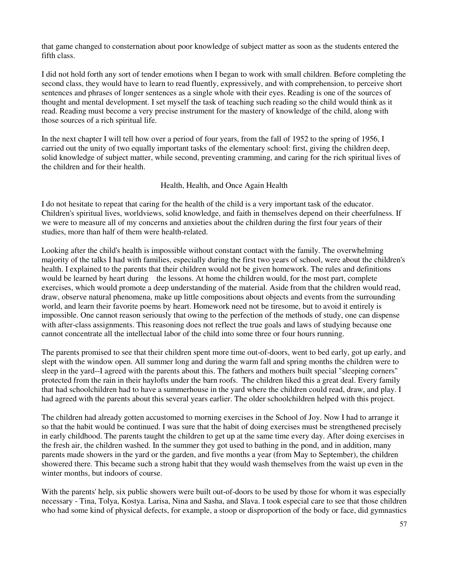that game changed to consternation about poor knowledge of subject matter as soon as the students entered the fifth class.

I did not hold forth any sort of tender emotions when I began to work with small children. Before completing the second class, they would have to learn to read fluently, expressively, and with comprehension, to perceive short sentences and phrases of longer sentences as a single whole with their eyes. Reading is one of the sources of thought and mental development. I set myself the task of teaching such reading so the child would think as it read. Reading must become a very precise instrument for the mastery of knowledge of the child, along with those sources of a rich spiritual life.

In the next chapter I will tell how over a period of four years, from the fall of 1952 to the spring of 1956, I carried out the unity of two equally important tasks of the elementary school: first, giving the children deep, solid knowledge of subject matter, while second, preventing cramming, and caring for the rich spiritual lives of the children and for their health.

## Health, Health, and Once Again Health

I do not hesitate to repeat that caring for the health of the child is a very important task of the educator. Children's spiritual lives, worldviews, solid knowledge, and faith in themselves depend on their cheerfulness. If we were to measure all of my concerns and anxieties about the children during the first four years of their studies, more than half of them were health-related.

Looking after the child's health is impossible without constant contact with the family. The overwhelming majority of the talks I had with families, especially during the first two years of school, were about the children's health. I explained to the parents that their children would not be given homework. The rules and definitions would be learned by heart during the lessons. At home the children would, for the most part, complete exercises, which would promote a deep understanding of the material. Aside from that the children would read, draw, observe natural phenomena, make up little compositions about objects and events from the surrounding world, and learn their favorite poems by heart. Homework need not be tiresome, but to avoid it entirely is impossible. One cannot reason seriously that owing to the perfection of the methods of study, one can dispense with after-class assignments. This reasoning does not reflect the true goals and laws of studying because one cannot concentrate all the intellectual labor of the child into some three or four hours running.

The parents promised to see that their children spent more time out-of-doors, went to bed early, got up early, and slept with the window open. All summer long and during the warm fall and spring months the children were to sleep in the yard--I agreed with the parents about this. The fathers and mothers built special "sleeping corners" protected from the rain in their haylofts under the barn roofs. The children liked this a great deal. Every family that had schoolchildren had to have a summerhouse in the yard where the children could read, draw, and play. I had agreed with the parents about this several years earlier. The older schoolchildren helped with this project.

The children had already gotten accustomed to morning exercises in the School of Joy. Now I had to arrange it so that the habit would be continued. I was sure that the habit of doing exercises must be strengthened precisely in early childhood. The parents taught the children to get up at the same time every day. After doing exercises in the fresh air, the children washed. In the summer they got used to bathing in the pond, and in addition, many parents made showers in the yard or the garden, and five months a year (from May to September), the children showered there. This became such a strong habit that they would wash themselves from the waist up even in the winter months, but indoors of course.

With the parents' help, six public showers were built out-of-doors to be used by those for whom it was especially necessary - Tina, Tolya, Kostya. Larisa, Nina and Sasha, and Slava. I took especial care to see that those children who had some kind of physical defects, for example, a stoop or disproportion of the body or face, did gymnastics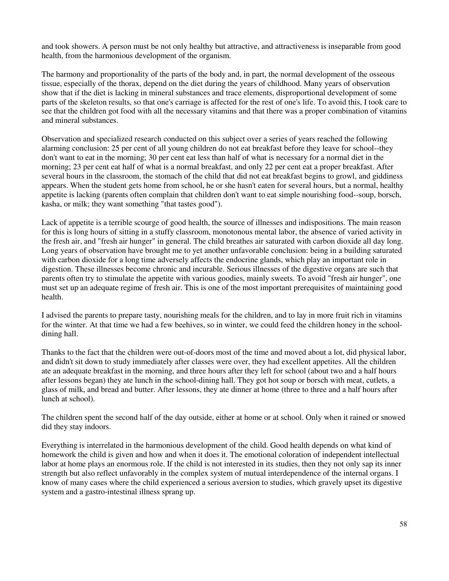and took showers. A person must be not only healthy but attractive, and attractiveness is inseparable from good health, from the harmonious development of the organism.

The harmony and proportionality of the parts of the body and, in part, the normal development of the osseous tissue, especially of the thorax, depend on the diet during the years of childhood. Many years of observation show that if the diet is lacking in mineral substances and trace elements, disproportional development of some parts of the skeleton results, so that one's carriage is affected for the rest of one's life. To avoid this, I took care to see that the children got food with all the necessary vitamins and that there was a proper combination of vitamins and mineral substances.

Observation and specialized research conducted on this subject over a series of years reached the following alarming conclusion: 25 per cent of all young children do not eat breakfast before they leave for school--they don't want to eat in the morning; 30 per cent eat less than half of what is necessary for a normal diet in the morning; 23 per cent eat half of what is a normal breakfast, and only 22 per cent eat a proper breakfast. After several hours in the classroom, the stomach of the child that did not eat breakfast begins to growl, and giddiness appears. When the student gets home from school, he or she hasn't eaten for several hours, but a normal, healthy appetite is lacking (parents often complain that children don't want to eat simple nourishing food--soup, borsch, kasha, or milk; they want something "that tastes good").

Lack of appetite is a terrible scourge of good health, the source of illnesses and indispositions. The main reason for this is long hours of sitting in a stuffy classroom, monotonous mental labor, the absence of varied activity in the fresh air, and "fresh air hunger" in general. The child breathes air saturated with carbon dioxide all day long. Long years of observation have brought me to yet another unfavorable conclusion: being in a building saturated with carbon dioxide for a long time adversely affects the endocrine glands, which play an important role in digestion. These illnesses become chronic and incurable. Serious illnesses of the digestive organs are such that parents often try to stimulate the appetite with various goodies, mainly sweets. To avoid "fresh air hunger", one must set up an adequate regime of fresh air. This is one of the most important prerequisites of maintaining good health.

I advised the parents to prepare tasty, nourishing meals for the children, and to lay in more fruit rich in vitamins for the winter. At that time we had a few beehives, so in winter, we could feed the children honey in the schooldining hall.

Thanks to the fact that the children were out-of-doors most of the time and moved about a lot, did physical labor, and didn't sit down to study immediately after classes were over, they had excellent appetites. All the children ate an adequate breakfast in the morning, and three hours after they left for school (about two and a half hours after lessons began) they ate lunch in the school-dining hall. They got hot soup or borsch with meat, cutlets, a glass of milk, and bread and butter. After lessons, they ate dinner at home (three to three and a half hours after lunch at school).

The children spent the second half of the day outside, either at home or at school. Only when it rained or snowed did they stay indoors.

Everything is interrelated in the harmonious development of the child. Good health depends on what kind of homework the child is given and how and when it does it. The emotional coloration of independent intellectual labor at home plays an enormous role. If the child is not interested in its studies, then they not only sap its inner strength but also reflect unfavorably in the complex system of mutual interdependence of the internal organs. I know of many cases where the child experienced a serious aversion to studies, which gravely upset its digestive system and a gastro-intestinal illness sprang up.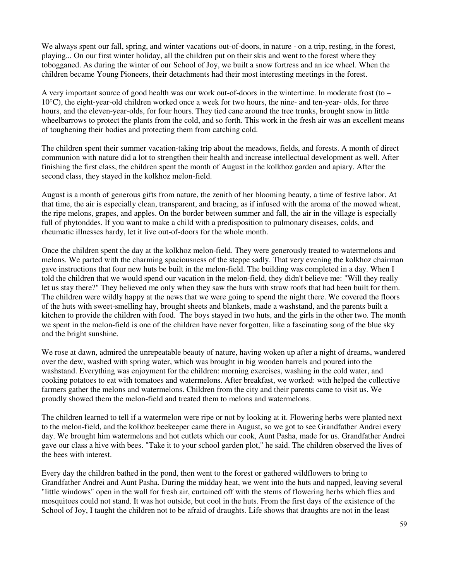We always spent our fall, spring, and winter vacations out-of-doors, in nature - on a trip, resting, in the forest, playing... On our first winter holiday, all the children put on their skis and went to the forest where they tobogganed. As during the winter of our School of Joy, we built a snow fortress and an ice wheel. When the children became Young Pioneers, their detachments had their most interesting meetings in the forest.

A very important source of good health was our work out-of-doors in the wintertime. In moderate frost (to – 10°C), the eight-year-old children worked once a week for two hours, the nine- and ten-year- olds, for three hours, and the eleven-year-olds, for four hours. They tied cane around the tree trunks, brought snow in little wheelbarrows to protect the plants from the cold, and so forth. This work in the fresh air was an excellent means of toughening their bodies and protecting them from catching cold.

The children spent their summer vacation-taking trip about the meadows, fields, and forests. A month of direct communion with nature did a lot to strengthen their health and increase intellectual development as well. After finishing the first class, the children spent the month of August in the kolkhoz garden and apiary. After the second class, they stayed in the kolkhoz melon-field.

August is a month of generous gifts from nature, the zenith of her blooming beauty, a time of festive labor. At that time, the air is especially clean, transparent, and bracing, as if infused with the aroma of the mowed wheat, the ripe melons, grapes, and apples. On the border between summer and fall, the air in the village is especially full of phytonddes. If you want to make a child with a predisposition to pulmonary diseases, colds, and rheumatic illnesses hardy, let it live out-of-doors for the whole month.

Once the children spent the day at the kolkhoz melon-field. They were generously treated to watermelons and melons. We parted with the charming spaciousness of the steppe sadly. That very evening the kolkhoz chairman gave instructions that four new huts be built in the melon-field. The building was completed in a day. When I told the children that we would spend our vacation in the melon-field, they didn't believe me: "Will they really let us stay there?" They believed me only when they saw the huts with straw roofs that had been built for them. The children were wildly happy at the news that we were going to spend the night there. We covered the floors of the huts with sweet-smelling hay, brought sheets and blankets, made a washstand, and the parents built a kitchen to provide the children with food. The boys stayed in two huts, and the girls in the other two. The month we spent in the melon-field is one of the children have never forgotten, like a fascinating song of the blue sky and the bright sunshine.

We rose at dawn, admired the unrepeatable beauty of nature, having woken up after a night of dreams, wandered over the dew, washed with spring water, which was brought in big wooden barrels and poured into the washstand. Everything was enjoyment for the children: morning exercises, washing in the cold water, and cooking potatoes to eat with tomatoes and watermelons. After breakfast, we worked: with helped the collective farmers gather the melons and watermelons. Children from the city and their parents came to visit us. We proudly showed them the melon-field and treated them to melons and watermelons.

The children learned to tell if a watermelon were ripe or not by looking at it. Flowering herbs were planted next to the melon-field, and the kolkhoz beekeeper came there in August, so we got to see Grandfather Andrei every day. We brought him watermelons and hot cutlets which our cook, Aunt Pasha, made for us. Grandfather Andrei gave our class a hive with bees. "Take it to your school garden plot," he said. The children observed the lives of the bees with interest.

Every day the children bathed in the pond, then went to the forest or gathered wildflowers to bring to Grandfather Andrei and Aunt Pasha. During the midday heat, we went into the huts and napped, leaving several "little windows" open in the wall for fresh air, curtained off with the stems of flowering herbs which flies and mosquitoes could not stand. It was hot outside, but cool in the huts. From the first days of the existence of the School of Joy, I taught the children not to be afraid of draughts. Life shows that draughts are not in the least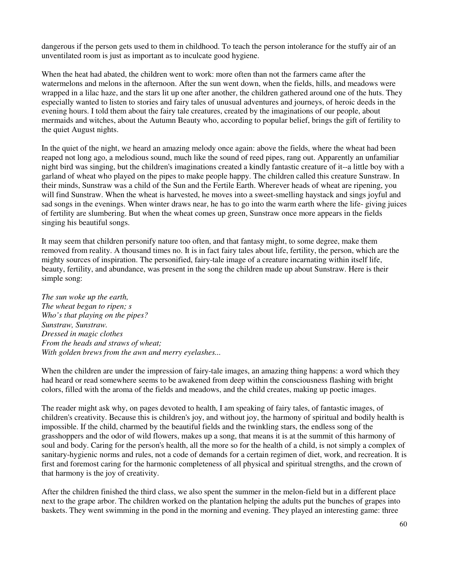dangerous if the person gets used to them in childhood. To teach the person intolerance for the stuffy air of an unventilated room is just as important as to inculcate good hygiene.

When the heat had abated, the children went to work: more often than not the farmers came after the watermelons and melons in the afternoon. After the sun went down, when the fields, hills, and meadows were wrapped in a lilac haze, and the stars lit up one after another, the children gathered around one of the huts. They especially wanted to listen to stories and fairy tales of unusual adventures and journeys, of heroic deeds in the evening hours. I told them about the fairy tale creatures, created by the imaginations of our people, about mermaids and witches, about the Autumn Beauty who, according to popular belief, brings the gift of fertility to the quiet August nights.

In the quiet of the night, we heard an amazing melody once again: above the fields, where the wheat had been reaped not long ago, a melodious sound, much like the sound of reed pipes, rang out. Apparently an unfamiliar night bird was singing, but the children's imaginations created a kindly fantastic creature of it--a little boy with a garland of wheat who played on the pipes to make people happy. The children called this creature Sunstraw. In their minds, Sunstraw was a child of the Sun and the Fertile Earth. Wherever heads of wheat are ripening, you will find Sunstraw. When the wheat is harvested, he moves into a sweet-smelling haystack and sings joyful and sad songs in the evenings. When winter draws near, he has to go into the warm earth where the life- giving juices of fertility are slumbering. But when the wheat comes up green, Sunstraw once more appears in the fields singing his beautiful songs.

It may seem that children personify nature too often, and that fantasy might, to some degree, make them removed from reality. A thousand times no. It is in fact fairy tales about life, fertility, the person, which are the mighty sources of inspiration. The personified, fairy-tale image of a creature incarnating within itself life, beauty, fertility, and abundance, was present in the song the children made up about Sunstraw. Here is their simple song:

*The sun woke up the earth, The wheat began to ripen; s Who's that playing on the pipes? Sunstraw, Sunstraw. Dressed in magic clothes From the heads and straws of wheat; With golden brews from the awn and merry eyelashes...*

When the children are under the impression of fairy-tale images, an amazing thing happens: a word which they had heard or read somewhere seems to be awakened from deep within the consciousness flashing with bright colors, filled with the aroma of the fields and meadows, and the child creates, making up poetic images.

The reader might ask why, on pages devoted to health, I am speaking of fairy tales, of fantastic images, of children's creativity. Because this is children's joy, and without joy, the harmony of spiritual and bodily health is impossible. If the child, charmed by the beautiful fields and the twinkling stars, the endless song of the grasshoppers and the odor of wild flowers, makes up a song, that means it is at the summit of this harmony of soul and body. Caring for the person's health, all the more so for the health of a child, is not simply a complex of sanitary-hygienic norms and rules, not a code of demands for a certain regimen of diet, work, and recreation. It is first and foremost caring for the harmonic completeness of all physical and spiritual strengths, and the crown of that harmony is the joy of creativity.

After the children finished the third class, we also spent the summer in the melon-field but in a different place next to the grape arbor. The children worked on the plantation helping the adults put the bunches of grapes into baskets. They went swimming in the pond in the morning and evening. They played an interesting game: three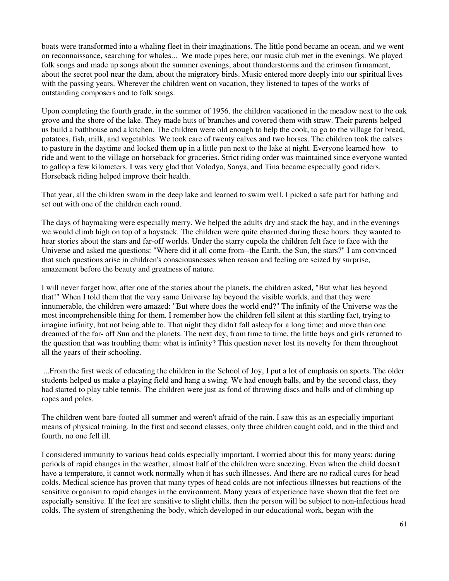boats were transformed into a whaling fleet in their imaginations. The little pond became an ocean, and we went on reconnaissance, searching for whales... We made pipes here; our music club met in the evenings. We played folk songs and made up songs about the summer evenings, about thunderstorms and the crimson firmament, about the secret pool near the dam, about the migratory birds. Music entered more deeply into our spiritual lives with the passing years. Wherever the children went on vacation, they listened to tapes of the works of outstanding composers and to folk songs.

Upon completing the fourth grade, in the summer of 1956, the children vacationed in the meadow next to the oak grove and the shore of the lake. They made huts of branches and covered them with straw. Their parents helped us build a bathhouse and a kitchen. The children were old enough to help the cook, to go to the village for bread, potatoes, fish, milk, and vegetables. We took care of twenty calves and two horses. The children took the calves to pasture in the daytime and locked them up in a little pen next to the lake at night. Everyone learned how to ride and went to the village on horseback for groceries. Strict riding order was maintained since everyone wanted to gallop a few kilometers. I was very glad that Volodya, Sanya, and Tina became especially good riders. Horseback riding helped improve their health.

That year, all the children swam in the deep lake and learned to swim well. I picked a safe part for bathing and set out with one of the children each round.

The days of haymaking were especially merry. We helped the adults dry and stack the hay, and in the evenings we would climb high on top of a haystack. The children were quite charmed during these hours: they wanted to hear stories about the stars and far-off worlds. Under the starry cupola the children felt face to face with the Universe and asked me questions: "Where did it all come from--the Earth, the Sun, the stars?" I am convinced that such questions arise in children's consciousnesses when reason and feeling are seized by surprise, amazement before the beauty and greatness of nature.

I will never forget how, after one of the stories about the planets, the children asked, "But what lies beyond that!" When I told them that the very same Universe lay beyond the visible worlds, and that they were innumerable, the children were amazed: "But where does the world end?" The infinity of the Universe was the most incomprehensible thing for them. I remember how the children fell silent at this startling fact, trying to imagine infinity, but not being able to. That night they didn't fall asleep for a long time; and more than one dreamed of the far- off Sun and the planets. The next day, from time to time, the little boys and girls returned to the question that was troubling them: what is infinity? This question never lost its novelty for them throughout all the years of their schooling.

 ...From the first week of educating the children in the School of Joy, I put a lot of emphasis on sports. The older students helped us make a playing field and hang a swing. We had enough balls, and by the second class, they had started to play table tennis. The children were just as fond of throwing discs and balls and of climbing up ropes and poles.

The children went bare-footed all summer and weren't afraid of the rain. I saw this as an especially important means of physical training. In the first and second classes, only three children caught cold, and in the third and fourth, no one fell ill.

I considered immunity to various head colds especially important. I worried about this for many years: during periods of rapid changes in the weather, almost half of the children were sneezing. Even when the child doesn't have a temperature, it cannot work normally when it has such illnesses. And there are no radical cures for head colds. Medical science has proven that many types of head colds are not infectious illnesses but reactions of the sensitive organism to rapid changes in the environment. Many years of experience have shown that the feet are especially sensitive. If the feet are sensitive to slight chills, then the person will be subject to non-infectious head colds. The system of strengthening the body, which developed in our educational work, began with the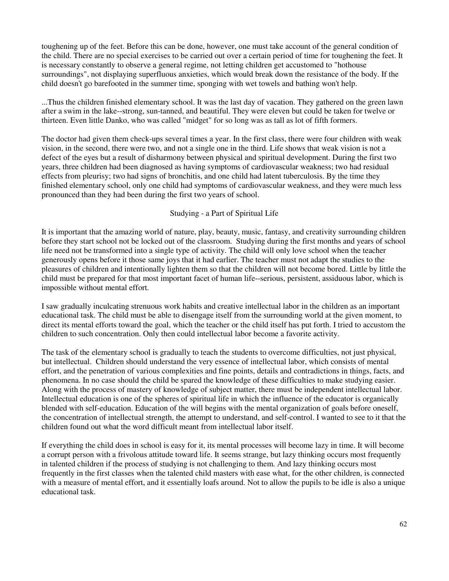toughening up of the feet. Before this can be done, however, one must take account of the general condition of the child. There are no special exercises to be carried out over a certain period of time for toughening the feet. It is necessary constantly to observe a general regime, not letting children get accustomed to "hothouse surroundings", not displaying superfluous anxieties, which would break down the resistance of the body. If the child doesn't go barefooted in the summer time, sponging with wet towels and bathing won't help.

...Thus the children finished elementary school. It was the last day of vacation. They gathered on the green lawn after a swim in the lake--strong, sun-tanned, and beautiful. They were eleven but could be taken for twelve or thirteen. Even little Danko, who was called "midget" for so long was as tall as lot of fifth formers.

The doctor had given them check-ups several times a year. In the first class, there were four children with weak vision, in the second, there were two, and not a single one in the third. Life shows that weak vision is not a defect of the eyes but a result of disharmony between physical and spiritual development. During the first two years, three children had been diagnosed as having symptoms of cardiovascular weakness; two had residual effects from pleurisy; two had signs of bronchitis, and one child had latent tuberculosis. By the time they finished elementary school, only one child had symptoms of cardiovascular weakness, and they were much less pronounced than they had been during the first two years of school.

## Studying - a Part of Spiritual Life

It is important that the amazing world of nature, play, beauty, music, fantasy, and creativity surrounding children before they start school not be locked out of the classroom. Studying during the first months and years of school life need not be transformed into a single type of activity. The child will only love school when the teacher generously opens before it those same joys that it had earlier. The teacher must not adapt the studies to the pleasures of children and intentionally lighten them so that the children will not become bored. Little by little the child must be prepared for that most important facet of human life--serious, persistent, assiduous labor, which is impossible without mental effort.

I saw gradually inculcating strenuous work habits and creative intellectual labor in the children as an important educational task. The child must be able to disengage itself from the surrounding world at the given moment, to direct its mental efforts toward the goal, which the teacher or the child itself has put forth. I tried to accustom the children to such concentration. Only then could intellectual labor become a favorite activity.

The task of the elementary school is gradually to teach the students to overcome difficulties, not just physical, but intellectual. Children should understand the very essence of intellectual labor, which consists of mental effort, and the penetration of various complexities and fine points, details and contradictions in things, facts, and phenomena. In no case should the child be spared the knowledge of these difficulties to make studying easier. Along with the process of mastery of knowledge of subject matter, there must be independent intellectual labor. Intellectual education is one of the spheres of spiritual life in which the influence of the educator is organically blended with self-education. Education of the will begins with the mental organization of goals before oneself, the concentration of intellectual strength, the attempt to understand, and self-control. I wanted to see to it that the children found out what the word difficult meant from intellectual labor itself.

If everything the child does in school is easy for it, its mental processes will become lazy in time. It will become a corrupt person with a frivolous attitude toward life. It seems strange, but lazy thinking occurs most frequently in talented children if the process of studying is not challenging to them. And lazy thinking occurs most frequently in the first classes when the talented child masters with ease what, for the other children, is connected with a measure of mental effort, and it essentially loafs around. Not to allow the pupils to be idle is also a unique educational task.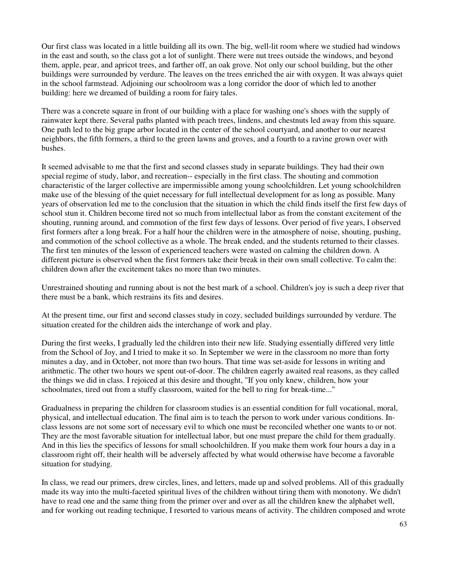Our first class was located in a little building all its own. The big, well-lit room where we studied had windows in the east and south, so the class got a lot of sunlight. There were nut trees outside the windows, and beyond them, apple, pear, and apricot trees, and farther off, an oak grove. Not only our school building, but the other buildings were surrounded by verdure. The leaves on the trees enriched the air with oxygen. It was always quiet in the school farmstead. Adjoining our schoolroom was a long corridor the door of which led to another building: here we dreamed of building a room for fairy tales.

There was a concrete square in front of our building with a place for washing one's shoes with the supply of rainwater kept there. Several paths planted with peach trees, lindens, and chestnuts led away from this square. One path led to the big grape arbor located in the center of the school courtyard, and another to our nearest neighbors, the fifth formers, a third to the green lawns and groves, and a fourth to a ravine grown over with bushes.

It seemed advisable to me that the first and second classes study in separate buildings. They had their own special regime of study, labor, and recreation-- especially in the first class. The shouting and commotion characteristic of the larger collective are impermissible among young schoolchildren. Let young schoolchildren make use of the blessing of the quiet necessary for full intellectual development for as long as possible. Many years of observation led me to the conclusion that the situation in which the child finds itself the first few days of school stun it. Children become tired not so much from intellectual labor as from the constant excitement of the shouting, running around, and commotion of the first few days of lessons. Over period of five years, I observed first formers after a long break. For a half hour the children were in the atmosphere of noise, shouting, pushing, and commotion of the school collective as a whole. The break ended, and the students returned to their classes. The first ten minutes of the lesson of experienced teachers were wasted on calming the children down. A different picture is observed when the first formers take their break in their own small collective. To calm the: children down after the excitement takes no more than two minutes.

Unrestrained shouting and running about is not the best mark of a school. Children's joy is such a deep river that there must be a bank, which restrains its fits and desires.

At the present time, our first and second classes study in cozy, secluded buildings surrounded by verdure. The situation created for the children aids the interchange of work and play.

During the first weeks, I gradually led the children into their new life. Studying essentially differed very little from the School of Joy, and I tried to make it so. In September we were in the classroom no more than forty minutes a day, and in October, not more than two hours. That time was set-aside for lessons in writing and arithmetic. The other two hours we spent out-of-door. The children eagerly awaited real reasons, as they called the things we did in class. I rejoiced at this desire and thought, "If you only knew, children, how your schoolmates, tired out from a stuffy classroom, waited for the bell to ring for break-time..."

Gradualness in preparing the children for classroom studies is an essential condition for full vocational, moral, physical, and intellectual education. The final aim is to teach the person to work under various conditions. Inclass lessons are not some sort of necessary evil to which one must be reconciled whether one wants to or not. They are the most favorable situation for intellectual labor, but one must prepare the child for them gradually. And in this lies the specifics of lessons for small schoolchildren. If you make them work four hours a day in a classroom right off, their health will be adversely affected by what would otherwise have become a favorable situation for studying.

In class, we read our primers, drew circles, lines, and letters, made up and solved problems. All of this gradually made its way into the multi-faceted spiritual lives of the children without tiring them with monotony. We didn't have to read one and the same thing from the primer over and over as all the children knew the alphabet well, and for working out reading technique, I resorted to various means of activity. The children composed and wrote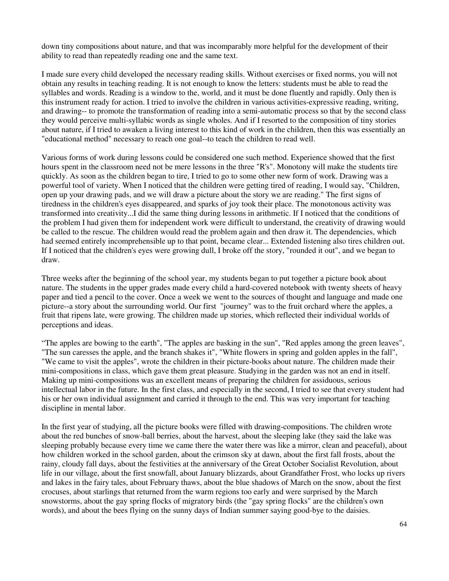down tiny compositions about nature, and that was incomparably more helpful for the development of their ability to read than repeatedly reading one and the same text.

I made sure every child developed the necessary reading skills. Without exercises or fixed norms, you will not obtain any results in teaching reading. It is not enough to know the letters: students must be able to read the syllables and words. Reading is a window to the, world, and it must be done fluently and rapidly. Only then is this instrument ready for action. I tried to involve the children in various activities-expressive reading, writing, and drawing-- to promote the transformation of reading into a semi-automatic process so that by the second class they would perceive multi-syllabic words as single wholes. And if I resorted to the composition of tiny stories about nature, if I tried to awaken a living interest to this kind of work in the children, then this was essentially an "educational method" necessary to reach one goal--to teach the children to read well.

Various forms of work during lessons could be considered one such method. Experience showed that the first hours spent in the classroom need not be mere lessons in the three "R's". Monotony will make the students tire quickly. As soon as the children began to tire, I tried to go to some other new form of work. Drawing was a powerful tool of variety. When I noticed that the children were getting tired of reading, I would say, "Children, open up your drawing pads, and we will draw a picture about the story we are reading." The first signs of tiredness in the children's eyes disappeared, and sparks of joy took their place. The monotonous activity was transformed into creativity...I did the same thing during lessons in arithmetic. If I noticed that the conditions of the problem I had given them for independent work were difficult to understand, the creativity of drawing would be called to the rescue. The children would read the problem again and then draw it. The dependencies, which had seemed entirely incomprehensible up to that point, became clear... Extended listening also tires children out. If I noticed that the children's eyes were growing dull, I broke off the story, "rounded it out", and we began to draw.

Three weeks after the beginning of the school year, my students began to put together a picture book about nature. The students in the upper grades made every child a hard-covered notebook with twenty sheets of heavy paper and tied a pencil to the cover. Once a week we went to the sources of thought and language and made one picture--a story about the surrounding world. Our first "journey" was to the fruit orchard where the apples, a fruit that ripens late, were growing. The children made up stories, which reflected their individual worlds of perceptions and ideas.

"The apples are bowing to the earth", "The apples are basking in the sun", "Red apples among the green leaves", "The sun caresses the apple, and the branch shakes it", "White flowers in spring and golden apples in the fall", "We came to visit the apples", wrote the children in their picture-books about nature. The children made their mini-compositions in class, which gave them great pleasure. Studying in the garden was not an end in itself. Making up mini-compositions was an excellent means of preparing the children for assiduous, serious intellectual labor in the future. In the first class, and especially in the second, I tried to see that every student had his or her own individual assignment and carried it through to the end. This was very important for teaching discipline in mental labor.

In the first year of studying, all the picture books were filled with drawing-compositions. The children wrote about the red bunches of snow-ball berries, about the harvest, about the sleeping lake (they said the lake was sleeping probably because every time we came there the water there was like a mirror, clean and peaceful), about how children worked in the school garden, about the crimson sky at dawn, about the first fall frosts, about the rainy, cloudy fall days, about the festivities at the anniversary of the Great October Socialist Revolution, about life in our village, about the first snowfall, about January blizzards, about Grandfather Frost, who locks up rivers and lakes in the fairy tales, about February thaws, about the blue shadows of March on the snow, about the first crocuses, about starlings that returned from the warm regions too early and were surprised by the March snowstorms, about the gay spring flocks of migratory birds (the "gay spring flocks" are the children's own words), and about the bees flying on the sunny days of Indian summer saying good-bye to the daisies.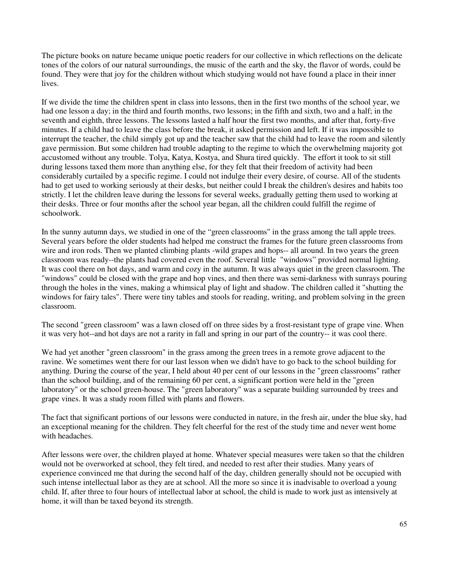The picture books on nature became unique poetic readers for our collective in which reflections on the delicate tones of the colors of our natural surroundings, the music of the earth and the sky, the flavor of words, could be found. They were that joy for the children without which studying would not have found a place in their inner lives.

If we divide the time the children spent in class into lessons, then in the first two months of the school year, we had one lesson a day; in the third and fourth months, two lessons; in the fifth and sixth, two and a half; in the seventh and eighth, three lessons. The lessons lasted a half hour the first two months, and after that, forty-five minutes. If a child had to leave the class before the break, it asked permission and left. If it was impossible to interrupt the teacher, the child simply got up and the teacher saw that the child had to leave the room and silently gave permission. But some children had trouble adapting to the regime to which the overwhelming majority got accustomed without any trouble. Tolya, Katya, Kostya, and Shura tired quickly. The effort it took to sit still during lessons taxed them more than anything else, for they felt that their freedom of activity had been considerably curtailed by a specific regime. I could not indulge their every desire, of course. All of the students had to get used to working seriously at their desks, but neither could I break the children's desires and habits too strictly. I let the children leave during the lessons for several weeks, gradually getting them used to working at their desks. Three or four months after the school year began, all the children could fulfill the regime of schoolwork.

In the sunny autumn days, we studied in one of the "green classrooms" in the grass among the tall apple trees. Several years before the older students had helped me construct the frames for the future green classrooms from wire and iron rods. Then we planted climbing plants -wild grapes and hops-- all around. In two years the green classroom was ready--the plants had covered even the roof. Several little "windows" provided normal lighting. It was cool there on hot days, and warm and cozy in the autumn. It was always quiet in the green classroom. The "windows" could be closed with the grape and hop vines, and then there was semi-darkness with sunrays pouring through the holes in the vines, making a whimsical play of light and shadow. The children called it "shutting the windows for fairy tales". There were tiny tables and stools for reading, writing, and problem solving in the green classroom.

The second "green classroom" was a lawn closed off on three sides by a frost-resistant type of grape vine. When it was very hot--and hot days are not a rarity in fall and spring in our part of the country-- it was cool there.

We had yet another "green classroom" in the grass among the green trees in a remote grove adjacent to the ravine. We sometimes went there for our last lesson when we didn't have to go back to the school building for anything. During the course of the year, I held about 40 per cent of our lessons in the "green classrooms" rather than the school building, and of the remaining 60 per cent, a significant portion were held in the "green laboratory" or the school green-house. The "green laboratory" was a separate building surrounded by trees and grape vines. It was a study room filled with plants and flowers.

The fact that significant portions of our lessons were conducted in nature, in the fresh air, under the blue sky, had an exceptional meaning for the children. They felt cheerful for the rest of the study time and never went home with headaches.

After lessons were over, the children played at home. Whatever special measures were taken so that the children would not be overworked at school, they felt tired, and needed to rest after their studies. Many years of experience convinced me that during the second half of the day, children generally should not be occupied with such intense intellectual labor as they are at school. All the more so since it is inadvisable to overload a young child. If, after three to four hours of intellectual labor at school, the child is made to work just as intensively at home, it will than be taxed beyond its strength.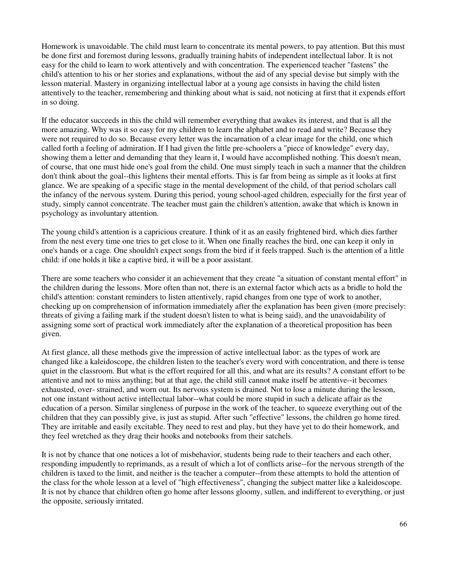Homework is unavoidable. The child must learn to concentrate its mental powers, to pay attention. But this must be done first and foremost during lessons, gradually training habits of independent intellectual labor. It is not easy for the child to learn to work attentively and with concentration. The experienced teacher "fastens" the child's attention to his or her stories and explanations, without the aid of any special devise but simply with the lesson material. Mastery in organizing intellectual labor at a young age consists in having the child listen attentively to the teacher, remembering and thinking about what is said, not noticing at first that it expends effort in so doing.

If the educator succeeds in this the child will remember everything that awakes its interest, and that is all the more amazing. Why was it so easy for my children to learn the alphabet and to read and write? Because they were not required to do so. Because every letter was the incarnation of a clear image for the child, one which called forth a feeling of admiration. If I had given the little pre-schoolers a "piece of knowledge" every day, showing them a letter and demanding that they learn it, I would have accomplished nothing. This doesn't mean, of course, that one must hide one's goal from the child. One must simply teach in such a manner that the children don't think about the goal--this lightens their mental efforts. This is far from being as simple as it looks at first glance. We are speaking of a specific stage in the mental development of the child, of that period scholars call the infancy of the nervous system. During this period, young school-aged children, especially for the first year of study, simply cannot concentrate. The teacher must gain the children's attention, awake that which is known in psychology as involuntary attention.

The young child's attention is a capricious creature. I think of it as an easily frightened bird, which dies farther from the nest every time one tries to get close to it. When one finally reaches the bird, one can keep it only in one's hands or a cage. One shouldn't expect songs from the bird if it feels trapped. Such is the attention of a little child: if one holds it like a captive bird, it will be a poor assistant.

There are some teachers who consider it an achievement that they create "a situation of constant mental effort" in the children during the lessons. More often than not, there is an external factor which acts as a bridle to hold the child's attention: constant reminders to listen attentively, rapid changes from one type of work to another, checking up on comprehension of information immediately after the explanation has been given (more precisely: threats of giving a failing mark if the student doesn't listen to what is being said), and the unavoidability of assigning some sort of practical work immediately after the explanation of a theoretical proposition has been given.

At first glance, all these methods give the impression of active intellectual labor: as the types of work are changed like a kaleidoscope, the children listen to the teacher's every word with concentration, and there is tense quiet in the classroom. But what is the effort required for all this, and what are its results? A constant effort to be attentive and not to miss anything; but at that age, the child still cannot make itself be attentive--it becomes exhausted, over- strained, and worn out. Its nervous system is drained. Not to lose a minute during the lesson, not one instant without active intellectual labor--what could be more stupid in such a delicate affair as the education of a person. Similar singleness of purpose in the work of the teacher, to squeeze everything out of the children that they can possibly give, is just as stupid. After such "effective" lessons, the children go home tired. They are irritable and easily excitable. They need to rest and play, but they have yet to do their homework, and they feel wretched as they drag their hooks and notebooks from their satchels.

It is not by chance that one notices a lot of misbehavior, students being rude to their teachers and each other, responding impudently to reprimands, as a result of which a lot of conflicts arise--for the nervous strength of the children is taxed to the limit, and neither is the teacher a computer--from these attempts to hold the attention of the class for the whole lesson at a level of "high effectiveness", changing the subject matter like a kaleidoscope. It is not by chance that children often go home after lessons gloomy, sullen, and indifferent to everything, or just the opposite, seriously irritated.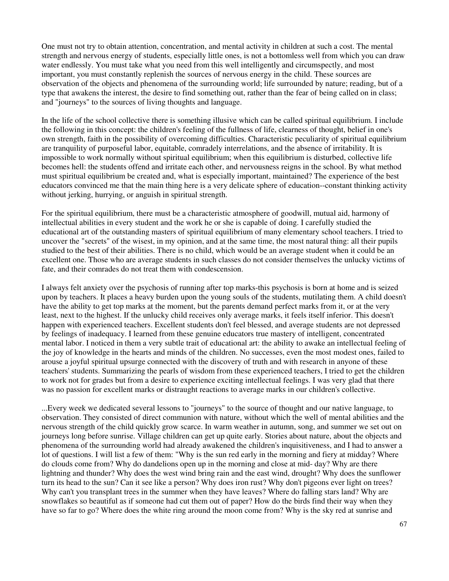One must not try to obtain attention, concentration, and mental activity in children at such a cost. The mental strength and nervous energy of students, especially little ones, is not a bottomless well from which you can draw water endlessly. You must take what you need from this well intelligently and circumspectly, and most important, you must constantly replenish the sources of nervous energy in the child. These sources are observation of the objects and phenomena of the surrounding world; life surrounded by nature; reading, but of a type that awakens the interest, the desire to find something out, rather than the fear of being called on in class; and "journeys" to the sources of living thoughts and language.

In the life of the school collective there is something illusive which can be called spiritual equilibrium. I include the following in this concept: the children's feeling of the fullness of life, clearness of thought, belief in one's own strength, faith in the possibility of overcoming difficulties. Characteristic peculiarity of spiritual equilibrium are tranquility of purposeful labor, equitable, comradely interrelations, and the absence of irritability. It is impossible to work normally without spiritual equilibrium; when this equilibrium is disturbed, collective life becomes hell: the students offend and irritate each other, and nervousness reigns in the school. By what method must spiritual equilibrium be created and, what is especially important, maintained? The experience of the best educators convinced me that the main thing here is a very delicate sphere of education--constant thinking activity without jerking, hurrying, or anguish in spiritual strength.

For the spiritual equilibrium, there must be a characteristic atmosphere of goodwill, mutual aid, harmony of intellectual abilities in every student and the work he or she is capable of doing. I carefully studied the educational art of the outstanding masters of spiritual equilibrium of many elementary school teachers. I tried to uncover the "secrets" of the wisest, in my opinion, and at the same time, the most natural thing: all their pupils studied to the best of their abilities. There is no child, which would be an average student when it could be an excellent one. Those who are average students in such classes do not consider themselves the unlucky victims of fate, and their comrades do not treat them with condescension.

I always felt anxiety over the psychosis of running after top marks-this psychosis is born at home and is seized upon by teachers. It places a heavy burden upon the young souls of the students, mutilating them. A child doesn't have the ability to get top marks at the moment, but the parents demand perfect marks from it, or at the very least, next to the highest. If the unlucky child receives only average marks, it feels itself inferior. This doesn't happen with experienced teachers. Excellent students don't feel blessed, and average students are not depressed by feelings of inadequacy. I learned from these genuine educators true mastery of intelligent, concentrated mental labor. I noticed in them a very subtle trait of educational art: the ability to awake an intellectual feeling of the joy of knowledge in the hearts and minds of the children. No successes, even the most modest ones, failed to arouse a joyful spiritual upsurge connected with the discovery of truth and with research in anyone of these teachers' students. Summarizing the pearls of wisdom from these experienced teachers, I tried to get the children to work not for grades but from a desire to experience exciting intellectual feelings. I was very glad that there was no passion for excellent marks or distraught reactions to average marks in our children's collective.

...Every week we dedicated several lessons to "journeys" to the source of thought and our native language, to observation. They consisted of direct communion with nature, without which the well of mental abilities and the nervous strength of the child quickly grow scarce. In warm weather in autumn, song, and summer we set out on journeys long before sunrise. Village children can get up quite early. Stories about nature, about the objects and phenomena of the surrounding world had already awakened the children's inquisitiveness, and I had to answer a lot of questions. I will list a few of them: "Why is the sun red early in the morning and fiery at midday? Where do clouds come from? Why do dandelions open up in the morning and close at mid- day? Why are there lightning and thunder? Why does the west wind bring rain and the east wind, drought? Why does the sunflower turn its head to the sun? Can it see like a person? Why does iron rust? Why don't pigeons ever light on trees? Why can't you transplant trees in the summer when they have leaves? Where do falling stars land? Why are snowflakes so beautiful as if someone had cut them out of paper? How do the birds find their way when they have so far to go? Where does the white ring around the moon come from? Why is the sky red at sunrise and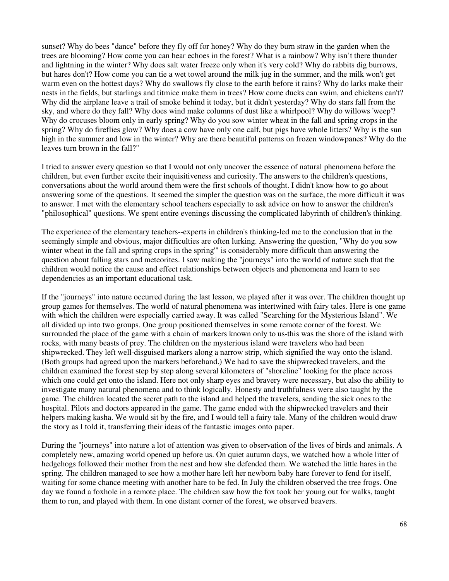sunset? Why do bees "dance" before they fly off for honey? Why do they burn straw in the garden when the trees are blooming? How come you can hear echoes in the forest? What is a rainbow? Why isn't there thunder and lightning in the winter? Why does salt water freeze only when it's very cold? Why do rabbits dig burrows, but hares don't? How come you can tie a wet towel around the milk jug in the summer, and the milk won't get warm even on the hottest days? Why do swallows fly close to the earth before it rains? Why do larks make their nests in the fields, but starlings and titmice make them in trees? How come ducks can swim, and chickens can't? Why did the airplane leave a trail of smoke behind it today, but it didn't yesterday? Why do stars fall from the sky, and where do they fall? Why does wind make columns of dust like a whirlpool? Why do willows 'weep'? Why do crocuses bloom only in early spring? Why do you sow winter wheat in the fall and spring crops in the spring? Why do fireflies glow? Why does a cow have only one calf, but pigs have whole litters? Why is the sun high in the summer and low in the winter? Why are there beautiful patterns on frozen windowpanes? Why do the leaves turn brown in the fall?"

I tried to answer every question so that I would not only uncover the essence of natural phenomena before the children, but even further excite their inquisitiveness and curiosity. The answers to the children's questions, conversations about the world around them were the first schools of thought. I didn't know how to go about answering some of the questions. It seemed the simpler the question was on the surface, the more difficult it was to answer. I met with the elementary school teachers especially to ask advice on how to answer the children's "philosophical" questions. We spent entire evenings discussing the complicated labyrinth of children's thinking.

The experience of the elementary teachers--experts in children's thinking-led me to the conclusion that in the seemingly simple and obvious, major difficulties are often lurking. Answering the question, "Why do you sow winter wheat in the fall and spring crops in the spring'" is considerably more difficult than answering the question about falling stars and meteorites. I saw making the "journeys" into the world of nature such that the children would notice the cause and effect relationships between objects and phenomena and learn to see dependencies as an important educational task.

If the "journeys" into nature occurred during the last lesson, we played after it was over. The children thought up group games for themselves. The world of natural phenomena was intertwined with fairy tales. Here is one game with which the children were especially carried away. It was called "Searching for the Mysterious Island". We all divided up into two groups. One group positioned themselves in some remote corner of the forest. We surrounded the place of the game with a chain of markers known only to us-this was the shore of the island with rocks, with many beasts of prey. The children on the mysterious island were travelers who had been shipwrecked. They left well-disguised markers along a narrow strip, which signified the way onto the island. (Both groups had agreed upon the markers beforehand.) We had to save the shipwrecked travelers, and the children examined the forest step by step along several kilometers of "shoreline" looking for the place across which one could get onto the island. Here not only sharp eyes and bravery were necessary, but also the ability to investigate many natural phenomena and to think logically. Honesty and truthfulness were also taught by the game. The children located the secret path to the island and helped the travelers, sending the sick ones to the hospital. Pilots and doctors appeared in the game. The game ended with the shipwrecked travelers and their helpers making kasha. We would sit by the fire, and I would tell a fairy tale. Many of the children would draw the story as I told it, transferring their ideas of the fantastic images onto paper.

During the "journeys" into nature a lot of attention was given to observation of the lives of birds and animals. A completely new, amazing world opened up before us. On quiet autumn days, we watched how a whole litter of hedgehogs followed their mother from the nest and how she defended them. We watched the little hares in the spring. The children managed to see how a mother hare left her newborn baby hare forever to fend for itself, waiting for some chance meeting with another hare to be fed. In July the children observed the tree frogs. One day we found a foxhole in a remote place. The children saw how the fox took her young out for walks, taught them to run, and played with them. In one distant corner of the forest, we observed beavers.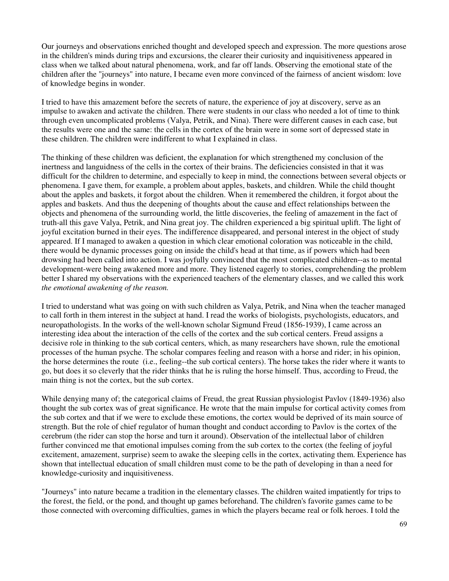Our journeys and observations enriched thought and developed speech and expression. The more questions arose in the children's minds during trips and excursions, the clearer their curiosity and inquisitiveness appeared in class when we talked about natural phenomena, work, and far off lands. Observing the emotional state of the children after the "journeys" into nature, I became even more convinced of the fairness of ancient wisdom: love of knowledge begins in wonder.

I tried to have this amazement before the secrets of nature, the experience of joy at discovery, serve as an impulse to awaken and activate the children. There were students in our class who needed a lot of time to think through even uncomplicated problems (Valya, Petrik, and Nina). There were different causes in each case, but the results were one and the same: the cells in the cortex of the brain were in some sort of depressed state in these children. The children were indifferent to what I explained in class.

The thinking of these children was deficient, the explanation for which strengthened my conclusion of the inertness and languidness of the cells in the cortex of their brains. The deficiencies consisted in that it was difficult for the children to determine, and especially to keep in mind, the connections between several objects or phenomena. I gave them, for example, a problem about apples, baskets, and children. While the child thought about the apples and baskets, it forgot about the children. When it remembered the children, it forgot about the apples and baskets. And thus the deepening of thoughts about the cause and effect relationships between the objects and phenomena of the surrounding world, the little discoveries, the feeling of amazement in the fact of truth-all this gave Valya, Petrik, and Nina great joy. The children experienced a big spiritual uplift. The light of joyful excitation burned in their eyes. The indifference disappeared, and personal interest in the object of study appeared. If I managed to awaken a question in which clear emotional coloration was noticeable in the child, there would be dynamic processes going on inside the child's head at that time, as if powers which had been drowsing had been called into action. I was joyfully convinced that the most complicated children--as to mental development-were being awakened more and more. They listened eagerly to stories, comprehending the problem better I shared my observations with the experienced teachers of the elementary classes, and we called this work *the emotional awakening of the reason.* 

I tried to understand what was going on with such children as Valya, Petrik, and Nina when the teacher managed to call forth in them interest in the subject at hand. I read the works of biologists, psychologists, educators, and neuropathologists. In the works of the well-known scholar Sigmund Freud (1856-1939), I came across an interesting idea about the interaction of the cells of the cortex and the sub cortical centers. Freud assigns a decisive role in thinking to the sub cortical centers, which, as many researchers have shown, rule the emotional processes of the human psyche. The scholar compares feeling and reason with a horse and rider; in his opinion, the horse determines the route (i.e., feeling--the sub cortical centers). The horse takes the rider where it wants to go, but does it so cleverly that the rider thinks that he is ruling the horse himself. Thus, according to Freud, the main thing is not the cortex, but the sub cortex.

While denying many of; the categorical claims of Freud, the great Russian physiologist Pavlov (1849-1936) also thought the sub cortex was of great significance. He wrote that the main impulse for cortical activity comes from the sub cortex and that if we were to exclude these emotions, the cortex would be deprived of its main source of strength. But the role of chief regulator of human thought and conduct according to Pavlov is the cortex of the cerebrum (the rider can stop the horse and turn it around). Observation of the intellectual labor of children further convinced me that emotional impulses coming from the sub cortex to the cortex (the feeling of joyful excitement, amazement, surprise) seem to awake the sleeping cells in the cortex, activating them. Experience has shown that intellectual education of small children must come to be the path of developing in than a need for knowledge-curiosity and inquisitiveness.

"Journeys" into nature became a tradition in the elementary classes. The children waited impatiently for trips to the forest, the field, or the pond, and thought up games beforehand. The children's favorite games came to be those connected with overcoming difficulties, games in which the players became real or folk heroes. I told the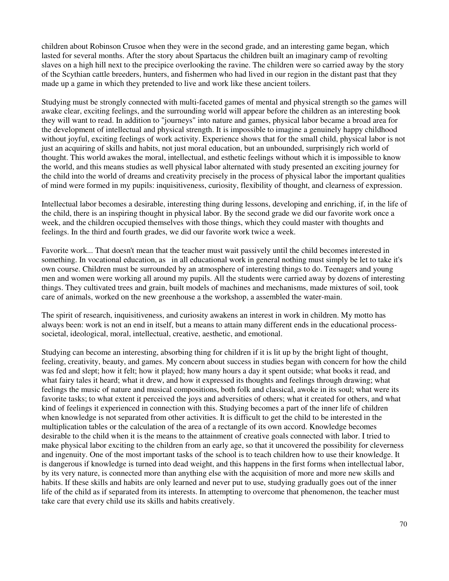children about Robinson Crusoe when they were in the second grade, and an interesting game began, which lasted for several months. After the story about Spartacus the children built an imaginary camp of revolting slaves on a high hill next to the precipice overlooking the ravine. The children were so carried away by the story of the Scythian cattle breeders, hunters, and fishermen who had lived in our region in the distant past that they made up a game in which they pretended to live and work like these ancient toilers.

Studying must be strongly connected with multi-faceted games of mental and physical strength so the games will awake clear, exciting feelings, and the surrounding world will appear before the children as an interesting book they will want to read. In addition to "journeys" into nature and games, physical labor became a broad area for the development of intellectual and physical strength. It is impossible to imagine a genuinely happy childhood without joyful, exciting feelings of work activity. Experience shows that for the small child, physical labor is not just an acquiring of skills and habits, not just moral education, but an unbounded, surprisingly rich world of thought. This world awakes the moral, intellectual, and esthetic feelings without which it is impossible to know the world, and this means studies as well physical labor alternated with study presented an exciting journey for the child into the world of dreams and creativity precisely in the process of physical labor the important qualities of mind were formed in my pupils: inquisitiveness, curiosity, flexibility of thought, and clearness of expression.

Intellectual labor becomes a desirable, interesting thing during lessons, developing and enriching, if, in the life of the child, there is an inspiring thought in physical labor. By the second grade we did our favorite work once a week, and the children occupied themselves with those things, which they could master with thoughts and feelings. In the third and fourth grades, we did our favorite work twice a week.

Favorite work... That doesn't mean that the teacher must wait passively until the child becomes interested in something. In vocational education, as in all educational work in general nothing must simply be let to take it's own course. Children must be surrounded by an atmosphere of interesting things to do. Teenagers and young men and women were working all around my pupils. All the students were carried away by dozens of interesting things. They cultivated trees and grain, built models of machines and mechanisms, made mixtures of soil, took care of animals, worked on the new greenhouse a the workshop, a assembled the water-main.

The spirit of research, inquisitiveness, and curiosity awakens an interest in work in children. My motto has always been: work is not an end in itself, but a means to attain many different ends in the educational processsocietal, ideological, moral, intellectual, creative, aesthetic, and emotional.

Studying can become an interesting, absorbing thing for children if it is lit up by the bright light of thought, feeling, creativity, beauty, and games. My concern about success in studies began with concern for how the child was fed and slept; how it felt; how it played; how many hours a day it spent outside; what books it read, and what fairy tales it heard; what it drew, and how it expressed its thoughts and feelings through drawing; what feelings the music of nature and musical compositions, both folk and classical, awoke in its soul; what were its favorite tasks; to what extent it perceived the joys and adversities of others; what it created for others, and what kind of feelings it experienced in connection with this. Studying becomes a part of the inner life of children when knowledge is not separated from other activities. It is difficult to get the child to be interested in the multiplication tables or the calculation of the area of a rectangle of its own accord. Knowledge becomes desirable to the child when it is the means to the attainment of creative goals connected with labor. I tried to make physical labor exciting to the children from an early age, so that it uncovered the possibility for cleverness and ingenuity. One of the most important tasks of the school is to teach children how to use their knowledge. It is dangerous if knowledge is turned into dead weight, and this happens in the first forms when intellectual labor, by its very nature, is connected more than anything else with the acquisition of more and more new skills and habits. If these skills and habits are only learned and never put to use, studying gradually goes out of the inner life of the child as if separated from its interests. In attempting to overcome that phenomenon, the teacher must take care that every child use its skills and habits creatively.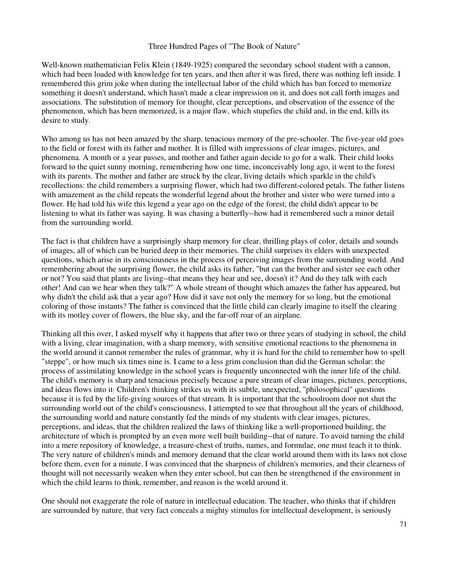#### Three Hundred Pages of "The Book of Nature"

Well-known mathematician Felix Klein (1849-1925) compared the secondary school student with a cannon, which had been loaded with knowledge for ten years, and then after it was fired, there was nothing left inside. I remembered this grim joke when during the intellectual labor of the child which has ban forced to memorize something it doesn't understand, which hasn't made a clear impression on it, and does not call forth images and associations. The substitution of memory for thought, clear perceptions, and observation of the essence of the phenomenon, which has been memorized, is a major flaw, which stupefies the child and, in the end, kills its desire to study.

Who among us has not been amazed by the sharp, tenacious memory of the pre-schooler. The five-year old goes to the field or forest with its father and mother. It is filled with impressions of clear images, pictures, and phenomena. A month or a year passes, and mother and father again decide to go for a walk. Their child looks forward to the quiet sunny morning, remembering how one time, inconceivably long ago, it went to the forest with its parents. The mother and father are struck by the clear, living details which sparkle in the child's recollections: the child remembers a surprising flower, which had two different-colored petals. The father listens with amazement as the child repeats the wonderful legend about the brother and sister who were turned into a flower. He had told his wife this legend a year ago on the edge of the forest; the child didn't appear to be listening to what its father was saying. It was chasing a butterfly--how had it remembered such a minor detail from the surrounding world.

The fact is that children have a surprisingly sharp memory for clear, thrilling plays of color, details and sounds of images, all of which can be buried deep in their memories. The child surprises its elders with unexpected questions, which arise in its consciousness in the process of perceiving images from the surrounding world. And remembering about the surprising flower, the child asks its father, "but can the brother and sister see each other or not? You said that plants are living--that means they hear and see, doesn't it? And do they talk with each other! And can we hear when they talk?" A whole stream of thought which amazes the father has appeared, but why didn't the child ask that a year ago? How did it save not only the memory for so long, but the emotional coloring of those instants? The father is convinced that the little child can clearly imagine to itself the clearing with its motley cover of flowers, the blue sky, and the far-off roar of an airplane.

Thinking all this over, I asked myself why it happens that after two or three years of studying in school, the child with a living, clear imagination, with a sharp memory, with sensitive emotional reactions to the phenomena in the world around it cannot remember the rules of grammar, why it is hard for the child to remember how to spell "steppe", or how much six times nine is. I came to a less grim conclusion than did the German scholar: the process of assimilating knowledge in the school years is frequently unconnected with the inner life of the child. The child's memory is sharp and tenacious precisely because a pure stream of clear images, pictures, perceptions, and ideas flows into it· Children's thinking strikes us with its subtle, unexpected, "philosophical" questions because it is fed by the life-giving sources of that stream. It is important that the schoolroom door not shut the surrounding world out of the child's consciousness. I attempted to see that throughout all the years of childhood, the surrounding world and nature constantly fed the minds of my students with clear images, pictures, perceptions, and ideas, that the children realized the laws of thinking like a well-proportioned building, the architecture of which is prompted by an even more well built building--that of nature. To avoid turning the child into a mere repository of knowledge, a treasure-chest of truths, names, and formulae, one must teach it to think. The very nature of children's minds and memory demand that the clear world around them with its laws not close before them, even for a minute. I was convinced that the sharpness of children's memories, and their clearness of thought will not necessarily weaken when they enter school, but can then be strengthened if the environment in which the child learns to think, remember, and reason is the world around it.

One should not exaggerate the role of nature in intellectual education. The teacher, who thinks that if children are surrounded by nature, that very fact conceals a mighty stimulus for intellectual development, is seriously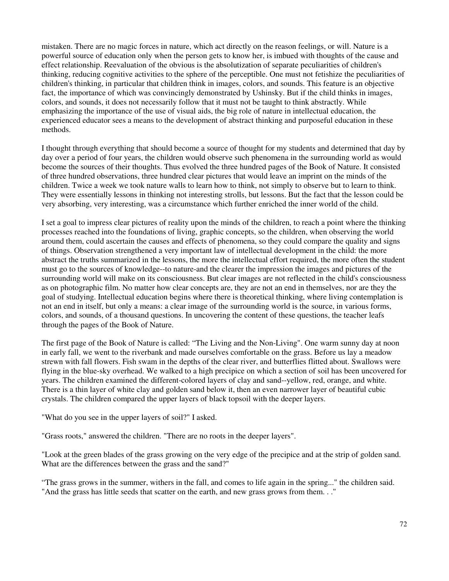mistaken. There are no magic forces in nature, which act directly on the reason feelings, or will. Nature is a powerful source of education only when the person gets to know her, is imbued with thoughts of the cause and effect relationship. Reevaluation of the obvious is the absolutization of separate peculiarities of children's thinking, reducing cognitive activities to the sphere of the perceptible. One must not fetishize the peculiarities of children's thinking, in particular that children think in images, colors, and sounds. This feature is an objective fact, the importance of which was convincingly demonstrated by Ushinsky. But if the child thinks in images, colors, and sounds, it does not necessarily follow that it must not be taught to think abstractly. While emphasizing the importance of the use of visual aids, the big role of nature in intellectual education, the experienced educator sees a means to the development of abstract thinking and purposeful education in these methods.

I thought through everything that should become a source of thought for my students and determined that day by day over a period of four years, the children would observe such phenomena in the surrounding world as would become the sources of their thoughts. Thus evolved the three hundred pages of the Book of Nature. It consisted of three hundred observations, three hundred clear pictures that would leave an imprint on the minds of the children. Twice a week we took nature walls to learn how to think, not simply to observe but to learn to think. They were essentially lessons in thinking not interesting strolls, but lessons. But the fact that the lesson could be very absorbing, very interesting, was a circumstance which further enriched the inner world of the child.

I set a goal to impress clear pictures of reality upon the minds of the children, to reach a point where the thinking processes reached into the foundations of living, graphic concepts, so the children, when observing the world around them, could ascertain the causes and effects of phenomena, so they could compare the quality and signs of things. Observation strengthened a very important law of intellectual development in the child: the more abstract the truths summarized in the lessons, the more the intellectual effort required, the more often the student must go to the sources of knowledge--to nature-and the clearer the impression the images and pictures of the surrounding world will make on its consciousness. But clear images are not reflected in the child's consciousness as on photographic film. No matter how clear concepts are, they are not an end in themselves, nor are they the goal of studying. Intellectual education begins where there is theoretical thinking, where living contemplation is not an end in itself, but only a means: a clear image of the surrounding world is the source, in various forms, colors, and sounds, of a thousand questions. In uncovering the content of these questions, the teacher leafs through the pages of the Book of Nature.

The first page of the Book of Nature is called: "The Living and the Non-Living". One warm sunny day at noon in early fall, we went to the riverbank and made ourselves comfortable on the grass. Before us lay a meadow strewn with fall flowers. Fish swam in the depths of the clear river, and butterflies flitted about. Swallows were flying in the blue-sky overhead. We walked to a high precipice on which a section of soil has been uncovered for years. The children examined the different-colored layers of clay and sand--yellow, red, orange, and white. There is a thin layer of white clay and golden sand below it, then an even narrower layer of beautiful cubic crystals. The children compared the upper layers of black topsoil with the deeper layers.

"What do you see in the upper layers of soil?" I asked.

"Grass roots," answered the children. "There are no roots in the deeper layers".

"Look at the green blades of the grass growing on the very edge of the precipice and at the strip of golden sand. What are the differences between the grass and the sand?"

"The grass grows in the summer, withers in the fall, and comes to life again in the spring..." the children said. "And the grass has little seeds that scatter on the earth, and new grass grows from them. . ."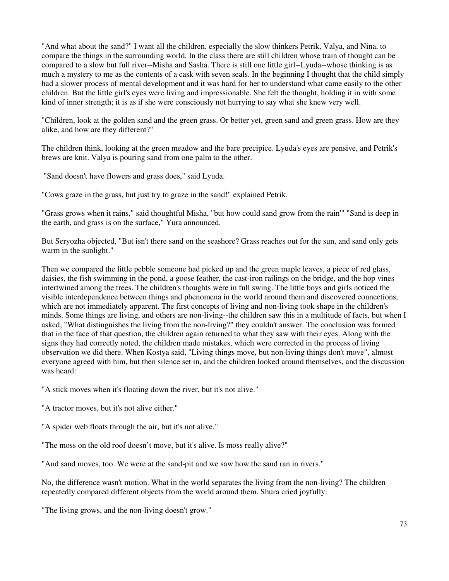"And what about the sand?" I want all the children, especially the slow thinkers Petrik, Valya, and Nina, to compare the things in the surrounding world. In the class there are still children whose train of thought can be compared to a slow but full river--Misha and Sasha. There is still one little girl--Lyuda--whose thinking is as much a mystery to me as the contents of a cask with seven seals. In the beginning I thought that the child simply had a slower process of mental development and it was hard for her to understand what came easily to the other children. But the little girl's eyes were living and impressionable. She felt the thought, holding it in with some kind of inner strength; it is as if she were consciously not hurrying to say what she knew very well.

"Children, look at the golden sand and the green grass. Or better yet, green sand and green grass. How are they alike, and how are they different?"

The children think, looking at the green meadow and the bare precipice. Lyuda's eyes are pensive, and Petrik's brews are knit. Valya is pouring sand from one palm to the other.

"Sand doesn't have flowers and grass does," said Lyuda.

"Cows graze in the grass, but just try to graze in the sand!" explained Petrik.

"Grass grows when it rains," said thoughtful Misha, "but how could sand grow from the rain'" "Sand is deep in the earth, and grass is on the surface," Yura announced.

But Seryozha objected, "But isn't there sand on the seashore? Grass reaches out for the sun, and sand only gets warm in the sunlight."

Then we compared the little pebble someone had picked up and the green maple leaves, a piece of red glass, daisies, the fish swimming in the pond, a goose feather, the cast-iron railings on the bridge, and the hop vines intertwined among the trees. The children's thoughts were in full swing. The little boys and girls noticed the visible interdependence between things and phenomena in the world around them and discovered connections, which are not immediately apparent. The first concepts of living and non-living took shape in the children's minds. Some things are living, and others are non-living--the children saw this in a multitude of facts, but when I asked, "What distinguishes the living from the non-living?" they couldn't answer. The conclusion was formed that in the face of that question, the children again returned to what they saw with their eyes. Along with the signs they had correctly noted, the children made mistakes, which were corrected in the process of living observation we did there. When Kostya said, "Living things move, but non-living things don't move", almost everyone agreed with him, but then silence set in, and the children looked around themselves, and the discussion was heard:

"A stick moves when it's floating down the river, but it's not alive."

"A tractor moves, but it's not alive either."

"A spider web floats through the air, but it's not alive."

"The moss on the old roof doesn't move, but it's alive. Is moss really alive?"

"And sand moves, too. We were at the sand-pit and we saw how the sand ran in rivers."

No, the difference wasn't motion. What in the world separates the living from the non-living? The children repeatedly compared different objects from the world around them. Shura cried joyfully:

"The living grows, and the non-living doesn't grow."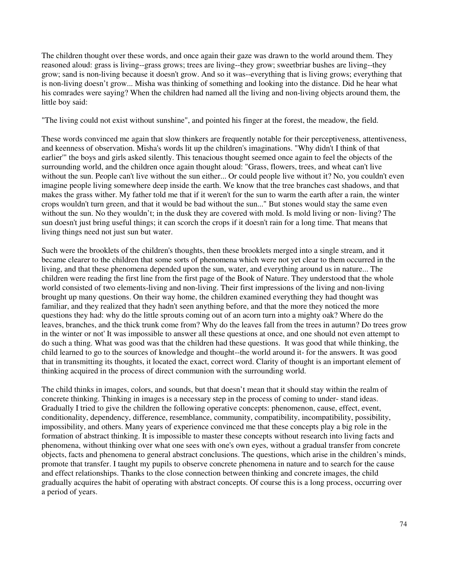The children thought over these words, and once again their gaze was drawn to the world around them. They reasoned aloud: grass is living--grass grows; trees are living--they grow; sweetbriar bushes are living--they grow; sand is non-living because it doesn't grow. And so it was--everything that is living grows; everything that is non-living doesn't grow... Misha was thinking of something and looking into the distance. Did he hear what his comrades were saying? When the children had named all the living and non-living objects around them, the little boy said:

"The living could not exist without sunshine", and pointed his finger at the forest, the meadow, the field.

These words convinced me again that slow thinkers are frequently notable for their perceptiveness, attentiveness, and keenness of observation. Misha's words lit up the children's imaginations. "Why didn't I think of that earlier'" the boys and girls asked silently. This tenacious thought seemed once again to feel the objects of the surrounding world, and the children once again thought aloud: "Grass, flowers, trees, and wheat can't live without the sun. People can't live without the sun either... Or could people live without it? No, you couldn't even imagine people living somewhere deep inside the earth. We know that the tree branches cast shadows, and that makes the grass wither. My father told me that if it weren't for the sun to warm the earth after a rain, the winter crops wouldn't turn green, and that it would be bad without the sun..." But stones would stay the same even without the sun. No they wouldn't; in the dusk they are covered with mold. Is mold living or non- living? The sun doesn't just bring useful things; it can scorch the crops if it doesn't rain for a long time. That means that living things need not just sun but water.

Such were the brooklets of the children's thoughts, then these brooklets merged into a single stream, and it became clearer to the children that some sorts of phenomena which were not yet clear to them occurred in the living, and that these phenomena depended upon the sun, water, and everything around us in nature... The children were reading the first line from the first page of the Book of Nature. They understood that the whole world consisted of two elements-living and non-living. Their first impressions of the living and non-living brought up many questions. On their way home, the children examined everything they had thought was familiar, and they realized that they hadn't seen anything before, and that the more they noticed the more questions they had: why do the little sprouts coming out of an acorn turn into a mighty oak? Where do the leaves, branches, and the thick trunk come from? Why do the leaves fall from the trees in autumn? Do trees grow in the winter or not' It was impossible to answer all these questions at once, and one should not even attempt to do such a thing. What was good was that the children had these questions. It was good that while thinking, the child learned to go to the sources of knowledge and thought--the world around it- for the answers. It was good that in transmitting its thoughts, it located the exact, correct word. Clarity of thought is an important element of thinking acquired in the process of direct communion with the surrounding world.

The child thinks in images, colors, and sounds, but that doesn't mean that it should stay within the realm of concrete thinking. Thinking in images is a necessary step in the process of coming to under- stand ideas. Gradually I tried to give the children the following operative concepts: phenomenon, cause, effect, event, conditionality, dependency, difference, resemblance, community, compatibility, incompatibility, possibility, impossibility, and others. Many years of experience convinced me that these concepts play a big role in the formation of abstract thinking. It is impossible to master these concepts without research into living facts and phenomena, without thinking over what one sees with one's own eyes, without a gradual transfer from concrete objects, facts and phenomena to general abstract conclusions. The questions, which arise in the children's minds, promote that transfer. I taught my pupils to observe concrete phenomena in nature and to search for the cause and effect relationships. Thanks to the close connection between thinking and concrete images, the child gradually acquires the habit of operating with abstract concepts. Of course this is a long process, occurring over a period of years.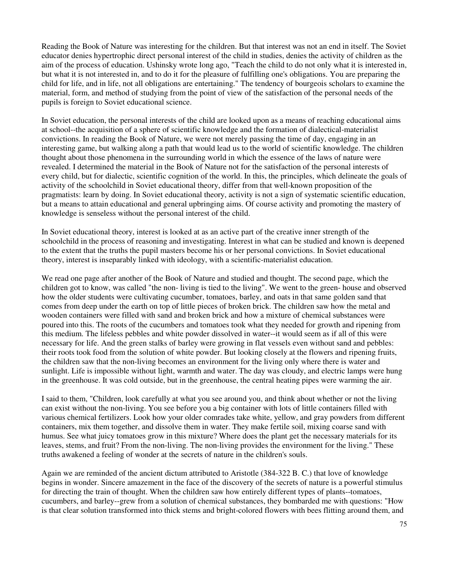Reading the Book of Nature was interesting for the children. But that interest was not an end in itself. The Soviet educator denies hypertrophic direct personal interest of the child in studies, denies the activity of children as the aim of the process of education. Ushinsky wrote long ago, "Teach the child to do not only what it is interested in, but what it is not interested in, and to do it for the pleasure of fulfilling one's obligations. You are preparing the child for life, and in life, not all obligations are entertaining." The tendency of bourgeois scholars to examine the material, form, and method of studying from the point of view of the satisfaction of the personal needs of the pupils is foreign to Soviet educational science.

In Soviet education, the personal interests of the child are looked upon as a means of reaching educational aims at school--the acquisition of a sphere of scientific knowledge and the formation of dialectical-materialist convictions. In reading the Book of Nature, we were not merely passing the time of day, engaging in an interesting game, but walking along a path that would lead us to the world of scientific knowledge. The children thought about those phenomena in the surrounding world in which the essence of the laws of nature were revealed. I determined the material in the Book of Nature not for the satisfaction of the personal interests of every child, but for dialectic, scientific cognition of the world. In this, the principles, which delineate the goals of activity of the schoolchild in Soviet educational theory, differ from that well-known proposition of the pragmatists: learn by doing. In Soviet educational theory, activity is not a sign of systematic scientific education, but a means to attain educational and general upbringing aims. Of course activity and promoting the mastery of knowledge is senseless without the personal interest of the child.

In Soviet educational theory, interest is looked at as an active part of the creative inner strength of the schoolchild in the process of reasoning and investigating. Interest in what can be studied and known is deepened to the extent that the truths the pupil masters become his or her personal convictions. In Soviet educational theory, interest is inseparably linked with ideology, with a scientific-materialist education.

We read one page after another of the Book of Nature and studied and thought. The second page, which the children got to know, was called "the non- living is tied to the living". We went to the green- house and observed how the older students were cultivating cucumber, tomatoes, barley, and oats in that same golden sand that comes from deep under the earth on top of little pieces of broken brick. The children saw how the metal and wooden containers were filled with sand and broken brick and how a mixture of chemical substances were poured into this. The roots of the cucumbers and tomatoes took what they needed for growth and ripening from this medium. The lifeless pebbles and white powder dissolved in water--it would seem as if all of this were necessary for life. And the green stalks of barley were growing in flat vessels even without sand and pebbles: their roots took food from the solution of white powder. But looking closely at the flowers and ripening fruits, the children saw that the non-living becomes an environment for the living only where there is water and sunlight. Life is impossible without light, warmth and water. The day was cloudy, and electric lamps were hung in the greenhouse. It was cold outside, but in the greenhouse, the central heating pipes were warming the air.

I said to them, "Children, look carefully at what you see around you, and think about whether or not the living can exist without the non-living. You see before you a big container with lots of little containers filled with various chemical fertilizers. Look how your older comrades take white, yellow, and gray powders from different containers, mix them together, and dissolve them in water. They make fertile soil, mixing coarse sand with humus. See what juicy tomatoes grow in this mixture? Where does the plant get the necessary materials for its leaves, stems, and fruit? From the non-living. The non-living provides the environment for the living." These truths awakened a feeling of wonder at the secrets of nature in the children's souls.

Again we are reminded of the ancient dictum attributed to Aristotle (384-322 B. C.) that love of knowledge begins in wonder. Sincere amazement in the face of the discovery of the secrets of nature is a powerful stimulus for directing the train of thought. When the children saw how entirely different types of plants--tomatoes, cucumbers, and barley--grew from a solution of chemical substances, they bombarded me with questions: "How is that clear solution transformed into thick stems and bright-colored flowers with bees flitting around them, and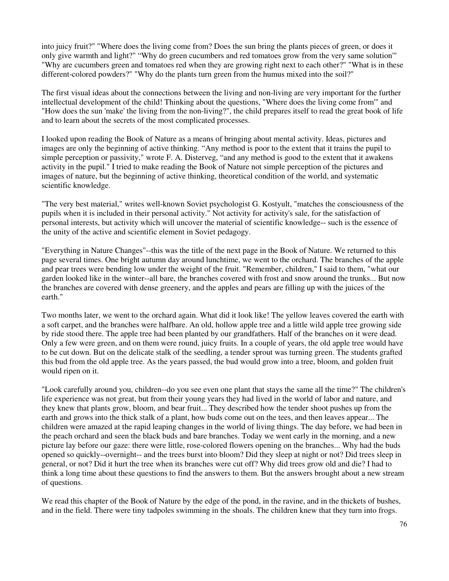into juicy fruit?" "Where does the living come from? Does the sun bring the plants pieces of green, or does it only give warmth and light?" "Why do green cucumbers and red tomatoes grow from the very same solution'" "Why are cucumbers green and tomatoes red when they are growing right next to each other?" "What is in these different-colored powders?" "Why do the plants turn green from the humus mixed into the soil?"

The first visual ideas about the connections between the living and non-living are very important for the further intellectual development of the child! Thinking about the questions, "Where does the living come from'" and "How does the sun 'make' the living from the non-living?", the child prepares itself to read the great book of life and to learn about the secrets of the most complicated processes.

I looked upon reading the Book of Nature as a means of bringing about mental activity. Ideas, pictures and images are only the beginning of active thinking. "Any method is poor to the extent that it trains the pupil to simple perception or passivity," wrote F. A. Disterveg, "and any method is good to the extent that it awakens activity in the pupil." I tried to make reading the Book of Nature not simple perception of the pictures and images of nature, but the beginning of active thinking, theoretical condition of the world, and systematic scientific knowledge.

"The very best material," writes well-known Soviet psychologist G. Kostyult, "matches the consciousness of the pupils when it is included in their personal activity." Not activity for activity's sale, for the satisfaction of personal interests, but activity which will uncover the material of scientific knowledge-- such is the essence of the unity of the active and scientific element in Soviet pedagogy.

"Everything in Nature Changes"--this was the title of the next page in the Book of Nature. We returned to this page several times. One bright autumn day around lunchtime, we went to the orchard. The branches of the apple and pear trees were bending low under the weight of the fruit. "Remember, children," I said to them, "what our garden looked like in the winter--all bare, the branches covered with frost and snow around the trunks... But now the branches are covered with dense greenery, and the apples and pears are filling up with the juices of the earth."

Two months later, we went to the orchard again. What did it look like! The yellow leaves covered the earth with a soft carpet, and the branches were halfbare. An old, hollow apple tree and a little wild apple tree growing side by ride stood there. The apple tree had been planted by our grandfathers. Half of the branches on it were dead. Only a few were green, and on them were round, juicy fruits. In a couple of years, the old apple tree would have to be cut down. But on the delicate stalk of the seedling, a tender sprout was turning green. The students grafted this bud from the old apple tree. As the years passed, the bud would grow into a tree, bloom, and golden fruit would ripen on it.

"Look carefully around you, children--do you see even one plant that stays the same all the time?" The children's life experience was not great, but from their young years they had lived in the world of labor and nature, and they knew that plants grow, bloom, and bear fruit... They described how the tender shoot pushes up from the earth and grows into the thick stalk of a plant, how buds come out on the tees, and then leaves appear... The children were amazed at the rapid leaping changes in the world of living things. The day before, we had been in the peach orchard and seen the black buds and bare branches. Today we went early in the morning, and a new picture lay before our gaze: there were little, rose-colored flowers opening on the branches... Why had the buds opened so quickly--overnight-- and the trees burst into bloom? Did they sleep at night or not? Did trees sleep in general, or not? Did it hurt the tree when its branches were cut off? Why did trees grow old and die? I had to think a long time about these questions to find the answers to them. But the answers brought about a new stream of questions.

We read this chapter of the Book of Nature by the edge of the pond, in the ravine, and in the thickets of bushes, and in the field. There were tiny tadpoles swimming in the shoals. The children knew that they turn into frogs.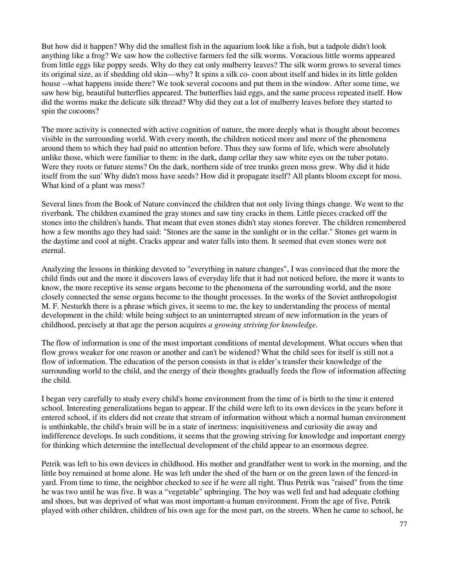But how did it happen? Why did the smallest fish in the aquarium look like a fish, but a tadpole didn't look anything like a frog? We saw how the collective farmers fed the silk worms. Voracious little worms appeared from little eggs like poppy seeds. Why do they eat only mulberry leaves? The silk worm grows to several times its original size, as if shedding old skin—why? It spins a silk co- coon about itself and hides in its little golden house --what happens inside there? We took several cocoons and put them in the window. After some time, we saw how big, beautiful butterflies appeared. The butterflies laid eggs, and the same process repeated itself. How did the worms make the delicate silk thread? Why did they eat a lot of mulberry leaves before they started to spin the cocoons?

The more activity is connected with active cognition of nature, the more deeply what is thought about becomes visible in the surrounding world. With every month, the children noticed more and more of the phenomena around them to which they had paid no attention before. Thus they saw forms of life, which were absolutely unlike those, which were familiar to them: in the dark, damp cellar they saw white eyes on the tuber potato. Were they roots or future stems? On the dark, northern side of tree trunks green moss grew. Why did it hide itself from the sun' Why didn't moss have seeds? How did it propagate itself? All plants bloom except for moss. What kind of a plant was moss?

Several lines from the Book of Nature convinced the children that not only living things change. We went to the riverbank. The children examined the gray stones and saw tiny cracks in them. Little pieces cracked off the stones into the children's hands. That meant that even stones didn't stay stones forever. The children remembered how a few months ago they had said: "Stones are the same in the sunlight or in the cellar." Stones get warm in the daytime and cool at night. Cracks appear and water falls into them. It seemed that even stones were not eternal.

Analyzing the lessons in thinking devoted to "everything in nature changes", I was convinced that the more the child finds out and the more it discovers laws of everyday life that it had not noticed before, the more it wants to know, the more receptive its sense organs become to the phenomena of the surrounding world, and the more closely connected the sense organs become to the thought processes. In the works of the Soviet anthropologist M. F. Nesturkh there is a phrase which gives, it seems to me, the key to understanding the process of mental development in the child: while being subject to an uninterrupted stream of new information in the years of childhood, precisely at that age the person acquires *a growing striving for knowledge.* 

The flow of information is one of the most important conditions of mental development. What occurs when that flow grows weaker for one reason or another and can't be widened? What the child sees for itself is still not a flow of information. The education of the person consists in that is elder's transfer their knowledge of the surrounding world to the child, and the energy of their thoughts gradually feeds the flow of information affecting the child.

I began very carefully to study every child's home environment from the time of is birth to the time it entered school. Interesting generalizations began to appear. If the child were left to its own devices in the years before it entered school, if its elders did not create that stream of information without which a normal human environment is unthinkable, the child's brain will be in a state of inertness: inquisitiveness and curiosity die away and indifference develops. In such conditions, it seems that the growing striving for knowledge and important energy for thinking which determine the intellectual development of the child appear to an enormous degree.

Petrik was left to his own devices in childhood. His mother and grandfather went to work in the morning, and the little boy remained at home alone. He was left under the shed of the barn or on the green lawn of the fenced-in yard. From time to time, the neighbor checked to see if he were all right. Thus Petrik was "raised" from the time he was two until he was five. It was a "vegetable" upbringing. The boy was well fed and had adequate clothing and shoes, but was deprived of what was most important-a human environment. From the age of five, Petrik played with other children, children of his own age for the most part, on the streets. When he came to school, he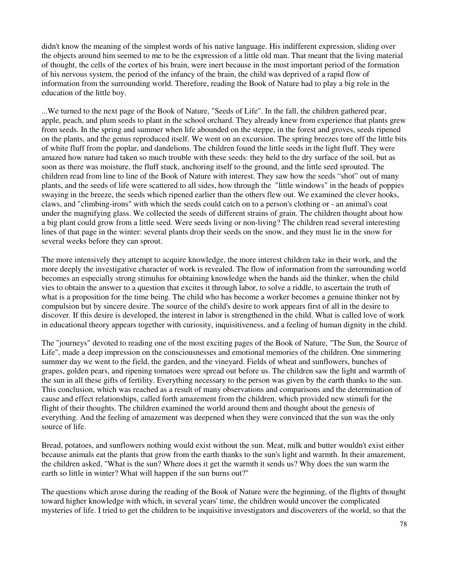didn't know the meaning of the simplest words of his native language. His indifferent expression, sliding over the objects around him seemed to me to be the expression of a little old man. That meant that the living material of thought, the cells of the cortex of his brain, were inert because in the most important period of the formation of his nervous system, the period of the infancy of the brain, the child was deprived of a rapid flow of information from the surrounding world. Therefore, reading the Book of Nature had to play a big role in the education of the little boy.

...We turned to the next page of the Book of Nature, "Seeds of Life". In the fall, the children gathered pear, apple, peach, and plum seeds to plant in the school orchard. They already knew from experience that plants grew from seeds. In the spring and summer when life abounded on the steppe, in the forest and groves, seeds ripened on the plants, and the genus reproduced itself. We went on an excursion. The spring breezes tore off the little bits of white fluff from the poplar, and dandelions. The children found the little seeds in the light fluff. They were amazed how nature had taken so much trouble with these seeds: they held to the dry surface of the soil, but as soon as there was moisture, the fluff stuck, anchoring itself to the ground, and the little seed sprouted. The children read from line to line of the Book of Nature with interest. They saw how the seeds "shot" out of many plants, and the seeds of life were scattered to all sides, how through the "little windows" in the heads of poppies swaying in the breeze, the seeds which ripened earlier than the others flew out. We examined the clever hooks, claws, and "climbing-irons" with which the seeds could catch on to a person's clothing or - an animal's coat under the magnifying glass. We collected the seeds of different strains of grain. The children thought about how a big plant could grow from a little seed. Were seeds living or non-living? The children read several interesting lines of that page in the winter: several plants drop their seeds on the snow, and they must lie in the snow for several weeks before they can sprout.

The more intensively they attempt to acquire knowledge, the more interest children take in their work, and the more deeply the investigative character of work is revealed. The flow of information from the surrounding world becomes an especially strong stimulus for obtaining knowledge when the hands aid the thinker, when the child vies to obtain the answer to a question that excites it through labor, to solve a riddle, to ascertain the truth of what is a proposition for the time being. The child who has become a worker becomes a genuine thinker not by compulsion but by sincere desire. The source of the child's desire to work appears first of all in the desire to discover. If this desire is developed, the interest in labor is strengthened in the child. What is called love of work in educational theory appears together with curiosity, inquisitiveness, and a feeling of human dignity in the child.

The "journeys" devoted to reading one of the most exciting pages of the Book of Nature, "The Sun, the Source of Life", made a deep impression on the consciousnesses and emotional memories of the children. One simmering summer day we went to the field, the garden, and the vineyard. Fields of wheat and sunflowers, bunches of grapes, golden pears, and ripening tomatoes were spread out before us. The children saw the light and warmth of the sun in all these gifts of fertility. Everything necessary to the person was given by the earth thanks to the sun. This conclusion, which was reached as a result of many observations and comparisons and the determination of cause and effect relationships, called forth amazement from the children, which provided new stimuli for the flight of their thoughts. The children examined the world around them and thought about the genesis of everything. And the feeling of amazement was deepened when they were convinced that the sun was the only source of life.

Bread, potatoes, and sunflowers nothing would exist without the sun. Meat, milk and butter wouldn't exist either because animals eat the plants that grow from the earth thanks to the sun's light and warmth. In their amazement, the children asked, "What is the sun? Where does it get the warmth it sends us? Why does the sun warm the earth so little in winter? What will happen if the sun burns out?"

The questions which arose during the reading of the Book of Nature were the beginning, of the flights of thought toward higher knowledge with which, in several years' time, the children would uncover the complicated mysteries of life. I tried to get the children to be inquisitive investigators and discoverers of the world, so that the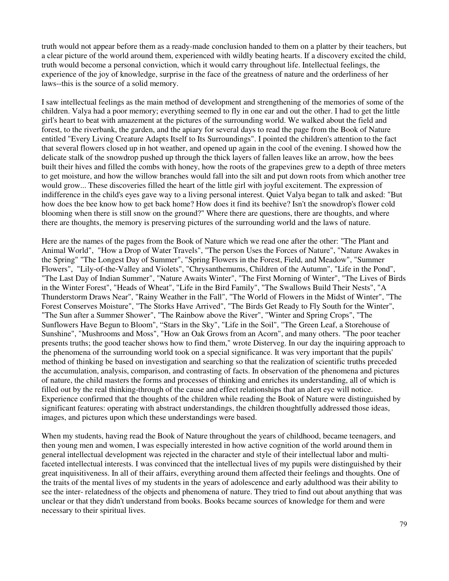truth would not appear before them as a ready-made conclusion handed to them on a platter by their teachers, but a clear picture of the world around them, experienced with wildly beating hearts. If a discovery excited the child, truth would become a personal conviction, which it would carry throughout life. Intellectual feelings, the experience of the joy of knowledge, surprise in the face of the greatness of nature and the orderliness of her laws--this is the source of a solid memory.

I saw intellectual feelings as the main method of development and strengthening of the memories of some of the children. Valya had a poor memory; everything seemed to fly in one ear and out the other. I had to get the little girl's heart to beat with amazement at the pictures of the surrounding world. We walked about the field and forest, to the riverbank, the garden, and the apiary for several days to read the page from the Book of Nature entitled "Every Living Creature Adapts Itself to Its Surroundings". I pointed the children's attention to the fact that several flowers closed up in hot weather, and opened up again in the cool of the evening. I showed how the delicate stalk of the snowdrop pushed up through the thick layers of fallen leaves like an arrow, how the bees built their hives and filled the combs with honey, how the roots of the grapevines grew to a depth of three meters to get moisture, and how the willow branches would fall into the silt and put down roots from which another tree would grow... These discoveries filled the heart of the little girl with joyful excitement. The expression of indifference in the child's eyes gave way to a living personal interest. Quiet Valya began to talk and asked: "But how does the bee know how to get back home? How does it find its beehive? Isn't the snowdrop's flower cold blooming when there is still snow on the ground?" Where there are questions, there are thoughts, and where there are thoughts, the memory is preserving pictures of the surrounding world and the laws of nature.

Here are the names of the pages from the Book of Nature which we read one after the other: "The Plant and Animal World", "How a Drop of Water Travels", "The person Uses the Forces of Nature", "Nature Awakes in the Spring" "The Longest Day of Summer", "Spring Flowers in the Forest, Field, and Meadow", "Summer Flowers", "Lily-of-the-Valley and Violets", "Chrysanthemums, Children of the Autumn", "Life in the Pond", "The Last Day of Indian Summer", "Nature Awaits Winter", "The First Morning of Winter", "The Lives of Birds in the Winter Forest", "Heads of Wheat", "Life in the Bird Family", "The Swallows Build Their Nests", "A Thunderstorm Draws Near", "Rainy Weather in the Fall", "The World of Flowers in the Midst of Winter", "The Forest Conserves Moisture", "The Storks Have Arrived", "The Birds Get Ready to Fly South for the Winter", "The Sun after a Summer Shower", "The Rainbow above the River", "Winter and Spring Crops", "The Sunflowers Have Begun to Bloom", "Stars in the Sky", "Life in the Soil", "The Green Leaf, a Storehouse of Sunshine", "Mushrooms and Moss", "How an Oak Grows from an Acorn", and many others. "The poor teacher presents truths; the good teacher shows how to find them," wrote Disterveg. In our day the inquiring approach to the phenomena of the surrounding world took on a special significance. It was very important that the pupils' method of thinking be based on investigation and searching so that the realization of scientific truths preceded the accumulation, analysis, comparison, and contrasting of facts. In observation of the phenomena and pictures of nature, the child masters the forms and processes of thinking and enriches its understanding, all of which is filled out by the real thinking-through of the cause and effect relationships that an alert eye will notice. Experience confirmed that the thoughts of the children while reading the Book of Nature were distinguished by significant features: operating with abstract understandings, the children thoughtfully addressed those ideas, images, and pictures upon which these understandings were based.

When my students, having read the Book of Nature throughout the years of childhood, became teenagers, and then young men and women, I was especially interested in how active cognition of the world around them in general intellectual development was rejected in the character and style of their intellectual labor and multifaceted intellectual interests. I was convinced that the intellectual lives of my pupils were distinguished by their great inquisitiveness. In all of their affairs, everything around them affected their feelings and thoughts. One of the traits of the mental lives of my students in the years of adolescence and early adulthood was their ability to see the inter- relatedness of the objects and phenomena of nature. They tried to find out about anything that was unclear or that they didn't understand from books. Books became sources of knowledge for them and were necessary to their spiritual lives.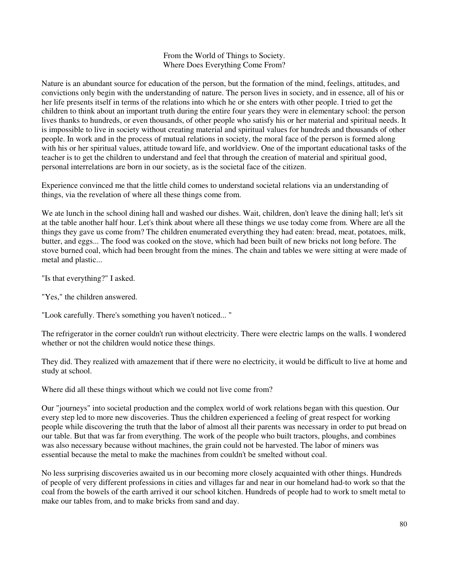### From the World of Things to Society. Where Does Everything Come From?

Nature is an abundant source for education of the person, but the formation of the mind, feelings, attitudes, and convictions only begin with the understanding of nature. The person lives in society, and in essence, all of his or her life presents itself in terms of the relations into which he or she enters with other people. I tried to get the children to think about an important truth during the entire four years they were in elementary school: the person lives thanks to hundreds, or even thousands, of other people who satisfy his or her material and spiritual needs. It is impossible to live in society without creating material and spiritual values for hundreds and thousands of other people. In work and in the process of mutual relations in society, the moral face of the person is formed along with his or her spiritual values, attitude toward life, and worldview. One of the important educational tasks of the teacher is to get the children to understand and feel that through the creation of material and spiritual good, personal interrelations are born in our society, as is the societal face of the citizen.

Experience convinced me that the little child comes to understand societal relations via an understanding of things, via the revelation of where all these things come from.

We ate lunch in the school dining hall and washed our dishes. Wait, children, don't leave the dining hall; let's sit at the table another half hour. Let's think about where all these things we use today come from. Where are all the things they gave us come from? The children enumerated everything they had eaten: bread, meat, potatoes, milk, butter, and eggs... The food was cooked on the stove, which had been built of new bricks not long before. The stove burned coal, which had been brought from the mines. The chain and tables we were sitting at were made of metal and plastic...

"Is that everything?" I asked.

"Yes," the children answered.

"Look carefully. There's something you haven't noticed... "

The refrigerator in the corner couldn't run without electricity. There were electric lamps on the walls. I wondered whether or not the children would notice these things.

They did. They realized with amazement that if there were no electricity, it would be difficult to live at home and study at school.

Where did all these things without which we could not live come from?

Our "journeys" into societal production and the complex world of work relations began with this question. Our every step led to more new discoveries. Thus the children experienced a feeling of great respect for working people while discovering the truth that the labor of almost all their parents was necessary in order to put bread on our table. But that was far from everything. The work of the people who built tractors, ploughs, and combines was also necessary because without machines, the grain could not be harvested. The labor of miners was essential because the metal to make the machines from couldn't be smelted without coal.

No less surprising discoveries awaited us in our becoming more closely acquainted with other things. Hundreds of people of very different professions in cities and villages far and near in our homeland had-to work so that the coal from the bowels of the earth arrived it our school kitchen. Hundreds of people had to work to smelt metal to make our tables from, and to make bricks from sand and day.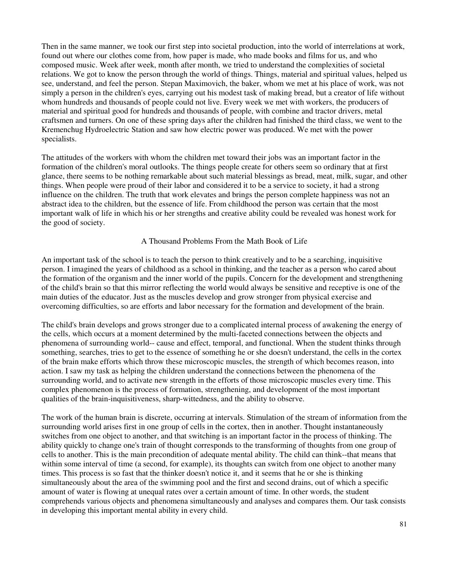Then in the same manner, we took our first step into societal production, into the world of interrelations at work, found out where our clothes come from, how paper is made, who made books and films for us, and who composed music. Week after week, month after month, we tried to understand the complexities of societal relations. We got to know the person through the world of things. Things, material and spiritual values, helped us see, understand, and feel the person. Stepan Maximovich, the baker, whom we met at his place of work, was not simply a person in the children's eyes, carrying out his modest task of making bread, but a creator of life without whom hundreds and thousands of people could not live. Every week we met with workers, the producers of material and spiritual good for hundreds and thousands of people, with combine and tractor drivers, metal craftsmen and turners. On one of these spring days after the children had finished the third class, we went to the Kremenchug Hydroelectric Station and saw how electric power was produced. We met with the power specialists.

The attitudes of the workers with whom the children met toward their jobs was an important factor in the formation of the children's moral outlooks. The things people create for others seem so ordinary that at first glance, there seems to be nothing remarkable about such material blessings as bread, meat, milk, sugar, and other things. When people were proud of their labor and considered it to be a service to society, it had a strong influence on the children. The truth that work elevates and brings the person complete happiness was not an abstract idea to the children, but the essence of life. From childhood the person was certain that the most important walk of life in which his or her strengths and creative ability could be revealed was honest work for the good of society.

A Thousand Problems From the Math Book of Life

An important task of the school is to teach the person to think creatively and to be a searching, inquisitive person. I imagined the years of childhood as a school in thinking, and the teacher as a person who cared about the formation of the organism and the inner world of the pupils. Concern for the development and strengthening of the child's brain so that this mirror reflecting the world would always be sensitive and receptive is one of the main duties of the educator. Just as the muscles develop and grow stronger from physical exercise and overcoming difficulties, so are efforts and labor necessary for the formation and development of the brain.

The child's brain develops and grows stronger due to a complicated internal process of awakening the energy of the cells, which occurs at a moment determined by the multi-faceted connections between the objects and phenomena of surrounding world-- cause and effect, temporal, and functional. When the student thinks through something, searches, tries to get to the essence of something he or she doesn't understand, the cells in the cortex of the brain make efforts which throw these microscopic muscles, the strength of which becomes reason, into action. I saw my task as helping the children understand the connections between the phenomena of the surrounding world, and to activate new strength in the efforts of those microscopic muscles every time. This complex phenomenon is the process of formation, strengthening, and development of the most important qualities of the brain-inquisitiveness, sharp-wittedness, and the ability to observe.

The work of the human brain is discrete, occurring at intervals. Stimulation of the stream of information from the surrounding world arises first in one group of cells in the cortex, then in another. Thought instantaneously switches from one object to another, and that switching is an important factor in the process of thinking. The ability quickly to change one's train of thought corresponds to the transforming of thoughts from one group of cells to another. This is the main precondition of adequate mental ability. The child can think--that means that within some interval of time (a second, for example), its thoughts can switch from one object to another many times. This process is so fast that the thinker doesn't notice it, and it seems that he or she is thinking simultaneously about the area of the swimming pool and the first and second drains, out of which a specific amount of water is flowing at unequal rates over a certain amount of time. In other words, the student comprehends various objects and phenomena simultaneously and analyses and compares them. Our task consists in developing this important mental ability in every child.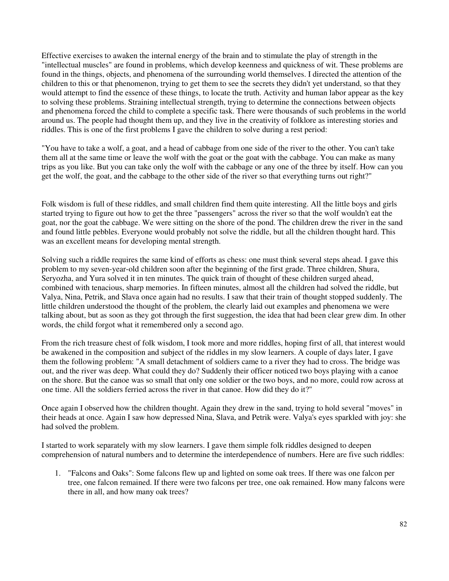Effective exercises to awaken the internal energy of the brain and to stimulate the play of strength in the "intellectual muscles" are found in problems, which develop keenness and quickness of wit. These problems are found in the things, objects, and phenomena of the surrounding world themselves. I directed the attention of the children to this or that phenomenon, trying to get them to see the secrets they didn't yet understand, so that they would attempt to find the essence of these things, to locate the truth. Activity and human labor appear as the key to solving these problems. Straining intellectual strength, trying to determine the connections between objects and phenomena forced the child to complete a specific task. There were thousands of such problems in the world around us. The people had thought them up, and they live in the creativity of folklore as interesting stories and riddles. This is one of the first problems I gave the children to solve during a rest period:

"You have to take a wolf, a goat, and a head of cabbage from one side of the river to the other. You can't take them all at the same time or leave the wolf with the goat or the goat with the cabbage. You can make as many trips as you like. But you can take only the wolf with the cabbage or any one of the three by itself. How can you get the wolf, the goat, and the cabbage to the other side of the river so that everything turns out right?"

Folk wisdom is full of these riddles, and small children find them quite interesting. All the little boys and girls started trying to figure out how to get the three "passengers" across the river so that the wolf wouldn't eat the goat, nor the goat the cabbage. We were sitting on the shore of the pond. The children drew the river in the sand and found little pebbles. Everyone would probably not solve the riddle, but all the children thought hard. This was an excellent means for developing mental strength.

Solving such a riddle requires the same kind of efforts as chess: one must think several steps ahead. I gave this problem to my seven-year-old children soon after the beginning of the first grade. Three children, Shura, Seryozha, and Yura solved it in ten minutes. The quick train of thought of these children surged ahead, combined with tenacious, sharp memories. In fifteen minutes, almost all the children had solved the riddle, but Valya, Nina, Petrik, and Slava once again had no results. I saw that their train of thought stopped suddenly. The little children understood the thought of the problem, the clearly laid out examples and phenomena we were talking about, but as soon as they got through the first suggestion, the idea that had been clear grew dim. In other words, the child forgot what it remembered only a second ago.

From the rich treasure chest of folk wisdom, I took more and more riddles, hoping first of all, that interest would be awakened in the composition and subject of the riddles in my slow learners. A couple of days later, I gave them the following problem: "A small detachment of soldiers came to a river they had to cross. The bridge was out, and the river was deep. What could they do? Suddenly their officer noticed two boys playing with a canoe on the shore. But the canoe was so small that only one soldier or the two boys, and no more, could row across at one time. All the soldiers ferried across the river in that canoe. How did they do it?"

Once again I observed how the children thought. Again they drew in the sand, trying to hold several "moves" in their heads at once. Again I saw how depressed Nina, Slava, and Petrik were. Valya's eyes sparkled with joy: she had solved the problem.

I started to work separately with my slow learners. I gave them simple folk riddles designed to deepen comprehension of natural numbers and to determine the interdependence of numbers. Here are five such riddles:

1. "Falcons and Oaks": Some falcons flew up and lighted on some oak trees. If there was one falcon per tree, one falcon remained. If there were two falcons per tree, one oak remained. How many falcons were there in all, and how many oak trees?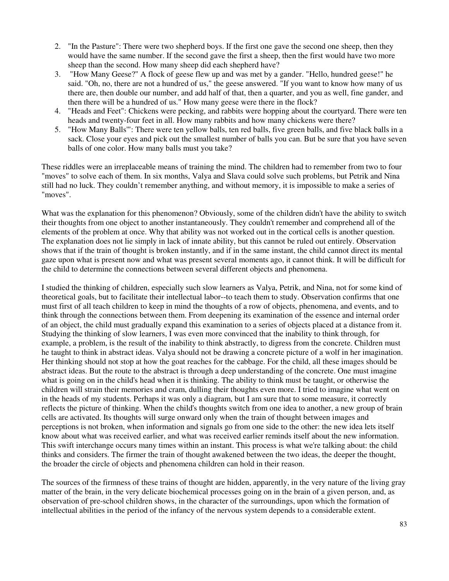- 2. "In the Pasture": There were two shepherd boys. If the first one gave the second one sheep, then they would have the same number. If the second gave the first a sheep, then the first would have two more sheep than the second. How many sheep did each shepherd have?
- 3. "How Many Geese?" A flock of geese flew up and was met by a gander. "Hello, hundred geese!" he said. "Oh, no, there are not a hundred of us," the geese answered. "If you want to know how many of us there are, then double our number, and add half of that, then a quarter, and you as well, fine gander, and then there will be a hundred of us." How many geese were there in the flock?
- 4. "Heads and Feet": Chickens were pecking, and rabbits were hopping about the courtyard. There were ten heads and twenty-four feet in all. How many rabbits and how many chickens were there?
- 5. "How Many Balls'": There were ten yellow balls, ten red balls, five green balls, and five black balls in a sack. Close your eyes and pick out the smallest number of balls you can. But be sure that you have seven balls of one color. How many balls must you take?

These riddles were an irreplaceable means of training the mind. The children had to remember from two to four "moves" to solve each of them. In six months, Valya and Slava could solve such problems, but Petrik and Nina still had no luck. They couldn't remember anything, and without memory, it is impossible to make a series of "moves".

What was the explanation for this phenomenon? Obviously, some of the children didn't have the ability to switch their thoughts from one object to another instantaneously. They couldn't remember and comprehend all of the elements of the problem at once. Why that ability was not worked out in the cortical cells is another question. The explanation does not lie simply in lack of innate ability, but this cannot be ruled out entirely. Observation shows that if the train of thought is broken instantly, and if in the same instant, the child cannot direct its mental gaze upon what is present now and what was present several moments ago, it cannot think. It will be difficult for the child to determine the connections between several different objects and phenomena.

I studied the thinking of children, especially such slow learners as Valya, Petrik, and Nina, not for some kind of theoretical goals, but to facilitate their intellectual labor--to teach them to study. Observation confirms that one must first of all teach children to keep in mind the thoughts of a row of objects, phenomena, and events, and to think through the connections between them. From deepening its examination of the essence and internal order of an object, the child must gradually expand this examination to a series of objects placed at a distance from it. Studying the thinking of slow learners, I was even more convinced that the inability to think through, for example, a problem, is the result of the inability to think abstractly, to digress from the concrete. Children must he taught to think in abstract ideas. Valya should not be drawing a concrete picture of a wolf in her imagination. Her thinking should not stop at how the goat reaches for the cabbage. For the child, all these images should be abstract ideas. But the route to the abstract is through a deep understanding of the concrete. One must imagine what is going on in the child's head when it is thinking. The ability to think must be taught, or otherwise the children will strain their memories and cram, dulling their thoughts even more. I tried to imagine what went on in the heads of my students. Perhaps it was only a diagram, but I am sure that to some measure, it correctly reflects the picture of thinking. When the child's thoughts switch from one idea to another, a new group of brain cells are activated. Its thoughts will surge onward only when the train of thought between images and perceptions is not broken, when information and signals go from one side to the other: the new idea lets itself know about what was received earlier, and what was received earlier reminds itself about the new information. This swift interchange occurs many times within an instant. This process is what we're talking about: the child thinks and considers. The firmer the train of thought awakened between the two ideas, the deeper the thought, the broader the circle of objects and phenomena children can hold in their reason.

The sources of the firmness of these trains of thought are hidden, apparently, in the very nature of the living gray matter of the brain, in the very delicate biochemical processes going on in the brain of a given person, and, as observation of pre-school children shows, in the character of the surroundings, upon which the formation of intellectual abilities in the period of the infancy of the nervous system depends to a considerable extent.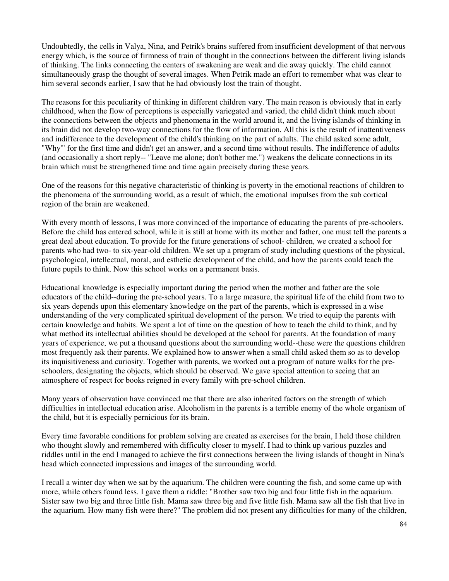Undoubtedly, the cells in Valya, Nina, and Petrik's brains suffered from insufficient development of that nervous energy which, is the source of firmness of train of thought in the connections between the different living islands of thinking. The links connecting the centers of awakening are weak and die away quickly. The child cannot simultaneously grasp the thought of several images. When Petrik made an effort to remember what was clear to him several seconds earlier, I saw that he had obviously lost the train of thought.

The reasons for this peculiarity of thinking in different children vary. The main reason is obviously that in early childhood, when the flow of perceptions is especially variegated and varied, the child didn't think much about the connections between the objects and phenomena in the world around it, and the living islands of thinking in its brain did not develop two-way connections for the flow of information. All this is the result of inattentiveness and indifference to the development of the child's thinking on the part of adults. The child asked some adult, "Why'" for the first time and didn't get an answer, and a second time without results. The indifference of adults (and occasionally a short reply-- "Leave me alone; don't bother me.") weakens the delicate connections in its brain which must be strengthened time and time again precisely during these years.

One of the reasons for this negative characteristic of thinking is poverty in the emotional reactions of children to the phenomena of the surrounding world, as a result of which, the emotional impulses from the sub cortical region of the brain are weakened.

With every month of lessons, I was more convinced of the importance of educating the parents of pre-schoolers. Before the child has entered school, while it is still at home with its mother and father, one must tell the parents a great deal about education. To provide for the future generations of school- children, we created a school for parents who had two- to six-year-old children. We set up a program of study including questions of the physical, psychological, intellectual, moral, and esthetic development of the child, and how the parents could teach the future pupils to think. Now this school works on a permanent basis.

Educational knowledge is especially important during the period when the mother and father are the sole educators of the child--during the pre-school years. To a large measure, the spiritual life of the child from two to six years depends upon this elementary knowledge on the part of the parents, which is expressed in a wise understanding of the very complicated spiritual development of the person. We tried to equip the parents with certain knowledge and habits. We spent a lot of time on the question of how to teach the child to think, and by what method its intellectual abilities should be developed at the school for parents. At the foundation of many years of experience, we put a thousand questions about the surrounding world--these were the questions children most frequently ask their parents. We explained how to answer when a small child asked them so as to develop its inquisitiveness and curiosity. Together with parents, we worked out a program of nature walks for the preschoolers, designating the objects, which should be observed. We gave special attention to seeing that an atmosphere of respect for books reigned in every family with pre-school children.

Many years of observation have convinced me that there are also inherited factors on the strength of which difficulties in intellectual education arise. Alcoholism in the parents is a terrible enemy of the whole organism of the child, but it is especially pernicious for its brain.

Every time favorable conditions for problem solving are created as exercises for the brain, I held those children who thought slowly and remembered with difficulty closer to myself. I had to think up various puzzles and riddles until in the end I managed to achieve the first connections between the living islands of thought in Nina's head which connected impressions and images of the surrounding world.

I recall a winter day when we sat by the aquarium. The children were counting the fish, and some came up with more, while others found less. I gave them a riddle: "Brother saw two big and four little fish in the aquarium. Sister saw two big and three little fish. Mama saw three big and five little fish. Mama saw all the fish that live in the aquarium. How many fish were there?" The problem did not present any difficulties for many of the children,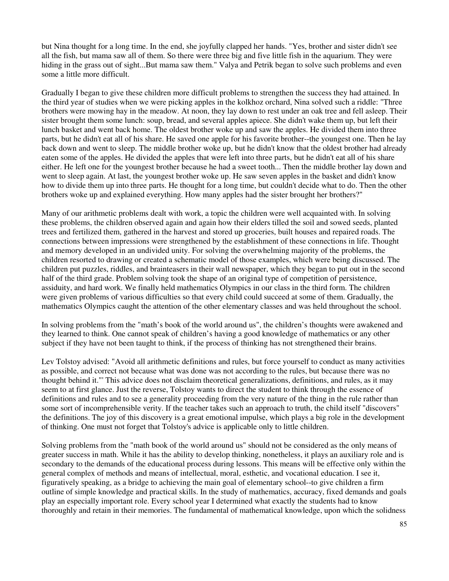but Nina thought for a long time. In the end, she joyfully clapped her hands. "Yes, brother and sister didn't see all the fish, but mama saw all of them. So there were three big and five little fish in the aquarium. They were hiding in the grass out of sight...But mama saw them." Valya and Petrik began to solve such problems and even some a little more difficult.

Gradually I began to give these children more difficult problems to strengthen the success they had attained. In the third year of studies when we were picking apples in the kolkhoz orchard, Nina solved such a riddle: "Three brothers were mowing hay in the meadow. At noon, they lay down to rest under an oak tree and fell asleep. Their sister brought them some lunch: soup, bread, and several apples apiece. She didn't wake them up, but left their lunch basket and went back home. The oldest brother woke up and saw the apples. He divided them into three parts, but he didn't eat all of his share. He saved one apple for his favorite brother--the youngest one. Then he lay back down and went to sleep. The middle brother woke up, but he didn't know that the oldest brother had already eaten some of the apples. He divided the apples that were left into three parts, but he didn't eat all of his share either. He left one for the youngest brother because he had a sweet tooth... Then the middle brother lay down and went to sleep again. At last, the youngest brother woke up. He saw seven apples in the basket and didn't know how to divide them up into three parts. He thought for a long time, but couldn't decide what to do. Then the other brothers woke up and explained everything. How many apples had the sister brought her brothers?"

Many of our arithmetic problems dealt with work, a topic the children were well acquainted with. In solving these problems, the children observed again and again how their elders tilled the soil and sowed seeds, planted trees and fertilized them, gathered in the harvest and stored up groceries, built houses and repaired roads. The connections between impressions were strengthened by the establishment of these connections in life. Thought and memory developed in an undivided unity. For solving the overwhelming majority of the problems, the children resorted to drawing or created a schematic model of those examples, which were being discussed. The children put puzzles, riddles, and brainteasers in their wall newspaper, which they began to put out in the second half of the third grade. Problem solving took the shape of an original type of competition of persistence, assiduity, and hard work. We finally held mathematics Olympics in our class in the third form. The children were given problems of various difficulties so that every child could succeed at some of them. Gradually, the mathematics Olympics caught the attention of the other elementary classes and was held throughout the school.

In solving problems from the "math's book of the world around us", the children's thoughts were awakened and they learned to think. One cannot speak of children's having a good knowledge of mathematics or any other subject if they have not been taught to think, if the process of thinking has not strengthened their brains.

Lev Tolstoy advised: "Avoid all arithmetic definitions and rules, but force yourself to conduct as many activities as possible, and correct not because what was done was not according to the rules, but because there was no thought behind it."' This advice does not disclaim theoretical generalizations, definitions, and rules, as it may seem to at first glance. Just the reverse, Tolstoy wants to direct the student to think through the essence of definitions and rules and to see a generality proceeding from the very nature of the thing in the rule rather than some sort of incomprehensible verity. If the teacher takes such an approach to truth, the child itself "discovers" the definitions. The joy of this discovery is a great emotional impulse, which plays a big role in the development of thinking. One must not forget that Tolstoy's advice is applicable only to little children.

Solving problems from the "math book of the world around us" should not be considered as the only means of greater success in math. While it has the ability to develop thinking, nonetheless, it plays an auxiliary role and is secondary to the demands of the educational process during lessons. This means will be effective only within the general complex of methods and means of intellectual, moral, esthetic, and vocational education. I see it, figuratively speaking, as a bridge to achieving the main goal of elementary school--to give children a firm outline of simple knowledge and practical skills. In the study of mathematics, accuracy, fixed demands and goals play an especially important role. Every school year I determined what exactly the students had to know thoroughly and retain in their memories. The fundamental of mathematical knowledge, upon which the solidness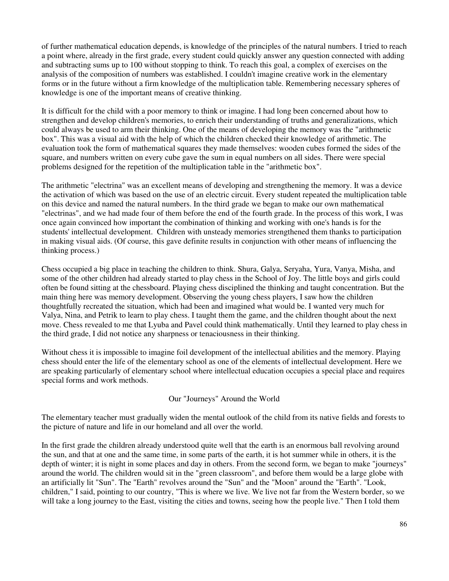of further mathematical education depends, is knowledge of the principles of the natural numbers. I tried to reach a point where, already in the first grade, every student could quickly answer any question connected with adding and subtracting sums up to 100 without stopping to think. To reach this goal, a complex of exercises on the analysis of the composition of numbers was established. I couldn't imagine creative work in the elementary forms or in the future without a firm knowledge of the multiplication table. Remembering necessary spheres of knowledge is one of the important means of creative thinking.

It is difficult for the child with a poor memory to think or imagine. I had long been concerned about how to strengthen and develop children's memories, to enrich their understanding of truths and generalizations, which could always be used to arm their thinking. One of the means of developing the memory was the "arithmetic box". This was a visual aid with the help of which the children checked their knowledge of arithmetic. The evaluation took the form of mathematical squares they made themselves: wooden cubes formed the sides of the square, and numbers written on every cube gave the sum in equal numbers on all sides. There were special problems designed for the repetition of the multiplication table in the "arithmetic box".

The arithmetic "electrina" was an excellent means of developing and strengthening the memory. It was a device the activation of which was based on the use of an electric circuit. Every student repeated the multiplication table on this device and named the natural numbers. In the third grade we began to make our own mathematical "electrinas", and we had made four of them before the end of the fourth grade. In the process of this work, I was once again convinced how important the combination of thinking and working with one's hands is for the students' intellectual development. Children with unsteady memories strengthened them thanks to participation in making visual aids. (Of course, this gave definite results in conjunction with other means of influencing the thinking process.)

Chess occupied a big place in teaching the children to think. Shura, Galya, Seryaha, Yura, Vanya, Misha, and some of the other children had already started to play chess in the School of Joy. The little boys and girls could often be found sitting at the chessboard. Playing chess disciplined the thinking and taught concentration. But the main thing here was memory development. Observing the young chess players, I saw how the children thoughtfully recreated the situation, which had been and imagined what would be. I wanted very much for Valya, Nina, and Petrik to learn to play chess. I taught them the game, and the children thought about the next move. Chess revealed to me that Lyuba and Pavel could think mathematically. Until they learned to play chess in the third grade, I did not notice any sharpness or tenaciousness in their thinking.

Without chess it is impossible to imagine foil development of the intellectual abilities and the memory. Playing chess should enter the life of the elementary school as one of the elements of intellectual development. Here we are speaking particularly of elementary school where intellectual education occupies a special place and requires special forms and work methods.

# Our "Journeys" Around the World

The elementary teacher must gradually widen the mental outlook of the child from its native fields and forests to the picture of nature and life in our homeland and all over the world.

In the first grade the children already understood quite well that the earth is an enormous ball revolving around the sun, and that at one and the same time, in some parts of the earth, it is hot summer while in others, it is the depth of winter; it is night in some places and day in others. From the second form, we began to make "journeys" around the world. The children would sit in the "green classroom", and before them would be a large globe with an artificially lit "Sun". The "Earth" revolves around the "Sun" and the "Moon" around the "Earth". "Look, children," I said, pointing to our country, "This is where we live. We live not far from the Western border, so we will take a long journey to the East, visiting the cities and towns, seeing how the people live." Then I told them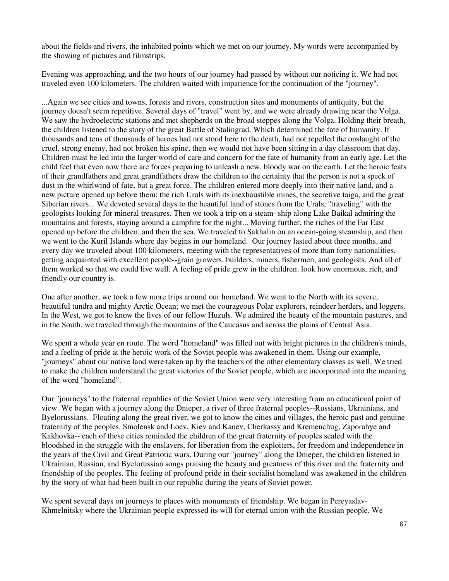about the fields and rivers, the inhabited points which we met on our journey. My words were accompanied by the showing of pictures and filmstrips.

Evening was approaching, and the two hours of our journey had passed by without our noticing it. We had not traveled even 100 kilometers. The children waited with impatience for the continuation of the "journey".

...Again we see cities and towns, forests and rivers, construction sites and monuments of antiquity, but the journey doesn't seem repetitive. Several days of "travel" went by, and we were already drawing near the Volga. We saw the hydroelectric stations and met shepherds on the broad steppes along the Volga. Holding their breath, the children listened to the story of the great Battle of Stalingrad. Which determined the fate of humanity. If thousands and tens of thousands of heroes had not stood here to the death, had not repelled the onslaught of the cruel, strong enemy, had not broken his spine, then we would not have been sitting in a day classroom that day. Children must be led into the larger world of care and concern for the fate of humanity from an early age. Let the child feel that even now there are forces preparing to unleash a new, bloody war on the earth. Let the heroic feats of their grandfathers and great grandfathers draw the children to the certainty that the person is not a speck of dust in the whirlwind of fate, but a great force. The children entered more deeply into their native land, and a new picture opened up before them: the rich Urals with its inexhaustible mines, the secretive taiga, and the great Siberian rivers... We devoted several days to the beautiful land of stones from the Urals, "traveling" with the geologists looking for mineral treasures. Then we took a trip on a steam- ship along Lake Baikal admiring the mountains and forests, staying around a campfire for the night... Moving further, the riches of the Far East opened up before the children, and then the sea. We traveled to Sakhalin on an ocean-going steamship, and then we went to the Kuril Islands where day begins in our homeland. Our journey lasted about three months, and every day we traveled about 100 kilometers, meeting with the representatives of more than forty nationalities, getting acquainted with excellent people--grain growers, builders, miners, fishermen, and geologists. And all of them worked so that we could live well. A feeling of pride grew in the children: look how enormous, rich, and friendly our country is.

One after another, we took a few more trips around our homeland. We went to the North with its severe, beautiful tundra and mighty Arctic Ocean; we met the courageous Polar explorers, reindeer herders, and loggers. In the West, we got to know the lives of our fellow Huzuls. We admired the beauty of the mountain pastures, and in the South, we traveled through the mountains of the Caucasus and across the plains of Central Asia.

We spent a whole year en route. The word "homeland" was filled out with bright pictures in the children's minds, and a feeling of pride at the heroic work of the Soviet people was awakened in them. Using our example, "journeys" about our native land were taken up by the teachers of the other elementary classes as well. We tried to make the children understand the great victories of the Soviet people, which are incorporated into the meaning of the word "homeland".

Our "journeys" to the fraternal republics of the Soviet Union were very interesting from an educational point of view. We began with a journey along the Dnieper, a river of three fraternal peoples--Russians, Ukrainians, and Byelorussians. Floating along the great river, we got to know the cities and villages, the heroic past and genuine fraternity of the peoples. Smolensk and Loev, Kiev and Kanev, Cherkassy and Kremenchug, Zaporahye and Kakhovka-- each of these cities reminded the children of the great fraternity of peoples sealed with the bloodshed in the struggle with the enslavers, for liberation from the exploiters, for freedom and independence in the years of the Civil and Great Patriotic wars. During our "journey" along the Dnieper, the children listened to Ukrainian, Russian, and Byelorussian songs praising the beauty and greatness of this river and the fraternity and friendship of the peoples. The feeling of profound pride in their socialist homeland was awakened in the children by the story of what had been built in our republic during the years of Soviet power.

We spent several days on journeys to places with monuments of friendship. We began in Pereyaslav-Khmelnitsky where the Ukrainian people expressed its will for eternal union with the Russian people. We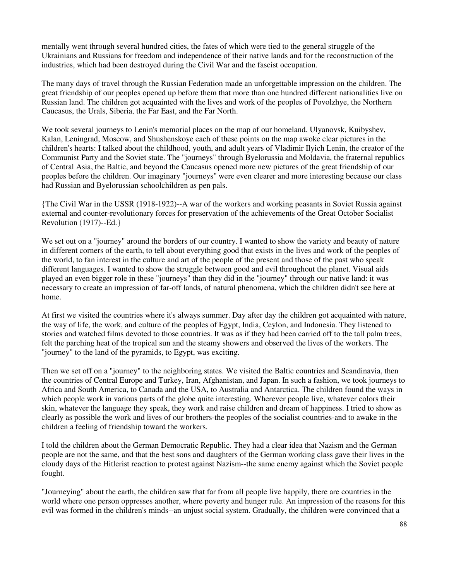mentally went through several hundred cities, the fates of which were tied to the general struggle of the Ukrainians and Russians for freedom and independence of their native lands and for the reconstruction of the industries, which had been destroyed during the Civil War and the fascist occupation.

The many days of travel through the Russian Federation made an unforgettable impression on the children. The great friendship of our peoples opened up before them that more than one hundred different nationalities live on Russian land. The children got acquainted with the lives and work of the peoples of Povolzhye, the Northern Caucasus, the Urals, Siberia, the Far East, and the Far North.

We took several journeys to Lenin's memorial places on the map of our homeland. Ulyanovsk, Kuibyshev, Kalan, Leningrad, Moscow, and Shushenskoye each of these points on the map awoke clear pictures in the children's hearts: I talked about the childhood, youth, and adult years of Vladimir Ilyich Lenin, the creator of the Communist Party and the Soviet state. The "journeys" through Byelorussia and Moldavia, the fraternal republics of Central Asia, the Baltic, and beyond the Caucasus opened more new pictures of the great friendship of our peoples before the children. Our imaginary "journeys" were even clearer and more interesting because our class had Russian and Byelorussian schoolchildren as pen pals.

{The Civil War in the USSR (1918-1922)--A war of the workers and working peasants in Soviet Russia against external and counter-revolutionary forces for preservation of the achievements of the Great October Socialist Revolution (1917)--Ed.}

We set out on a "journey" around the borders of our country. I wanted to show the variety and beauty of nature in different corners of the earth, to tell about everything good that exists in the lives and work of the peoples of the world, to fan interest in the culture and art of the people of the present and those of the past who speak different languages. I wanted to show the struggle between good and evil throughout the planet. Visual aids played an even bigger role in these "journeys" than they did in the "journey" through our native land: it was necessary to create an impression of far-off lands, of natural phenomena, which the children didn't see here at home.

At first we visited the countries where it's always summer. Day after day the children got acquainted with nature, the way of life, the work, and culture of the peoples of Egypt, India, Ceylon, and Indonesia. They listened to stories and watched films devoted to those countries. It was as if they had been carried off to the tall palm trees, felt the parching heat of the tropical sun and the steamy showers and observed the lives of the workers. The "journey" to the land of the pyramids, to Egypt, was exciting.

Then we set off on a "journey" to the neighboring states. We visited the Baltic countries and Scandinavia, then the countries of Central Europe and Turkey, Iran, Afghanistan, and Japan. In such a fashion, we took journeys to Africa and South America, to Canada and the USA, to Australia and Antarctica. The children found the ways in which people work in various parts of the globe quite interesting. Wherever people live, whatever colors their skin, whatever the language they speak, they work and raise children and dream of happiness. I tried to show as clearly as possible the work and lives of our brothers-the peoples of the socialist countries-and to awake in the children a feeling of friendship toward the workers.

I told the children about the German Democratic Republic. They had a clear idea that Nazism and the German people are not the same, and that the best sons and daughters of the German working class gave their lives in the cloudy days of the Hitlerist reaction to protest against Nazism--the same enemy against which the Soviet people fought.

"Journeying" about the earth, the children saw that far from all people live happily, there are countries in the world where one person oppresses another, where poverty and hunger rule. An impression of the reasons for this evil was formed in the children's minds--an unjust social system. Gradually, the children were convinced that a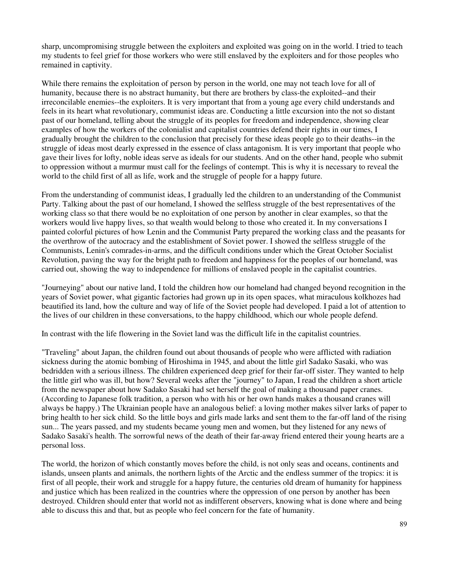sharp, uncompromising struggle between the exploiters and exploited was going on in the world. I tried to teach my students to feel grief for those workers who were still enslaved by the exploiters and for those peoples who remained in captivity.

While there remains the exploitation of person by person in the world, one may not teach love for all of humanity, because there is no abstract humanity, but there are brothers by class-the exploited--and their irreconcilable enemies--the exploiters. It is very important that from a young age every child understands and feels in its heart what revolutionary, communist ideas are. Conducting a little excursion into the not so distant past of our homeland, telling about the struggle of its peoples for freedom and independence, showing clear examples of how the workers of the colonialist and capitalist countries defend their rights in our times, I gradually brought the children to the conclusion that precisely for these ideas people go to their deaths--in the struggle of ideas most dearly expressed in the essence of class antagonism. It is very important that people who gave their lives for lofty, noble ideas serve as ideals for our students. And on the other hand, people who submit to oppression without a murmur must call for the feelings of contempt. This is why it is necessary to reveal the world to the child first of all as life, work and the struggle of people for a happy future.

From the understanding of communist ideas, I gradually led the children to an understanding of the Communist Party. Talking about the past of our homeland, I showed the selfless struggle of the best representatives of the working class so that there would be no exploitation of one person by another in clear examples, so that the workers would live happy lives, so that wealth would belong to those who created it. In my conversations I painted colorful pictures of how Lenin and the Communist Party prepared the working class and the peasants for the overthrow of the autocracy and the establishment of Soviet power. I showed the selfless struggle of the Communists, Lenin's comrades-in-arms, and the difficult conditions under which the Great October Socialist Revolution, paving the way for the bright path to freedom and happiness for the peoples of our homeland, was carried out, showing the way to independence for millions of enslaved people in the capitalist countries.

"Journeying" about our native land, I told the children how our homeland had changed beyond recognition in the years of Soviet power, what gigantic factories had grown up in its open spaces, what miraculous kolkhozes had beautified its land, how the culture and way of life of the Soviet people had developed. I paid a lot of attention to the lives of our children in these conversations, to the happy childhood, which our whole people defend.

In contrast with the life flowering in the Soviet land was the difficult life in the capitalist countries.

"Traveling" about Japan, the children found out about thousands of people who were afflicted with radiation sickness during the atomic bombing of Hiroshima in 1945, and about the little girl Sadako Sasaki, who was bedridden with a serious illness. The children experienced deep grief for their far-off sister. They wanted to help the little girl who was ill, but how? Several weeks after the "journey" to Japan, I read the children a short article from the newspaper about how Sadako Sasaki had set herself the goal of making a thousand paper cranes. (According to Japanese folk tradition, a person who with his or her own hands makes a thousand cranes will always be happy.) The Ukrainian people have an analogous belief: a loving mother makes silver larks of paper to bring health to her sick child. So the little boys and girls made larks and sent them to the far-off land of the rising sun... The years passed, and my students became young men and women, but they listened for any news of Sadako Sasaki's health. The sorrowful news of the death of their far-away friend entered their young hearts are a personal loss.

The world, the horizon of which constantly moves before the child, is not only seas and oceans, continents and islands, unseen plants and animals, the northern lights of the Arctic and the endless summer of the tropics: it is first of all people, their work and struggle for a happy future, the centuries old dream of humanity for happiness and justice which has been realized in the countries where the oppression of one person by another has been destroyed. Children should enter that world not as indifferent observers, knowing what is done where and being able to discuss this and that, but as people who feel concern for the fate of humanity.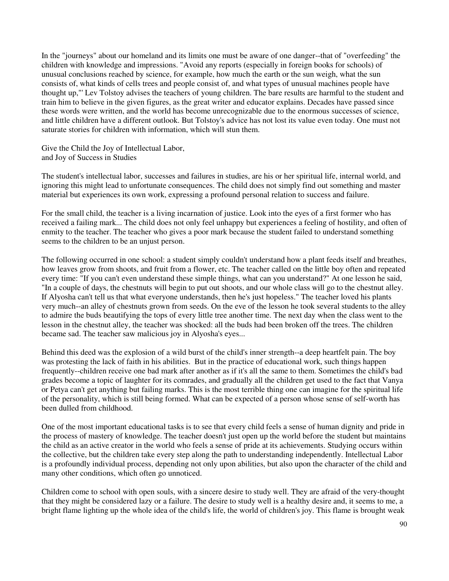In the "journeys" about our homeland and its limits one must be aware of one danger--that of "overfeeding" the children with knowledge and impressions. "Avoid any reports (especially in foreign books for schools) of unusual conclusions reached by science, for example, how much the earth or the sun weigh, what the sun consists of, what kinds of cells trees and people consist of, and what types of unusual machines people have thought up,"' Lev Tolstoy advises the teachers of young children. The bare results are harmful to the student and train him to believe in the given figures, as the great writer and educator explains. Decades have passed since these words were written, and the world has become unrecognizable due to the enormous successes of science, and little children have a different outlook. But Tolstoy's advice has not lost its value even today. One must not saturate stories for children with information, which will stun them.

Give the Child the Joy of Intellectual Labor, and Joy of Success in Studies

The student's intellectual labor, successes and failures in studies, are his or her spiritual life, internal world, and ignoring this might lead to unfortunate consequences. The child does not simply find out something and master material but experiences its own work, expressing a profound personal relation to success and failure.

For the small child, the teacher is a living incarnation of justice. Look into the eyes of a first former who has received a failing mark... The child does not only feel unhappy but experiences a feeling of hostility, and often of enmity to the teacher. The teacher who gives a poor mark because the student failed to understand something seems to the children to be an unjust person.

The following occurred in one school: a student simply couldn't understand how a plant feeds itself and breathes, how leaves grow from shoots, and fruit from a flower, etc. The teacher called on the little boy often and repeated every time: "If you can't even understand these simple things, what can you understand?" At one lesson he said, "In a couple of days, the chestnuts will begin to put out shoots, and our whole class will go to the chestnut alley. If Alyosha can't tell us that what everyone understands, then he's just hopeless." The teacher loved his plants very much--an alley of chestnuts grown from seeds. On the eve of the lesson he took several students to the alley to admire the buds beautifying the tops of every little tree another time. The next day when the class went to the lesson in the chestnut alley, the teacher was shocked: all the buds had been broken off the trees. The children became sad. The teacher saw malicious joy in Alyosha's eyes...

Behind this deed was the explosion of a wild burst of the child's inner strength--a deep heartfelt pain. The boy was protesting the lack of faith in his abilities. But in the practice of educational work, such things happen frequently--children receive one bad mark after another as if it's all the same to them. Sometimes the child's bad grades become a topic of laughter for its comrades, and gradually all the children get used to the fact that Vanya or Petya can't get anything but failing marks. This is the most terrible thing one can imagine for the spiritual life of the personality, which is still being formed. What can be expected of a person whose sense of self-worth has been dulled from childhood.

One of the most important educational tasks is to see that every child feels a sense of human dignity and pride in the process of mastery of knowledge. The teacher doesn't just open up the world before the student but maintains the child as an active creator in the world who feels a sense of pride at its achievements. Studying occurs within the collective, but the children take every step along the path to understanding independently. Intellectual Labor is a profoundly individual process, depending not only upon abilities, but also upon the character of the child and many other conditions, which often go unnoticed.

Children come to school with open souls, with a sincere desire to study well. They are afraid of the very-thought that they might be considered lazy or a failure. The desire to study well is a healthy desire and, it seems to me, a bright flame lighting up the whole idea of the child's life, the world of children's joy. This flame is brought weak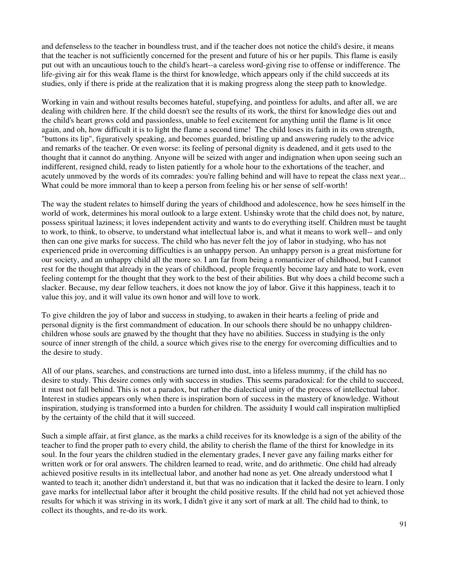and defenseless to the teacher in boundless trust, and if the teacher does not notice the child's desire, it means that the teacher is not sufficiently concerned for the present and future of his or her pupils. This flame is easily put out with an uncautious touch to the child's heart--a careless word-giving rise to offense or indifference. The life-giving air for this weak flame is the thirst for knowledge, which appears only if the child succeeds at its studies, only if there is pride at the realization that it is making progress along the steep path to knowledge.

Working in vain and without results becomes hateful, stupefying, and pointless for adults, and after all, we are dealing with children here. If the child doesn't see the results of its work, the thirst for knowledge dies out and the child's heart grows cold and passionless, unable to feel excitement for anything until the flame is lit once again, and oh, how difficult it is to light the flame a second time! The child loses its faith in its own strength, "buttons its lip", figuratively speaking, and becomes guarded, bristling up and answering rudely to the advice and remarks of the teacher. Or even worse: its feeling of personal dignity is deadened, and it gets used to the thought that it cannot do anything. Anyone will be seized with anger and indignation when upon seeing such an indifferent, resigned child, ready to listen patiently for a whole hour to the exhortations of the teacher, and acutely unmoved by the words of its comrades: you're falling behind and will have to repeat the class next year... What could be more immoral than to keep a person from feeling his or her sense of self-worth!

The way the student relates to himself during the years of childhood and adolescence, how he sees himself in the world of work, determines his moral outlook to a large extent. Ushinsky wrote that the child does not, by nature, possess spiritual laziness; it loves independent activity and wants to do everything itself. Children must be taught to work, to think, to observe, to understand what intellectual labor is, and what it means to work well-- and only then can one give marks for success. The child who has never felt the joy of labor in studying, who has not experienced pride in overcoming difficulties is an unhappy person. An unhappy person is a great misfortune for our society, and an unhappy child all the more so. I am far from being a romanticizer of childhood, but I cannot rest for the thought that already in the years of childhood, people frequently become lazy and hate to work, even feeling contempt for the thought that they work to the best of their abilities. But why does a child become such a slacker. Because, my dear fellow teachers, it does not know the joy of labor. Give it this happiness, teach it to value this joy, and it will value its own honor and will love to work.

To give children the joy of labor and success in studying, to awaken in their hearts a feeling of pride and personal dignity is the first commandment of education. In our schools there should be no unhappy childrenchildren whose souls are gnawed by the thought that they have no abilities. Success in studying is the only source of inner strength of the child, a source which gives rise to the energy for overcoming difficulties and to the desire to study.

All of our plans, searches, and constructions are turned into dust, into a lifeless mummy, if the child has no desire to study. This desire comes only with success in studies. This seems paradoxical: for the child to succeed, it must not fall behind. This is not a paradox, but rather the dialectical unity of the process of intellectual labor. Interest in studies appears only when there is inspiration born of success in the mastery of knowledge. Without inspiration, studying is transformed into a burden for children. The assiduity I would call inspiration multiplied by the certainty of the child that it will succeed.

Such a simple affair, at first glance, as the marks a child receives for its knowledge is a sign of the ability of the teacher to find the proper path to every child, the ability to cherish the flame of the thirst for knowledge in its soul. In the four years the children studied in the elementary grades, I never gave any failing marks either for written work or for oral answers. The children learned to read, write, and do arithmetic. One child had already achieved positive results in its intellectual labor, and another had none as yet. One already understood what I wanted to teach it; another didn't understand it, but that was no indication that it lacked the desire to learn. I only gave marks for intellectual labor after it brought the child positive results. If the child had not yet achieved those results for which it was striving in its work, I didn't give it any sort of mark at all. The child had to think, to collect its thoughts, and re-do its work.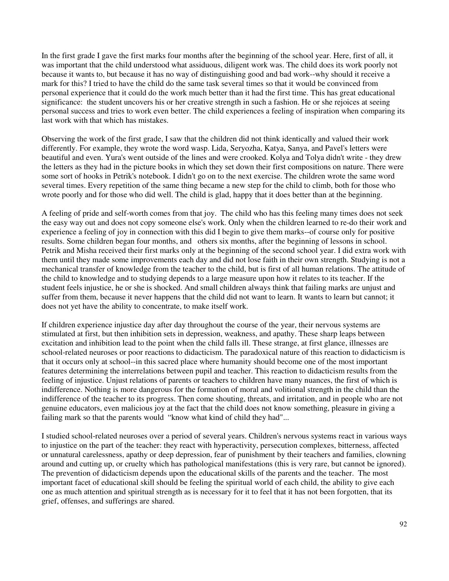In the first grade I gave the first marks four months after the beginning of the school year. Here, first of all, it was important that the child understood what assiduous, diligent work was. The child does its work poorly not because it wants to, but because it has no way of distinguishing good and bad work--why should it receive a mark for this? I tried to have the child do the same task several times so that it would be convinced from personal experience that it could do the work much better than it had the first time. This has great educational significance: the student uncovers his or her creative strength in such a fashion. He or she rejoices at seeing personal success and tries to work even better. The child experiences a feeling of inspiration when comparing its last work with that which has mistakes.

Observing the work of the first grade, I saw that the children did not think identically and valued their work differently. For example, they wrote the word wasp. Lida, Seryozha, Katya, Sanya, and Pavel's letters were beautiful and even. Yura's went outside of the lines and were crooked. Kolya and Tolya didn't write - they drew the letters as they had in the picture books in which they set down their first compositions on nature. There were some sort of hooks in Petrik's notebook. I didn't go on to the next exercise. The children wrote the same word several times. Every repetition of the same thing became a new step for the child to climb, both for those who wrote poorly and for those who did well. The child is glad, happy that it does better than at the beginning.

A feeling of pride and self-worth comes from that joy. The child who has this feeling many times does not seek the easy way out and does not copy someone else's work. Only when the children learned to re-do their work and experience a feeling of joy in connection with this did I begin to give them marks--of course only for positive results. Some children began four months, and others six months, after the beginning of lessons in school. Petrik and Misha received their first marks only at the beginning of the second school year. I did extra work with them until they made some improvements each day and did not lose faith in their own strength. Studying is not a mechanical transfer of knowledge from the teacher to the child, but is first of all human relations. The attitude of the child to knowledge and to studying depends to a large measure upon how it relates to its teacher. If the student feels injustice, he or she is shocked. And small children always think that failing marks are unjust and suffer from them, because it never happens that the child did not want to learn. It wants to learn but cannot; it does not yet have the ability to concentrate, to make itself work.

If children experience injustice day after day throughout the course of the year, their nervous systems are stimulated at first, but then inhibition sets in depression, weakness, and apathy. These sharp leaps between excitation and inhibition lead to the point when the child falls ill. These strange, at first glance, illnesses are school-related neuroses or poor reactions to didacticism. The paradoxical nature of this reaction to didacticism is that it occurs only at school--in this sacred place where humanity should become one of the most important features determining the interrelations between pupil and teacher. This reaction to didacticism results from the feeling of injustice. Unjust relations of parents or teachers to children have many nuances, the first of which is indifference. Nothing is more dangerous for the formation of moral and volitional strength in the child than the indifference of the teacher to its progress. Then come shouting, threats, and irritation, and in people who are not genuine educators, even malicious joy at the fact that the child does not know something, pleasure in giving a failing mark so that the parents would "know what kind of child they had"...

I studied school-related neuroses over a period of several years. Children's nervous systems react in various ways to injustice on the part of the teacher: they react with hyperactivity, persecution complexes, bitterness, affected or unnatural carelessness, apathy or deep depression, fear of punishment by their teachers and families, clowning around and cutting up, or cruelty which has pathological manifestations (this is very rare, but cannot be ignored). The prevention of didacticism depends upon the educational skills of the parents and the teacher. The most important facet of educational skill should be feeling the spiritual world of each child, the ability to give each one as much attention and spiritual strength as is necessary for it to feel that it has not been forgotten, that its grief, offenses, and sufferings are shared.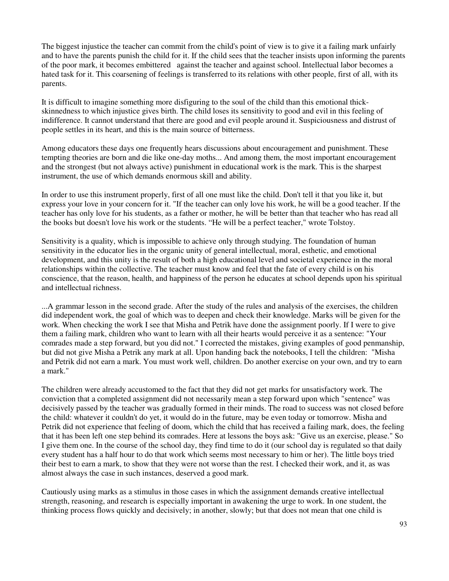The biggest injustice the teacher can commit from the child's point of view is to give it a failing mark unfairly and to have the parents punish the child for it. If the child sees that the teacher insists upon informing the parents of the poor mark, it becomes embittered against the teacher and against school. Intellectual labor becomes a hated task for it. This coarsening of feelings is transferred to its relations with other people, first of all, with its parents.

It is difficult to imagine something more disfiguring to the soul of the child than this emotional thickskinnedness to which injustice gives birth. The child loses its sensitivity to good and evil in this feeling of indifference. It cannot understand that there are good and evil people around it. Suspiciousness and distrust of people settles in its heart, and this is the main source of bitterness.

Among educators these days one frequently hears discussions about encouragement and punishment. These tempting theories are born and die like one-day moths... And among them, the most important encouragement and the strongest (but not always active) punishment in educational work is the mark. This is the sharpest instrument, the use of which demands enormous skill and ability.

In order to use this instrument properly, first of all one must like the child. Don't tell it that you like it, but express your love in your concern for it. "If the teacher can only love his work, he will be a good teacher. If the teacher has only love for his students, as a father or mother, he will be better than that teacher who has read all the books but doesn't love his work or the students. "He will be a perfect teacher," wrote Tolstoy.

Sensitivity is a quality, which is impossible to achieve only through studying. The foundation of human sensitivity in the educator lies in the organic unity of general intellectual, moral, esthetic, and emotional development, and this unity is the result of both a high educational level and societal experience in the moral relationships within the collective. The teacher must know and feel that the fate of every child is on his conscience, that the reason, health, and happiness of the person he educates at school depends upon his spiritual and intellectual richness.

...A grammar lesson in the second grade. After the study of the rules and analysis of the exercises, the children did independent work, the goal of which was to deepen and check their knowledge. Marks will be given for the work. When checking the work I see that Misha and Petrik have done the assignment poorly. If I were to give them a failing mark, children who want to learn with all their hearts would perceive it as a sentence: "Your comrades made a step forward, but you did not." I corrected the mistakes, giving examples of good penmanship, but did not give Misha a Petrik any mark at all. Upon handing back the notebooks, I tell the children: "Misha and Petrik did not earn a mark. You must work well, children. Do another exercise on your own, and try to earn a mark."

The children were already accustomed to the fact that they did not get marks for unsatisfactory work. The conviction that a completed assignment did not necessarily mean a step forward upon which "sentence" was decisively passed by the teacher was gradually formed in their minds. The road to success was not closed before the child: whatever it couldn't do yet, it would do in the future, may be even today or tomorrow. Misha and Petrik did not experience that feeling of doom, which the child that has received a failing mark, does, the feeling that it has been left one step behind its comrades. Here at lessons the boys ask: "Give us an exercise, please." So I give them one. In the course of the school day, they find time to do it (our school day is regulated so that daily every student has a half hour to do that work which seems most necessary to him or her). The little boys tried their best to earn a mark, to show that they were not worse than the rest. I checked their work, and it, as was almost always the case in such instances, deserved a good mark.

Cautiously using marks as a stimulus in those cases in which the assignment demands creative intellectual strength, reasoning, and research is especially important in awakening the urge to work. In one student, the thinking process flows quickly and decisively; in another, slowly; but that does not mean that one child is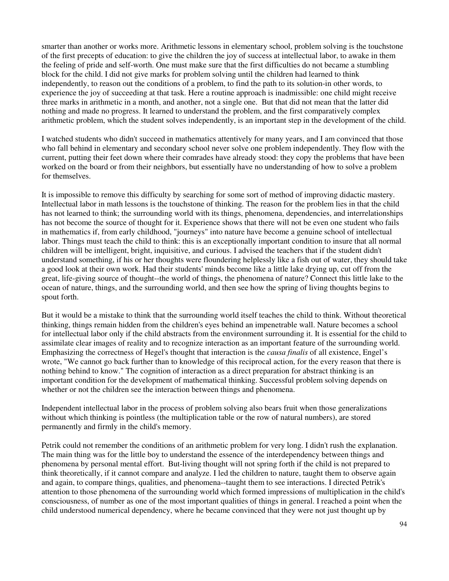smarter than another or works more. Arithmetic lessons in elementary school, problem solving is the touchstone of the first precepts of education: to give the children the joy of success at intellectual labor, to awake in them the feeling of pride and self-worth. One must make sure that the first difficulties do not became a stumbling block for the child. I did not give marks for problem solving until the children had learned to think independently, to reason out the conditions of a problem, to find the path to its solution-in other words, to experience the joy of succeeding at that task. Here a routine approach is inadmissible: one child might receive three marks in arithmetic in a month, and another, not a single one. But that did not mean that the latter did nothing and made no progress. It learned to understand the problem, and the first comparatively complex arithmetic problem, which the student solves independently, is an important step in the development of the child.

I watched students who didn't succeed in mathematics attentively for many years, and I am convinced that those who fall behind in elementary and secondary school never solve one problem independently. They flow with the current, putting their feet down where their comrades have already stood: they copy the problems that have been worked on the board or from their neighbors, but essentially have no understanding of how to solve a problem for themselves.

It is impossible to remove this difficulty by searching for some sort of method of improving didactic mastery. Intellectual labor in math lessons is the touchstone of thinking. The reason for the problem lies in that the child has not learned to think; the surrounding world with its things, phenomena, dependencies, and interrelationships has not become the source of thought for it. Experience shows that there will not be even one student who fails in mathematics if, from early childhood, "journeys" into nature have become a genuine school of intellectual labor. Things must teach the child to think: this is an exceptionally important condition to insure that all normal children will be intelligent, bright, inquisitive, and curious. I advised the teachers that if the student didn't understand something, if his or her thoughts were floundering helplessly like a fish out of water, they should take a good look at their own work. Had their students' minds become like a little lake drying up, cut off from the great, life-giving source of thought--the world of things, the phenomena of nature? Connect this little lake to the ocean of nature, things, and the surrounding world, and then see how the spring of living thoughts begins to spout forth.

But it would be a mistake to think that the surrounding world itself teaches the child to think. Without theoretical thinking, things remain hidden from the children's eyes behind an impenetrable wall. Nature becomes a school for intellectual labor only if the child abstracts from the environment surrounding it. It is essential for the child to assimilate clear images of reality and to recognize interaction as an important feature of the surrounding world. Emphasizing the correctness of Hegel's thought that interaction is the *causa finalis* of all existence, Engel's wrote, "We cannot go back further than to knowledge of this reciprocal action, for the every reason that there is nothing behind to know." The cognition of interaction as a direct preparation for abstract thinking is an important condition for the development of mathematical thinking. Successful problem solving depends on whether or not the children see the interaction between things and phenomena.

Independent intellectual labor in the process of problem solving also bears fruit when those generalizations without which thinking is pointless (the multiplication table or the row of natural numbers), are stored permanently and firmly in the child's memory.

Petrik could not remember the conditions of an arithmetic problem for very long. I didn't rush the explanation. The main thing was for the little boy to understand the essence of the interdependency between things and phenomena by personal mental effort. But-living thought will not spring forth if the child is not prepared to think theoretically, if it cannot compare and analyze. I led the children to nature, taught them to observe again and again, to compare things, qualities, and phenomena--taught them to see interactions. I directed Petrik's attention to those phenomena of the surrounding world which formed impressions of multiplication in the child's consciousness, of number as one of the most important qualities of things in general. I reached a point when the child understood numerical dependency, where he became convinced that they were not just thought up by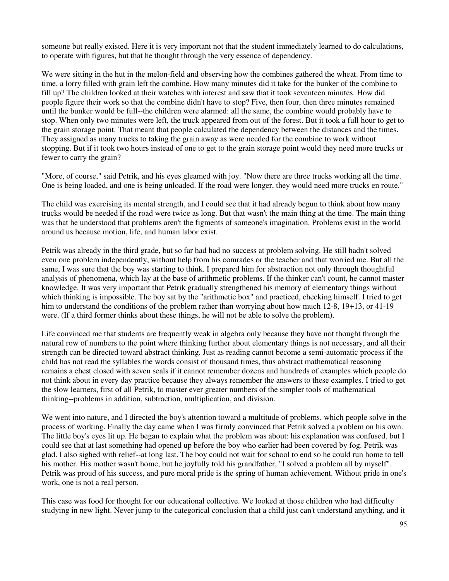someone but really existed. Here it is very important not that the student immediately learned to do calculations, to operate with figures, but that he thought through the very essence of dependency.

We were sitting in the hut in the melon-field and observing how the combines gathered the wheat. From time to time, a lorry filled with grain left the combine. How many minutes did it take for the bunker of the combine to fill up? The children looked at their watches with interest and saw that it took seventeen minutes. How did people figure their work so that the combine didn't have to stop? Five, then four, then three minutes remained until the bunker would be full--the children were alarmed: all the same, the combine would probably have to stop. When only two minutes were left, the truck appeared from out of the forest. But it took a full hour to get to the grain storage point. That meant that people calculated the dependency between the distances and the times. They assigned as many trucks to taking the grain away as were needed for the combine to work without stopping. But if it took two hours instead of one to get to the grain storage point would they need more trucks or fewer to carry the grain?

"More, of course," said Petrik, and his eyes gleamed with joy. "Now there are three trucks working all the time. One is being loaded, and one is being unloaded. If the road were longer, they would need more trucks en route."

The child was exercising its mental strength, and I could see that it had already begun to think about how many trucks would be needed if the road were twice as long. But that wasn't the main thing at the time. The main thing was that he understood that problems aren't the figments of someone's imagination. Problems exist in the world around us because motion, life, and human labor exist.

Petrik was already in the third grade, but so far had had no success at problem solving. He still hadn't solved even one problem independently, without help from his comrades or the teacher and that worried me. But all the same, I was sure that the boy was starting to think. I prepared him for abstraction not only through thoughtful analysis of phenomena, which lay at the base of arithmetic problems. If the thinker can't count, he cannot master knowledge. It was very important that Petrik gradually strengthened his memory of elementary things without which thinking is impossible. The boy sat by the "arithmetic box" and practiced, checking himself. I tried to get him to understand the conditions of the problem rather than worrying about how much 12-8, 19+13, or 41-19 were. (If a third former thinks about these things, he will not be able to solve the problem).

Life convinced me that students are frequently weak in algebra only because they have not thought through the natural row of numbers to the point where thinking further about elementary things is not necessary, and all their strength can be directed toward abstract thinking. Just as reading cannot become a semi-automatic process if the child has not read the syllables the words consist of thousand times, thus abstract mathematical reasoning remains a chest closed with seven seals if it cannot remember dozens and hundreds of examples which people do not think about in every day practice because they always remember the answers to these examples. I tried to get the slow learners, first of all Petrik, to master ever greater numbers of the simpler tools of mathematical thinking--problems in addition, subtraction, multiplication, and division.

We went into nature, and I directed the boy's attention toward a multitude of problems, which people solve in the process of working. Finally the day came when I was firmly convinced that Petrik solved a problem on his own. The little boy's eyes lit up. He began to explain what the problem was about: his explanation was confused, but I could see that at last something had opened up before the boy who earlier had been covered by fog. Petrik was glad. I also sighed with relief--at long last. The boy could not wait for school to end so he could run home to tell his mother. His mother wasn't home, but he joyfully told his grandfather, "I solved a problem all by myself". Petrik was proud of his success, and pure moral pride is the spring of human achievement. Without pride in one's work, one is not a real person.

This case was food for thought for our educational collective. We looked at those children who had difficulty studying in new light. Never jump to the categorical conclusion that a child just can't understand anything, and it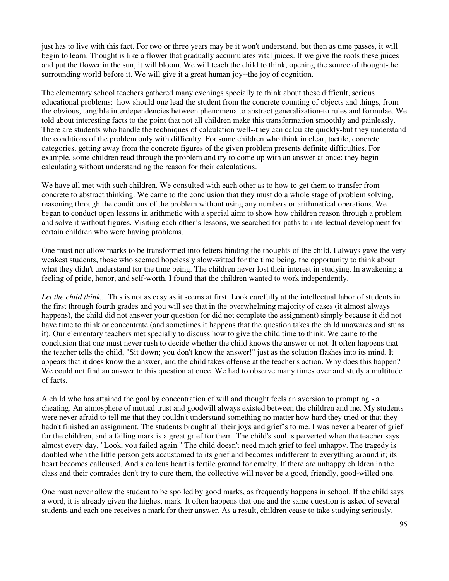just has to live with this fact. For two or three years may be it won't understand, but then as time passes, it will begin to learn. Thought is like a flower that gradually accumulates vital juices. If we give the roots these juices and put the flower in the sun, it will bloom. We will teach the child to think, opening the source of thought-the surrounding world before it. We will give it a great human joy--the joy of cognition.

The elementary school teachers gathered many evenings specially to think about these difficult, serious educational problems: how should one lead the student from the concrete counting of objects and things, from the obvious, tangible interdependencies between phenomena to abstract generalization-to rules and formulae. We told about interesting facts to the point that not all children make this transformation smoothly and painlessly. There are students who handle the techniques of calculation well--they can calculate quickly-but they understand the conditions of the problem only with difficulty. For some children who think in clear, tactile, concrete categories, getting away from the concrete figures of the given problem presents definite difficulties. For example, some children read through the problem and try to come up with an answer at once: they begin calculating without understanding the reason for their calculations.

We have all met with such children. We consulted with each other as to how to get them to transfer from concrete to abstract thinking. We came to the conclusion that they must do a whole stage of problem solving, reasoning through the conditions of the problem without using any numbers or arithmetical operations. We began to conduct open lessons in arithmetic with a special aim: to show how children reason through a problem and solve it without figures. Visiting each other's lessons, we searched for paths to intellectual development for certain children who were having problems.

One must not allow marks to be transformed into fetters binding the thoughts of the child. I always gave the very weakest students, those who seemed hopelessly slow-witted for the time being, the opportunity to think about what they didn't understand for the time being. The children never lost their interest in studying. In awakening a feeling of pride, honor, and self-worth, I found that the children wanted to work independently.

Let the child think... This is not as easy as it seems at first. Look carefully at the intellectual labor of students in the first through fourth grades and you will see that in the overwhelming majority of cases (it almost always happens), the child did not answer your question (or did not complete the assignment) simply because it did not have time to think or concentrate (and sometimes it happens that the question takes the child unawares and stuns it). Our elementary teachers met specially to discuss how to give the child time to think. We came to the conclusion that one must never rush to decide whether the child knows the answer or not. It often happens that the teacher tells the child, "Sit down; you don't know the answer!" just as the solution flashes into its mind. It appears that it does know the answer, and the child takes offense at the teacher's action. Why does this happen? We could not find an answer to this question at once. We had to observe many times over and study a multitude of facts.

A child who has attained the goal by concentration of will and thought feels an aversion to prompting - a cheating. An atmosphere of mutual trust and goodwill always existed between the children and me. My students were never afraid to tell me that they couldn't understand something no matter how hard they tried or that they hadn't finished an assignment. The students brought all their joys and grief's to me. I was never a bearer of grief for the children, and a failing mark is a great grief for them. The child's soul is perverted when the teacher says almost every day, "Look, you failed again." The child doesn't need much grief to feel unhappy. The tragedy is doubled when the little person gets accustomed to its grief and becomes indifferent to everything around it; its heart becomes calloused. And a callous heart is fertile ground for cruelty. If there are unhappy children in the class and their comrades don't try to cure them, the collective will never be a good, friendly, good-willed one.

One must never allow the student to be spoiled by good marks, as frequently happens in school. If the child says a word, it is already given the highest mark. It often happens that one and the same question is asked of several students and each one receives a mark for their answer. As a result, children cease to take studying seriously.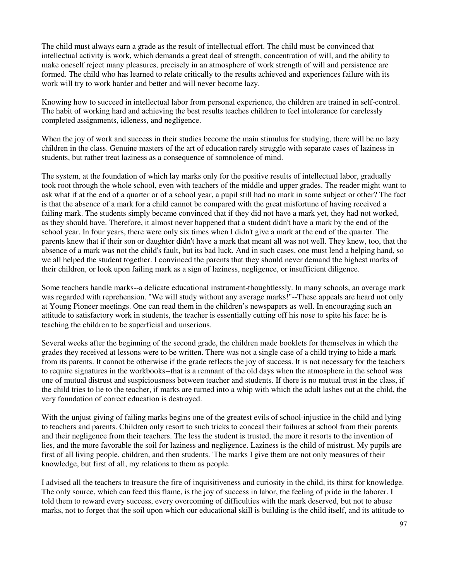The child must always earn a grade as the result of intellectual effort. The child must be convinced that intellectual activity is work, which demands a great deal of strength, concentration of will, and the ability to make oneself reject many pleasures, precisely in an atmosphere of work strength of will and persistence are formed. The child who has learned to relate critically to the results achieved and experiences failure with its work will try to work harder and better and will never become lazy.

Knowing how to succeed in intellectual labor from personal experience, the children are trained in self-control. The habit of working hard and achieving the best results teaches children to feel intolerance for carelessly completed assignments, idleness, and negligence.

When the joy of work and success in their studies become the main stimulus for studying, there will be no lazy children in the class. Genuine masters of the art of education rarely struggle with separate cases of laziness in students, but rather treat laziness as a consequence of somnolence of mind.

The system, at the foundation of which lay marks only for the positive results of intellectual labor, gradually took root through the whole school, even with teachers of the middle and upper grades. The reader might want to ask what if at the end of a quarter or of a school year, a pupil still had no mark in some subject or other? The fact is that the absence of a mark for a child cannot be compared with the great misfortune of having received a failing mark. The students simply became convinced that if they did not have a mark yet, they had not worked, as they should have. Therefore, it almost never happened that a student didn't have a mark by the end of the school year. In four years, there were only six times when I didn't give a mark at the end of the quarter. The parents knew that if their son or daughter didn't have a mark that meant all was not well. They knew, too, that the absence of a mark was not the child's fault, but its bad luck. And in such cases, one must lend a helping hand, so we all helped the student together. I convinced the parents that they should never demand the highest marks of their children, or look upon failing mark as a sign of laziness, negligence, or insufficient diligence.

Some teachers handle marks--a delicate educational instrument-thoughtlessly. In many schools, an average mark was regarded with reprehension. "We will study without any average marks!"--These appeals are heard not only at Young Pioneer meetings. One can read them in the children's newspapers as well. In encouraging such an attitude to satisfactory work in students, the teacher is essentially cutting off his nose to spite his face: he is teaching the children to be superficial and unserious.

Several weeks after the beginning of the second grade, the children made booklets for themselves in which the grades they received at lessons were to be written. There was not a single case of a child trying to hide a mark from its parents. It cannot be otherwise if the grade reflects the joy of success. It is not necessary for the teachers to require signatures in the workbooks--that is a remnant of the old days when the atmosphere in the school was one of mutual distrust and suspiciousness between teacher and students. If there is no mutual trust in the class, if the child tries to lie to the teacher, if marks are turned into a whip with which the adult lashes out at the child, the very foundation of correct education is destroyed.

With the unjust giving of failing marks begins one of the greatest evils of school-injustice in the child and lying to teachers and parents. Children only resort to such tricks to conceal their failures at school from their parents and their negligence from their teachers. The less the student is trusted, the more it resorts to the invention of lies, and the more favorable the soil for laziness and negligence. Laziness is the child of mistrust. My pupils are first of all living people, children, and then students. 'The marks I give them are not only measures of their knowledge, but first of all, my relations to them as people.

I advised all the teachers to treasure the fire of inquisitiveness and curiosity in the child, its thirst for knowledge. The only source, which can feed this flame, is the joy of success in labor, the feeling of pride in the laborer. I told them to reward every success, every overcoming of difficulties with the mark deserved, but not to abuse marks, not to forget that the soil upon which our educational skill is building is the child itself, and its attitude to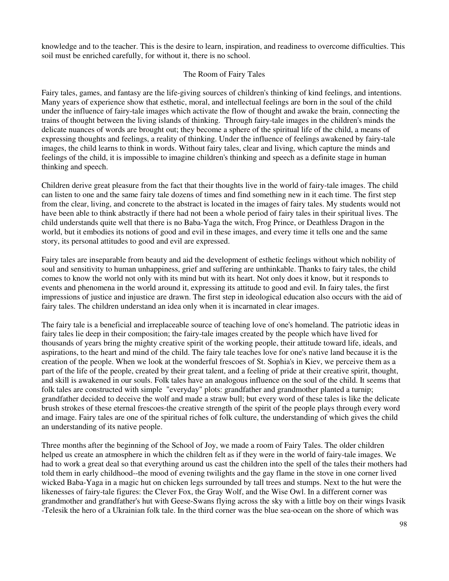knowledge and to the teacher. This is the desire to learn, inspiration, and readiness to overcome difficulties. This soil must be enriched carefully, for without it, there is no school.

### The Room of Fairy Tales

Fairy tales, games, and fantasy are the life-giving sources of children's thinking of kind feelings, and intentions. Many years of experience show that esthetic, moral, and intellectual feelings are born in the soul of the child under the influence of fairy-tale images which activate the flow of thought and awake the brain, connecting the trains of thought between the living islands of thinking. Through fairy-tale images in the children's minds the delicate nuances of words are brought out; they become a sphere of the spiritual life of the child, a means of expressing thoughts and feelings, a reality of thinking. Under the influence of feelings awakened by fairy-tale images, the child learns to think in words. Without fairy tales, clear and living, which capture the minds and feelings of the child, it is impossible to imagine children's thinking and speech as a definite stage in human thinking and speech.

Children derive great pleasure from the fact that their thoughts live in the world of fairy-tale images. The child can listen to one and the same fairy tale dozens of times and find something new in it each time. The first step from the clear, living, and concrete to the abstract is located in the images of fairy tales. My students would not have been able to think abstractly if there had not been a whole period of fairy tales in their spiritual lives. The child understands quite well that there is no Baba-Yaga the witch, Frog Prince, or Deathless Dragon in the world, but it embodies its notions of good and evil in these images, and every time it tells one and the same story, its personal attitudes to good and evil are expressed.

Fairy tales are inseparable from beauty and aid the development of esthetic feelings without which nobility of soul and sensitivity to human unhappiness, grief and suffering are unthinkable. Thanks to fairy tales, the child comes to know the world not only with its mind but with its heart. Not only does it know, but it responds to events and phenomena in the world around it, expressing its attitude to good and evil. In fairy tales, the first impressions of justice and injustice are drawn. The first step in ideological education also occurs with the aid of fairy tales. The children understand an idea only when it is incarnated in clear images.

The fairy tale is a beneficial and irreplaceable source of teaching love of one's homeland. The patriotic ideas in fairy tales lie deep in their composition; the fairy-tale images created by the people which have lived for thousands of years bring the mighty creative spirit of the working people, their attitude toward life, ideals, and aspirations, to the heart and mind of the child. The fairy tale teaches love for one's native land because it is the creation of the people. When we look at the wonderful frescoes of St. Sophia's in Kiev, we perceive them as a part of the life of the people, created by their great talent, and a feeling of pride at their creative spirit, thought, and skill is awakened in our souls. Folk tales have an analogous influence on the soul of the child. It seems that folk tales are constructed with simple "everyday" plots: grandfather and grandmother planted a turnip; grandfather decided to deceive the wolf and made a straw bull; but every word of these tales is like the delicate brush strokes of these eternal frescoes-the creative strength of the spirit of the people plays through every word and image. Fairy tales are one of the spiritual riches of folk culture, the understanding of which gives the child an understanding of its native people.

Three months after the beginning of the School of Joy, we made a room of Fairy Tales. The older children helped us create an atmosphere in which the children felt as if they were in the world of fairy-tale images. We had to work a great deal so that everything around us cast the children into the spell of the tales their mothers had told them in early childhood--the mood of evening twilights and the gay flame in the stove in one corner lived wicked Baba-Yaga in a magic hut on chicken legs surrounded by tall trees and stumps. Next to the hut were the likenesses of fairy-tale figures: the Clever Fox, the Gray Wolf, and the Wise Owl. In a different corner was grandmother and grandfather's hut with Geese-Swans flying across the sky with a little boy on their wings Ivasik -Telesik the hero of a Ukrainian folk tale. In the third corner was the blue sea-ocean on the shore of which was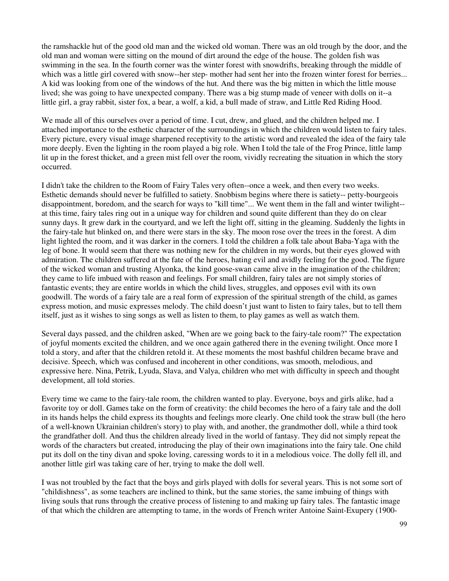the ramshackle hut of the good old man and the wicked old woman. There was an old trough by the door, and the old man and woman were sitting on the mound of dirt around the edge of the house. The golden fish was swimming in the sea. In the fourth corner was the winter forest with snowdrifts, breaking through the middle of which was a little girl covered with snow--her step- mother had sent her into the frozen winter forest for berries... A kid was looking from one of the windows of the hut. And there was the big mitten in which the little mouse lived; she was going to have unexpected company. There was a big stump made of veneer with dolls on it--a little girl, a gray rabbit, sister fox, a bear, a wolf, a kid, a bull made of straw, and Little Red Riding Hood.

We made all of this ourselves over a period of time. I cut, drew, and glued, and the children helped me. I attached importance to the esthetic character of the surroundings in which the children would listen to fairy tales. Every picture, every visual image sharpened receptivity to the artistic word and revealed the idea of the fairy tale more deeply. Even the lighting in the room played a big role. When I told the tale of the Frog Prince, little lamp lit up in the forest thicket, and a green mist fell over the room, vividly recreating the situation in which the story occurred.

I didn't take the children to the Room of Fairy Tales very often--once a week, and then every two weeks. Esthetic demands should never be fulfilled to satiety. Snobbism begins where there is satiety-- petty-bourgeois disappointment, boredom, and the search for ways to "kill time"... We went them in the fall and winter twilight- at this time, fairy tales ring out in a unique way for children and sound quite different than they do on clear sunny days. It grew dark in the courtyard, and we left the light off, sitting in the gleaming. Suddenly the lights in the fairy-tale hut blinked on, and there were stars in the sky. The moon rose over the trees in the forest. A dim light lighted the room, and it was darker in the corners. I told the children a folk tale about Baba-Yaga with the leg of bone. It would seem that there was nothing new for the children in my words, but their eyes glowed with admiration. The children suffered at the fate of the heroes, hating evil and avidly feeling for the good. The figure of the wicked woman and trusting Alyonka, the kind goose-swan came alive in the imagination of the children; they came to life imbued with reason and feelings. For small children, fairy tales are not simply stories of fantastic events; they are entire worlds in which the child lives, struggles, and opposes evil with its own goodwill. The words of a fairy tale are a real form of expression of the spiritual strength of the child, as games express motion, and music expresses melody. The child doesn't just want to listen to fairy tales, but to tell them itself, just as it wishes to sing songs as well as listen to them, to play games as well as watch them.

Several days passed, and the children asked, "When are we going back to the fairy-tale room?" The expectation of joyful moments excited the children, and we once again gathered there in the evening twilight. Once more I told a story, and after that the children retold it. At these moments the most bashful children became brave and decisive. Speech, which was confused and incoherent in other conditions, was smooth, melodious, and expressive here. Nina, Petrik, Lyuda, Slava, and Valya, children who met with difficulty in speech and thought development, all told stories.

Every time we came to the fairy-tale room, the children wanted to play. Everyone, boys and girls alike, had a favorite toy or doll. Games take on the form of creativity: the child becomes the hero of a fairy tale and the doll in its hands helps the child express its thoughts and feelings more clearly. One child took the straw bull (the hero of a well-known Ukrainian children's story) to play with, and another, the grandmother doll, while a third took the grandfather doll. And thus the children already lived in the world of fantasy. They did not simply repeat the words of the characters but created, introducing the play of their own imaginations into the fairy tale. One child put its doll on the tiny divan and spoke loving, caressing words to it in a melodious voice. The dolly fell ill, and another little girl was taking care of her, trying to make the doll well.

I was not troubled by the fact that the boys and girls played with dolls for several years. This is not some sort of "childishness", as some teachers are inclined to think, but the same stories, the same imbuing of things with living souls that runs through the creative process of listening to and making up fairy tales. The fantastic image of that which the children are attempting to tame, in the words of French writer Antoine Saint-Exupery (1900-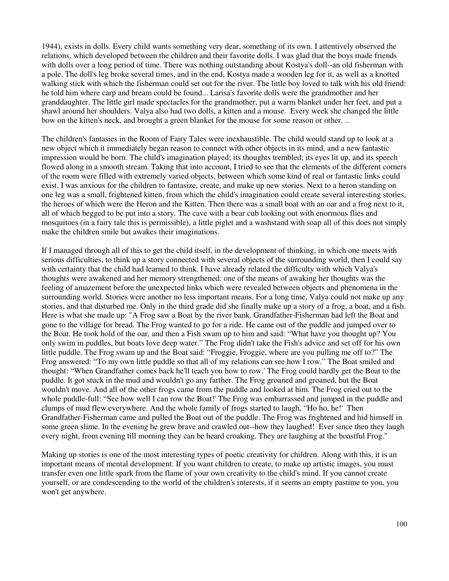1944), exists in dolls. Every child wants something very dear, something of its own. I attentively observed the relations, which developed between the children and their favorite dolls. I was glad that the boys made friends with dolls over a long period of time. There was nothing outstanding about Kostya's doll--an old fisherman with a pole. The doll's leg broke several times, and in the end, Kostya made a wooden leg for it, as well as a knotted walking stick with which the fisherman could set out for the river. The little boy loved to talk with his old friend: he told him where carp and bream could be found... Larisa's favorite dolls were the grandmother and her granddaughter. The little girl made spectacles for the grandmother, put a warm blanket under her feet, and put a shawl around her shoulders. Valya also had two dolls, a kitten and a mouse. Every week she changed the little bow on the kitten's neck, and brought a green blanket for the mouse for some reason or other. ..

The children's fantasies in the Room of Fairy Tales were inexhaustible. The child would stand up to look at a new object which it immediately began reason to connect with other objects in its mind, and a new fantastic impression would be born. The child's imagination played; its thoughts trembled; its eyes lit up, and its speech flowed along in a smooth stream. Taking that into account, I tried to see that the elements of the different corners of the room were filled with extremely varied objects, between which some kind of real or fantastic links could exist. I was anxious for the children to fantasize, create, and make up new stories. Next to a heron standing on one leg was a small, frightened kitten, from which the child's imagination could create several interesting stories, the heroes of which were the Heron and the Kitten. Then there was a small boat with an oar and a frog next to it, all of which begged to be put into a story. The cave with a bear cub looking out with enormous flies and mosquitoes (in a fairy tale this is permissible), a little piglet and a washstand with soap all of this does not simply make the children smile but awakes their imaginations.

If I managed through all of this to get the child itself, in the development of thinking, in which one meets with serious difficulties, to think up a story connected with several objects of the surrounding world, then I could say with certainty that the child had learned to think. I have already related the difficulty with which Valya's thoughts were awakened and her memory strengthened: one of the means of awaking her thoughts was the feeling of amazement before the unexpected links which were revealed between objects and phenomena in the surrounding world. Stories were another no less important means. For a long time, Valya could not make up any stories, and that disturbed me. Only in the third grade did she finally make up a story of a frog, a boat, and a fish. Here is what she made up: "A Frog saw a Boat by the river bank. Grandfather-Fisherman had left the Boat and gone to the village for bread. The Frog wanted to go for a ride. He came out of the puddle and jumped over to the Boat. He took hold of the oar, and then a Fish swam up to him and said: "What have you thought up? You only swim in puddles, but boats love deep water." The Frog didn't take the Fish's advice and set off for his own little puddle. The Frog swam up and the Boat said: "Froggie, Froggie, where are you pulling me off to?" The Frog answered: "To my own little puddle so that all of my relations can see how I row." The Boat smiled and thought: "When Grandfather comes back he'll teach you how to row.' The Frog could hardly get the Boat to the puddle. It got stuck in the mud and wouldn't go any farther. The Frog groaned and groaned, but the Boat wouldn't move. And all of the other frogs came from the puddle and looked at him. The Frog cried out to the whole puddle-full: "See how well I can row the Boat!' The Frog was embarrassed and jumped in the puddle and clumps of mud flew everywhere. And the whole family of frogs started to laugh, "Ho ho, he!' Then Grandfather-Fisherman came and pulled the Boat out of the puddle. The Frog was frightened and hid himself in some green slime. In the evening he grew brave and crawled out--how they laughed! Ever since then they laugh every night, from evening till morning they can be heard croaking. They are laughing at the boastful Frog."

Making up stories is one of the most interesting types of poetic creativity for children. Along with this, it is an important means of mental development. If you want children to create, to make up artistic images, you must transfer even one little spark from the flame of your own creativity to the child's mind. If you cannot create yourself, or are condescending to the world of the children's interests, if it seems an empty pastime to you, you won't get anywhere.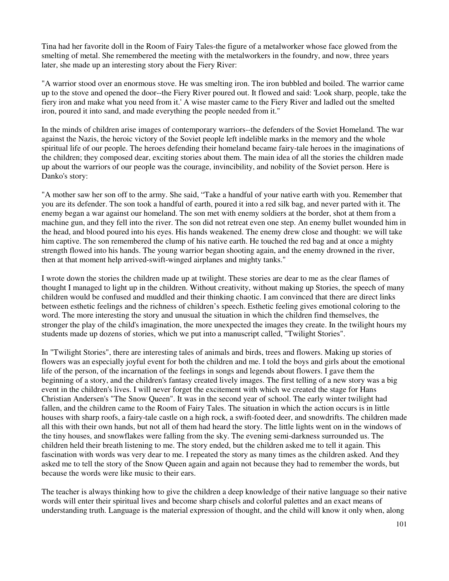Tina had her favorite doll in the Room of Fairy Tales-the figure of a metalworker whose face glowed from the smelting of metal. She remembered the meeting with the metalworkers in the foundry, and now, three years later, she made up an interesting story about the Fiery River:

"A warrior stood over an enormous stove. He was smelting iron. The iron bubbled and boiled. The warrior came up to the stove and opened the door--the Fiery River poured out. It flowed and said: 'Look sharp, people, take the fiery iron and make what you need from it.' A wise master came to the Fiery River and ladled out the smelted iron, poured it into sand, and made everything the people needed from it."

In the minds of children arise images of contemporary warriors--the defenders of the Soviet Homeland. The war against the Nazis, the heroic victory of the Soviet people left indelible marks in the memory and the whole spiritual life of our people. The heroes defending their homeland became fairy-tale heroes in the imaginations of the children; they composed dear, exciting stories about them. The main idea of all the stories the children made up about the warriors of our people was the courage, invincibility, and nobility of the Soviet person. Here is Danko's story:

"A mother saw her son off to the army. She said, "Take a handful of your native earth with you. Remember that you are its defender. The son took a handful of earth, poured it into a red silk bag, and never parted with it. The enemy began a war against our homeland. The son met with enemy soldiers at the border, shot at them from a machine gun, and they fell into the river. The son did not retreat even one step. An enemy bullet wounded him in the head, and blood poured into his eyes. His hands weakened. The enemy drew close and thought: we will take him captive. The son remembered the clump of his native earth. He touched the red bag and at once a mighty strength flowed into his hands. The young warrior began shooting again, and the enemy drowned in the river, then at that moment help arrived-swift-winged airplanes and mighty tanks."

I wrote down the stories the children made up at twilight. These stories are dear to me as the clear flames of thought I managed to light up in the children. Without creativity, without making up Stories, the speech of many children would be confused and muddled and their thinking chaotic. I am convinced that there are direct links between esthetic feelings and the richness of children's speech. Esthetic feeling gives emotional coloring to the word. The more interesting the story and unusual the situation in which the children find themselves, the stronger the play of the child's imagination, the more unexpected the images they create. In the twilight hours my students made up dozens of stories, which we put into a manuscript called, "Twilight Stories".

In "Twilight Stories", there are interesting tales of animals and birds, trees and flowers. Making up stories of flowers was an especially joyful event for both the children and me. I told the boys and girls about the emotional life of the person, of the incarnation of the feelings in songs and legends about flowers. I gave them the beginning of a story, and the children's fantasy created lively images. The first telling of a new story was a big event in the children's lives. I will never forget the excitement with which we created the stage for Hans Christian Andersen's "The Snow Queen". It was in the second year of school. The early winter twilight had fallen, and the children came to the Room of Fairy Tales. The situation in which the action occurs is in little houses with sharp roofs, a fairy-tale castle on a high rock, a swift-footed deer, and snowdrifts. The children made all this with their own hands, but not all of them had heard the story. The little lights went on in the windows of the tiny houses, and snowflakes were falling from the sky. The evening semi-darkness surrounded us. The children held their breath listening to me. The story ended, but the children asked me to tell it again. This fascination with words was very dear to me. I repeated the story as many times as the children asked. And they asked me to tell the story of the Snow Queen again and again not because they had to remember the words, but because the words were like music to their ears.

The teacher is always thinking how to give the children a deep knowledge of their native language so their native words will enter their spiritual lives and become sharp chisels and colorful palettes and an exact means of understanding truth. Language is the material expression of thought, and the child will know it only when, along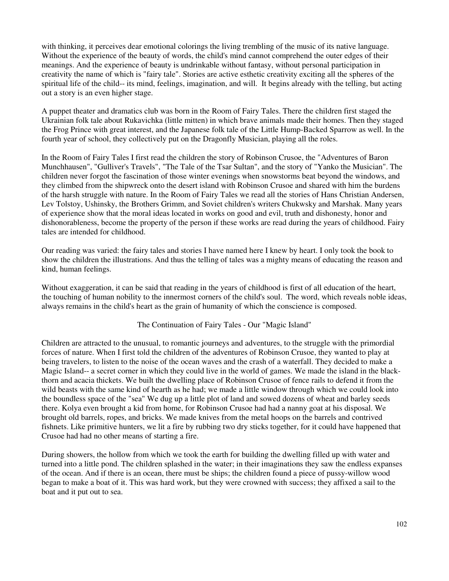with thinking, it perceives dear emotional colorings the living trembling of the music of its native language. Without the experience of the beauty of words, the child's mind cannot comprehend the outer edges of their meanings. And the experience of beauty is undrinkable without fantasy, without personal participation in creativity the name of which is "fairy tale". Stories are active esthetic creativity exciting all the spheres of the spiritual life of the child-- its mind, feelings, imagination, and will. It begins already with the telling, but acting out a story is an even higher stage.

A puppet theater and dramatics club was born in the Room of Fairy Tales. There the children first staged the Ukrainian folk tale about Rukavichka (little mitten) in which brave animals made their homes. Then they staged the Frog Prince with great interest, and the Japanese folk tale of the Little Hump-Backed Sparrow as well. In the fourth year of school, they collectively put on the Dragonfly Musician, playing all the roles.

In the Room of Fairy Tales I first read the children the story of Robinson Crusoe, the "Adventures of Baron Munchhausen", "Gulliver's Travels", "The Tale of the Tsar Sultan", and the story of "Yanko the Musician". The children never forgot the fascination of those winter evenings when snowstorms beat beyond the windows, and they climbed from the shipwreck onto the desert island with Robinson Crusoe and shared with him the burdens of the harsh struggle with nature. In the Room of Fairy Tales we read all the stories of Hans Christian Andersen, Lev Tolstoy, Ushinsky, the Brothers Grimm, and Soviet children's writers Chukwsky and Marshak. Many years of experience show that the moral ideas located in works on good and evil, truth and dishonesty, honor and dishonorableness, become the property of the person if these works are read during the years of childhood. Fairy tales are intended for childhood.

Our reading was varied: the fairy tales and stories I have named here I knew by heart. I only took the book to show the children the illustrations. And thus the telling of tales was a mighty means of educating the reason and kind, human feelings.

Without exaggeration, it can be said that reading in the years of childhood is first of all education of the heart, the touching of human nobility to the innermost corners of the child's soul. The word, which reveals noble ideas, always remains in the child's heart as the grain of humanity of which the conscience is composed.

# The Continuation of Fairy Tales - Our "Magic Island"

Children are attracted to the unusual, to romantic journeys and adventures, to the struggle with the primordial forces of nature. When I first told the children of the adventures of Robinson Crusoe, they wanted to play at being travelers, to listen to the noise of the ocean waves and the crash of a waterfall. They decided to make a Magic Island-- a secret corner in which they could live in the world of games. We made the island in the blackthorn and acacia thickets. We built the dwelling place of Robinson Crusoe of fence rails to defend it from the wild beasts with the same kind of hearth as he had; we made a little window through which we could look into the boundless space of the "sea" We dug up a little plot of land and sowed dozens of wheat and barley seeds there. Kolya even brought a kid from home, for Robinson Crusoe had had a nanny goat at his disposal. We brought old barrels, ropes, and bricks. We made knives from the metal hoops on the barrels and contrived fishnets. Like primitive hunters, we lit a fire by rubbing two dry sticks together, for it could have happened that Crusoe had had no other means of starting a fire.

During showers, the hollow from which we took the earth for building the dwelling filled up with water and turned into a little pond. The children splashed in the water; in their imaginations they saw the endless expanses of the ocean. And if there is an ocean, there must be ships; the children found a piece of pussy-willow wood began to make a boat of it. This was hard work, but they were crowned with success; they affixed a sail to the boat and it put out to sea.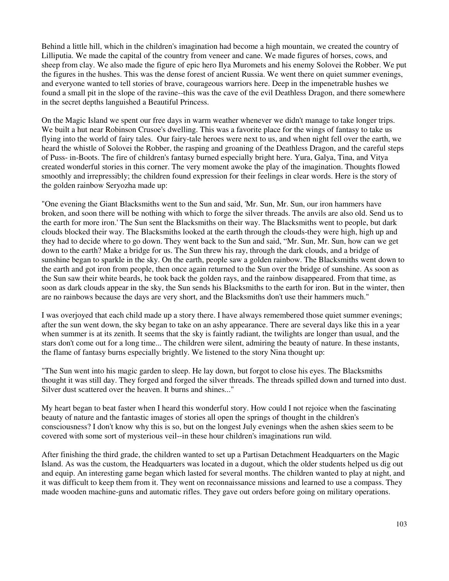Behind a little hill, which in the children's imagination had become a high mountain, we created the country of Lilliputia. We made the capital of the country from veneer and cane. We made figures of horses, cows, and sheep from clay. We also made the figure of epic hero Ilya Muromets and his enemy Solovei the Robber. We put the figures in the hushes. This was the dense forest of ancient Russia. We went there on quiet summer evenings, and everyone wanted to tell stories of brave, courageous warriors here. Deep in the impenetrable hushes we found a small pit in the slope of the ravine--this was the cave of the evil Deathless Dragon, and there somewhere in the secret depths languished a Beautiful Princess.

On the Magic Island we spent our free days in warm weather whenever we didn't manage to take longer trips. We built a hut near Robinson Crusoe's dwelling. This was a favorite place for the wings of fantasy to take us flying into the world of fairy tales. Our fairy-tale heroes were next to us, and when night fell over the earth, we heard the whistle of Solovei the Robber, the rasping and groaning of the Deathless Dragon, and the careful steps of Puss- in-Boots. The fire of children's fantasy burned especially bright here. Yura, Galya, Tina, and Vitya created wonderful stories in this corner. The very moment awoke the play of the imagination. Thoughts flowed smoothly and irrepressibly; the children found expression for their feelings in clear words. Here is the story of the golden rainbow Seryozha made up:

"One evening the Giant Blacksmiths went to the Sun and said, 'Mr. Sun, Mr. Sun, our iron hammers have broken, and soon there will be nothing with which to forge the silver threads. The anvils are also old. Send us to the earth for more iron.' The Sun sent the Blacksmiths on their way. The Blacksmiths went to people, but dark clouds blocked their way. The Blacksmiths looked at the earth through the clouds-they were high, high up and they had to decide where to go down. They went back to the Sun and said, "Mr. Sun, Mr. Sun, how can we get down to the earth? Make a bridge for us. The Sun threw his ray, through the dark clouds, and a bridge of sunshine began to sparkle in the sky. On the earth, people saw a golden rainbow. The Blacksmiths went down to the earth and got iron from people, then once again returned to the Sun over the bridge of sunshine. As soon as the Sun saw their white beards, he took back the golden rays, and the rainbow disappeared. From that time, as soon as dark clouds appear in the sky, the Sun sends his Blacksmiths to the earth for iron. But in the winter, then are no rainbows because the days are very short, and the Blacksmiths don't use their hammers much."

I was overjoyed that each child made up a story there. I have always remembered those quiet summer evenings; after the sun went down, the sky began to take on an ashy appearance. There are several days like this in a year when summer is at its zenith. It seems that the sky is faintly radiant, the twilights are longer than usual, and the stars don't come out for a long time... The children were silent, admiring the beauty of nature. In these instants, the flame of fantasy burns especially brightly. We listened to the story Nina thought up:

"The Sun went into his magic garden to sleep. He lay down, but forgot to close his eyes. The Blacksmiths thought it was still day. They forged and forged the silver threads. The threads spilled down and turned into dust. Silver dust scattered over the heaven. It burns and shines..."

My heart began to beat faster when I heard this wonderful story. How could I not rejoice when the fascinating beauty of nature and the fantastic images of stories all open the springs of thought in the children's consciousness? I don't know why this is so, but on the longest July evenings when the ashen skies seem to be covered with some sort of mysterious veil--in these hour children's imaginations run wild.

After finishing the third grade, the children wanted to set up a Partisan Detachment Headquarters on the Magic Island. As was the custom, the Headquarters was located in a dugout, which the older students helped us dig out and equip. An interesting game began which lasted for several months. The children wanted to play at night, and it was difficult to keep them from it. They went on reconnaissance missions and learned to use a compass. They made wooden machine-guns and automatic rifles. They gave out orders before going on military operations.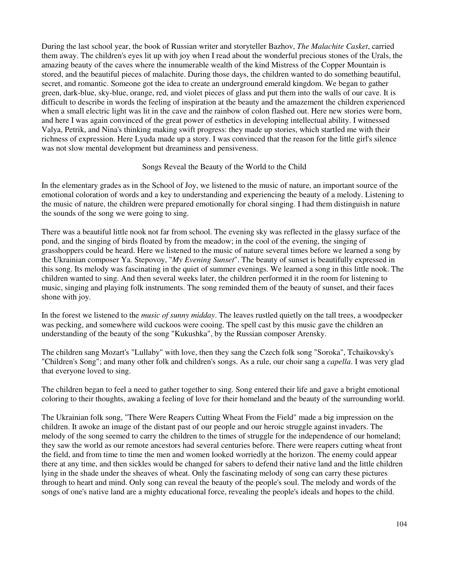During the last school year, the book of Russian writer and storyteller Bazhov, *The Malachite Casket*, carried them away. The children's eyes lit up with joy when I read about the wonderful precious stones of the Urals, the amazing beauty of the caves where the innumerable wealth of the kind Mistress of the Copper Mountain is stored, and the beautiful pieces of malachite. During those days, the children wanted to do something beautiful, secret, and romantic. Someone got the idea to create an underground emerald kingdom. We began to gather green, dark-blue, sky-blue, orange, red, and violet pieces of glass and put them into the walls of our cave. It is difficult to describe in words the feeling of inspiration at the beauty and the amazement the children experienced when a small electric light was lit in the cave and the rainbow of colon flashed out. Here new stories were born, and here I was again convinced of the great power of esthetics in developing intellectual ability. I witnessed Valya, Petrik, and Nina's thinking making swift progress: they made up stories, which startled me with their richness of expression. Here Lyuda made up a story. I was convinced that the reason for the little girl's silence was not slow mental development but dreaminess and pensiveness.

### Songs Reveal the Beauty of the World to the Child

In the elementary grades as in the School of Joy, we listened to the music of nature, an important source of the emotional coloration of words and a key to understanding and experiencing the beauty of a melody. Listening to the music of nature, the children were prepared emotionally for choral singing. I had them distinguish in nature the sounds of the song we were going to sing.

There was a beautiful little nook not far from school. The evening sky was reflected in the glassy surface of the pond, and the singing of birds floated by from the meadow; in the cool of the evening, the singing of grasshoppers could be heard. Here we listened to the music of nature several times before we learned a song by the Ukrainian composer Ya. Stepovoy, "*My Evening Sunset*". The beauty of sunset is beautifully expressed in this song. Its melody was fascinating in the quiet of summer evenings. We learned a song in this little nook. The children wanted to sing. And then several weeks later, the children performed it in the room for listening to music, singing and playing folk instruments. The song reminded them of the beauty of sunset, and their faces shone with joy.

In the forest we listened to the *music of sunny midday*. The leaves rustled quietly on the tall trees, a woodpecker was pecking, and somewhere wild cuckoos were cooing. The spell cast by this music gave the children an understanding of the beauty of the song "Kukushka", by the Russian composer Arensky.

The children sang Mozart's "Lullaby" with love, then they sang the Czech folk song "Soroka", Tchaikovsky's "Children's Song"; and many other folk and children's songs. As a rule, our choir sang a *capella*. I was very glad that everyone loved to sing.

The children began to feel a need to gather together to sing. Song entered their life and gave a bright emotional coloring to their thoughts, awaking a feeling of love for their homeland and the beauty of the surrounding world.

The Ukrainian folk song, "There Were Reapers Cutting Wheat From the Field" made a big impression on the children. It awoke an image of the distant past of our people and our heroic struggle against invaders. The melody of the song seemed to carry the children to the times of struggle for the independence of our homeland; they saw the world as our remote ancestors had several centuries before. There were reapers cutting wheat front the field, and from time to time the men and women looked worriedly at the horizon. The enemy could appear there at any time, and then sickles would be changed for sabers to defend their native land and the little children lying in the shade under the sheaves of wheat. Only the fascinating melody of song can carry these pictures through to heart and mind. Only song can reveal the beauty of the people's soul. The melody and words of the songs of one's native land are a mighty educational force, revealing the people's ideals and hopes to the child.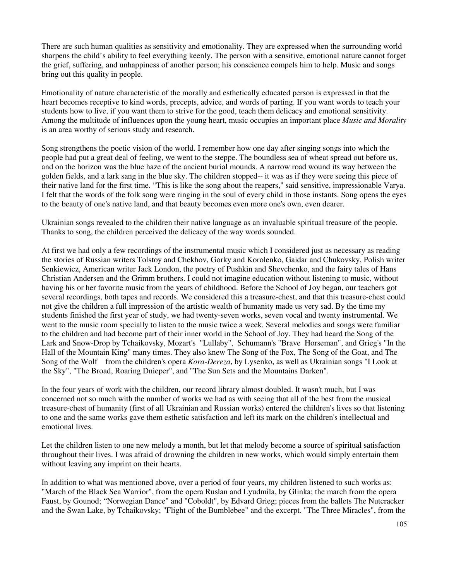There are such human qualities as sensitivity and emotionality. They are expressed when the surrounding world sharpens the child's ability to feel everything keenly. The person with a sensitive, emotional nature cannot forget the grief, suffering, and unhappiness of another person; his conscience compels him to help. Music and songs bring out this quality in people.

Emotionality of nature characteristic of the morally and esthetically educated person is expressed in that the heart becomes receptive to kind words, precepts, advice, and words of parting. If you want words to teach your students how to live, if you want them to strive for the good, teach them delicacy and emotional sensitivity. Among the multitude of influences upon the young heart, music occupies an important place *Music and Morality* is an area worthy of serious study and research.

Song strengthens the poetic vision of the world. I remember how one day after singing songs into which the people had put a great deal of feeling, we went to the steppe. The boundless sea of wheat spread out before us, and on the horizon was the blue haze of the ancient burial mounds. A narrow road wound its way between the golden fields, and a lark sang in the blue sky. The children stopped-- it was as if they were seeing this piece of their native land for the first time. "This is like the song about the reapers," said sensitive, impressionable Varya. I felt that the words of the folk song were ringing in the soul of every child in those instants. Song opens the eyes to the beauty of one's native land, and that beauty becomes even more one's own, even dearer.

Ukrainian songs revealed to the children their native language as an invaluable spiritual treasure of the people. Thanks to song, the children perceived the delicacy of the way words sounded.

At first we had only a few recordings of the instrumental music which I considered just as necessary as reading the stories of Russian writers Tolstoy and Chekhov, Gorky and Korolenko, Gaidar and Chukovsky, Polish writer Senkiewicz, American writer Jack London, the poetry of Pushkin and Shevchenko, and the fairy tales of Hans Christian Andersen and the Grimm brothers. I could not imagine education without listening to music, without having his or her favorite music from the years of childhood. Before the School of Joy began, our teachers got several recordings, both tapes and records. We considered this a treasure-chest, and that this treasure-chest could not give the children a full impression of the artistic wealth of humanity made us very sad. By the time my students finished the first year of study, we had twenty-seven works, seven vocal and twenty instrumental. We went to the music room specially to listen to the music twice a week. Several melodies and songs were familiar to the children and had become part of their inner world in the School of Joy. They had heard the Song of the Lark and Snow-Drop by Tchaikovsky, Mozart's "Lullaby", Schumann's "Brave Horseman", and Grieg's "In the Hall of the Mountain King" many times. They also knew The Song of the Fox, The Song of the Goat, and The Song of the Wolf from the children's opera *Kora-Dereza*, by Lysenko, as well as Ukrainian songs "I Look at the Sky", "The Broad, Roaring Dnieper", and "The Sun Sets and the Mountains Darken".

In the four years of work with the children, our record library almost doubled. It wasn't much, but I was concerned not so much with the number of works we had as with seeing that all of the best from the musical treasure-chest of humanity (first of all Ukrainian and Russian works) entered the children's lives so that listening to one and the same works gave them esthetic satisfaction and left its mark on the children's intellectual and emotional lives.

Let the children listen to one new melody a month, but let that melody become a source of spiritual satisfaction throughout their lives. I was afraid of drowning the children in new works, which would simply entertain them without leaving any imprint on their hearts.

In addition to what was mentioned above, over a period of four years, my children listened to such works as: "March of the Black Sea Warrior", from the opera Ruslan and Lyudmila, by Glinka; the march from the opera Faust, by Gounod; "Norwegian Dance" and "Coboldt", by Edvard Grieg; pieces from the ballets The Nutcracker and the Swan Lake, by Tchaikovsky; "Flight of the Bumblebee" and the excerpt. "The Three Miracles", from the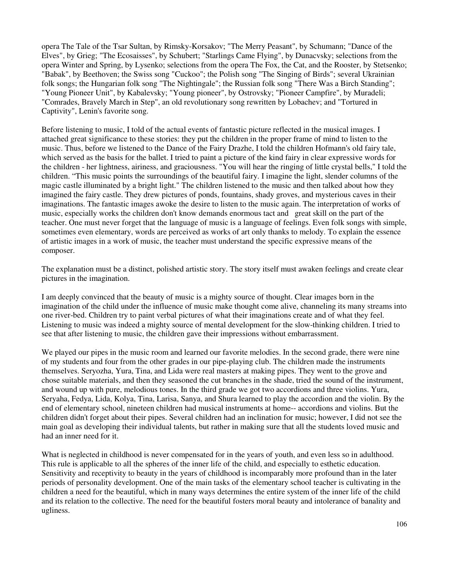opera The Tale of the Tsar Sultan, by Rimsky-Korsakov; "The Merry Peasant", by Schumann; "Dance of the Elves", by Grieg; "The Ecosaisses", by Schubert; "Starlings Came Flying", by Dunacvsky; selections from the opera Winter and Spring, by Lysenko; selections from the opera The Fox, the Cat, and the Rooster, by Stetsenko; "Babak", by Beethoven; the Swiss song "Cuckoo"; the Polish song "The Singing of Birds"; several Ukrainian folk songs; the Hungarian folk song "The Nightingale"; the Russian folk song "There Was a Birch Standing"; "Young Pioneer Unit", by Kabalevsky; "Young pioneer", by Ostrovsky; "Pioneer Campfire", by Muradeli; "Comrades, Bravely March in Step", an old revolutionary song rewritten by Lobachev; and "Tortured in Captivity", Lenin's favorite song.

Before listening to music, I told of the actual events of fantastic picture reflected in the musical images. I attached great significance to these stories: they put the children in the proper frame of mind to listen to the music. Thus, before we listened to the Dance of the Fairy Drazhe, I told the children Hofmann's old fairy tale, which served as the basis for the ballet. I tried to paint a picture of the kind fairy in clear expressive words for the children - her lightness, airiness, and graciousness. "You will hear the ringing of little crystal bells," I told the children. "This music points the surroundings of the beautiful fairy. I imagine the light, slender columns of the magic castle illuminated by a bright light." The children listened to the music and then talked about how they imagined the fairy castle. They drew pictures of ponds, fountains, shady groves, and mysterious caves in their imaginations. The fantastic images awoke the desire to listen to the music again. The interpretation of works of music, especially works the children don't know demands enormous tact and great skill on the part of the teacher. One must never forget that the language of music is a language of feelings. Even folk songs with simple, sometimes even elementary, words are perceived as works of art only thanks to melody. To explain the essence of artistic images in a work of music, the teacher must understand the specific expressive means of the composer.

The explanation must be a distinct, polished artistic story. The story itself must awaken feelings and create clear pictures in the imagination.

I am deeply convinced that the beauty of music is a mighty source of thought. Clear images born in the imagination of the child under the influence of music make thought come alive, channeling its many streams into one river-bed. Children try to paint verbal pictures of what their imaginations create and of what they feel. Listening to music was indeed a mighty source of mental development for the slow-thinking children. I tried to see that after listening to music, the children gave their impressions without embarrassment.

We played our pipes in the music room and learned our favorite melodies. In the second grade, there were nine of my students and four from the other grades in our pipe-playing club. The children made the instruments themselves. Seryozha, Yura, Tina, and Lida were real masters at making pipes. They went to the grove and chose suitable materials, and then they seasoned the cut branches in the shade, tried the sound of the instrument, and wound up with pure, melodious tones. In the third grade we got two accordions and three violins. Yura, Seryaha, Fedya, Lida, Kolya, Tina, Larisa, Sanya, and Shura learned to play the accordion and the violin. By the end of elementary school, nineteen children had musical instruments at home-- accordions and violins. But the children didn't forget about their pipes. Several children had an inclination for music; however, I did not see the main goal as developing their individual talents, but rather in making sure that all the students loved music and had an inner need for it.

What is neglected in childhood is never compensated for in the years of youth, and even less so in adulthood. This rule is applicable to all the spheres of the inner life of the child, and especially to esthetic education. Sensitivity and receptivity to beauty in the years of childhood is incomparably more profound than in the later periods of personality development. One of the main tasks of the elementary school teacher is cultivating in the children a need for the beautiful, which in many ways determines the entire system of the inner life of the child and its relation to the collective. The need for the beautiful fosters moral beauty and intolerance of banality and ugliness.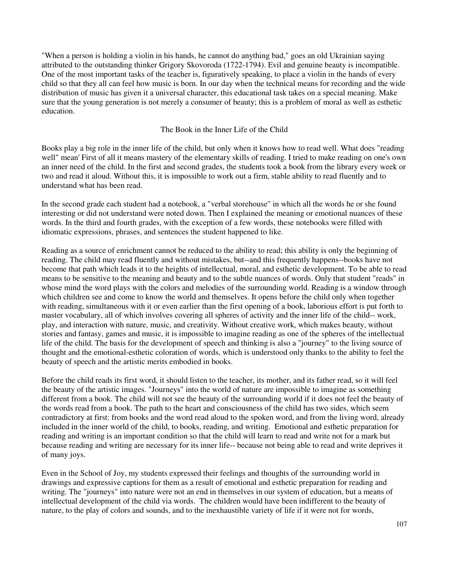"When a person is holding a violin in his hands, he cannot do anything bad," goes an old Ukrainian saying attributed to the outstanding thinker Grigory Skovoroda (1722-1794). Evil and genuine beauty is incompatible. One of the most important tasks of the teacher is, figuratively speaking, to place a violin in the hands of every child so that they all can feel how music is born. In our day when the technical means for recording and the wide distribution of music has given it a universal character, this educational task takes on a special meaning. Make sure that the young generation is not merely a consumer of beauty; this is a problem of moral as well as esthetic education.

#### The Book in the Inner Life of the Child

Books play a big role in the inner life of the child, but only when it knows how to read well. What does "reading well" mean' First of all it means mastery of the elementary skills of reading. I tried to make reading on one's own an inner need of the child. In the first and second grades, the students took a book from the library every week or two and read it aloud. Without this, it is impossible to work out a firm, stable ability to read fluently and to understand what has been read.

In the second grade each student had a notebook, a "verbal storehouse" in which all the words he or she found interesting or did not understand were noted down. Then I explained the meaning or emotional nuances of these words. In the third and fourth grades, with the exception of a few words, these notebooks were filled with idiomatic expressions, phrases, and sentences the student happened to like.

Reading as a source of enrichment cannot be reduced to the ability to read; this ability is only the beginning of reading. The child may read fluently and without mistakes, but--and this frequently happens--books have not become that path which leads it to the heights of intellectual, moral, and esthetic development. To be able to read means to be sensitive to the meaning and beauty and to the subtle nuances of words. Only that student "reads" in whose mind the word plays with the colors and melodies of the surrounding world. Reading is a window through which children see and come to know the world and themselves. It opens before the child only when together with reading, simultaneous with it or even earlier than the first opening of a book, laborious effort is put forth to master vocabulary, all of which involves covering all spheres of activity and the inner life of the child-- work, play, and interaction with nature, music, and creativity. Without creative work, which makes beauty, without stories and fantasy, games and music, it is impossible to imagine reading as one of the spheres of the intellectual life of the child. The basis for the development of speech and thinking is also a "journey" to the living source of thought and the emotional-esthetic coloration of words, which is understood only thanks to the ability to feel the beauty of speech and the artistic merits embodied in books.

Before the child reads its first word, it should listen to the teacher, its mother, and its father read, so it will feel the beauty of the artistic images. "Journeys" into the world of nature are impossible to imagine as something different from a book. The child will not see the beauty of the surrounding world if it does not feel the beauty of the words read from a book. The path to the heart and consciousness of the child has two sides, which seem contradictory at first: from books and the word read aloud to the spoken word, and from the living word, already included in the inner world of the child, to books, reading, and writing. Emotional and esthetic preparation for reading and writing is an important condition so that the child will learn to read and write not for a mark but because reading and writing are necessary for its inner life-- because not being able to read and write deprives it of many joys.

Even in the School of Joy, my students expressed their feelings and thoughts of the surrounding world in drawings and expressive captions for them as a result of emotional and esthetic preparation for reading and writing. The "journeys" into nature were not an end in themselves in our system of education, but a means of intellectual development of the child via words. The children would have been indifferent to the beauty of nature, to the play of colors and sounds, and to the inexhaustible variety of life if it were not for words,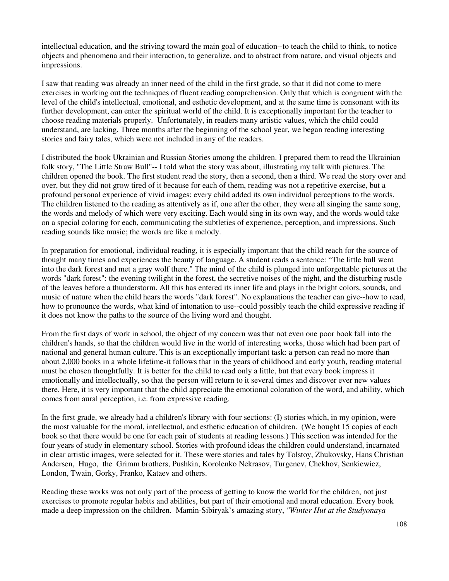intellectual education, and the striving toward the main goal of education--to teach the child to think, to notice objects and phenomena and their interaction, to generalize, and to abstract from nature, and visual objects and impressions.

I saw that reading was already an inner need of the child in the first grade, so that it did not come to mere exercises in working out the techniques of fluent reading comprehension. Only that which is congruent with the level of the child's intellectual, emotional, and esthetic development, and at the same time is consonant with its further development, can enter the spiritual world of the child. It is exceptionally important for the teacher to choose reading materials properly. Unfortunately, in readers many artistic values, which the child could understand, are lacking. Three months after the beginning of the school year, we began reading interesting stories and fairy tales, which were not included in any of the readers.

I distributed the book Ukrainian and Russian Stories among the children. I prepared them to read the Ukrainian folk story, "The Little Straw Bull"-- I told what the story was about, illustrating my talk with pictures. The children opened the book. The first student read the story, then a second, then a third. We read the story over and over, but they did not grow tired of it because for each of them, reading was not a repetitive exercise, but a profound personal experience of vivid images; every child added its own individual perceptions to the words. The children listened to the reading as attentively as if, one after the other, they were all singing the same song, the words and melody of which were very exciting. Each would sing in its own way, and the words would take on a special coloring for each, communicating the subtleties of experience, perception, and impressions. Such reading sounds like music; the words are like a melody.

In preparation for emotional, individual reading, it is especially important that the child reach for the source of thought many times and experiences the beauty of language. A student reads a sentence: "The little bull went into the dark forest and met a gray wolf there." The mind of the child is plunged into unforgettable pictures at the words "dark forest": the evening twilight in the forest, the secretive noises of the night, and the disturbing rustle of the leaves before a thunderstorm. All this has entered its inner life and plays in the bright colors, sounds, and music of nature when the child hears the words "dark forest". No explanations the teacher can give--how to read, how to pronounce the words, what kind of intonation to use--could possibly teach the child expressive reading if it does not know the paths to the source of the living word and thought.

From the first days of work in school, the object of my concern was that not even one poor book fall into the children's hands, so that the children would live in the world of interesting works, those which had been part of national and general human culture. This is an exceptionally important task: a person can read no more than about 2,000 books in a whole lifetime-it follows that in the years of childhood and early youth, reading material must be chosen thoughtfully. It is better for the child to read only a little, but that every book impress it emotionally and intellectually, so that the person will return to it several times and discover ever new values there. Here, it is very important that the child appreciate the emotional coloration of the word, and ability, which comes from aural perception, i.e. from expressive reading.

In the first grade, we already had a children's library with four sections: (I) stories which, in my opinion, were the most valuable for the moral, intellectual, and esthetic education of children. (We bought 15 copies of each book so that there would be one for each pair of students at reading lessons.) This section was intended for the four years of study in elementary school. Stories with profound ideas the children could understand, incarnated in clear artistic images, were selected for it. These were stories and tales by Tolstoy, Zhukovsky, Hans Christian Andersen, Hugo, the Grimm brothers, Pushkin, Korolenko Nekrasov, Turgenev, Chekhov, Senkiewicz, London, Twain, Gorky, Franko, Kataev and others.

Reading these works was not only part of the process of getting to know the world for the children, not just exercises to promote regular habits and abilities, but part of their emotional and moral education. Every book made a deep impression on the children. Mamin-Sibiryak's amazing story, *"Winter Hut at the Studyonaya*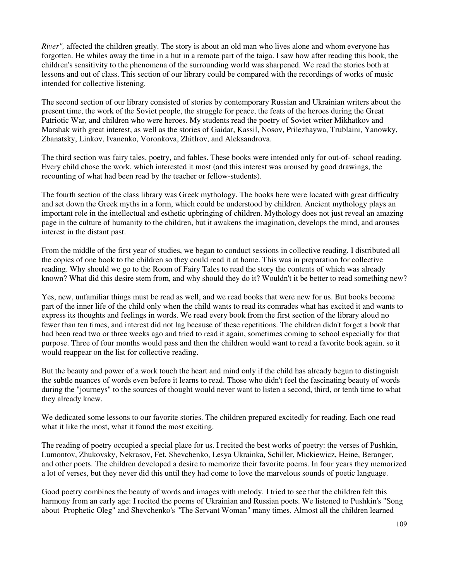*River",* affected the children greatly. The story is about an old man who lives alone and whom everyone has forgotten. He whiles away the time in a hut in a remote part of the taiga. I saw how after reading this book, the children's sensitivity to the phenomena of the surrounding world was sharpened. We read the stories both at lessons and out of class. This section of our library could be compared with the recordings of works of music intended for collective listening.

The second section of our library consisted of stories by contemporary Russian and Ukrainian writers about the present time, the work of the Soviet people, the struggle for peace, the feats of the heroes during the Great Patriotic War, and children who were heroes. My students read the poetry of Soviet writer Mikhatkov and Marshak with great interest, as well as the stories of Gaidar, Kassil, Nosov, Prilezhaywa, Trublaini, Yanowky, Zbanatsky, Linkov, Ivanenko, Voronkova, Zhitlrov, and Aleksandrova.

The third section was fairy tales, poetry, and fables. These books were intended only for out-of- school reading. Every child chose the work, which interested it most (and this interest was aroused by good drawings, the recounting of what had been read by the teacher or fellow-students).

The fourth section of the class library was Greek mythology. The books here were located with great difficulty and set down the Greek myths in a form, which could be understood by children. Ancient mythology plays an important role in the intellectual and esthetic upbringing of children. Mythology does not just reveal an amazing page in the culture of humanity to the children, but it awakens the imagination, develops the mind, and arouses interest in the distant past.

From the middle of the first year of studies, we began to conduct sessions in collective reading. I distributed all the copies of one book to the children so they could read it at home. This was in preparation for collective reading. Why should we go to the Room of Fairy Tales to read the story the contents of which was already known? What did this desire stem from, and why should they do it? Wouldn't it be better to read something new?

Yes, new, unfamiliar things must be read as well, and we read books that were new for us. But books become part of the inner life of the child only when the child wants to read its comrades what has excited it and wants to express its thoughts and feelings in words. We read every book from the first section of the library aloud no fewer than ten times, and interest did not lag because of these repetitions. The children didn't forget a book that had been read two or three weeks ago and tried to read it again, sometimes coming to school especially for that purpose. Three of four months would pass and then the children would want to read a favorite book again, so it would reappear on the list for collective reading.

But the beauty and power of a work touch the heart and mind only if the child has already begun to distinguish the subtle nuances of words even before it learns to read. Those who didn't feel the fascinating beauty of words during the "journeys" to the sources of thought would never want to listen a second, third, or tenth time to what they already knew.

We dedicated some lessons to our favorite stories. The children prepared excitedly for reading. Each one read what it like the most, what it found the most exciting.

The reading of poetry occupied a special place for us. I recited the best works of poetry: the verses of Pushkin, Lumontov, Zhukovsky, Nekrasov, Fet, Shevchenko, Lesya Ukrainka, Schiller, Mickiewicz, Heine, Beranger, and other poets. The children developed a desire to memorize their favorite poems. In four years they memorized a lot of verses, but they never did this until they had come to love the marvelous sounds of poetic language.

Good poetry combines the beauty of words and images with melody. I tried to see that the children felt this harmony from an early age: I recited the poems of Ukrainian and Russian poets. We listened to Pushkin's "Song about Prophetic Oleg" and Shevchenko's "The Servant Woman" many times. Almost all the children learned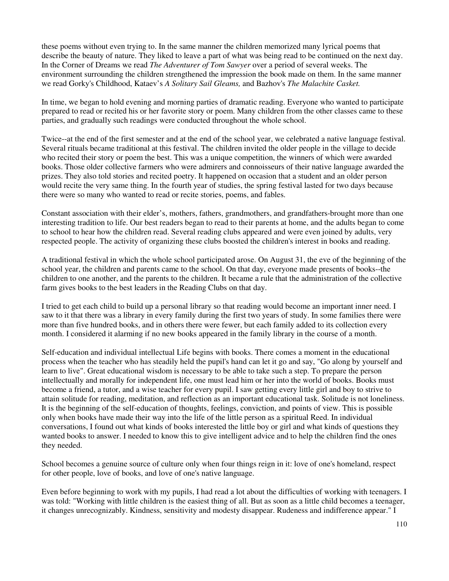these poems without even trying to. In the same manner the children memorized many lyrical poems that describe the beauty of nature. They liked to leave a part of what was being read to be continued on the next day. In the Corner of Dreams we read *The Adventurer of Tom Sawyer* over a period of several weeks. The environment surrounding the children strengthened the impression the book made on them. In the same manner we read Gorky's Childhood, Kataev's *A Solitary Sail Gleams,* and Bazhov's *The Malachite Casket.* 

In time, we began to hold evening and morning parties of dramatic reading. Everyone who wanted to participate prepared to read or recited his or her favorite story or poem. Many children from the other classes came to these parties, and gradually such readings were conducted throughout the whole school.

Twice--at the end of the first semester and at the end of the school year, we celebrated a native language festival. Several rituals became traditional at this festival. The children invited the older people in the village to decide who recited their story or poem the best. This was a unique competition, the winners of which were awarded books. Those older collective farmers who were admirers and connoisseurs of their native language awarded the prizes. They also told stories and recited poetry. It happened on occasion that a student and an older person would recite the very same thing. In the fourth year of studies, the spring festival lasted for two days because there were so many who wanted to read or recite stories, poems, and fables.

Constant association with their elder's, mothers, fathers, grandmothers, and grandfathers-brought more than one interesting tradition to life. Our best readers began to read to their parents at home, and the adults began to come to school to hear how the children read. Several reading clubs appeared and were even joined by adults, very respected people. The activity of organizing these clubs boosted the children's interest in books and reading.

A traditional festival in which the whole school participated arose. On August 31, the eve of the beginning of the school year, the children and parents came to the school. On that day, everyone made presents of books--the children to one another, and the parents to the children. It became a rule that the administration of the collective farm gives books to the best leaders in the Reading Clubs on that day.

I tried to get each child to build up a personal library so that reading would become an important inner need. I saw to it that there was a library in every family during the first two years of study. In some families there were more than five hundred books, and in others there were fewer, but each family added to its collection every month. I considered it alarming if no new books appeared in the family library in the course of a month.

Self-education and individual intellectual Life begins with books. There comes a moment in the educational process when the teacher who has steadily held the pupil's hand can let it go and say, "Go along by yourself and learn to live". Great educational wisdom is necessary to be able to take such a step. To prepare the person intellectually and morally for independent life, one must lead him or her into the world of books. Books must become a friend, a tutor, and a wise teacher for every pupil. I saw getting every little girl and boy to strive to attain solitude for reading, meditation, and reflection as an important educational task. Solitude is not loneliness. It is the beginning of the self-education of thoughts, feelings, conviction, and points of view. This is possible only when books have made their way into the life of the little person as a spiritual Reed. In individual conversations, I found out what kinds of books interested the little boy or girl and what kinds of questions they wanted books to answer. I needed to know this to give intelligent advice and to help the children find the ones they needed.

School becomes a genuine source of culture only when four things reign in it: love of one's homeland, respect for other people, love of books, and love of one's native language.

Even before beginning to work with my pupils, I had read a lot about the difficulties of working with teenagers. I was told: "Working with little children is the easiest thing of all. But as soon as a little child becomes a teenager, it changes unrecognizably. Kindness, sensitivity and modesty disappear. Rudeness and indifference appear." I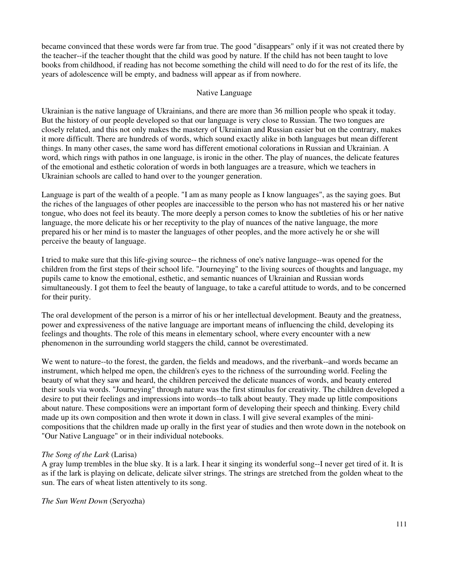became convinced that these words were far from true. The good "disappears" only if it was not created there by the teacher--if the teacher thought that the child was good by nature. If the child has not been taught to love books from childhood, if reading has not become something the child will need to do for the rest of its life, the years of adolescence will be empty, and badness will appear as if from nowhere.

# Native Language

Ukrainian is the native language of Ukrainians, and there are more than 36 million people who speak it today. But the history of our people developed so that our language is very close to Russian. The two tongues are closely related, and this not only makes the mastery of Ukrainian and Russian easier but on the contrary, makes it more difficult. There are hundreds of words, which sound exactly alike in both languages but mean different things. In many other cases, the same word has different emotional colorations in Russian and Ukrainian. A word, which rings with pathos in one language, is ironic in the other. The play of nuances, the delicate features of the emotional and esthetic coloration of words in both languages are a treasure, which we teachers in Ukrainian schools are called to hand over to the younger generation.

Language is part of the wealth of a people. "I am as many people as I know languages", as the saying goes. But the riches of the languages of other peoples are inaccessible to the person who has not mastered his or her native tongue, who does not feel its beauty. The more deeply a person comes to know the subtleties of his or her native language, the more delicate his or her receptivity to the play of nuances of the native language, the more prepared his or her mind is to master the languages of other peoples, and the more actively he or she will perceive the beauty of language.

I tried to make sure that this life-giving source-- the richness of one's native language--was opened for the children from the first steps of their school life. "Journeying" to the living sources of thoughts and language, my pupils came to know the emotional, esthetic, and semantic nuances of Ukrainian and Russian words simultaneously. I got them to feel the beauty of language, to take a careful attitude to words, and to be concerned for their purity.

The oral development of the person is a mirror of his or her intellectual development. Beauty and the greatness, power and expressiveness of the native language are important means of influencing the child, developing its feelings and thoughts. The role of this means in elementary school, where every encounter with a new phenomenon in the surrounding world staggers the child, cannot be overestimated.

We went to nature--to the forest, the garden, the fields and meadows, and the riverbank--and words became an instrument, which helped me open, the children's eyes to the richness of the surrounding world. Feeling the beauty of what they saw and heard, the children perceived the delicate nuances of words, and beauty entered their souls via words. "Journeying" through nature was the first stimulus for creativity. The children developed a desire to put their feelings and impressions into words--to talk about beauty. They made up little compositions about nature. These compositions were an important form of developing their speech and thinking. Every child made up its own composition and then wrote it down in class. I will give several examples of the minicompositions that the children made up orally in the first year of studies and then wrote down in the notebook on "Our Native Language" or in their individual notebooks.

#### *The Song of the Lark* (Larisa)

A gray lump trembles in the blue sky. It is a lark. I hear it singing its wonderful song--I never get tired of it. It is as if the lark is playing on delicate, delicate silver strings. The strings are stretched from the golden wheat to the sun. The ears of wheat listen attentively to its song.

*The Sun Went Down* (Seryozha)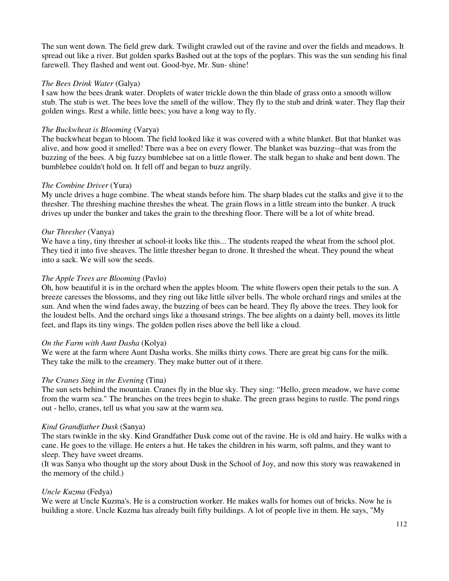The sun went down. The field grew dark. Twilight crawled out of the ravine and over the fields and meadows. It spread out like a river. But golden sparks Bashed out at the tops of the poplars. This was the sun sending his final farewell. They flashed and went out. Good-bye, Mr. Sun- shine!

### *The Bees Drink Water* (Galya)

I saw how the bees drank water. Droplets of water trickle down the thin blade of grass onto a smooth willow stub. The stub is wet. The bees love the smell of the willow. They fly to the stub and drink water. They flap their golden wings. Rest a while, little bees; you have a long way to fly.

### *The Buckwheat is Blooming* (Varya)

The buckwheat began to bloom. The field looked like it was covered with a white blanket. But that blanket was alive, and how good it smelled! There was a bee on every flower. The blanket was buzzing--that was from the buzzing of the bees. A big fuzzy bumblebee sat on a little flower. The stalk began to shake and bent down. The bumblebee couldn't hold on. It fell off and began to buzz angrily.

### *The Combine Driver* (Yura)

My uncle drives a huge combine. The wheat stands before him. The sharp blades cut the stalks and give it to the thresher. The threshing machine threshes the wheat. The grain flows in a little stream into the bunker. A truck drives up under the bunker and takes the grain to the threshing floor. There will be a lot of white bread.

### *Our Thresher* (Vanya)

We have a tiny, tiny thresher at school-it looks like this... The students reaped the wheat from the school plot. They tied it into five sheaves. The little thresher began to drone. It threshed the wheat. They pound the wheat into a sack. We will sow the seeds.

### *The Apple Trees are Blooming* (Pavlo)

Oh, how beautiful it is in the orchard when the apples bloom. The white flowers open their petals to the sun. A breeze caresses the blossoms, and they ring out like little silver bells. The whole orchard rings and smiles at the sun. And when the wind fades away, the buzzing of bees can be heard. They fly above the trees. They look for the loudest bells. And the orchard sings like a thousand strings. The bee alights on a dainty bell, moves its little feet, and flaps its tiny wings. The golden pollen rises above the bell like a cloud.

#### *On the Farm with Aunt Dasha* (Kolya)

We were at the farm where Aunt Dasha works. She milks thirty cows. There are great big cans for the milk. They take the milk to the creamery. They make butter out of it there.

#### *The Cranes Sing in the Evening* (Tina)

The sun sets behind the mountain. Cranes fly in the blue sky. They sing: "Hello, green meadow, we have come from the warm sea." The branches on the trees begin to shake. The green grass begins to rustle. The pond rings out - hello, cranes, tell us what you saw at the warm sea.

#### *Kind Grandfather Dusk* (Sanya)

The stars twinkle in the sky. Kind Grandfather Dusk come out of the ravine. He is old and hairy. He walks with a cane. He goes to the village. He enters a hut. He takes the children in his warm, soft palms, and they want to sleep. They have sweet dreams.

(It was Sanya who thought up the story about Dusk in the School of Joy, and now this story was reawakened in the memory of the child.)

#### *Uncle Kuzma* (Fedya)

We were at Uncle Kuzma's. He is a construction worker. He makes walls for homes out of bricks. Now he is building a store. Uncle Kuzma has already built fifty buildings. A lot of people live in them. He says, "My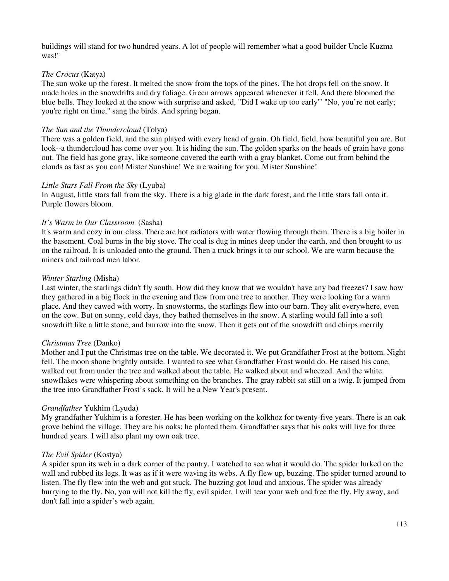buildings will stand for two hundred years. A lot of people will remember what a good builder Uncle Kuzma was!"

### *The Crocus* (Katya)

The sun woke up the forest. It melted the snow from the tops of the pines. The hot drops fell on the snow. It made holes in the snowdrifts and dry foliage. Green arrows appeared whenever it fell. And there bloomed the blue bells. They looked at the snow with surprise and asked, "Did I wake up too early"' "No, you're not early; you're right on time," sang the birds. And spring began.

### *The Sun and the Thundercloud* (Tolya)

There was a golden field, and the sun played with every head of grain. Oh field, field, how beautiful you are. But look--a thundercloud has come over you. It is hiding the sun. The golden sparks on the heads of grain have gone out. The field has gone gray, like someone covered the earth with a gray blanket. Come out from behind the clouds as fast as you can! Mister Sunshine! We are waiting for you, Mister Sunshine!

### *Little Stars Fall From the Sky* (Lyuba)

In August, little stars fall from the sky. There is a big glade in the dark forest, and the little stars fall onto it. Purple flowers bloom.

### *It's Warm in Our Classroom* (Sasha)

It's warm and cozy in our class. There are hot radiators with water flowing through them. There is a big boiler in the basement. Coal burns in the big stove. The coal is dug in mines deep under the earth, and then brought to us on the railroad. It is unloaded onto the ground. Then a truck brings it to our school. We are warm because the miners and railroad men labor.

### *Winter Starling* (Misha)

Last winter, the starlings didn't fly south. How did they know that we wouldn't have any bad freezes? I saw how they gathered in a big flock in the evening and flew from one tree to another. They were looking for a warm place. And they cawed with worry. In snowstorms, the starlings flew into our barn. They alit everywhere, even on the cow. But on sunny, cold days, they bathed themselves in the snow. A starling would fall into a soft snowdrift like a little stone, and burrow into the snow. Then it gets out of the snowdrift and chirps merrily

#### *Christmas Tree* (Danko)

Mother and I put the Christmas tree on the table. We decorated it. We put Grandfather Frost at the bottom. Night fell. The moon shone brightly outside. I wanted to see what Grandfather Frost would do. He raised his cane, walked out from under the tree and walked about the table. He walked about and wheezed. And the white snowflakes were whispering about something on the branches. The gray rabbit sat still on a twig. It jumped from the tree into Grandfather Frost's sack. It will be a New Year's present.

# *Grandfather* Yukhim (Lyuda)

My grandfather Yukhim is a forester. He has been working on the kolkhoz for twenty-five years. There is an oak grove behind the village. They are his oaks; he planted them. Grandfather says that his oaks will live for three hundred years. I will also plant my own oak tree.

# *The Evil Spider* (Kostya)

A spider spun its web in a dark corner of the pantry. I watched to see what it would do. The spider lurked on the wall and rubbed its legs. It was as if it were waving its webs. A fly flew up, buzzing. The spider turned around to listen. The fly flew into the web and got stuck. The buzzing got loud and anxious. The spider was already hurrying to the fly. No, you will not kill the fly, evil spider. I will tear your web and free the fly. Fly away, and don't fall into a spider's web again.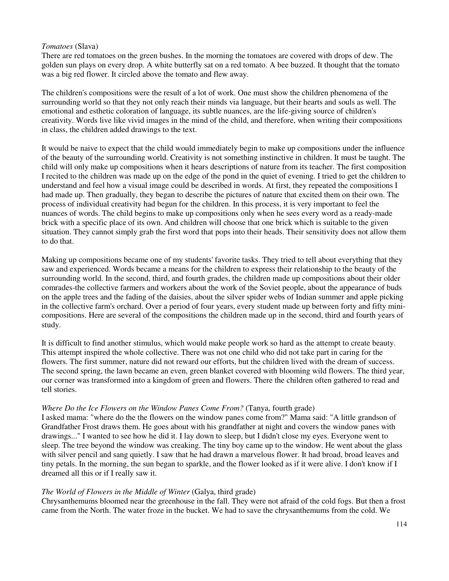# *Tomatoes* (Slava)

There are red tomatoes on the green bushes. In the morning the tomatoes are covered with drops of dew. The golden sun plays on every drop. A white butterfly sat on a red tomato. A bee buzzed. It thought that the tomato was a big red flower. It circled above the tomato and flew away.

The children's compositions were the result of a lot of work. One must show the children phenomena of the surrounding world so that they not only reach their minds via language, but their hearts and souls as well. The emotional and esthetic coloration of language, its subtle nuances, are the life-giving source of children's creativity. Words live like vivid images in the mind of the child, and therefore, when writing their compositions in class, the children added drawings to the text.

It would be naive to expect that the child would immediately begin to make up compositions under the influence of the beauty of the surrounding world. Creativity is not something instinctive in children. It must be taught. The child will only make up compositions when it hears descriptions of nature from its teacher. The first composition I recited to the children was made up on the edge of the pond in the quiet of evening. I tried to get the children to understand and feel how a visual image could be described in words. At first, they repeated the compositions I had made up. Then gradually, they began to describe the pictures of nature that excited them on their own. The process of individual creativity had begun for the children. In this process, it is very important to feel the nuances of words. The child begins to make up compositions only when he sees every word as a ready-made brick with a specific place of its own. And children will choose that one brick which is suitable to the given situation. They cannot simply grab the first word that pops into their heads. Their sensitivity does not allow them to do that.

Making up compositions became one of my students' favorite tasks. They tried to tell about everything that they saw and experienced. Words became a means for the children to express their relationship to the beauty of the surrounding world. In the second, third, and fourth grades, the children made up compositions about their older comrades-the collective farmers and workers about the work of the Soviet people, about the appearance of buds on the apple trees and the fading of the daisies, about the silver spider webs of Indian summer and apple picking in the collective farm's orchard. Over a period of four years, every student made up between forty and fifty minicompositions. Here are several of the compositions the children made up in the second, third and fourth years of study.

It is difficult to find another stimulus, which would make people work so hard as the attempt to create beauty. This attempt inspired the whole collective. There was not one child who did not take part in caring for the flowers. The first summer, nature did not reward our efforts, but the children lived with the dream of success. The second spring, the lawn became an even, green blanket covered with blooming wild flowers. The third year, our corner was transformed into a kingdom of green and flowers. There the children often gathered to read and tell stories.

# *Where Do the Ice Flowers on the Window Panes Come From?* (Tanya, fourth grade)

I asked mama: "where do the the flowers on the window panes come from?" Mama said: "A little grandson of Grandfather Frost draws them. He goes about with his grandfather at night and covers the window panes with drawings..." I wanted to see how he did it. I lay down to sleep, but I didn't close my eyes. Everyone went to sleep. The tree beyond the window was creaking. The tiny boy came up to the window. He went about the glass with silver pencil and sang quietly. I saw that he had drawn a marvelous flower. It had broad, broad leaves and tiny petals. In the morning, the sun began to sparkle, and the flower looked as if it were alive. I don't know if I dreamed all this or if I really saw it.

# *The World of Flowers in the Middle of Winter* (Galya, third grade)

Chrysanthemums bloomed near the greenhouse in the fall. They were not afraid of the cold fogs. But then a frost came from the North. The water froze in the bucket. We had to save the chrysanthemums from the cold. We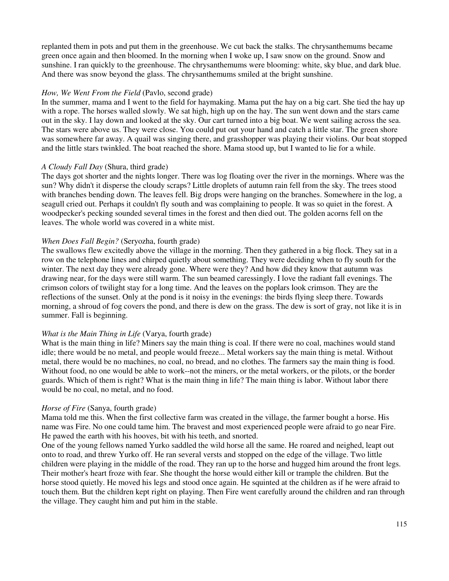replanted them in pots and put them in the greenhouse. We cut back the stalks. The chrysanthemums became green once again and then bloomed. In the morning when I woke up, I saw snow on the ground. Snow and sunshine. I ran quickly to the greenhouse. The chrysanthemums were blooming: white, sky blue, and dark blue. And there was snow beyond the glass. The chrysanthemums smiled at the bright sunshine.

### *How, We Went From the Field* (Pavlo, second grade)

In the summer, mama and I went to the field for haymaking. Mama put the hay on a big cart. She tied the hay up with a rope. The horses walled slowly. We sat high, high up on the hay. The sun went down and the stars came out in the sky. I lay down and looked at the sky. Our cart turned into a big boat. We went sailing across the sea. The stars were above us. They were close. You could put out your hand and catch a little star. The green shore was somewhere far away. A quail was singing there, and grasshopper was playing their violins. Our boat stopped and the little stars twinkled. The boat reached the shore. Mama stood up, but I wanted to lie for a while.

### *A Cloudy Fall Day* (Shura, third grade)

The days got shorter and the nights longer. There was log floating over the river in the mornings. Where was the sun? Why didn't it disperse the cloudy scraps? Little droplets of autumn rain fell from the sky. The trees stood with branches bending down. The leaves fell. Big drops were hanging on the branches. Somewhere in the log, a seagull cried out. Perhaps it couldn't fly south and was complaining to people. It was so quiet in the forest. A woodpecker's pecking sounded several times in the forest and then died out. The golden acorns fell on the leaves. The whole world was covered in a white mist.

### *When Does Fall Begin?* (Seryozha, fourth grade)

The swallows flew excitedly above the village in the morning. Then they gathered in a big flock. They sat in a row on the telephone lines and chirped quietly about something. They were deciding when to fly south for the winter. The next day they were already gone. Where were they? And how did they know that autumn was drawing near, for the days were still warm. The sun beamed caressingly. I love the radiant fall evenings. The crimson colors of twilight stay for a long time. And the leaves on the poplars look crimson. They are the reflections of the sunset. Only at the pond is it noisy in the evenings: the birds flying sleep there. Towards morning, a shroud of fog covers the pond, and there is dew on the grass. The dew is sort of gray, not like it is in summer. Fall is beginning.

#### *What is the Main Thing in Life* (Varya, fourth grade)

What is the main thing in life? Miners say the main thing is coal. If there were no coal, machines would stand idle; there would be no metal, and people would freeze... Metal workers say the main thing is metal. Without metal, there would be no machines, no coal, no bread, and no clothes. The farmers say the main thing is food. Without food, no one would be able to work--not the miners, or the metal workers, or the pilots, or the border guards. Which of them is right? What is the main thing in life? The main thing is labor. Without labor there would be no coal, no metal, and no food.

### *Horse of Fire* (Sanya, fourth grade)

Mama told me this. When the first collective farm was created in the village, the farmer bought a horse. His name was Fire. No one could tame him. The bravest and most experienced people were afraid to go near Fire. He pawed the earth with his hooves, bit with his teeth, and snorted.

One of the young fellows named Yurko saddled the wild horse all the same. He roared and neighed, leapt out onto to road, and threw Yurko off. He ran several versts and stopped on the edge of the village. Two little children were playing in the middle of the road. They ran up to the horse and hugged him around the front legs. Their mother's heart froze with fear. She thought the horse would either kill or trample the children. But the horse stood quietly. He moved his legs and stood once again. He squinted at the children as if he were afraid to touch them. But the children kept right on playing. Then Fire went carefully around the children and ran through the village. They caught him and put him in the stable.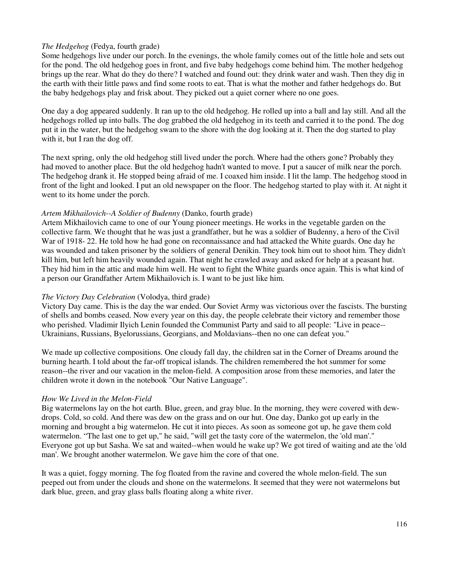# *The Hedgehog* (Fedya, fourth grade)

Some hedgehogs live under our porch. In the evenings, the whole family comes out of the little hole and sets out for the pond. The old hedgehog goes in front, and five baby hedgehogs come behind him. The mother hedgehog brings up the rear. What do they do there? I watched and found out: they drink water and wash. Then they dig in the earth with their little paws and find some roots to eat. That is what the mother and father hedgehogs do. But the baby hedgehogs play and frisk about. They picked out a quiet corner where no one goes.

One day a dog appeared suddenly. It ran up to the old hedgehog. He rolled up into a ball and lay still. And all the hedgehogs rolled up into balls. The dog grabbed the old hedgehog in its teeth and carried it to the pond. The dog put it in the water, but the hedgehog swam to the shore with the dog looking at it. Then the dog started to play with it, but I ran the dog off.

The next spring, only the old hedgehog still lived under the porch. Where had the others gone? Probably they had moved to another place. But the old hedgehog hadn't wanted to move. I put a saucer of milk near the porch. The hedgehog drank it. He stopped being afraid of me. I coaxed him inside. I lit the lamp. The hedgehog stood in front of the light and looked. I put an old newspaper on the floor. The hedgehog started to play with it. At night it went to its home under the porch.

### *Artem Mikhailovich--A Soldier of Budenny* (Danko, fourth grade)

Artem Mikhailovich came to one of our Young pioneer meetings. He works in the vegetable garden on the collective farm. We thought that he was just a grandfather, but he was a soldier of Budenny, a hero of the Civil War of 1918- 22. He told how he had gone on reconnaissance and had attacked the White guards. One day he was wounded and taken prisoner by the soldiers of general Denikin. They took him out to shoot him. They didn't kill him, but left him heavily wounded again. That night he crawled away and asked for help at a peasant hut. They hid him in the attic and made him well. He went to fight the White guards once again. This is what kind of a person our Grandfather Artem Mikhailovich is. I want to be just like him.

# *The Victory Day Celebration* (Volodya, third grade)

Victory Day came. This is the day the war ended. Our Soviet Army was victorious over the fascists. The bursting of shells and bombs ceased. Now every year on this day, the people celebrate their victory and remember those who perished. Vladimir Ilyich Lenin founded the Communist Party and said to all people: "Live in peace-- Ukrainians, Russians, Byelorussians, Georgians, and Moldavians--then no one can defeat you."

We made up collective compositions. One cloudy fall day, the children sat in the Corner of Dreams around the burning hearth. I told about the far-off tropical islands. The children remembered the hot summer for some reason--the river and our vacation in the melon-field. A composition arose from these memories, and later the children wrote it down in the notebook "Our Native Language".

# *How We Lived in the Melon-Field*

Big watermelons lay on the hot earth. Blue, green, and gray blue. In the morning, they were covered with dewdrops. Cold, so cold. And there was dew on the grass and on our hut. One day, Danko got up early in the morning and brought a big watermelon. He cut it into pieces. As soon as someone got up, he gave them cold watermelon. "The last one to get up," he said, "will get the tasty core of the watermelon, the 'old man'." Everyone got up but Sasha. We sat and waited--when would he wake up? We got tired of waiting and ate the 'old man'. We brought another watermelon. We gave him the core of that one.

It was a quiet, foggy morning. The fog floated from the ravine and covered the whole melon-field. The sun peeped out from under the clouds and shone on the watermelons. It seemed that they were not watermelons but dark blue, green, and gray glass balls floating along a white river.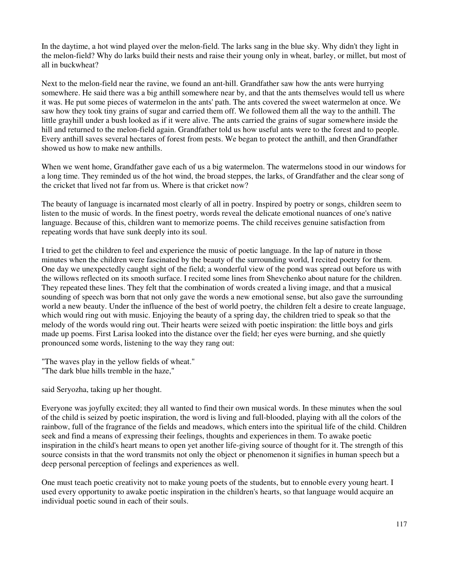In the daytime, a hot wind played over the melon-field. The larks sang in the blue sky. Why didn't they light in the melon-field? Why do larks build their nests and raise their young only in wheat, barley, or millet, but most of all in buckwheat?

Next to the melon-field near the ravine, we found an ant-hill. Grandfather saw how the ants were hurrying somewhere. He said there was a big anthill somewhere near by, and that the ants themselves would tell us where it was. He put some pieces of watermelon in the ants' path. The ants covered the sweet watermelon at once. We saw how they took tiny grains of sugar and carried them off. We followed them all the way to the anthill. The little grayhill under a bush looked as if it were alive. The ants carried the grains of sugar somewhere inside the hill and returned to the melon-field again. Grandfather told us how useful ants were to the forest and to people. Every anthill saves several hectares of forest from pests. We began to protect the anthill, and then Grandfather showed us how to make new anthills.

When we went home, Grandfather gave each of us a big watermelon. The watermelons stood in our windows for a long time. They reminded us of the hot wind, the broad steppes, the larks, of Grandfather and the clear song of the cricket that lived not far from us. Where is that cricket now?

The beauty of language is incarnated most clearly of all in poetry. Inspired by poetry or songs, children seem to listen to the music of words. In the finest poetry, words reveal the delicate emotional nuances of one's native language. Because of this, children want to memorize poems. The child receives genuine satisfaction from repeating words that have sunk deeply into its soul.

I tried to get the children to feel and experience the music of poetic language. In the lap of nature in those minutes when the children were fascinated by the beauty of the surrounding world, I recited poetry for them. One day we unexpectedly caught sight of the field; a wonderful view of the pond was spread out before us with the willows reflected on its smooth surface. I recited some lines from Shevchenko about nature for the children. They repeated these lines. They felt that the combination of words created a living image, and that a musical sounding of speech was born that not only gave the words a new emotional sense, but also gave the surrounding world a new beauty. Under the influence of the best of world poetry, the children felt a desire to create language, which would ring out with music. Enjoying the beauty of a spring day, the children tried to speak so that the melody of the words would ring out. Their hearts were seized with poetic inspiration: the little boys and girls made up poems. First Larisa looked into the distance over the field; her eyes were burning, and she quietly pronounced some words, listening to the way they rang out:

"The waves play in the yellow fields of wheat."

"The dark blue hills tremble in the haze,"

said Seryozha, taking up her thought.

Everyone was joyfully excited; they all wanted to find their own musical words. In these minutes when the soul of the child is seized by poetic inspiration, the word is living and full-blooded, playing with all the colors of the rainbow, full of the fragrance of the fields and meadows, which enters into the spiritual life of the child. Children seek and find a means of expressing their feelings, thoughts and experiences in them. To awake poetic inspiration in the child's heart means to open yet another life-giving source of thought for it. The strength of this source consists in that the word transmits not only the object or phenomenon it signifies in human speech but a deep personal perception of feelings and experiences as well.

One must teach poetic creativity not to make young poets of the students, but to ennoble every young heart. I used every opportunity to awake poetic inspiration in the children's hearts, so that language would acquire an individual poetic sound in each of their souls.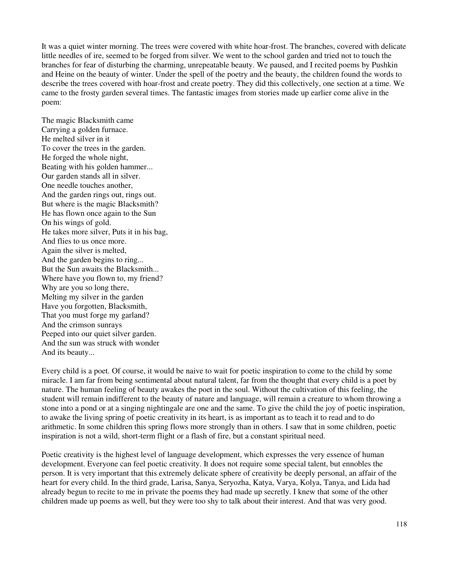It was a quiet winter morning. The trees were covered with white hoar-frost. The branches, covered with delicate little needles of ire, seemed to be forged from silver. We went to the school garden and tried not to touch the branches for fear of disturbing the charming, unrepeatable beauty. We paused, and I recited poems by Pushkin and Heine on the beauty of winter. Under the spell of the poetry and the beauty, the children found the words to describe the trees covered with hoar-frost and create poetry. They did this collectively, one section at a time. We came to the frosty garden several times. The fantastic images from stories made up earlier come alive in the poem:

The magic Blacksmith came Carrying a golden furnace. He melted silver in it To cover the trees in the garden. He forged the whole night, Beating with his golden hammer... Our garden stands all in silver. One needle touches another, And the garden rings out, rings out. But where is the magic Blacksmith? He has flown once again to the Sun On his wings of gold. He takes more silver, Puts it in his bag, And flies to us once more. Again the silver is melted, And the garden begins to ring... But the Sun awaits the Blacksmith... Where have you flown to, my friend? Why are you so long there, Melting my silver in the garden Have you forgotten, Blacksmith, That you must forge my garland? And the crimson sunrays Peeped into our quiet silver garden. And the sun was struck with wonder And its beauty...

Every child is a poet. Of course, it would be naive to wait for poetic inspiration to come to the child by some miracle. I am far from being sentimental about natural talent, far from the thought that every child is a poet by nature. The human feeling of beauty awakes the poet in the soul. Without the cultivation of this feeling, the student will remain indifferent to the beauty of nature and language, will remain a creature to whom throwing a stone into a pond or at a singing nightingale are one and the same. To give the child the joy of poetic inspiration, to awake the living spring of poetic creativity in its heart, is as important as to teach it to read and to do arithmetic. In some children this spring flows more strongly than in others. I saw that in some children, poetic inspiration is not a wild, short-term flight or a flash of fire, but a constant spiritual need.

Poetic creativity is the highest level of language development, which expresses the very essence of human development. Everyone can feel poetic creativity. It does not require some special talent, but ennobles the person. It is very important that this extremely delicate sphere of creativity be deeply personal, an affair of the heart for every child. In the third grade, Larisa, Sanya, Seryozha, Katya, Varya, Kolya, Tanya, and Lida had already begun to recite to me in private the poems they had made up secretly. I knew that some of the other children made up poems as well, but they were too shy to talk about their interest. And that was very good.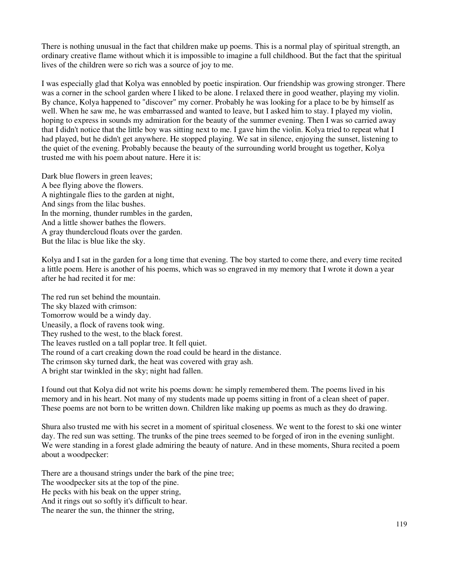There is nothing unusual in the fact that children make up poems. This is a normal play of spiritual strength, an ordinary creative flame without which it is impossible to imagine a full childhood. But the fact that the spiritual lives of the children were so rich was a source of joy to me.

I was especially glad that Kolya was ennobled by poetic inspiration. Our friendship was growing stronger. There was a corner in the school garden where I liked to be alone. I relaxed there in good weather, playing my violin. By chance, Kolya happened to "discover" my corner. Probably he was looking for a place to be by himself as well. When he saw me, he was embarrassed and wanted to leave, but I asked him to stay. I played my violin, hoping to express in sounds my admiration for the beauty of the summer evening. Then I was so carried away that I didn't notice that the little boy was sitting next to me. I gave him the violin. Kolya tried to repeat what I had played, but he didn't get anywhere. He stopped playing. We sat in silence, enjoying the sunset, listening to the quiet of the evening. Probably because the beauty of the surrounding world brought us together, Kolya trusted me with his poem about nature. Here it is:

Dark blue flowers in green leaves; A bee flying above the flowers. A nightingale flies to the garden at night, And sings from the lilac bushes. In the morning, thunder rumbles in the garden, And a little shower bathes the flowers. A gray thundercloud floats over the garden. But the lilac is blue like the sky.

Kolya and I sat in the garden for a long time that evening. The boy started to come there, and every time recited a little poem. Here is another of his poems, which was so engraved in my memory that I wrote it down a year after he had recited it for me:

The red run set behind the mountain. The sky blazed with crimson: Tomorrow would be a windy day. Uneasily, a flock of ravens took wing. They rushed to the west, to the black forest. The leaves rustled on a tall poplar tree. It fell quiet. The round of a cart creaking down the road could be heard in the distance. The crimson sky turned dark, the heat was covered with gray ash. A bright star twinkled in the sky; night had fallen.

I found out that Kolya did not write his poems down: he simply remembered them. The poems lived in his memory and in his heart. Not many of my students made up poems sitting in front of a clean sheet of paper. These poems are not born to be written down. Children like making up poems as much as they do drawing.

Shura also trusted me with his secret in a moment of spiritual closeness. We went to the forest to ski one winter day. The red sun was setting. The trunks of the pine trees seemed to be forged of iron in the evening sunlight. We were standing in a forest glade admiring the beauty of nature. And in these moments, Shura recited a poem about a woodpecker:

There are a thousand strings under the bark of the pine tree; The woodpecker sits at the top of the pine. He pecks with his beak on the upper string, And it rings out so softly it's difficult to hear. The nearer the sun, the thinner the string,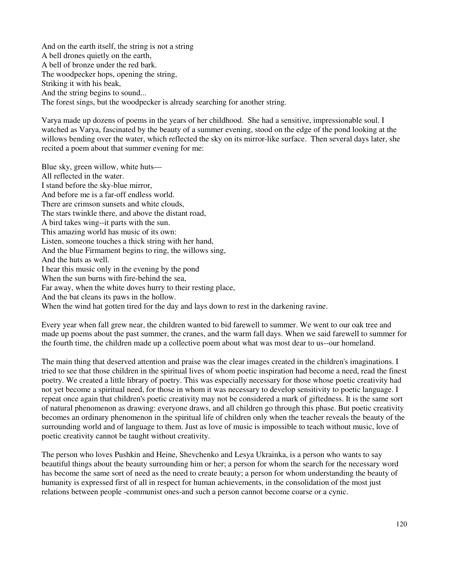And on the earth itself, the string is not a string A bell drones quietly on the earth, A bell of bronze under the red bark. The woodpecker hops, opening the string, Striking it with his beak, And the string begins to sound... The forest sings, but the woodpecker is already searching for another string.

Varya made up dozens of poems in the years of her childhood. She had a sensitive, impressionable soul. I watched as Varya, fascinated by the beauty of a summer evening, stood on the edge of the pond looking at the willows bending over the water, which reflected the sky on its mirror-like surface. Then several days later, she recited a poem about that summer evening for me:

Blue sky, green willow, white huts— All reflected in the water. I stand before the sky-blue mirror, And before me is a far-off endless world. There are crimson sunsets and white clouds, The stars twinkle there, and above the distant road, A bird takes wing--it parts with the sun. This amazing world has music of its own: Listen, someone touches a thick string with her hand, And the blue Firmament begins to ring, the willows sing, And the huts as well. I hear this music only in the evening by the pond When the sun burns with fire-behind the sea, Far away, when the white doves hurry to their resting place, And the bat cleans its paws in the hollow. When the wind hat gotten tired for the day and lays down to rest in the darkening ravine.

Every year when fall grew near, the children wanted to bid farewell to summer. We went to our oak tree and made up poems about the past summer, the cranes, and the warm fall days. When we said farewell to summer for the fourth time, the children made up a collective poem about what was most dear to us--our homeland.

The main thing that deserved attention and praise was the clear images created in the children's imaginations. I tried to see that those children in the spiritual lives of whom poetic inspiration had become a need, read the finest poetry. We created a little library of poetry. This was especially necessary for those whose poetic creativity had not yet become a spiritual need, for those in whom it was necessary to develop sensitivity to poetic language. I repeat once again that children's poetic creativity may not be considered a mark of giftedness. It is the same sort of natural phenomenon as drawing: everyone draws, and all children go through this phase. But poetic creativity becomes an ordinary phenomenon in the spiritual life of children only when the teacher reveals the beauty of the surrounding world and of language to them. Just as love of music is impossible to teach without music, love of poetic creativity cannot be taught without creativity.

The person who loves Pushkin and Heine, Shevchenko and Lesya Ukrainka, is a person who wants to say beautiful things about the beauty surrounding him or her; a person for whom the search for the necessary word has become the same sort of need as the need to create beauty; a person for whom understanding the beauty of humanity is expressed first of all in respect for human achievements, in the consolidation of the most just relations between people -communist ones-and such a person cannot become coarse or a cynic.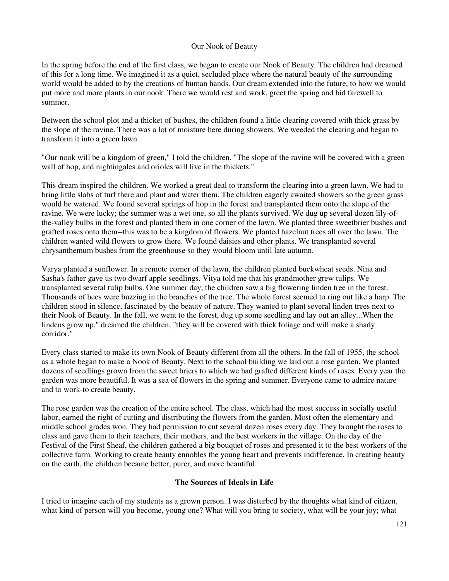# Our Nook of Beauty

In the spring before the end of the first class, we began to create our Nook of Beauty. The children had dreamed of this for a long time. We imagined it as a quiet, secluded place where the natural beauty of the surrounding world would be added to by the creations of human hands. Our dream extended into the future, to how we would put more and more plants in our nook. There we would rest and work, greet the spring and bid farewell to summer.

Between the school plot and a thicket of bushes, the children found a little clearing covered with thick grass by the slope of the ravine. There was a lot of moisture here during showers. We weeded the clearing and began to transform it into a green lawn

"Our nook will be a kingdom of green," I told the children. "The slope of the ravine will be covered with a green wall of hop, and nightingales and orioles will live in the thickets."

This dream inspired the children. We worked a great deal to transform the clearing into a green lawn. We had to bring little slabs of turf there and plant and water them. The children eagerly awaited showers so the green grass would be watered. We found several springs of hop in the forest and transplanted them onto the slope of the ravine. We were lucky; the summer was a wet one, so all the plants survived. We dug up several dozen lily-ofthe-valley bulbs in the forest and planted them in one corner of the lawn. We planted three sweetbrier bushes and grafted roses onto them--this was to be a kingdom of flowers. We planted hazelnut trees all over the lawn. The children wanted wild flowers to grow there. We found daisies and other plants. We transplanted several chrysanthemum bushes from the greenhouse so they would bloom until late autumn.

Varya planted a sunflower. In a remote corner of the lawn, the children planted buckwheat seeds. Nina and Sasha's father gave us two dwarf apple seedlings. Vitya told me that his grandmother grew tulips. We transplanted several tulip bulbs. One summer day, the children saw a big flowering linden tree in the forest. Thousands of bees were buzzing in the branches of the tree. The whole forest seemed to ring out like a harp. The children stood in silence, fascinated by the beauty of nature. They wanted to plant several linden trees next to their Nook of Beauty. In the fall, we went to the forest, dug up some seedling and lay out an alley...When the lindens grow up," dreamed the children, "they will be covered with thick foliage and will make a shady corridor."

Every class started to make its own Nook of Beauty different from all the others. In the fall of 1955, the school as a whole began to make a Nook of Beauty. Next to the school building we laid out a rose garden. We planted dozens of seedlings grown from the sweet briers to which we had grafted different kinds of roses. Every year the garden was more beautiful. It was a sea of flowers in the spring and summer. Everyone came to admire nature and to work-to create beauty.

The rose garden was the creation of the entire school. The class, which had the most success in socially useful labor, earned the right of cutting and distributing the flowers from the garden. Most often the elementary and middle school grades won. They had permission to cut several dozen roses every day. They brought the roses to class and gave them to their teachers, their mothers, and the best workers in the village. On the day of the Festival of the First Sheaf, the children gathered a big bouquet of roses and presented it to the best workers of the collective farm. Working to create beauty ennobles the young heart and prevents indifference. In creating beauty on the earth, the children became better, purer, and more beautiful.

# **The Sources of Ideals in Life**

I tried to imagine each of my students as a grown person. I was disturbed by the thoughts what kind of citizen, what kind of person will you become, young one? What will you bring to society, what will be your joy; what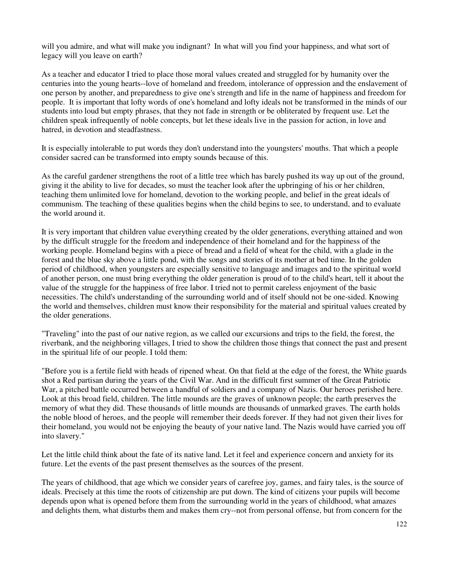will you admire, and what will make you indignant? In what will you find your happiness, and what sort of legacy will you leave on earth?

As a teacher and educator I tried to place those moral values created and struggled for by humanity over the centuries into the young hearts--love of homeland and freedom, intolerance of oppression and the enslavement of one person by another, and preparedness to give one's strength and life in the name of happiness and freedom for people. It is important that lofty words of one's homeland and lofty ideals not be transformed in the minds of our students into loud but empty phrases, that they not fade in strength or be obliterated by frequent use. Let the children speak infrequently of noble concepts, but let these ideals live in the passion for action, in love and hatred, in devotion and steadfastness.

It is especially intolerable to put words they don't understand into the youngsters' mouths. That which a people consider sacred can be transformed into empty sounds because of this.

As the careful gardener strengthens the root of a little tree which has barely pushed its way up out of the ground, giving it the ability to live for decades, so must the teacher look after the upbringing of his or her children, teaching them unlimited love for homeland, devotion to the working people, and belief in the great ideals of communism. The teaching of these qualities begins when the child begins to see, to understand, and to evaluate the world around it.

It is very important that children value everything created by the older generations, everything attained and won by the difficult struggle for the freedom and independence of their homeland and for the happiness of the working people. Homeland begins with a piece of bread and a field of wheat for the child, with a glade in the forest and the blue sky above a little pond, with the songs and stories of its mother at bed time. In the golden period of childhood, when youngsters are especially sensitive to language and images and to the spiritual world of another person, one must bring everything the older generation is proud of to the child's heart, tell it about the value of the struggle for the happiness of free labor. I tried not to permit careless enjoyment of the basic necessities. The child's understanding of the surrounding world and of itself should not be one-sided. Knowing the world and themselves, children must know their responsibility for the material and spiritual values created by the older generations.

"Traveling" into the past of our native region, as we called our excursions and trips to the field, the forest, the riverbank, and the neighboring villages, I tried to show the children those things that connect the past and present in the spiritual life of our people. I told them:

"Before you is a fertile field with heads of ripened wheat. On that field at the edge of the forest, the White guards shot a Red partisan during the years of the Civil War. And in the difficult first summer of the Great Patriotic War, a pitched battle occurred between a handful of soldiers and a company of Nazis. Our heroes perished here. Look at this broad field, children. The little mounds are the graves of unknown people; the earth preserves the memory of what they did. These thousands of little mounds are thousands of unmarked graves. The earth holds the noble blood of heroes, and the people will remember their deeds forever. If they had not given their lives for their homeland, you would not be enjoying the beauty of your native land. The Nazis would have carried you off into slavery."

Let the little child think about the fate of its native land. Let it feel and experience concern and anxiety for its future. Let the events of the past present themselves as the sources of the present.

The years of childhood, that age which we consider years of carefree joy, games, and fairy tales, is the source of ideals. Precisely at this time the roots of citizenship are put down. The kind of citizens your pupils will become depends upon what is opened before them from the surrounding world in the years of childhood, what amazes and delights them, what disturbs them and makes them cry--not from personal offense, but from concern for the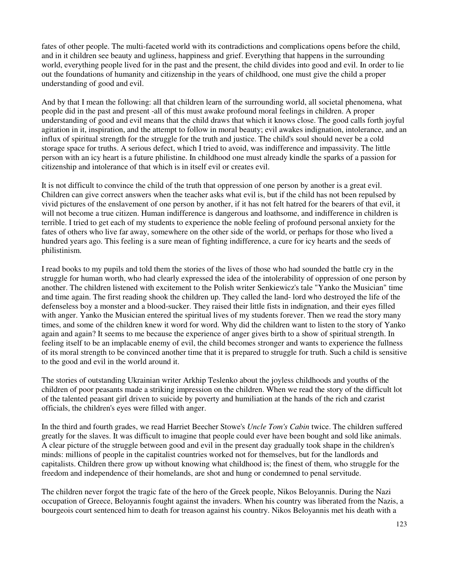fates of other people. The multi-faceted world with its contradictions and complications opens before the child, and in it children see beauty and ugliness, happiness and grief. Everything that happens in the surrounding world, everything people lived for in the past and the present, the child divides into good and evil. In order to lie out the foundations of humanity and citizenship in the years of childhood, one must give the child a proper understanding of good and evil.

And by that I mean the following: all that children learn of the surrounding world, all societal phenomena, what people did in the past and present -all of this must awake profound moral feelings in children. A proper understanding of good and evil means that the child draws that which it knows close. The good calls forth joyful agitation in it, inspiration, and the attempt to follow in moral beauty; evil awakes indignation, intolerance, and an influx of spiritual strength for the struggle for the truth and justice. The child's soul should never be a cold storage space for truths. A serious defect, which I tried to avoid, was indifference and impassivity. The little person with an icy heart is a future philistine. In childhood one must already kindle the sparks of a passion for citizenship and intolerance of that which is in itself evil or creates evil.

It is not difficult to convince the child of the truth that oppression of one person by another is a great evil. Children can give correct answers when the teacher asks what evil is, but if the child has not been repulsed by vivid pictures of the enslavement of one person by another, if it has not felt hatred for the bearers of that evil, it will not become a true citizen. Human indifference is dangerous and loathsome, and indifference in children is terrible. I tried to get each of my students to experience the noble feeling of profound personal anxiety for the fates of others who live far away, somewhere on the other side of the world, or perhaps for those who lived a hundred years ago. This feeling is a sure mean of fighting indifference, a cure for icy hearts and the seeds of philistinism.

I read books to my pupils and told them the stories of the lives of those who had sounded the battle cry in the struggle for human worth, who had clearly expressed the idea of the intolerability of oppression of one person by another. The children listened with excitement to the Polish writer Senkiewicz's tale "Yanko the Musician" time and time again. The first reading shook the children up. They called the land- lord who destroyed the life of the defenseless boy a monster and a blood-sucker. They raised their little fists in indignation, and their eyes filled with anger. Yanko the Musician entered the spiritual lives of my students forever. Then we read the story many times, and some of the children knew it word for word. Why did the children want to listen to the story of Yanko again and again? It seems to me because the experience of anger gives birth to a show of spiritual strength. In feeling itself to be an implacable enemy of evil, the child becomes stronger and wants to experience the fullness of its moral strength to be convinced another time that it is prepared to struggle for truth. Such a child is sensitive to the good and evil in the world around it.

The stories of outstanding Ukrainian writer Arkhip Teslenko about the joyless childhoods and youths of the children of poor peasants made a striking impression on the children. When we read the story of the difficult lot of the talented peasant girl driven to suicide by poverty and humiliation at the hands of the rich and czarist officials, the children's eyes were filled with anger.

In the third and fourth grades, we read Harriet Beecher Stowe's *Uncle Tom's Cabin* twice. The children suffered greatly for the slaves. It was difficult to imagine that people could ever have been bought and sold like animals. A clear picture of the struggle between good and evil in the present day gradually took shape in the children's minds: millions of people in the capitalist countries worked not for themselves, but for the landlords and capitalists. Children there grow up without knowing what childhood is; the finest of them, who struggle for the freedom and independence of their homelands, are shot and hung or condemned to penal servitude.

The children never forgot the tragic fate of the hero of the Greek people, Nikos Beloyannis. During the Nazi occupation of Greece, Beloyannis fought against the invaders. When his country was liberated from the Nazis, a bourgeois court sentenced him to death for treason against his country. Nikos Beloyannis met his death with a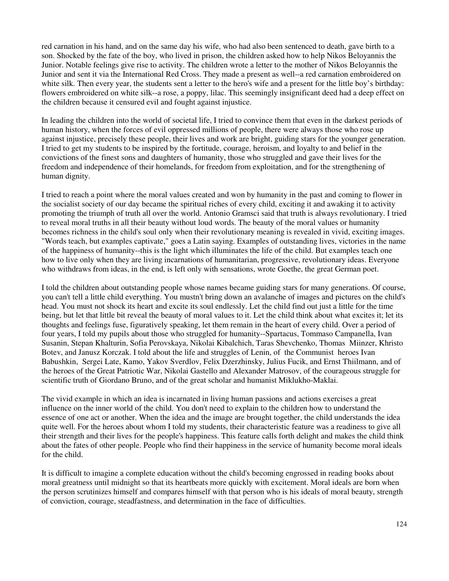red carnation in his hand, and on the same day his wife, who had also been sentenced to death, gave birth to a son. Shocked by the fate of the boy, who lived in prison, the children asked how to help Nikos Beloyannis the Junior. Notable feelings give rise to activity. The children wrote a letter to the mother of Nikos Beloyannis the Junior and sent it via the International Red Cross. They made a present as well--a red carnation embroidered on white silk. Then every year, the students sent a letter to the hero's wife and a present for the little boy's birthday: flowers embroidered on white silk--a rose, a poppy, lilac. This seemingly insignificant deed had a deep effect on the children because it censured evil and fought against injustice.

In leading the children into the world of societal life, I tried to convince them that even in the darkest periods of human history, when the forces of evil oppressed millions of people, there were always those who rose up against injustice, precisely these people, their lives and work are bright, guiding stars for the younger generation. I tried to get my students to be inspired by the fortitude, courage, heroism, and loyalty to and belief in the convictions of the finest sons and daughters of humanity, those who struggled and gave their lives for the freedom and independence of their homelands, for freedom from exploitation, and for the strengthening of human dignity.

I tried to reach a point where the moral values created and won by humanity in the past and coming to flower in the socialist society of our day became the spiritual riches of every child, exciting it and awaking it to activity promoting the triumph of truth all over the world. Antonio Gramsci said that truth is always revolutionary. I tried to reveal moral truths in all their beauty without loud words. The beauty of the moral values or humanity becomes richness in the child's soul only when their revolutionary meaning is revealed in vivid, exciting images. "Words teach, but examples captivate," goes a Latin saying. Examples of outstanding lives, victories in the name of the happiness of humanity--this is the light which illuminates the life of the child. But examples teach one how to live only when they are living incarnations of humanitarian, progressive, revolutionary ideas. Everyone who withdraws from ideas, in the end, is left only with sensations, wrote Goethe, the great German poet.

I told the children about outstanding people whose names became guiding stars for many generations. Of course, you can't tell a little child everything. You mustn't bring down an avalanche of images and pictures on the child's head. You must not shock its heart and excite its soul endlessly. Let the child find out just a little for the time being, but let that little bit reveal the beauty of moral values to it. Let the child think about what excites it; let its thoughts and feelings fuse, figuratively speaking, let them remain in the heart of every child. Over a period of four years, I told my pupils about those who struggled for humanity--Spartacus, Tommaso Campanella, Ivan Susanin, Stepan Khalturin, Sofia Perovskaya, Nikolai Kibalchich, Taras Shevchenko, Thomas Miinzer, Khristo Botev, and Janusz Korczak. I told about the life and struggles of Lenin, of the Communist heroes Ivan Babushkin, Sergei Late, Kamo, Yakov Sverdlov, Felix Dzerzhinsky, Julius Fucik, and Ernst Thiilmann, and of the heroes of the Great Patriotic War, Nikolai Gastello and Alexander Matrosov, of the courageous struggle for scientific truth of Giordano Bruno, and of the great scholar and humanist Miklukho-Maklai.

The vivid example in which an idea is incarnated in living human passions and actions exercises a great influence on the inner world of the child. You don't need to explain to the children how to understand the essence of one act or another. When the idea and the image are brought together, the child understands the idea quite well. For the heroes about whom I told my students, their characteristic feature was a readiness to give all their strength and their lives for the people's happiness. This feature calls forth delight and makes the child think about the fates of other people. People who find their happiness in the service of humanity become moral ideals for the child.

It is difficult to imagine a complete education without the child's becoming engrossed in reading books about moral greatness until midnight so that its heartbeats more quickly with excitement. Moral ideals are born when the person scrutinizes himself and compares himself with that person who is his ideals of moral beauty, strength of conviction, courage, steadfastness, and determination in the face of difficulties.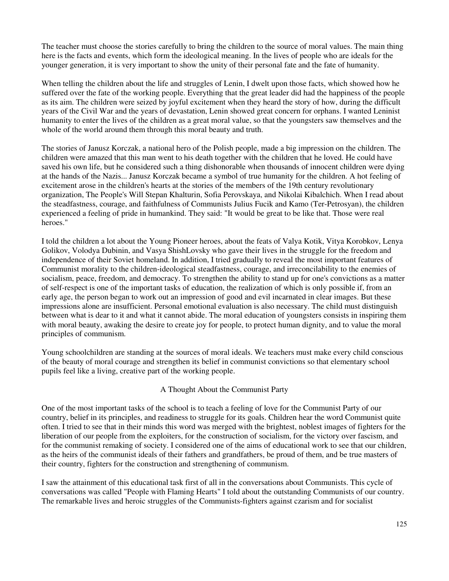The teacher must choose the stories carefully to bring the children to the source of moral values. The main thing here is the facts and events, which form the ideological meaning. In the lives of people who are ideals for the younger generation, it is very important to show the unity of their personal fate and the fate of humanity.

When telling the children about the life and struggles of Lenin, I dwelt upon those facts, which showed how he suffered over the fate of the working people. Everything that the great leader did had the happiness of the people as its aim. The children were seized by joyful excitement when they heard the story of how, during the difficult years of the Civil War and the years of devastation, Lenin showed great concern for orphans. I wanted Leninist humanity to enter the lives of the children as a great moral value, so that the youngsters saw themselves and the whole of the world around them through this moral beauty and truth.

The stories of Janusz Korczak, a national hero of the Polish people, made a big impression on the children. The children were amazed that this man went to his death together with the children that he loved. He could have saved his own life, but he considered such a thing dishonorable when thousands of innocent children were dying at the hands of the Nazis... Janusz Korczak became a symbol of true humanity for the children. A hot feeling of excitement arose in the children's hearts at the stories of the members of the 19th century revolutionary organization, The People's Will Stepan Khalturin, Sofia Perovskaya, and Nikolai Kibalchich. When I read about the steadfastness, courage, and faithfulness of Communists Julius Fucik and Kamo (Ter-Petrosyan), the children experienced a feeling of pride in humankind. They said: "It would be great to be like that. Those were real heroes."

I told the children a lot about the Young Pioneer heroes, about the feats of Valya Kotik, Vitya Korobkov, Lenya Golikov, Volodya Dubinin, and Vasya ShishLovsky who gave their lives in the struggle for the freedom and independence of their Soviet homeland. In addition, I tried gradually to reveal the most important features of Communist morality to the children-ideological steadfastness, courage, and irreconcilability to the enemies of socialism, peace, freedom, and democracy. To strengthen the ability to stand up for one's convictions as a matter of self-respect is one of the important tasks of education, the realization of which is only possible if, from an early age, the person began to work out an impression of good and evil incarnated in clear images. But these impressions alone are insufficient. Personal emotional evaluation is also necessary. The child must distinguish between what is dear to it and what it cannot abide. The moral education of youngsters consists in inspiring them with moral beauty, awaking the desire to create joy for people, to protect human dignity, and to value the moral principles of communism.

Young schoolchildren are standing at the sources of moral ideals. We teachers must make every child conscious of the beauty of moral courage and strengthen its belief in communist convictions so that elementary school pupils feel like a living, creative part of the working people.

# A Thought About the Communist Party

One of the most important tasks of the school is to teach a feeling of love for the Communist Party of our country, belief in its principles, and readiness to struggle for its goals. Children hear the word Communist quite often. I tried to see that in their minds this word was merged with the brightest, noblest images of fighters for the liberation of our people from the exploiters, for the construction of socialism, for the victory over fascism, and for the communist remaking of society. I considered one of the aims of educational work to see that our children, as the heirs of the communist ideals of their fathers and grandfathers, be proud of them, and be true masters of their country, fighters for the construction and strengthening of communism.

I saw the attainment of this educational task first of all in the conversations about Communists. This cycle of conversations was called "People with Flaming Hearts" I told about the outstanding Communists of our country. The remarkable lives and heroic struggles of the Communists-fighters against czarism and for socialist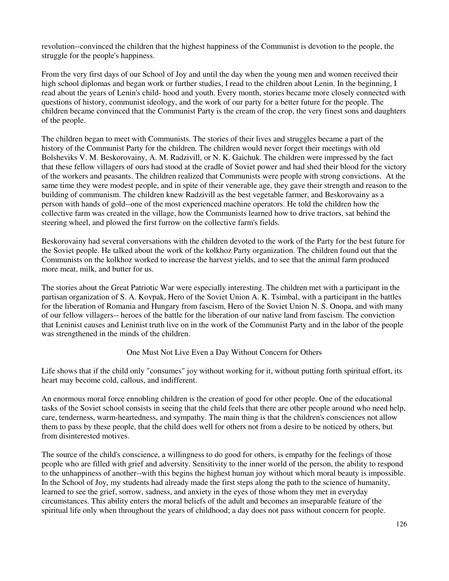revolution--convinced the children that the highest happiness of the Communist is devotion to the people, the struggle for the people's happiness.

From the very first days of our School of Joy and until the day when the young men and women received their high school diplomas and began work or further studies, I read to the children about Lenin. In the beginning, I read about the years of Lenin's child- hood and youth. Every month, stories became more closely connected with questions of history, communist ideology, and the work of our party for a better future for the people. The children became convinced that the Communist Party is the cream of the crop, the very finest sons and daughters of the people.

The children began to meet with Communists. The stories of their lives and struggles became a part of the history of the Communist Party for the children. The children would never forget their meetings with old Bolsheviks V. M. Beskorovainy, A. M. Radzivill, or N. K. Gaichuk. The children were impressed by the fact that these fellow villagers of ours had stood at the cradle of Soviet power and had shed their blood for the victory of the workers and peasants. The children realized that Communists were people with strong convictions. At the same time they were modest people, and in spite of their venerable age, they gave their strength and reason to the building of communism. The children knew Radzivill as the best vegetable farmer, and Beskorovainy as a person with hands of gold--one of the most experienced machine operators. He told the children how the collective farm was created in the village, how the Communists learned how to drive tractors, sat behind the steering wheel, and plowed the first furrow on the collective farm's fields.

Beskorovainy had several conversations with the children devoted to the work of the Party for the best future for the Soviet people. He talked about the work of the kolkhoz Party organization. The children found out that the Communists on the kolkhoz worked to increase the harvest yields, and to see that the animal farm produced more meat, milk, and butter for us.

The stories about the Great Patriotic War were especially interesting. The children met with a participant in the partisan organization of S. A. Kovpak, Hero of the Soviet Union A. K. Tsimbal, with a participant in the battles for the liberation of Romania and Hungary from fascism, Hero of the Soviet Union N. S. Onopa, and with many of our fellow villagers-- heroes of the battle for the liberation of our native land from fascism. The conviction that Leninist causes and Leninist truth live on in the work of the Communist Party and in the labor of the people was strengthened in the minds of the children.

#### One Must Not Live Even a Day Without Concern for Others

Life shows that if the child only "consumes" joy without working for it, without putting forth spiritual effort, its heart may become cold, callous, and indifferent.

An enormous moral force ennobling children is the creation of good for other people. One of the educational tasks of the Soviet school consists in seeing that the child feels that there are other people around who need help, care, tenderness, warm-heartedness, and sympathy. The main thing is that the children's consciences not allow them to pass by these people, that the child does well for others not from a desire to be noticed by others, but from disinterested motives.

The source of the child's conscience, a willingness to do good for others, is empathy for the feelings of those people who are filled with grief and adversity. Sensitivity to the inner world of the person, the ability to respond to the unhappiness of another--with this begins the highest human joy without which moral beauty is impossible. In the School of Joy, my students had already made the first steps along the path to the science of humanity, learned to see the grief, sorrow, sadness, and anxiety in the eyes of those whom they met in everyday circumstances. This ability enters the moral beliefs of the adult and becomes an inseparable feature of the spiritual life only when throughout the years of childhood; a day does not pass without concern for people.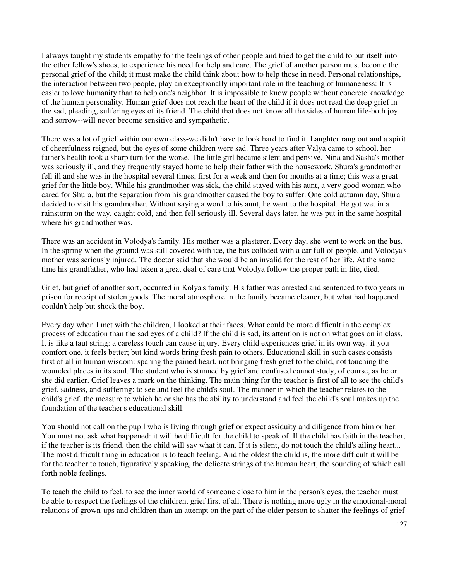I always taught my students empathy for the feelings of other people and tried to get the child to put itself into the other fellow's shoes, to experience his need for help and care. The grief of another person must become the personal grief of the child; it must make the child think about how to help those in need. Personal relationships, the interaction between two people, play an exceptionally important role in the teaching of humaneness: It is easier to love humanity than to help one's neighbor. It is impossible to know people without concrete knowledge of the human personality. Human grief does not reach the heart of the child if it does not read the deep grief in the sad, pleading, suffering eyes of its friend. The child that does not know all the sides of human life-both joy and sorrow--will never become sensitive and sympathetic.

There was a lot of grief within our own class-we didn't have to look hard to find it. Laughter rang out and a spirit of cheerfulness reigned, but the eyes of some children were sad. Three years after Valya came to school, her father's health took a sharp turn for the worse. The little girl became silent and pensive. Nina and Sasha's mother was seriously ill, and they frequently stayed home to help their father with the housework. Shura's grandmother fell ill and she was in the hospital several times, first for a week and then for months at a time; this was a great grief for the little boy. While his grandmother was sick, the child stayed with his aunt, a very good woman who cared for Shura, but the separation from his grandmother caused the boy to suffer. One cold autumn day, Shura decided to visit his grandmother. Without saying a word to his aunt, he went to the hospital. He got wet in a rainstorm on the way, caught cold, and then fell seriously ill. Several days later, he was put in the same hospital where his grandmother was.

There was an accident in Volodya's family. His mother was a plasterer. Every day, she went to work on the bus. In the spring when the ground was still covered with ice, the bus collided with a car full of people, and Volodya's mother was seriously injured. The doctor said that she would be an invalid for the rest of her life. At the same time his grandfather, who had taken a great deal of care that Volodya follow the proper path in life, died.

Grief, but grief of another sort, occurred in Kolya's family. His father was arrested and sentenced to two years in prison for receipt of stolen goods. The moral atmosphere in the family became cleaner, but what had happened couldn't help but shock the boy.

Every day when I met with the children, I looked at their faces. What could be more difficult in the complex process of education than the sad eyes of a child? If the child is sad, its attention is not on what goes on in class. It is like a taut string: a careless touch can cause injury. Every child experiences grief in its own way: if you comfort one, it feels better; but kind words bring fresh pain to others. Educational skill in such cases consists first of all in human wisdom: sparing the pained heart, not bringing fresh grief to the child, not touching the wounded places in its soul. The student who is stunned by grief and confused cannot study, of course, as he or she did earlier. Grief leaves a mark on the thinking. The main thing for the teacher is first of all to see the child's grief, sadness, and suffering: to see and feel the child's soul. The manner in which the teacher relates to the child's grief, the measure to which he or she has the ability to understand and feel the child's soul makes up the foundation of the teacher's educational skill.

You should not call on the pupil who is living through grief or expect assiduity and diligence from him or her. You must not ask what happened: it will be difficult for the child to speak of. If the child has faith in the teacher, if the teacher is its friend, then the child will say what it can. If it is silent, do not touch the child's ailing heart... The most difficult thing in education is to teach feeling. And the oldest the child is, the more difficult it will be for the teacher to touch, figuratively speaking, the delicate strings of the human heart, the sounding of which call forth noble feelings.

To teach the child to feel, to see the inner world of someone close to him in the person's eyes, the teacher must be able to respect the feelings of the children, grief first of all. There is nothing more ugly in the emotional-moral relations of grown-ups and children than an attempt on the part of the older person to shatter the feelings of grief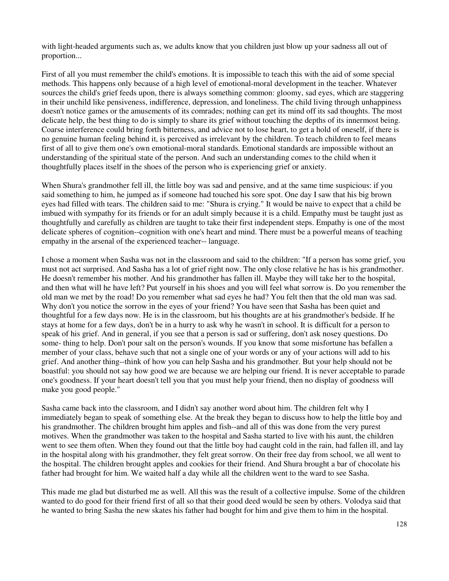with light-headed arguments such as, we adults know that you children just blow up your sadness all out of proportion...

First of all you must remember the child's emotions. It is impossible to teach this with the aid of some special methods. This happens only because of a high level of emotional-moral development in the teacher. Whatever sources the child's grief feeds upon, there is always something common: gloomy, sad eyes, which are staggering in their unchild like pensiveness, indifference, depression, and loneliness. The child living through unhappiness doesn't notice games or the amusements of its comrades; nothing can get its mind off its sad thoughts. The most delicate help, the best thing to do is simply to share its grief without touching the depths of its innermost being. Coarse interference could bring forth bitterness, and advice not to lose heart, to get a hold of oneself, if there is no genuine human feeling behind it, is perceived as irrelevant by the children. To teach children to feel means first of all to give them one's own emotional-moral standards. Emotional standards are impossible without an understanding of the spiritual state of the person. And such an understanding comes to the child when it thoughtfully places itself in the shoes of the person who is experiencing grief or anxiety.

When Shura's grandmother fell ill, the little boy was sad and pensive, and at the same time suspicious: if you said something to him, he jumped as if someone had touched his sore spot. One day I saw that his big brown eyes had filled with tears. The children said to me: "Shura is crying." It would be naive to expect that a child be imbued with sympathy for its friends or for an adult simply because it is a child. Empathy must be taught just as thoughtfully and carefully as children are taught to take their first independent steps. Empathy is one of the most delicate spheres of cognition--cognition with one's heart and mind. There must be a powerful means of teaching empathy in the arsenal of the experienced teacher-- language.

I chose a moment when Sasha was not in the classroom and said to the children: "If a person has some grief, you must not act surprised. And Sasha has a lot of grief right now. The only close relative he has is his grandmother. He doesn't remember his mother. And his grandmother has fallen ill. Maybe they will take her to the hospital, and then what will he have left? Put yourself in his shoes and you will feel what sorrow is. Do you remember the old man we met by the road! Do you remember what sad eyes he had? You felt then that the old man was sad. Why don't you notice the sorrow in the eyes of your friend? You have seen that Sasha has been quiet and thoughtful for a few days now. He is in the classroom, but his thoughts are at his grandmother's bedside. If he stays at home for a few days, don't be in a hurry to ask why he wasn't in school. It is difficult for a person to speak of his grief. And in general, if you see that a person is sad or suffering, don't ask nosey questions. Do some- thing to help. Don't pour salt on the person's wounds. If you know that some misfortune has befallen a member of your class, behave such that not a single one of your words or any of your actions will add to his grief. And another thing--think of how you can help Sasha and his grandmother. But your help should not be boastful: you should not say how good we are because we are helping our friend. It is never acceptable to parade one's goodness. If your heart doesn't tell you that you must help your friend, then no display of goodness will make you good people."

Sasha came back into the classroom, and I didn't say another word about him. The children felt why I immediately began to speak of something else. At the break they began to discuss how to help the little boy and his grandmother. The children brought him apples and fish--and all of this was done from the very purest motives. When the grandmother was taken to the hospital and Sasha started to live with his aunt, the children went to see them often. When they found out that the little boy had caught cold in the rain, had fallen ill, and lay in the hospital along with his grandmother, they felt great sorrow. On their free day from school, we all went to the hospital. The children brought apples and cookies for their friend. And Shura brought a bar of chocolate his father had brought for him. We waited half a day while all the children went to the ward to see Sasha.

This made me glad but disturbed me as well. All this was the result of a collective impulse. Some of the children wanted to do good for their friend first of all so that their good deed would be seen by others. Volodya said that he wanted to bring Sasha the new skates his father had bought for him and give them to him in the hospital.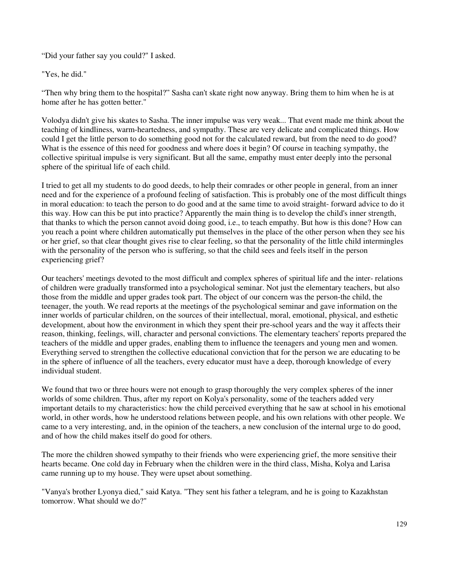"Did your father say you could?" I asked.

"Yes, he did."

"Then why bring them to the hospital?" Sasha can't skate right now anyway. Bring them to him when he is at home after he has gotten better."

Volodya didn't give his skates to Sasha. The inner impulse was very weak... That event made me think about the teaching of kindliness, warm-heartedness, and sympathy. These are very delicate and complicated things. How could I get the little person to do something good not for the calculated reward, but from the need to do good? What is the essence of this need for goodness and where does it begin? Of course in teaching sympathy, the collective spiritual impulse is very significant. But all the same, empathy must enter deeply into the personal sphere of the spiritual life of each child.

I tried to get all my students to do good deeds, to help their comrades or other people in general, from an inner need and for the experience of a profound feeling of satisfaction. This is probably one of the most difficult things in moral education: to teach the person to do good and at the same time to avoid straight- forward advice to do it this way. How can this be put into practice? Apparently the main thing is to develop the child's inner strength, that thanks to which the person cannot avoid doing good, i.e., to teach empathy. But how is this done? How can you reach a point where children automatically put themselves in the place of the other person when they see his or her grief, so that clear thought gives rise to clear feeling, so that the personality of the little child intermingles with the personality of the person who is suffering, so that the child sees and feels itself in the person experiencing grief?

Our teachers' meetings devoted to the most difficult and complex spheres of spiritual life and the inter- relations of children were gradually transformed into a psychological seminar. Not just the elementary teachers, but also those from the middle and upper grades took part. The object of our concern was the person-the child, the teenager, the youth. We read reports at the meetings of the psychological seminar and gave information on the inner worlds of particular children, on the sources of their intellectual, moral, emotional, physical, and esthetic development, about how the environment in which they spent their pre-school years and the way it affects their reason, thinking, feelings, will, character and personal convictions. The elementary teachers' reports prepared the teachers of the middle and upper grades, enabling them to influence the teenagers and young men and women. Everything served to strengthen the collective educational conviction that for the person we are educating to be in the sphere of influence of all the teachers, every educator must have a deep, thorough knowledge of every individual student.

We found that two or three hours were not enough to grasp thoroughly the very complex spheres of the inner worlds of some children. Thus, after my report on Kolya's personality, some of the teachers added very important details to my characteristics: how the child perceived everything that he saw at school in his emotional world, in other words, how he understood relations between people, and his own relations with other people. We came to a very interesting, and, in the opinion of the teachers, a new conclusion of the internal urge to do good, and of how the child makes itself do good for others.

The more the children showed sympathy to their friends who were experiencing grief, the more sensitive their hearts became. One cold day in February when the children were in the third class, Misha, Kolya and Larisa came running up to my house. They were upset about something.

"Vanya's brother Lyonya died," said Katya. "They sent his father a telegram, and he is going to Kazakhstan tomorrow. What should we do?"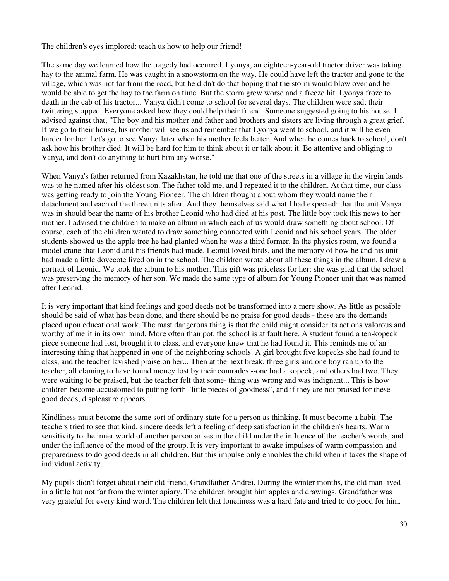The children's eyes implored: teach us how to help our friend!

The same day we learned how the tragedy had occurred. Lyonya, an eighteen-year-old tractor driver was taking hay to the animal farm. He was caught in a snowstorm on the way. He could have left the tractor and gone to the village, which was not far from the road, but he didn't do that hoping that the storm would blow over and he would be able to get the hay to the farm on time. But the storm grew worse and a freeze hit. Lyonya froze to death in the cab of his tractor... Vanya didn't come to school for several days. The children were sad; their twittering stopped. Everyone asked how they could help their friend. Someone suggested going to his house. I advised against that, "The boy and his mother and father and brothers and sisters are living through a great grief. If we go to their house, his mother will see us and remember that Lyonya went to school, and it will be even harder for her. Let's go to see Vanya later when his mother feels better. And when he comes back to school, don't ask how his brother died. It will be hard for him to think about it or talk about it. Be attentive and obliging to Vanya, and don't do anything to hurt him any worse."

When Vanya's father returned from Kazakhstan, he told me that one of the streets in a village in the virgin lands was to he named after his oldest son. The father told me, and I repeated it to the children. At that time, our class was getting ready to join the Young Pioneer. The children thought about whom they would name their detachment and each of the three units after. And they themselves said what I had expected: that the unit Vanya was in should bear the name of his brother Leonid who had died at his post. The little boy took this news to her mother. I advised the children to make an album in which each of us would draw something about school. Of course, each of the children wanted to draw something connected with Leonid and his school years. The older students showed us the apple tree he had planted when he was a third former. In the physics room, we found a model crane that Leonid and his friends had made. Leonid loved birds, and the memory of how he and his unit had made a little dovecote lived on in the school. The children wrote about all these things in the album. I drew a portrait of Leonid. We took the album to his mother. This gift was priceless for her: she was glad that the school was preserving the memory of her son. We made the same type of album for Young Pioneer unit that was named after Leonid.

It is very important that kind feelings and good deeds not be transformed into a mere show. As little as possible should be said of what has been done, and there should be no praise for good deeds - these are the demands placed upon educational work. The mast dangerous thing is that the child might consider its actions valorous and worthy of merit in its own mind. More often than pot, the school is at fault here. A student found a ten-kopeck piece someone had lost, brought it to class, and everyone knew that he had found it. This reminds me of an interesting thing that happened in one of the neighboring schools. A girl brought five kopecks she had found to class, and the teacher lavished praise on her... Then at the next break, three girls and one boy ran up to the teacher, all claming to have found money lost by their comrades --one had a kopeck, and others had two. They were waiting to be praised, but the teacher felt that some- thing was wrong and was indignant... This is how children become accustomed to putting forth "little pieces of goodness", and if they are not praised for these good deeds, displeasure appears.

Kindliness must become the same sort of ordinary state for a person as thinking. It must become a habit. The teachers tried to see that kind, sincere deeds left a feeling of deep satisfaction in the children's hearts. Warm sensitivity to the inner world of another person arises in the child under the influence of the teacher's words, and under the influence of the mood of the group. It is very important to awake impulses of warm compassion and preparedness to do good deeds in all children. But this impulse only ennobles the child when it takes the shape of individual activity.

My pupils didn't forget about their old friend, Grandfather Andrei. During the winter months, the old man lived in a little hut not far from the winter apiary. The children brought him apples and drawings. Grandfather was very grateful for every kind word. The children felt that loneliness was a hard fate and tried to do good for him.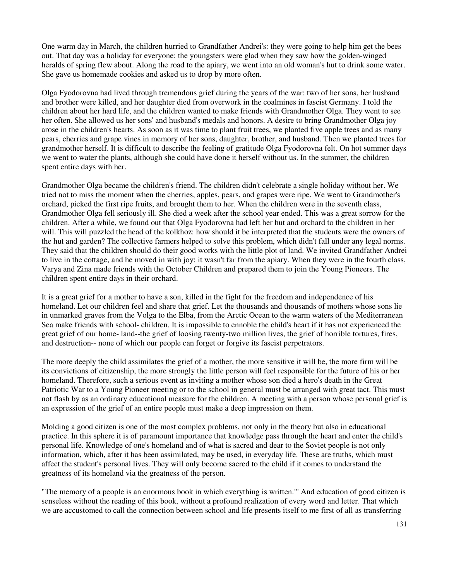One warm day in March, the children hurried to Grandfather Andrei's: they were going to help him get the bees out. That day was a holiday for everyone: the youngsters were glad when they saw how the golden-winged heralds of spring flew about. Along the road to the apiary, we went into an old woman's hut to drink some water. She gave us homemade cookies and asked us to drop by more often.

Olga Fyodorovna had lived through tremendous grief during the years of the war: two of her sons, her husband and brother were killed, and her daughter died from overwork in the coalmines in fascist Germany. I told the children about her hard life, and the children wanted to make friends with Grandmother Olga. They went to see her often. She allowed us her sons' and husband's medals and honors. A desire to bring Grandmother Olga joy arose in the children's hearts. As soon as it was time to plant fruit trees, we planted five apple trees and as many pears, cherries and grape vines in memory of her sons, daughter, brother, and husband. Then we planted trees for grandmother herself. It is difficult to describe the feeling of gratitude Olga Fyodorovna felt. On hot summer days we went to water the plants, although she could have done it herself without us. In the summer, the children spent entire days with her.

Grandmother Olga became the children's friend. The children didn't celebrate a single holiday without her. We tried not to miss the moment when the cherries, apples, pears, and grapes were ripe. We went to Grandmother's orchard, picked the first ripe fruits, and brought them to her. When the children were in the seventh class, Grandmother Olga fell seriously ill. She died a week after the school year ended. This was a great sorrow for the children. After a while, we found out that Olga Fyodorovna had left her hut and orchard to the children in her will. This will puzzled the head of the kolkhoz: how should it be interpreted that the students were the owners of the hut and garden? The collective farmers helped to solve this problem, which didn't fall under any legal norms. They said that the children should do their good works with the little plot of land. We invited Grandfather Andrei to live in the cottage, and he moved in with joy: it wasn't far from the apiary. When they were in the fourth class, Varya and Zina made friends with the October Children and prepared them to join the Young Pioneers. The children spent entire days in their orchard.

It is a great grief for a mother to have a son, killed in the fight for the freedom and independence of his homeland. Let our children feel and share that grief. Let the thousands and thousands of mothers whose sons lie in unmarked graves from the Volga to the Elba, from the Arctic Ocean to the warm waters of the Mediterranean Sea make friends with school- children. It is impossible to ennoble the child's heart if it has not experienced the great grief of our home- land--the grief of loosing twenty-two million lives, the grief of horrible tortures, fires, and destruction-- none of which our people can forget or forgive its fascist perpetrators.

The more deeply the child assimilates the grief of a mother, the more sensitive it will be, the more firm will be its convictions of citizenship, the more strongly the little person will feel responsible for the future of his or her homeland. Therefore, such a serious event as inviting a mother whose son died a hero's death in the Great Patriotic War to a Young Pioneer meeting or to the school in general must be arranged with great tact. This must not flash by as an ordinary educational measure for the children. A meeting with a person whose personal grief is an expression of the grief of an entire people must make a deep impression on them.

Molding a good citizen is one of the most complex problems, not only in the theory but also in educational practice. In this sphere it is of paramount importance that knowledge pass through the heart and enter the child's personal life. Knowledge of one's homeland and of what is sacred and dear to the Soviet people is not only information, which, after it has been assimilated, may be used, in everyday life. These are truths, which must affect the student's personal lives. They will only become sacred to the child if it comes to understand the greatness of its homeland via the greatness of the person.

"The memory of a people is an enormous book in which everything is written."' And education of good citizen is senseless without the reading of this book, without a profound realization of every word and letter. That which we are accustomed to call the connection between school and life presents itself to me first of all as transferring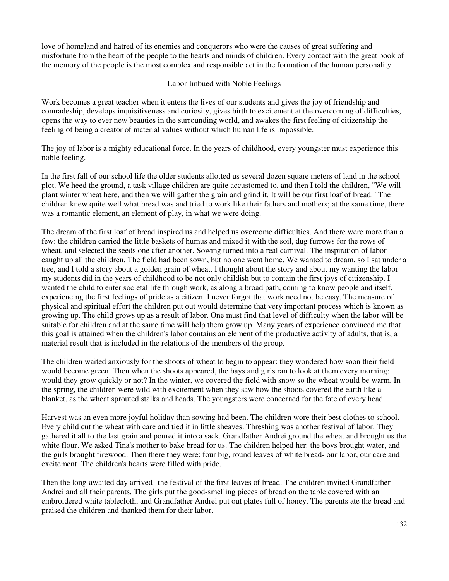love of homeland and hatred of its enemies and conquerors who were the causes of great suffering and misfortune from the heart of the people to the hearts and minds of children. Every contact with the great book of the memory of the people is the most complex and responsible act in the formation of the human personality.

Labor Imbued with Noble Feelings

Work becomes a great teacher when it enters the lives of our students and gives the joy of friendship and comradeship, develops inquisitiveness and curiosity, gives birth to excitement at the overcoming of difficulties, opens the way to ever new beauties in the surrounding world, and awakes the first feeling of citizenship the feeling of being a creator of material values without which human life is impossible.

The joy of labor is a mighty educational force. In the years of childhood, every youngster must experience this noble feeling.

In the first fall of our school life the older students allotted us several dozen square meters of land in the school plot. We heed the ground, a task village children are quite accustomed to, and then I told the children, "We will plant winter wheat here, and then we will gather the grain and grind it. It will be our first loaf of bread." The children knew quite well what bread was and tried to work like their fathers and mothers; at the same time, there was a romantic element, an element of play, in what we were doing.

The dream of the first loaf of bread inspired us and helped us overcome difficulties. And there were more than a few: the children carried the little baskets of humus and mixed it with the soil, dug furrows for the rows of wheat, and selected the seeds one after another. Sowing turned into a real carnival. The inspiration of labor caught up all the children. The field had been sown, but no one went home. We wanted to dream, so I sat under a tree, and I told a story about a golden grain of wheat. I thought about the story and about my wanting the labor my students did in the years of childhood to be not only childish but to contain the first joys of citizenship. I wanted the child to enter societal life through work, as along a broad path, coming to know people and itself, experiencing the first feelings of pride as a citizen. I never forgot that work need not be easy. The measure of physical and spiritual effort the children put out would determine that very important process which is known as growing up. The child grows up as a result of labor. One must find that level of difficulty when the labor will be suitable for children and at the same time will help them grow up. Many years of experience convinced me that this goal is attained when the children's labor contains an element of the productive activity of adults, that is, a material result that is included in the relations of the members of the group.

The children waited anxiously for the shoots of wheat to begin to appear: they wondered how soon their field would become green. Then when the shoots appeared, the bays and girls ran to look at them every morning: would they grow quickly or not? In the winter, we covered the field with snow so the wheat would be warm. In the spring, the children were wild with excitement when they saw how the shoots covered the earth like a blanket, as the wheat sprouted stalks and heads. The youngsters were concerned for the fate of every head.

Harvest was an even more joyful holiday than sowing had been. The children wore their best clothes to school. Every child cut the wheat with care and tied it in little sheaves. Threshing was another festival of labor. They gathered it all to the last grain and poured it into a sack. Grandfather Andrei ground the wheat and brought us the white flour. We asked Tina's mother to bake bread for us. The children helped her: the boys brought water, and the girls brought firewood. Then there they were: four big, round leaves of white bread- our labor, our care and excitement. The children's hearts were filled with pride.

Then the long-awaited day arrived--the festival of the first leaves of bread. The children invited Grandfather Andrei and all their parents. The girls put the good-smelling pieces of bread on the table covered with an embroidered white tablecloth, and Grandfather Andrei put out plates full of honey. The parents ate the bread and praised the children and thanked them for their labor.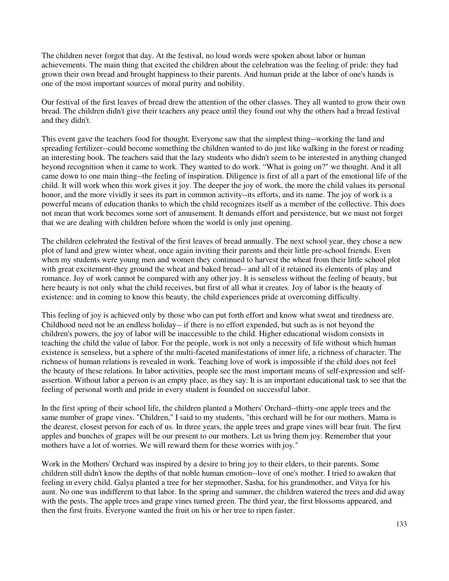The children never forgot that day. At the festival, no loud words were spoken about labor or human achievements. The main thing that excited the children about the celebration was the feeling of pride: they had grown their own bread and brought happiness to their parents. And human pride at the labor of one's hands is one of the most important sources of moral purity and nobility.

Our festival of the first leaves of bread drew the attention of the other classes. They all wanted to grow their own bread. The children didn't give their teachers any peace until they found out why the others had a bread festival and they didn't.

This event gave the teachers food for thought. Everyone saw that the simplest thing--working the land and spreading fertilizer--could become something the children wanted to do just like walking in the forest or reading an interesting book. The teachers said that the lazy students who didn't seem to be interested in anything changed beyond recognition when it came to work. They wanted to do work. "What is going on?" we thought. And it all came down to one main thing--the feeling of inspiration. Diligence is first of all a part of the emotional life of the child. It will work when this work gives it joy. The deeper the joy of work, the more the child values its personal honor, and the more vividly it sees its part in common activity--its efforts, and its name. The joy of work is a powerful means of education thanks to which the child recognizes itself as a member of the collective. This does not mean that work becomes some sort of amusement. It demands effort and persistence, but we must not forget that we are dealing with children before whom the world is only just opening.

The children celebrated the festival of the first leaves of bread annually. The next school year, they chose a new plot of land and grew winter wheat, once again inviting their parents and their little pre-school friends. Even when my students were young men and women they continued to harvest the wheat from their little school plot with great excitement-they ground the wheat and baked bread-- and all of it retained its elements of play and romance. Joy of work cannot be compared with any other joy. It is senseless without the feeling of beauty, but here beauty is not only what the child receives, but first of all what it creates. Joy of labor is the beauty of existence: and in coming to know this beauty, the child experiences pride at overcoming difficulty.

This feeling of joy is achieved only by those who can put forth effort and know what sweat and tiredness are. Childhood need not be an endless holiday-- if there is no effort expended, but such as is not beyond the children's powers, the joy of labor will be inaccessible to the child. Higher educational wisdom consists in teaching the child the value of labor. For the people, work is not only a necessity of life without which human existence is senseless, but a sphere of the multi-faceted manifestations of inner life, a richness of character. The richness of human relations is revealed in work. Teaching love of work is impossible if the child does not feel the beauty of these relations. In labor activities, people see the most important means of self-expression and selfassertion. Without labor a person is an empty place, as they say. It is an important educational task to see that the feeling of personal worth and pride in every student is founded on successful labor.

In the first spring of their school life, the children planted a Mothers' Orchard--thirty-one apple trees and the same number of grape vines. "Children," I said to my students, "this orchard will be for our mothers. Mama is the dearest, closest person for each of us. In three years, the apple trees and grape vines will bear fruit. The first apples and bunches of grapes will be our present to our mothers. Let us bring them joy. Remember that your mothers have a lot of worries. We will reward them for these worries with joy."

Work in the Mothers' Orchard was inspired by a desire to bring joy to their elders, to their parents. Some children still didn't know the depths of that noble human emotion--love of one's mother. I tried to awaken that feeling in every child. Galya planted a tree for her stepmother, Sasha, for his grandmother, and Vitya for his aunt. No one was indifferent to that labor. In the spring and summer, the children watered the trees and did away with the pests. The apple trees and grape vines turned green. The third year, the first blossoms appeared, and then the first fruits. Everyone wanted the fruit on his or her tree to ripen faster.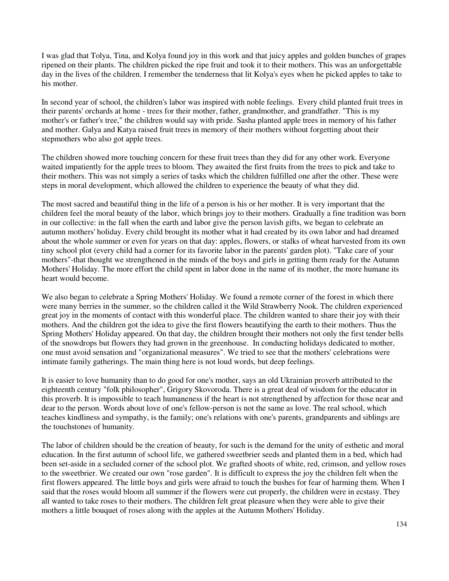I was glad that Tolya, Tina, and Kolya found joy in this work and that juicy apples and golden bunches of grapes ripened on their plants. The children picked the ripe fruit and took it to their mothers. This was an unforgettable day in the lives of the children. I remember the tenderness that lit Kolya's eyes when he picked apples to take to his mother.

In second year of school, the children's labor was inspired with noble feelings. Every child planted fruit trees in their parents' orchards at home - trees for their mother, father, grandmother, and grandfather. "This is my mother's or father's tree," the children would say with pride. Sasha planted apple trees in memory of his father and mother. Galya and Katya raised fruit trees in memory of their mothers without forgetting about their stepmothers who also got apple trees.

The children showed more touching concern for these fruit trees than they did for any other work. Everyone waited impatiently for the apple trees to bloom. They awaited the first fruits from the trees to pick and take to their mothers. This was not simply a series of tasks which the children fulfilled one after the other. These were steps in moral development, which allowed the children to experience the beauty of what they did.

The most sacred and beautiful thing in the life of a person is his or her mother. It is very important that the children feel the moral beauty of the labor, which brings joy to their mothers. Gradually a fine tradition was born in our collective: in the fall when the earth and labor give the person lavish gifts, we began to celebrate an autumn mothers' holiday. Every child brought its mother what it had created by its own labor and had dreamed about the whole summer or even for years on that day: apples, flowers, or stalks of wheat harvested from its own tiny school plot (every child had a corner for its favorite labor in the parents' garden plot). "Take care of your mothers"-that thought we strengthened in the minds of the boys and girls in getting them ready for the Autumn Mothers' Holiday. The more effort the child spent in labor done in the name of its mother, the more humane its heart would become.

We also began to celebrate a Spring Mothers' Holiday. We found a remote corner of the forest in which there were many berries in the summer, so the children called it the Wild Strawberry Nook. The children experienced great joy in the moments of contact with this wonderful place. The children wanted to share their joy with their mothers. And the children got the idea to give the first flowers beautifying the earth to their mothers. Thus the Spring Mothers' Holiday appeared. On that day, the children brought their mothers not only the first tender bells of the snowdrops but flowers they had grown in the greenhouse. In conducting holidays dedicated to mother, one must avoid sensation and "organizational measures". We tried to see that the mothers' celebrations were intimate family gatherings. The main thing here is not loud words, but deep feelings.

It is easier to love humanity than to do good for one's mother, says an old Ukrainian proverb attributed to the eighteenth century "folk philosopher", Grigory Skovoroda. There is a great deal of wisdom for the educator in this proverb. It is impossible to teach humaneness if the heart is not strengthened by affection for those near and dear to the person. Words about love of one's fellow-person is not the same as love. The real school, which teaches kindliness and sympathy, is the family; one's relations with one's parents, grandparents and siblings are the touchstones of humanity.

The labor of children should be the creation of beauty, for such is the demand for the unity of esthetic and moral education. In the first autumn of school life, we gathered sweetbrier seeds and planted them in a bed, which had been set-aside in a secluded corner of the school plot. We grafted shoots of white, red, crimson, and yellow roses to the sweetbrier. We created our own "rose garden". It is difficult to express the joy the children felt when the first flowers appeared. The little boys and girls were afraid to touch the bushes for fear of harming them. When I said that the roses would bloom all summer if the flowers were cut properly, the children were in ecstasy. They all wanted to take roses to their mothers. The children felt great pleasure when they were able to give their mothers a little bouquet of roses along with the apples at the Autumn Mothers' Holiday.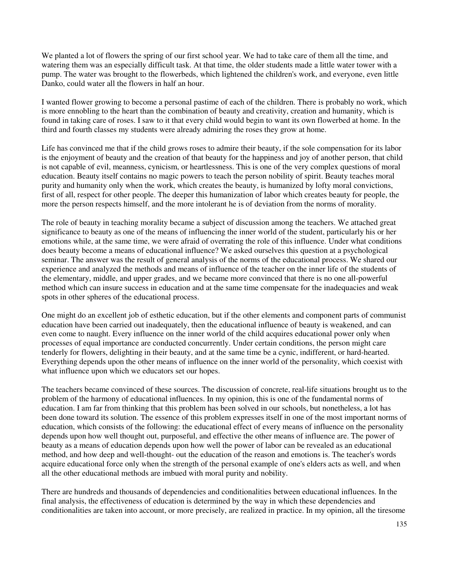We planted a lot of flowers the spring of our first school year. We had to take care of them all the time, and watering them was an especially difficult task. At that time, the older students made a little water tower with a pump. The water was brought to the flowerbeds, which lightened the children's work, and everyone, even little Danko, could water all the flowers in half an hour.

I wanted flower growing to become a personal pastime of each of the children. There is probably no work, which is more ennobling to the heart than the combination of beauty and creativity, creation and humanity, which is found in taking care of roses. I saw to it that every child would begin to want its own flowerbed at home. In the third and fourth classes my students were already admiring the roses they grow at home.

Life has convinced me that if the child grows roses to admire their beauty, if the sole compensation for its labor is the enjoyment of beauty and the creation of that beauty for the happiness and joy of another person, that child is not capable of evil, meanness, cynicism, or heartlessness. This is one of the very complex questions of moral education. Beauty itself contains no magic powers to teach the person nobility of spirit. Beauty teaches moral purity and humanity only when the work, which creates the beauty, is humanized by lofty moral convictions, first of all, respect for other people. The deeper this humanization of labor which creates beauty for people, the more the person respects himself, and the more intolerant he is of deviation from the norms of morality.

The role of beauty in teaching morality became a subject of discussion among the teachers. We attached great significance to beauty as one of the means of influencing the inner world of the student, particularly his or her emotions while, at the same time, we were afraid of overrating the role of this influence. Under what conditions does beauty become a means of educational influence? We asked ourselves this question at a psychological seminar. The answer was the result of general analysis of the norms of the educational process. We shared our experience and analyzed the methods and means of influence of the teacher on the inner life of the students of the elementary, middle, and upper grades, and we became more convinced that there is no one all-powerful method which can insure success in education and at the same time compensate for the inadequacies and weak spots in other spheres of the educational process.

One might do an excellent job of esthetic education, but if the other elements and component parts of communist education have been carried out inadequately, then the educational influence of beauty is weakened, and can even come to naught. Every influence on the inner world of the child acquires educational power only when processes of equal importance are conducted concurrently. Under certain conditions, the person might care tenderly for flowers, delighting in their beauty, and at the same time be a cynic, indifferent, or hard-hearted. Everything depends upon the other means of influence on the inner world of the personality, which coexist with what influence upon which we educators set our hopes.

The teachers became convinced of these sources. The discussion of concrete, real-life situations brought us to the problem of the harmony of educational influences. In my opinion, this is one of the fundamental norms of education. I am far from thinking that this problem has been solved in our schools, but nonetheless, a lot has been done toward its solution. The essence of this problem expresses itself in one of the most important norms of education, which consists of the following: the educational effect of every means of influence on the personality depends upon how well thought out, purposeful, and effective the other means of influence are. The power of beauty as a means of education depends upon how well the power of labor can be revealed as an educational method, and how deep and well-thought- out the education of the reason and emotions is. The teacher's words acquire educational force only when the strength of the personal example of one's elders acts as well, and when all the other educational methods are imbued with moral purity and nobility.

There are hundreds and thousands of dependencies and conditionalities between educational influences. In the final analysis, the effectiveness of education is determined by the way in which these dependencies and conditionalities are taken into account, or more precisely, are realized in practice. In my opinion, all the tiresome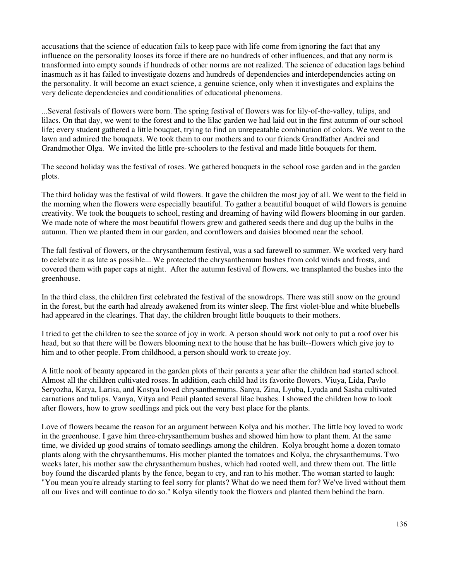accusations that the science of education fails to keep pace with life come from ignoring the fact that any influence on the personality looses its force if there are no hundreds of other influences, and that any norm is transformed into empty sounds if hundreds of other norms are not realized. The science of education lags behind inasmuch as it has failed to investigate dozens and hundreds of dependencies and interdependencies acting on the personality. It will become an exact science, a genuine science, only when it investigates and explains the very delicate dependencies and conditionalities of educational phenomena.

...Several festivals of flowers were born. The spring festival of flowers was for lily-of-the-valley, tulips, and lilacs. On that day, we went to the forest and to the lilac garden we had laid out in the first autumn of our school life; every student gathered a little bouquet, trying to find an unrepeatable combination of colors. We went to the lawn and admired the bouquets. We took them to our mothers and to our friends Grandfather Andrei and Grandmother Olga. We invited the little pre-schoolers to the festival and made little bouquets for them.

The second holiday was the festival of roses. We gathered bouquets in the school rose garden and in the garden plots.

The third holiday was the festival of wild flowers. It gave the children the most joy of all. We went to the field in the morning when the flowers were especially beautiful. To gather a beautiful bouquet of wild flowers is genuine creativity. We took the bouquets to school, resting and dreaming of having wild flowers blooming in our garden. We made note of where the most beautiful flowers grew and gathered seeds there and dug up the bulbs in the autumn. Then we planted them in our garden, and cornflowers and daisies bloomed near the school.

The fall festival of flowers, or the chrysanthemum festival, was a sad farewell to summer. We worked very hard to celebrate it as late as possible... We protected the chrysanthemum bushes from cold winds and frosts, and covered them with paper caps at night. After the autumn festival of flowers, we transplanted the bushes into the greenhouse.

In the third class, the children first celebrated the festival of the snowdrops. There was still snow on the ground in the forest, but the earth had already awakened from its winter sleep. The first violet-blue and white bluebells had appeared in the clearings. That day, the children brought little bouquets to their mothers.

I tried to get the children to see the source of joy in work. A person should work not only to put a roof over his head, but so that there will be flowers blooming next to the house that he has built--flowers which give joy to him and to other people. From childhood, a person should work to create joy.

A little nook of beauty appeared in the garden plots of their parents a year after the children had started school. Almost all the children cultivated roses. In addition, each child had its favorite flowers. Viuya, Lida, Pavlo Seryozha, Katya, Larisa, and Kostya loved chrysanthemums. Sanya, Zina, Lyuba, Lyuda and Sasha cultivated carnations and tulips. Vanya, Vitya and Peuil planted several lilac bushes. I showed the children how to look after flowers, how to grow seedlings and pick out the very best place for the plants.

Love of flowers became the reason for an argument between Kolya and his mother. The little boy loved to work in the greenhouse. I gave him three-chrysanthemum bushes and showed him how to plant them. At the same time, we divided up good strains of tomato seedlings among the children. Kolya brought home a dozen tomato plants along with the chrysanthemums. His mother planted the tomatoes and Kolya, the chrysanthemums. Two weeks later, his mother saw the chrysanthemum bushes, which had rooted well, and threw them out. The little boy found the discarded plants by the fence, began to cry, and ran to his mother. The woman started to laugh: "You mean you're already starting to feel sorry for plants? What do we need them for? We've lived without them all our lives and will continue to do so." Kolya silently took the flowers and planted them behind the barn.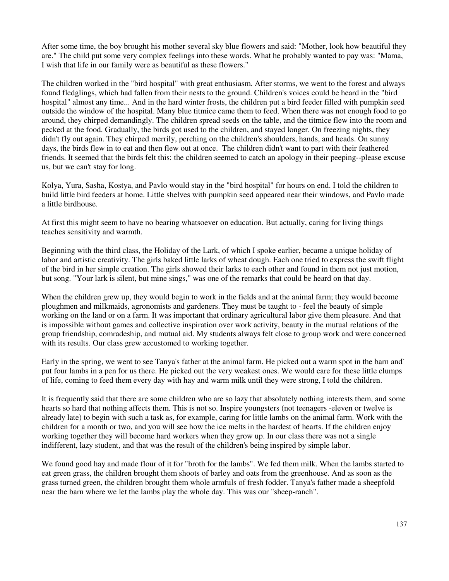After some time, the boy brought his mother several sky blue flowers and said: "Mother, look how beautiful they are." The child put some very complex feelings into these words. What he probably wanted to pay was: "Mama, I wish that life in our family were as beautiful as these flowers."

The children worked in the "bird hospital" with great enthusiasm. After storms, we went to the forest and always found fledglings, which had fallen from their nests to the ground. Children's voices could be heard in the "bird hospital" almost any time... And in the hard winter frosts, the children put a bird feeder filled with pumpkin seed outside the window of the hospital. Many blue titmice came them to feed. When there was not enough food to go around, they chirped demandingly. The children spread seeds on the table, and the titmice flew into the room and pecked at the food. Gradually, the birds got used to the children, and stayed longer. On freezing nights, they didn't fly out again. They chirped merrily, perching on the children's shoulders, hands, and heads. On sunny days, the birds flew in to eat and then flew out at once. The children didn't want to part with their feathered friends. It seemed that the birds felt this: the children seemed to catch an apology in their peeping--please excuse us, but we can't stay for long.

Kolya, Yura, Sasha, Kostya, and Pavlo would stay in the "bird hospital" for hours on end. I told the children to build little bird feeders at home. Little shelves with pumpkin seed appeared near their windows, and Pavlo made a little birdhouse.

At first this might seem to have no bearing whatsoever on education. But actually, caring for living things teaches sensitivity and warmth.

Beginning with the third class, the Holiday of the Lark, of which I spoke earlier, became a unique holiday of labor and artistic creativity. The girls baked little larks of wheat dough. Each one tried to express the swift flight of the bird in her simple creation. The girls showed their larks to each other and found in them not just motion, but song. "Your lark is silent, but mine sings," was one of the remarks that could be heard on that day.

When the children grew up, they would begin to work in the fields and at the animal farm; they would become ploughmen and milkmaids, agronomists and gardeners. They must be taught to - feel the beauty of simple working on the land or on a farm. It was important that ordinary agricultural labor give them pleasure. And that is impossible without games and collective inspiration over work activity, beauty in the mutual relations of the group friendship, comradeship, and mutual aid. My students always felt close to group work and were concerned with its results. Our class grew accustomed to working together.

Early in the spring, we went to see Tanya's father at the animal farm. He picked out a warm spot in the barn and` put four lambs in a pen for us there. He picked out the very weakest ones. We would care for these little clumps of life, coming to feed them every day with hay and warm milk until they were strong, I told the children.

It is frequently said that there are some children who are so lazy that absolutely nothing interests them, and some hearts so hard that nothing affects them. This is not so. Inspire youngsters (not teenagers -eleven or twelve is already late) to begin with such a task as, for example, caring for little lambs on the animal farm. Work with the children for a month or two, and you will see how the ice melts in the hardest of hearts. If the children enjoy working together they will become hard workers when they grow up. In our class there was not a single indifferent, lazy student, and that was the result of the children's being inspired by simple labor.

We found good hay and made flour of it for "broth for the lambs". We fed them milk. When the lambs started to eat green grass, the children brought them shoots of barley and oats from the greenhouse. And as soon as the grass turned green, the children brought them whole armfuls of fresh fodder. Tanya's father made a sheepfold near the barn where we let the lambs play the whole day. This was our "sheep-ranch".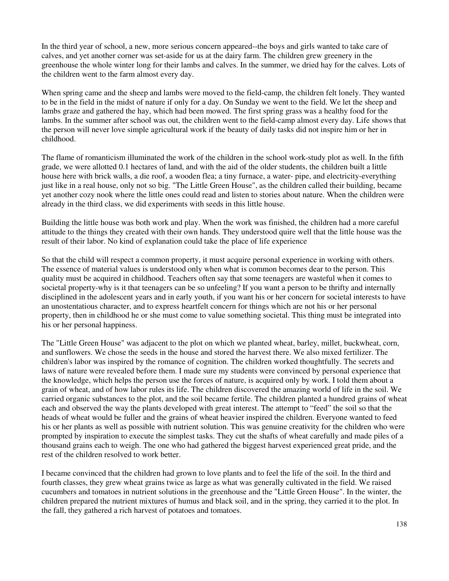In the third year of school, a new, more serious concern appeared--the boys and girls wanted to take care of calves, and yet another corner was set-aside for us at the dairy farm. The children grew greenery in the greenhouse the whole winter long for their lambs and calves. In the summer, we dried hay for the calves. Lots of the children went to the farm almost every day.

When spring came and the sheep and lambs were moved to the field-camp, the children felt lonely. They wanted to be in the field in the midst of nature if only for a day. On Sunday we went to the field. We let the sheep and lambs graze and gathered the hay, which had been mowed. The first spring grass was a healthy food for the lambs. In the summer after school was out, the children went to the field-camp almost every day. Life shows that the person will never love simple agricultural work if the beauty of daily tasks did not inspire him or her in childhood.

The flame of romanticism illuminated the work of the children in the school work-study plot as well. In the fifth grade, we were allotted 0.1 hectares of land, and with the aid of the older students, the children built a little house here with brick walls, a die roof, a wooden flea; a tiny furnace, a water- pipe, and electricity-everything just like in a real house, only not so big. "The Little Green House", as the children called their building, became yet another cozy nook where the little ones could read and listen to stories about nature. When the children were already in the third class, we did experiments with seeds in this little house.

Building the little house was both work and play. When the work was finished, the children had a more careful attitude to the things they created with their own hands. They understood quire well that the little house was the result of their labor. No kind of explanation could take the place of life experience

So that the child will respect a common property, it must acquire personal experience in working with others. The essence of material values is understood only when what is common becomes dear to the person. This quality must be acquired in childhood. Teachers often say that some teenagers are wasteful when it comes to societal property-why is it that teenagers can be so unfeeling? If you want a person to be thrifty and internally disciplined in the adolescent years and in early youth, if you want his or her concern for societal interests to have an unostentatious character, and to express heartfelt concern for things which are not his or her personal property, then in childhood he or she must come to value something societal. This thing must be integrated into his or her personal happiness.

The "Little Green House" was adjacent to the plot on which we planted wheat, barley, millet, buckwheat, corn, and sunflowers. We chose the seeds in the house and stored the harvest there. We also mixed fertilizer. The children's labor was inspired by the romance of cognition. The children worked thoughtfully. The secrets and laws of nature were revealed before them. I made sure my students were convinced by personal experience that the knowledge, which helps the person use the forces of nature, is acquired only by work. I told them about a grain of wheat, and of how labor rules its life. The children discovered the amazing world of life in the soil. We carried organic substances to the plot, and the soil became fertile. The children planted a hundred grains of wheat each and observed the way the plants developed with great interest. The attempt to "feed" the soil so that the heads of wheat would be fuller and the grains of wheat heavier inspired the children. Everyone wanted to feed his or her plants as well as possible with nutrient solution. This was genuine creativity for the children who were prompted by inspiration to execute the simplest tasks. They cut the shafts of wheat carefully and made piles of a thousand grains each to weigh. The one who had gathered the biggest harvest experienced great pride, and the rest of the children resolved to work better.

I became convinced that the children had grown to love plants and to feel the life of the soil. In the third and fourth classes, they grew wheat grains twice as large as what was generally cultivated in the field. We raised cucumbers and tomatoes in nutrient solutions in the greenhouse and the "Little Green House". In the winter, the children prepared the nutrient mixtures of humus and black soil, and in the spring, they carried it to the plot. In the fall, they gathered a rich harvest of potatoes and tomatoes.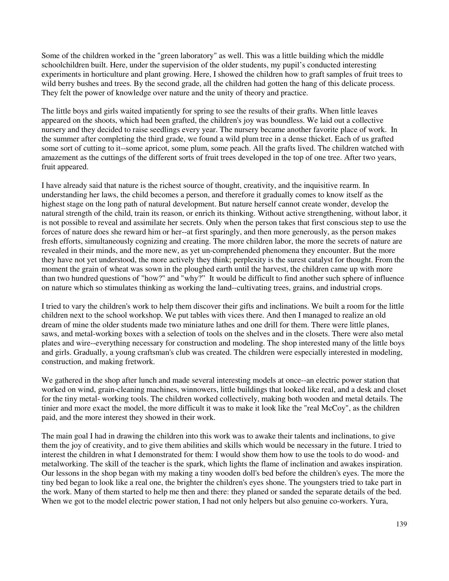Some of the children worked in the "green laboratory" as well. This was a little building which the middle schoolchildren built. Here, under the supervision of the older students, my pupil's conducted interesting experiments in horticulture and plant growing. Here, I showed the children how to graft samples of fruit trees to wild berry bushes and trees. By the second grade, all the children had gotten the hang of this delicate process. They felt the power of knowledge over nature and the unity of theory and practice.

The little boys and girls waited impatiently for spring to see the results of their grafts. When little leaves appeared on the shoots, which had been grafted, the children's joy was boundless. We laid out a collective nursery and they decided to raise seedlings every year. The nursery became another favorite place of work. In the summer after completing the third grade, we found a wild plum tree in a dense thicket. Each of us grafted some sort of cutting to it--some apricot, some plum, some peach. All the grafts lived. The children watched with amazement as the cuttings of the different sorts of fruit trees developed in the top of one tree. After two years, fruit appeared.

I have already said that nature is the richest source of thought, creativity, and the inquisitive rearm. In understanding her laws, the child becomes a person, and therefore it gradually comes to know itself as the highest stage on the long path of natural development. But nature herself cannot create wonder, develop the natural strength of the child, train its reason, or enrich its thinking. Without active strengthening, without labor, it is not possible to reveal and assimilate her secrets. Only when the person takes that first conscious step to use the forces of nature does she reward him or her--at first sparingly, and then more generously, as the person makes fresh efforts, simultaneously cognizing and creating. The more children labor, the more the secrets of nature are revealed in their minds, and the more new, as yet un-comprehended phenomena they encounter. But the more they have not yet understood, the more actively they think; perplexity is the surest catalyst for thought. From the moment the grain of wheat was sown in the ploughed earth until the harvest, the children came up with more than two hundred questions of "how?" and "why?" It would be difficult to find another such sphere of influence on nature which so stimulates thinking as working the land--cultivating trees, grains, and industrial crops.

I tried to vary the children's work to help them discover their gifts and inclinations. We built a room for the little children next to the school workshop. We put tables with vices there. And then I managed to realize an old dream of mine the older students made two miniature lathes and one drill for them. There were little planes, saws, and metal-working boxes with a selection of tools on the shelves and in the closets. There were also metal plates and wire--everything necessary for construction and modeling. The shop interested many of the little boys and girls. Gradually, a young craftsman's club was created. The children were especially interested in modeling, construction, and making fretwork.

We gathered in the shop after lunch and made several interesting models at once--an electric power station that worked on wind, grain-cleaning machines, winnowers, little buildings that looked like real, and a desk and closet for the tiny metal- working tools. The children worked collectively, making both wooden and metal details. The tinier and more exact the model, the more difficult it was to make it look like the "real McCoy", as the children paid, and the more interest they showed in their work.

The main goal I had in drawing the children into this work was to awake their talents and inclinations, to give them the joy of creativity, and to give them abilities and skills which would be necessary in the future. I tried to interest the children in what I demonstrated for them: I would show them how to use the tools to do wood- and metalworking. The skill of the teacher is the spark, which lights the flame of inclination and awakes inspiration. Our lessons in the shop began with my making a tiny wooden doll's bed before the children's eyes. The more the tiny bed began to look like a real one, the brighter the children's eyes shone. The youngsters tried to take part in the work. Many of them started to help me then and there: they planed or sanded the separate details of the bed. When we got to the model electric power station, I had not only helpers but also genuine co-workers. Yura,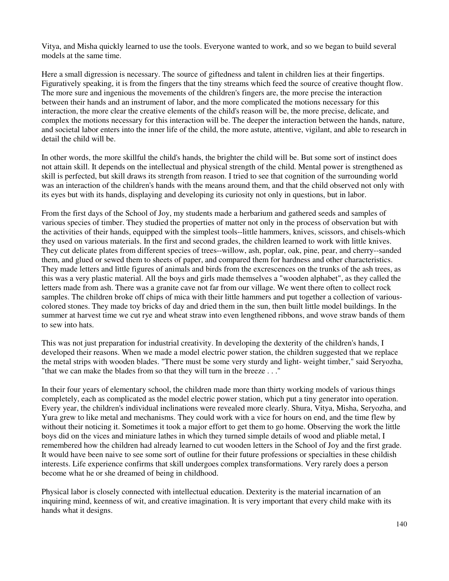Vitya, and Misha quickly learned to use the tools. Everyone wanted to work, and so we began to build several models at the same time.

Here a small digression is necessary. The source of giftedness and talent in children lies at their fingertips. Figuratively speaking, it is from the fingers that the tiny streams which feed the source of creative thought flow. The more sure and ingenious the movements of the children's fingers are, the more precise the interaction between their hands and an instrument of labor, and the more complicated the motions necessary for this interaction, the more clear the creative elements of the child's reason will be, the more precise, delicate, and complex the motions necessary for this interaction will be. The deeper the interaction between the hands, nature, and societal labor enters into the inner life of the child, the more astute, attentive, vigilant, and able to research in detail the child will be.

In other words, the more skillful the child's hands, the brighter the child will be. But some sort of instinct does not attain skill. It depends on the intellectual and physical strength of the child. Mental power is strengthened as skill is perfected, but skill draws its strength from reason. I tried to see that cognition of the surrounding world was an interaction of the children's hands with the means around them, and that the child observed not only with its eyes but with its hands, displaying and developing its curiosity not only in questions, but in labor.

From the first days of the School of Joy, my students made a herbarium and gathered seeds and samples of various species of timber. They studied the properties of matter not only in the process of observation but with the activities of their hands, equipped with the simplest tools--little hammers, knives, scissors, and chisels-which they used on various materials. In the first and second grades, the children learned to work with little knives. They cut delicate plates from different species of trees--willow, ash, poplar, oak, pine, pear, and cherry--sanded them, and glued or sewed them to sheets of paper, and compared them for hardness and other characteristics. They made letters and little figures of animals and birds from the excrescences on the trunks of the ash trees, as this was a very plastic material. All the boys and girls made themselves a "wooden alphabet", as they called the letters made from ash. There was a granite cave not far from our village. We went there often to collect rock samples. The children broke off chips of mica with their little hammers and put together a collection of variouscolored stones. They made toy bricks of day and dried them in the sun, then built little model buildings. In the summer at harvest time we cut rye and wheat straw into even lengthened ribbons, and wove straw bands of them to sew into hats.

This was not just preparation for industrial creativity. In developing the dexterity of the children's hands, I developed their reasons. When we made a model electric power station, the children suggested that we replace the metal strips with wooden blades. "There must be some very sturdy and light- weight timber," said Seryozha, "that we can make the blades from so that they will turn in the breeze . . ."

In their four years of elementary school, the children made more than thirty working models of various things completely, each as complicated as the model electric power station, which put a tiny generator into operation. Every year, the children's individual inclinations were revealed more clearly. Shura, Vitya, Misha, Seryozha, and Yura grew to like metal and mechanisms. They could work with a vice for hours on end, and the time flew by without their noticing it. Sometimes it took a major effort to get them to go home. Observing the work the little boys did on the vices and miniature lathes in which they turned simple details of wood and pliable metal, I remembered how the children had already learned to cut wooden letters in the School of Joy and the first grade. It would have been naive to see some sort of outline for their future professions or specialties in these childish interests. Life experience confirms that skill undergoes complex transformations. Very rarely does a person become what he or she dreamed of being in childhood.

Physical labor is closely connected with intellectual education. Dexterity is the material incarnation of an inquiring mind, keenness of wit, and creative imagination. It is very important that every child make with its hands what it designs.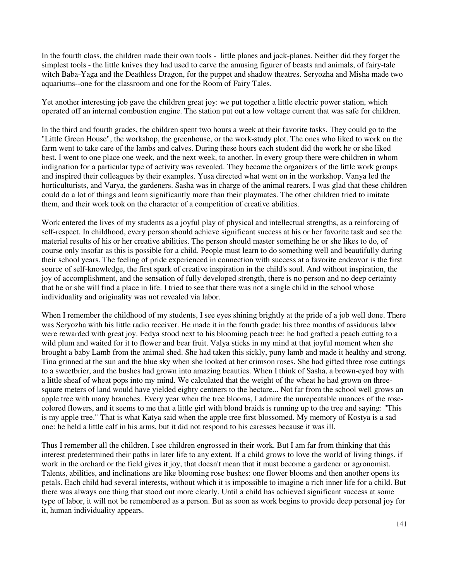In the fourth class, the children made their own tools - little planes and jack-planes. Neither did they forget the simplest tools - the little knives they had used to carve the amusing figurer of beasts and animals, of fairy-tale witch Baba-Yaga and the Deathless Dragon, for the puppet and shadow theatres. Seryozha and Misha made two aquariums--one for the classroom and one for the Room of Fairy Tales.

Yet another interesting job gave the children great joy: we put together a little electric power station, which operated off an internal combustion engine. The station put out a low voltage current that was safe for children.

In the third and fourth grades, the children spent two hours a week at their favorite tasks. They could go to the "Little Green House", the workshop, the greenhouse, or the work-study plot. The ones who liked to work on the farm went to take care of the lambs and calves. During these hours each student did the work he or she liked best. I went to one place one week, and the next week, to another. In every group there were children in whom indignation for a particular type of activity was revealed. They became the organizers of the little work groups and inspired their colleagues by their examples. Yusa directed what went on in the workshop. Vanya led the horticulturists, and Varya, the gardeners. Sasha was in charge of the animal rearers. I was glad that these children could do a lot of things and learn significantly more than their playmates. The other children tried to imitate them, and their work took on the character of a competition of creative abilities.

Work entered the lives of my students as a joyful play of physical and intellectual strengths, as a reinforcing of self-respect. In childhood, every person should achieve significant success at his or her favorite task and see the material results of his or her creative abilities. The person should master something he or she likes to do, of course only insofar as this is possible for a child. People must learn to do something well and beautifully during their school years. The feeling of pride experienced in connection with success at a favorite endeavor is the first source of self-knowledge, the first spark of creative inspiration in the child's soul. And without inspiration, the joy of accomplishment, and the sensation of fully developed strength, there is no person and no deep certainty that he or she will find a place in life. I tried to see that there was not a single child in the school whose individuality and originality was not revealed via labor.

When I remember the childhood of my students, I see eyes shining brightly at the pride of a job well done. There was Seryozha with his little radio receiver. He made it in the fourth grade: his three months of assiduous labor were rewarded with great joy. Fedya stood next to his blooming peach tree: he had grafted a peach cutting to a wild plum and waited for it to flower and bear fruit. Valya sticks in my mind at that joyful moment when she brought a baby Lamb from the animal shed. She had taken this sickly, puny lamb and made it healthy and strong. Tina grinned at the sun and the blue sky when she looked at her crimson roses. She had gifted three rose cuttings to a sweetbrier, and the bushes had grown into amazing beauties. When I think of Sasha, a brown-eyed boy with a little sheaf of wheat pops into my mind. We calculated that the weight of the wheat he had grown on threesquare meters of land would have yielded eighty centners to the hectare... Not far from the school well grows an apple tree with many branches. Every year when the tree blooms, I admire the unrepeatable nuances of the rosecolored flowers, and it seems to me that a little girl with blond braids is running up to the tree and saying: "This is my apple tree." That is what Katya said when the apple tree first blossomed. My memory of Kostya is a sad one: he held a little calf in his arms, but it did not respond to his caresses because it was ill.

Thus I remember all the children. I see children engrossed in their work. But I am far from thinking that this interest predetermined their paths in later life to any extent. If a child grows to love the world of living things, if work in the orchard or the field gives it joy, that doesn't mean that it must become a gardener or agronomist. Talents, abilities, and inclinations are like blooming rose bushes: one flower blooms and then another opens its petals. Each child had several interests, without which it is impossible to imagine a rich inner life for a child. But there was always one thing that stood out more clearly. Until a child has achieved significant success at some type of labor, it will not be remembered as a person. But as soon as work begins to provide deep personal joy for it, human individuality appears.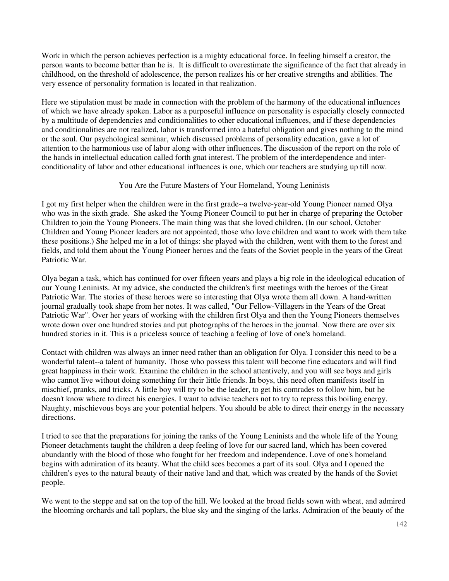Work in which the person achieves perfection is a mighty educational force. In feeling himself a creator, the person wants to become better than he is. It is difficult to overestimate the significance of the fact that already in childhood, on the threshold of adolescence, the person realizes his or her creative strengths and abilities. The very essence of personality formation is located in that realization.

Here we stipulation must be made in connection with the problem of the harmony of the educational influences of which we have already spoken. Labor as a purposeful influence on personality is especially closely connected by a multitude of dependencies and conditionalities to other educational influences, and if these dependencies and conditionalities are not realized, labor is transformed into a hateful obligation and gives nothing to the mind or the soul. Our psychological seminar, which discussed problems of personality education, gave a lot of attention to the harmonious use of labor along with other influences. The discussion of the report on the role of the hands in intellectual education called forth gnat interest. The problem of the interdependence and interconditionality of labor and other educational influences is one, which our teachers are studying up till now.

### You Are the Future Masters of Your Homeland, Young Leninists

I got my first helper when the children were in the first grade--a twelve-year-old Young Pioneer named Olya who was in the sixth grade. She asked the Young Pioneer Council to put her in charge of preparing the October Children to join the Young Pioneers. The main thing was that she loved children. (In our school, October Children and Young Pioneer leaders are not appointed; those who love children and want to work with them take these positions.) She helped me in a lot of things: she played with the children, went with them to the forest and fields, and told them about the Young Pioneer heroes and the feats of the Soviet people in the years of the Great Patriotic War.

Olya began a task, which has continued for over fifteen years and plays a big role in the ideological education of our Young Leninists. At my advice, she conducted the children's first meetings with the heroes of the Great Patriotic War. The stories of these heroes were so interesting that Olya wrote them all down. A hand-written journal gradually took shape from her notes. It was called, "Our Fellow-Villagers in the Years of the Great Patriotic War". Over her years of working with the children first Olya and then the Young Pioneers themselves wrote down over one hundred stories and put photographs of the heroes in the journal. Now there are over six hundred stories in it. This is a priceless source of teaching a feeling of love of one's homeland.

Contact with children was always an inner need rather than an obligation for Olya. I consider this need to be a wonderful talent--a talent of humanity. Those who possess this talent will become fine educators and will find great happiness in their work. Examine the children in the school attentively, and you will see boys and girls who cannot live without doing something for their little friends. In boys, this need often manifests itself in mischief, pranks, and tricks. A little boy will try to be the leader, to get his comrades to follow him, but he doesn't know where to direct his energies. I want to advise teachers not to try to repress this boiling energy. Naughty, mischievous boys are your potential helpers. You should be able to direct their energy in the necessary directions.

I tried to see that the preparations for joining the ranks of the Young Leninists and the whole life of the Young Pioneer detachments taught the children a deep feeling of love for our sacred land, which has been covered abundantly with the blood of those who fought for her freedom and independence. Love of one's homeland begins with admiration of its beauty. What the child sees becomes a part of its soul. Olya and I opened the children's eyes to the natural beauty of their native land and that, which was created by the hands of the Soviet people.

We went to the steppe and sat on the top of the hill. We looked at the broad fields sown with wheat, and admired the blooming orchards and tall poplars, the blue sky and the singing of the larks. Admiration of the beauty of the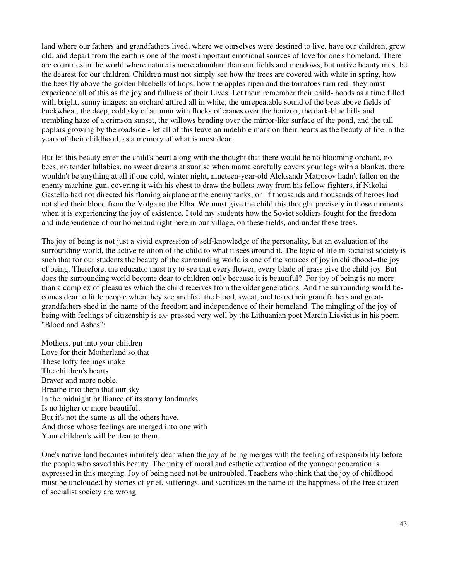land where our fathers and grandfathers lived, where we ourselves were destined to live, have our children, grow old, and depart from the earth is one of the most important emotional sources of love for one's homeland. There are countries in the world where nature is more abundant than our fields and meadows, but native beauty must be the dearest for our children. Children must not simply see how the trees are covered with white in spring, how the bees fly above the golden bluebells of hops, how the apples ripen and the tomatoes turn red--they must experience all of this as the joy and fullness of their Lives. Let them remember their child- hoods as a time filled with bright, sunny images: an orchard attired all in white, the unrepeatable sound of the bees above fields of buckwheat, the deep, cold sky of autumn with flocks of cranes over the horizon, the dark-blue hills and trembling haze of a crimson sunset, the willows bending over the mirror-like surface of the pond, and the tall poplars growing by the roadside - let all of this leave an indelible mark on their hearts as the beauty of life in the years of their childhood, as a memory of what is most dear.

But let this beauty enter the child's heart along with the thought that there would be no blooming orchard, no bees, no tender lullabies, no sweet dreams at sunrise when mama carefully covers your legs with a blanket, there wouldn't be anything at all if one cold, winter night, nineteen-year-old Aleksandr Matrosov hadn't fallen on the enemy machine-gun, covering it with his chest to draw the bullets away from his fellow-fighters, if Nikolai Gastello had not directed his flaming airplane at the enemy tanks, or if thousands and thousands of heroes had not shed their blood from the Volga to the Elba. We must give the child this thought precisely in those moments when it is experiencing the joy of existence. I told my students how the Soviet soldiers fought for the freedom and independence of our homeland right here in our village, on these fields, and under these trees.

The joy of being is not just a vivid expression of self-knowledge of the personality, but an evaluation of the surrounding world, the active relation of the child to what it sees around it. The logic of life in socialist society is such that for our students the beauty of the surrounding world is one of the sources of joy in childhood--the joy of being. Therefore, the educator must try to see that every flower, every blade of grass give the child joy. But does the surrounding world become dear to children only because it is beautiful? For joy of being is no more than a complex of pleasures which the child receives from the older generations. And the surrounding world becomes dear to little people when they see and feel the blood, sweat, and tears their grandfathers and greatgrandfathers shed in the name of the freedom and independence of their homeland. The mingling of the joy of being with feelings of citizenship is ex- pressed very well by the Lithuanian poet Marcin Lievicius in his poem "Blood and Ashes":

Mothers, put into your children Love for their Motherland so that These lofty feelings make The children's hearts Braver and more noble. Breathe into them that our sky In the midnight brilliance of its starry landmarks Is no higher or more beautiful, But it's not the same as all the others have. And those whose feelings are merged into one with Your children's will be dear to them.

One's native land becomes infinitely dear when the joy of being merges with the feeling of responsibility before the people who saved this beauty. The unity of moral and esthetic education of the younger generation is expressed in this merging. Joy of being need not be untroubled. Teachers who think that the joy of childhood must be unclouded by stories of grief, sufferings, and sacrifices in the name of the happiness of the free citizen of socialist society are wrong.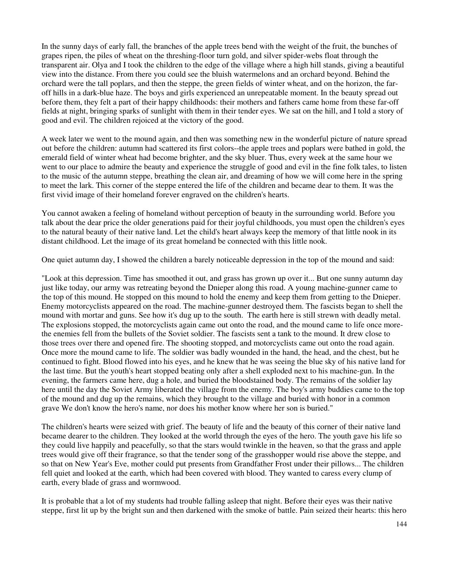In the sunny days of early fall, the branches of the apple trees bend with the weight of the fruit, the bunches of grapes ripen, the piles of wheat on the threshing-floor turn gold, and silver spider-webs float through the transparent air. Olya and I took the children to the edge of the village where a high hill stands, giving a beautiful view into the distance. From there you could see the bluish watermelons and an orchard beyond. Behind the orchard were the tall poplars, and then the steppe, the green fields of winter wheat, and on the horizon, the faroff hills in a dark-blue haze. The boys and girls experienced an unrepeatable moment. In the beauty spread out before them, they felt a part of their happy childhoods: their mothers and fathers came home from these far-off fields at night, bringing sparks of sunlight with them in their tender eyes. We sat on the hill, and I told a story of good and evil. The children rejoiced at the victory of the good.

A week later we went to the mound again, and then was something new in the wonderful picture of nature spread out before the children: autumn had scattered its first colors--the apple trees and poplars were bathed in gold, the emerald field of winter wheat had become brighter, and the sky bluer. Thus, every week at the same hour we went to our place to admire the beauty and experience the struggle of good and evil in the fine folk tales, to listen to the music of the autumn steppe, breathing the clean air, and dreaming of how we will come here in the spring to meet the lark. This corner of the steppe entered the life of the children and became dear to them. It was the first vivid image of their homeland forever engraved on the children's hearts.

You cannot awaken a feeling of homeland without perception of beauty in the surrounding world. Before you talk about the dear price the older generations paid for their joyful childhoods, you must open the children's eyes to the natural beauty of their native land. Let the child's heart always keep the memory of that little nook in its distant childhood. Let the image of its great homeland be connected with this little nook.

One quiet autumn day, I showed the children a barely noticeable depression in the top of the mound and said:

"Look at this depression. Time has smoothed it out, and grass has grown up over it... But one sunny autumn day just like today, our army was retreating beyond the Dnieper along this road. A young machine-gunner came to the top of this mound. He stopped on this mound to hold the enemy and keep them from getting to the Dnieper. Enemy motorcyclists appeared on the road. The machine-gunner destroyed them. The fascists began to shell the mound with mortar and guns. See how it's dug up to the south. The earth here is still strewn with deadly metal. The explosions stopped, the motorcyclists again came out onto the road, and the mound came to life once morethe enemies fell from the bullets of the Soviet soldier. The fascists sent a tank to the mound. It drew close to those trees over there and opened fire. The shooting stopped, and motorcyclists came out onto the road again. Once more the mound came to life. The soldier was badly wounded in the hand, the head, and the chest, but he continued to fight. Blood flowed into his eyes, and he knew that he was seeing the blue sky of his native land for the last time. But the youth's heart stopped beating only after a shell exploded next to his machine-gun. In the evening, the farmers came here, dug a hole, and buried the bloodstained body. The remains of the soldier lay here until the day the Soviet Army liberated the village from the enemy. The boy's army buddies came to the top of the mound and dug up the remains, which they brought to the village and buried with honor in a common grave We don't know the hero's name, nor does his mother know where her son is buried."

The children's hearts were seized with grief. The beauty of life and the beauty of this corner of their native land became dearer to the children. They looked at the world through the eyes of the hero. The youth gave his life so they could live happily and peacefully, so that the stars would twinkle in the heaven, so that the grass and apple trees would give off their fragrance, so that the tender song of the grasshopper would rise above the steppe, and so that on New Year's Eve, mother could put presents from Grandfather Frost under their pillows... The children fell quiet and looked at the earth, which had been covered with blood. They wanted to caress every clump of earth, every blade of grass and wormwood.

It is probable that a lot of my students had trouble falling asleep that night. Before their eyes was their native steppe, first lit up by the bright sun and then darkened with the smoke of battle. Pain seized their hearts: this hero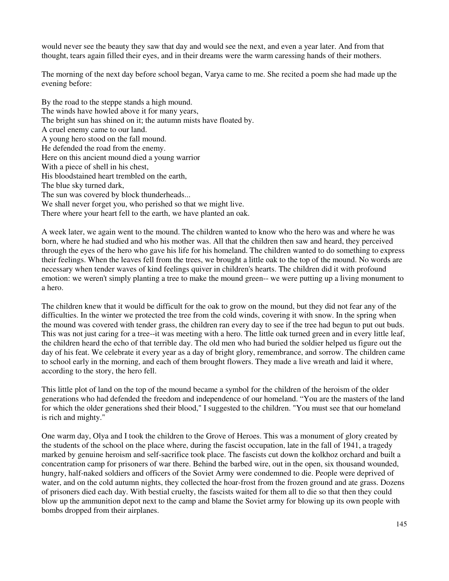would never see the beauty they saw that day and would see the next, and even a year later. And from that thought, tears again filled their eyes, and in their dreams were the warm caressing hands of their mothers.

The morning of the next day before school began, Varya came to me. She recited a poem she had made up the evening before:

By the road to the steppe stands a high mound. The winds have howled above it for many years, The bright sun has shined on it; the autumn mists have floated by. A cruel enemy came to our land. A young hero stood on the fall mound. He defended the road from the enemy. Here on this ancient mound died a young warrior With a piece of shell in his chest, His bloodstained heart trembled on the earth, The blue sky turned dark, The sun was covered by block thunderheads... We shall never forget you, who perished so that we might live. There where your heart fell to the earth, we have planted an oak.

A week later, we again went to the mound. The children wanted to know who the hero was and where he was born, where he had studied and who his mother was. All that the children then saw and heard, they perceived through the eyes of the hero who gave his life for his homeland. The children wanted to do something to express their feelings. When the leaves fell from the trees, we brought a little oak to the top of the mound. No words are necessary when tender waves of kind feelings quiver in children's hearts. The children did it with profound emotion: we weren't simply planting a tree to make the mound green-- we were putting up a living monument to a hero.

The children knew that it would be difficult for the oak to grow on the mound, but they did not fear any of the difficulties. In the winter we protected the tree from the cold winds, covering it with snow. In the spring when the mound was covered with tender grass, the children ran every day to see if the tree had begun to put out buds. This was not just caring for a tree--it was meeting with a hero. The little oak turned green and in every little leaf, the children heard the echo of that terrible day. The old men who had buried the soldier helped us figure out the day of his feat. We celebrate it every year as a day of bright glory, remembrance, and sorrow. The children came to school early in the morning, and each of them brought flowers. They made a live wreath and laid it where, according to the story, the hero fell.

This little plot of land on the top of the mound became a symbol for the children of the heroism of the older generations who had defended the freedom and independence of our homeland. "You are the masters of the land for which the older generations shed their blood," I suggested to the children. "You must see that our homeland is rich and mighty."

One warm day, Olya and I took the children to the Grove of Heroes. This was a monument of glory created by the students of the school on the place where, during the fascist occupation, late in the fall of 1941, a tragedy marked by genuine heroism and self-sacrifice took place. The fascists cut down the kolkhoz orchard and built a concentration camp for prisoners of war there. Behind the barbed wire, out in the open, six thousand wounded, hungry, half-naked soldiers and officers of the Soviet Army were condemned to die. People were deprived of water, and on the cold autumn nights, they collected the hoar-frost from the frozen ground and ate grass. Dozens of prisoners died each day. With bestial cruelty, the fascists waited for them all to die so that then they could blow up the ammunition depot next to the camp and blame the Soviet army for blowing up its own people with bombs dropped from their airplanes.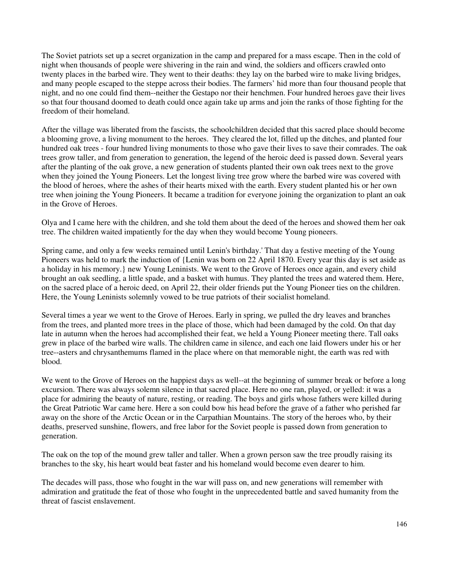The Soviet patriots set up a secret organization in the camp and prepared for a mass escape. Then in the cold of night when thousands of people were shivering in the rain and wind, the soldiers and officers crawled onto twenty places in the barbed wire. They went to their deaths: they lay on the barbed wire to make living bridges, and many people escaped to the steppe across their bodies. The farmers' hid more than four thousand people that night, and no one could find them--neither the Gestapo nor their henchmen. Four hundred heroes gave their lives so that four thousand doomed to death could once again take up arms and join the ranks of those fighting for the freedom of their homeland.

After the village was liberated from the fascists, the schoolchildren decided that this sacred place should become a blooming grove, a living monument to the heroes. They cleared the lot, filled up the ditches, and planted four hundred oak trees - four hundred living monuments to those who gave their lives to save their comrades. The oak trees grow taller, and from generation to generation, the legend of the heroic deed is passed down. Several years after the planting of the oak grove, a new generation of students planted their own oak trees next to the grove when they joined the Young Pioneers. Let the longest living tree grow where the barbed wire was covered with the blood of heroes, where the ashes of their hearts mixed with the earth. Every student planted his or her own tree when joining the Young Pioneers. It became a tradition for everyone joining the organization to plant an oak in the Grove of Heroes.

Olya and I came here with the children, and she told them about the deed of the heroes and showed them her oak tree. The children waited impatiently for the day when they would become Young pioneers.

Spring came, and only a few weeks remained until Lenin's birthday.' That day a festive meeting of the Young Pioneers was held to mark the induction of {Lenin was born on 22 April 1870. Every year this day is set aside as a holiday in his memory.} new Young Leninists. We went to the Grove of Heroes once again, and every child brought an oak seedling, a little spade, and a basket with humus. They planted the trees and watered them. Here, on the sacred place of a heroic deed, on April 22, their older friends put the Young Pioneer ties on the children. Here, the Young Leninists solemnly vowed to be true patriots of their socialist homeland.

Several times a year we went to the Grove of Heroes. Early in spring, we pulled the dry leaves and branches from the trees, and planted more trees in the place of those, which had been damaged by the cold. On that day late in autumn when the heroes had accomplished their feat, we held a Young Pioneer meeting there. Tall oaks grew in place of the barbed wire walls. The children came in silence, and each one laid flowers under his or her tree--asters and chrysanthemums flamed in the place where on that memorable night, the earth was red with blood.

We went to the Grove of Heroes on the happiest days as well--at the beginning of summer break or before a long excursion. There was always solemn silence in that sacred place. Here no one ran, played, or yelled: it was a place for admiring the beauty of nature, resting, or reading. The boys and girls whose fathers were killed during the Great Patriotic War came here. Here a son could bow his head before the grave of a father who perished far away on the shore of the Arctic Ocean or in the Carpathian Mountains. The story of the heroes who, by their deaths, preserved sunshine, flowers, and free labor for the Soviet people is passed down from generation to generation.

The oak on the top of the mound grew taller and taller. When a grown person saw the tree proudly raising its branches to the sky, his heart would beat faster and his homeland would become even dearer to him.

The decades will pass, those who fought in the war will pass on, and new generations will remember with admiration and gratitude the feat of those who fought in the unprecedented battle and saved humanity from the threat of fascist enslavement.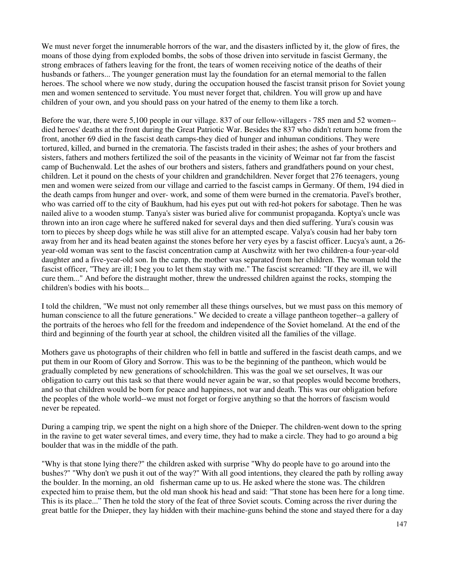We must never forget the innumerable horrors of the war, and the disasters inflicted by it, the glow of fires, the moans of those dying from exploded bombs, the sobs of those driven into servitude in fascist Germany, the strong embraces of fathers leaving for the front, the tears of women receiving notice of the deaths of their husbands or fathers... The younger generation must lay the foundation for an eternal memorial to the fallen heroes. The school where we now study, during the occupation housed the fascist transit prison for Soviet young men and women sentenced to servitude. You must never forget that, children. You will grow up and have children of your own, and you should pass on your hatred of the enemy to them like a torch.

Before the war, there were 5,100 people in our village. 837 of our fellow-villagers - 785 men and 52 women- died heroes' deaths at the front during the Great Patriotic War. Besides the 837 who didn't return home from the front, another 69 died in the fascist death camps-they died of hunger and inhuman conditions. They were tortured, killed, and burned in the crematoria. The fascists traded in their ashes; the ashes of your brothers and sisters, fathers and mothers fertilized the soil of the peasants in the vicinity of Weimar not far from the fascist camp of Buchenwald. Let the ashes of our brothers and sisters, fathers and grandfathers pound on your chest, children. Let it pound on the chests of your children and grandchildren. Never forget that 276 teenagers, young men and women were seized from our village and carried to the fascist camps in Germany. Of them, 194 died in the death camps from hunger and over- work, and some of them were burned in the crematoria. Pavel's brother, who was carried off to the city of Baukhum, had his eyes put out with red-hot pokers for sabotage. Then he was nailed alive to a wooden stump. Tanya's sister was buried alive for communist propaganda. Koptya's uncle was thrown into an iron cage where he suffered naked for several days and then died suffering. Yura's cousin was torn to pieces by sheep dogs while he was still alive for an attempted escape. Valya's cousin had her baby torn away from her and its head beaten against the stones before her very eyes by a fascist officer. Lucya's aunt, a 26 year-old woman was sent to the fascist concentration camp at Auschwitz with her two children-a four-year-old daughter and a five-year-old son. In the camp, the mother was separated from her children. The woman told the fascist officer, "They are ill; I beg you to let them stay with me." The fascist screamed: "If they are ill, we will cure them..." And before the distraught mother, threw the undressed children against the rocks, stomping the children's bodies with his boots...

I told the children, "We must not only remember all these things ourselves, but we must pass on this memory of human conscience to all the future generations." We decided to create a village pantheon together--a gallery of the portraits of the heroes who fell for the freedom and independence of the Soviet homeland. At the end of the third and beginning of the fourth year at school, the children visited all the families of the village.

Mothers gave us photographs of their children who fell in battle and suffered in the fascist death camps, and we put them in our Room of Glory and Sorrow. This was to be the beginning of the pantheon, which would be gradually completed by new generations of schoolchildren. This was the goal we set ourselves, It was our obligation to carry out this task so that there would never again be war, so that peoples would become brothers, and so that children would be born for peace and happiness, not war and death. This was our obligation before the peoples of the whole world--we must not forget or forgive anything so that the horrors of fascism would never be repeated.

During a camping trip, we spent the night on a high shore of the Dnieper. The children-went down to the spring in the ravine to get water several times, and every time, they had to make a circle. They had to go around a big boulder that was in the middle of the path.

"Why is that stone lying there?" the children asked with surprise "Why do people have to go around into the bushes?" "Why don't we push it out of the way?" With all good intentions, they cleared the path by rolling away the boulder. In the morning, an old fisherman came up to us. He asked where the stone was. The children expected him to praise them, but the old man shook his head and said: "That stone has been here for a long time. This is its place..." Then he told the story of the feat of three Soviet scouts. Coming across the river during the great battle for the Dnieper, they lay hidden with their machine-guns behind the stone and stayed there for a day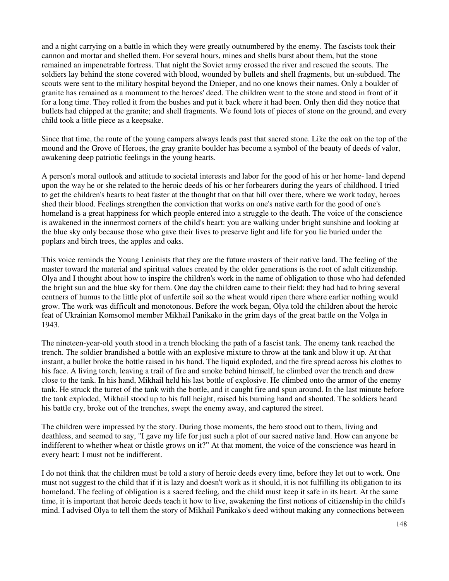and a night carrying on a battle in which they were greatly outnumbered by the enemy. The fascists took their cannon and mortar and shelled them. For several hours, mines and shells burst about them, but the stone remained an impenetrable fortress. That night the Soviet army crossed the river and rescued the scouts. The soldiers lay behind the stone covered with blood, wounded by bullets and shell fragments, but un-subdued. The scouts were sent to the military hospital beyond the Dnieper, and no one knows their names. Only a boulder of granite has remained as a monument to the heroes' deed. The children went to the stone and stood in front of it for a long time. They rolled it from the bushes and put it back where it had been. Only then did they notice that bullets had chipped at the granite; and shell fragments. We found lots of pieces of stone on the ground, and every child took a little piece as a keepsake.

Since that time, the route of the young campers always leads past that sacred stone. Like the oak on the top of the mound and the Grove of Heroes, the gray granite boulder has become a symbol of the beauty of deeds of valor, awakening deep patriotic feelings in the young hearts.

A person's moral outlook and attitude to societal interests and labor for the good of his or her home- land depend upon the way he or she related to the heroic deeds of his or her forbearers during the years of childhood. I tried to get the children's hearts to beat faster at the thought that on that hill over there, where we work today, heroes shed their blood. Feelings strengthen the conviction that works on one's native earth for the good of one's homeland is a great happiness for which people entered into a struggle to the death. The voice of the conscience is awakened in the innermost corners of the child's heart: you are walking under bright sunshine and looking at the blue sky only because those who gave their lives to preserve light and life for you lie buried under the poplars and birch trees, the apples and oaks.

This voice reminds the Young Leninists that they are the future masters of their native land. The feeling of the master toward the material and spiritual values created by the older generations is the root of adult citizenship. Olya and I thought about how to inspire the children's work in the name of obligation to those who had defended the bright sun and the blue sky for them. One day the children came to their field: they had had to bring several centners of humus to the little plot of unfertile soil so the wheat would ripen there where earlier nothing would grow. The work was difficult and monotonous. Before the work began, Olya told the children about the heroic feat of Ukrainian Komsomol member Mikhail Panikako in the grim days of the great battle on the Volga in 1943.

The nineteen-year-old youth stood in a trench blocking the path of a fascist tank. The enemy tank reached the trench. The soldier brandished a bottle with an explosive mixture to throw at the tank and blow it up. At that instant, a bullet broke the bottle raised in his hand. The liquid exploded, and the fire spread across his clothes to his face. A living torch, leaving a trail of fire and smoke behind himself, he climbed over the trench and drew close to the tank. In his hand, Mikhail held his last bottle of explosive. He climbed onto the armor of the enemy tank. He struck the turret of the tank with the bottle, and it caught fire and spun around. In the last minute before the tank exploded, Mikhail stood up to his full height, raised his burning hand and shouted. The soldiers heard his battle cry, broke out of the trenches, swept the enemy away, and captured the street.

The children were impressed by the story. During those moments, the hero stood out to them, living and deathless, and seemed to say, "I gave my life for just such a plot of our sacred native land. How can anyone be indifferent to whether wheat or thistle grows on it?" At that moment, the voice of the conscience was heard in every heart: I must not be indifferent.

I do not think that the children must be told a story of heroic deeds every time, before they let out to work. One must not suggest to the child that if it is lazy and doesn't work as it should, it is not fulfilling its obligation to its homeland. The feeling of obligation is a sacred feeling, and the child must keep it safe in its heart. At the same time, it is important that heroic deeds teach it how to live, awakening the first notions of citizenship in the child's mind. I advised Olya to tell them the story of Mikhail Panikako's deed without making any connections between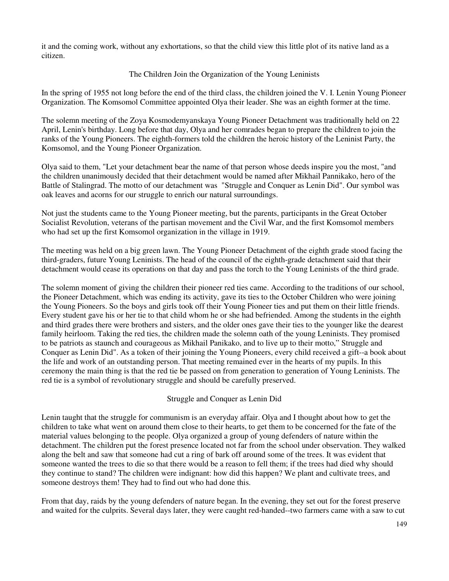it and the coming work, without any exhortations, so that the child view this little plot of its native land as a citizen.

The Children Join the Organization of the Young Leninists

In the spring of 1955 not long before the end of the third class, the children joined the V. I. Lenin Young Pioneer Organization. The Komsomol Committee appointed Olya their leader. She was an eighth former at the time.

The solemn meeting of the Zoya Kosmodemyanskaya Young Pioneer Detachment was traditionally held on 22 April, Lenin's birthday. Long before that day, Olya and her comrades began to prepare the children to join the ranks of the Young Pioneers. The eighth-formers told the children the heroic history of the Leninist Party, the Komsomol, and the Young Pioneer Organization.

Olya said to them, "Let your detachment bear the name of that person whose deeds inspire you the most, "and the children unanimously decided that their detachment would be named after Mikhail Pannikako, hero of the Battle of Stalingrad. The motto of our detachment was "Struggle and Conquer as Lenin Did". Our symbol was oak leaves and acorns for our struggle to enrich our natural surroundings.

Not just the students came to the Young Pioneer meeting, but the parents, participants in the Great October Socialist Revolution, veterans of the partisan movement and the Civil War, and the first Komsomol members who had set up the first Komsomol organization in the village in 1919.

The meeting was held on a big green lawn. The Young Pioneer Detachment of the eighth grade stood facing the third-graders, future Young Leninists. The head of the council of the eighth-grade detachment said that their detachment would cease its operations on that day and pass the torch to the Young Leninists of the third grade.

The solemn moment of giving the children their pioneer red ties came. According to the traditions of our school, the Pioneer Detachment, which was ending its activity, gave its ties to the October Children who were joining the Young Pioneers. So the boys and girls took off their Young Pioneer ties and put them on their little friends. Every student gave his or her tie to that child whom he or she had befriended. Among the students in the eighth and third grades there were brothers and sisters, and the older ones gave their ties to the younger like the dearest family heirloom. Taking the red ties, the children made the solemn oath of the young Leninists. They promised to be patriots as staunch and courageous as Mikhail Panikako, and to live up to their motto," Struggle and Conquer as Lenin Did". As a token of their joining the Young Pioneers, every child received a gift--a book about the life and work of an outstanding person. That meeting remained ever in the hearts of my pupils. In this ceremony the main thing is that the red tie be passed on from generation to generation of Young Leninists. The red tie is a symbol of revolutionary struggle and should be carefully preserved.

Struggle and Conquer as Lenin Did

Lenin taught that the struggle for communism is an everyday affair. Olya and I thought about how to get the children to take what went on around them close to their hearts, to get them to be concerned for the fate of the material values belonging to the people. Olya organized a group of young defenders of nature within the detachment. The children put the forest presence located not far from the school under observation. They walked along the belt and saw that someone had cut a ring of bark off around some of the trees. It was evident that someone wanted the trees to die so that there would be a reason to fell them; if the trees had died why should they continue to stand? The children were indignant: how did this happen? We plant and cultivate trees, and someone destroys them! They had to find out who had done this.

From that day, raids by the young defenders of nature began. In the evening, they set out for the forest preserve and waited for the culprits. Several days later, they were caught red-handed--two farmers came with a saw to cut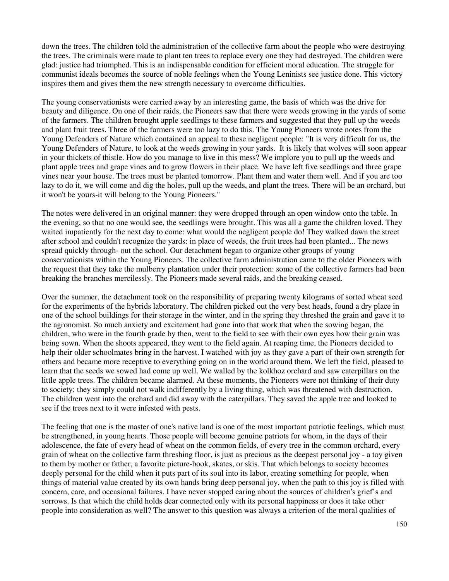down the trees. The children told the administration of the collective farm about the people who were destroying the trees. The criminals were made to plant ten trees to replace every one they had destroyed. The children were glad: justice had triumphed. This is an indispensable condition for efficient moral education. The struggle for communist ideals becomes the source of noble feelings when the Young Leninists see justice done. This victory inspires them and gives them the new strength necessary to overcome difficulties.

The young conservationists were carried away by an interesting game, the basis of which was the drive for beauty and diligence. On one of their raids, the Pioneers saw that there were weeds growing in the yards of some of the farmers. The children brought apple seedlings to these farmers and suggested that they pull up the weeds and plant fruit trees. Three of the farmers were too lazy to do this. The Young Pioneers wrote notes from the Young Defenders of Nature which contained an appeal to these negligent people: "It is very difficult for us, the Young Defenders of Nature, to look at the weeds growing in your yards. It is likely that wolves will soon appear in your thickets of thistle. How do you manage to live in this mess? We implore you to pull up the weeds and plant apple trees and grape vines and to grow flowers in their place. We have left five seedlings and three grape vines near your house. The trees must be planted tomorrow. Plant them and water them well. And if you are too lazy to do it, we will come and dig the holes, pull up the weeds, and plant the trees. There will be an orchard, but it won't be yours-it will belong to the Young Pioneers."

The notes were delivered in an original manner: they were dropped through an open window onto the table. In the evening, so that no one would see, the seedlings were brought. This was all a game the children loved. They waited impatiently for the next day to come: what would the negligent people do! They walked dawn the street after school and couldn't recognize the yards: in place of weeds, the fruit trees had been planted... The news spread quickly through- out the school. Our detachment began to organize other groups of young conservationists within the Young Pioneers. The collective farm administration came to the older Pioneers with the request that they take the mulberry plantation under their protection: some of the collective farmers had been breaking the branches mercilessly. The Pioneers made several raids, and the breaking ceased.

Over the summer, the detachment took on the responsibility of preparing twenty kilograms of sorted wheat seed for the experiments of the hybrids laboratory. The children picked out the very best heads, found a dry place in one of the school buildings for their storage in the winter, and in the spring they threshed the grain and gave it to the agronomist. So much anxiety and excitement had gone into that work that when the sowing began, the children, who were in the fourth grade by then, went to the field to see with their own eyes how their grain was being sown. When the shoots appeared, they went to the field again. At reaping time, the Pioneers decided to help their older schoolmates bring in the harvest. I watched with joy as they gave a part of their own strength for others and became more receptive to everything going on in the world around them. We left the field, pleased to learn that the seeds we sowed had come up well. We walled by the kolkhoz orchard and saw caterpillars on the little apple trees. The children became alarmed. At these moments, the Pioneers were not thinking of their duty to society; they simply could not walk indifferently by a living thing, which was threatened with destruction. The children went into the orchard and did away with the caterpillars. They saved the apple tree and looked to see if the trees next to it were infested with pests.

The feeling that one is the master of one's native land is one of the most important patriotic feelings, which must be strengthened, in young hearts. Those people will become genuine patriots for whom, in the days of their adolescence, the fate of every head of wheat on the common fields, of every tree in the common orchard, every grain of wheat on the collective farm threshing floor, is just as precious as the deepest personal joy - a toy given to them by mother or father, a favorite picture-book, skates, or skis. That which belongs to society becomes deeply personal for the child when it puts part of its soul into its labor, creating something for people, when things of material value created by its own hands bring deep personal joy, when the path to this joy is filled with concern, care, and occasional failures. I have never stopped caring about the sources of children's grief's and sorrows. Is that which the child holds dear connected only with its personal happiness or does it take other people into consideration as well? The answer to this question was always a criterion of the moral qualities of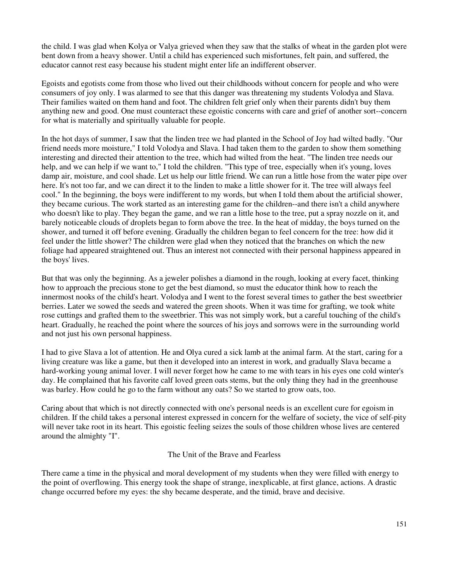the child. I was glad when Kolya or Valya grieved when they saw that the stalks of wheat in the garden plot were bent down from a heavy shower. Until a child has experienced such misfortunes, felt pain, and suffered, the educator cannot rest easy because his student might enter life an indifferent observer.

Egoists and egotists come from those who lived out their childhoods without concern for people and who were consumers of joy only. I was alarmed to see that this danger was threatening my students Volodya and Slava. Their families waited on them hand and foot. The children felt grief only when their parents didn't buy them anything new and good. One must counteract these egoistic concerns with care and grief of another sort--concern for what is materially and spiritually valuable for people.

In the hot days of summer, I saw that the linden tree we had planted in the School of Joy had wilted badly. "Our friend needs more moisture," I told Volodya and Slava. I had taken them to the garden to show them something interesting and directed their attention to the tree, which had wilted from the heat. "The linden tree needs our help, and we can help if we want to," I told the children. "This type of tree, especially when it's young, loves damp air, moisture, and cool shade. Let us help our little friend. We can run a little hose from the water pipe over here. It's not too far, and we can direct it to the linden to make a little shower for it. The tree will always feel cool." In the beginning, the boys were indifferent to my words, but when I told them about the artificial shower, they became curious. The work started as an interesting game for the children--and there isn't a child anywhere who doesn't like to play. They began the game, and we ran a little hose to the tree, put a spray nozzle on it, and barely noticeable clouds of droplets began to form above the tree. In the heat of midday, the boys turned on the shower, and turned it off before evening. Gradually the children began to feel concern for the tree: how did it feel under the little shower? The children were glad when they noticed that the branches on which the new foliage had appeared straightened out. Thus an interest not connected with their personal happiness appeared in the boys' lives.

But that was only the beginning. As a jeweler polishes a diamond in the rough, looking at every facet, thinking how to approach the precious stone to get the best diamond, so must the educator think how to reach the innermost nooks of the child's heart. Volodya and I went to the forest several times to gather the best sweetbrier berries. Later we sowed the seeds and watered the green shoots. When it was time for grafting, we took white rose cuttings and grafted them to the sweetbrier. This was not simply work, but a careful touching of the child's heart. Gradually, he reached the point where the sources of his joys and sorrows were in the surrounding world and not just his own personal happiness.

I had to give Slava a lot of attention. He and Olya cured a sick lamb at the animal farm. At the start, caring for a living creature was like a game, but then it developed into an interest in work, and gradually Slava became a hard-working young animal lover. I will never forget how he came to me with tears in his eyes one cold winter's day. He complained that his favorite calf loved green oats stems, but the only thing they had in the greenhouse was barley. How could he go to the farm without any oats? So we started to grow oats, too.

Caring about that which is not directly connected with one's personal needs is an excellent cure for egoism in children. If the child takes a personal interest expressed in concern for the welfare of society, the vice of self-pity will never take root in its heart. This egoistic feeling seizes the souls of those children whose lives are centered around the almighty "I".

## The Unit of the Brave and Fearless

There came a time in the physical and moral development of my students when they were filled with energy to the point of overflowing. This energy took the shape of strange, inexplicable, at first glance, actions. A drastic change occurred before my eyes: the shy became desperate, and the timid, brave and decisive.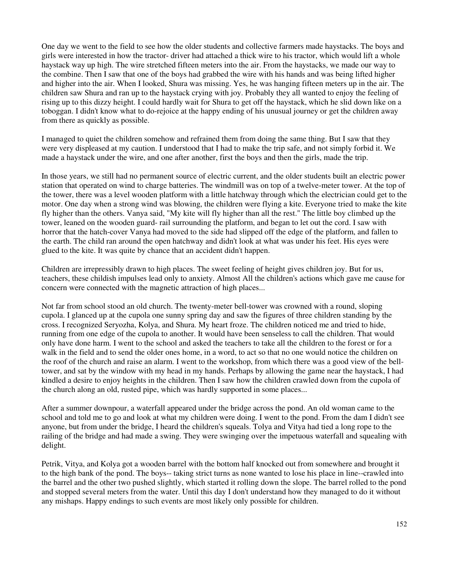One day we went to the field to see how the older students and collective farmers made haystacks. The boys and girls were interested in how the tractor- driver had attached a thick wire to his tractor, which would lift a whole haystack way up high. The wire stretched fifteen meters into the air. From the haystacks, we made our way to the combine. Then I saw that one of the boys had grabbed the wire with his hands and was being lifted higher and higher into the air. When I looked, Shura was missing. Yes, he was hanging fifteen meters up in the air. The children saw Shura and ran up to the haystack crying with joy. Probably they all wanted to enjoy the feeling of rising up to this dizzy height. I could hardly wait for Shura to get off the haystack, which he slid down like on a toboggan. I didn't know what to do-rejoice at the happy ending of his unusual journey or get the children away from there as quickly as possible.

I managed to quiet the children somehow and refrained them from doing the same thing. But I saw that they were very displeased at my caution. I understood that I had to make the trip safe, and not simply forbid it. We made a haystack under the wire, and one after another, first the boys and then the girls, made the trip.

In those years, we still had no permanent source of electric current, and the older students built an electric power station that operated on wind to charge batteries. The windmill was on top of a twelve-meter tower. At the top of the tower, there was a level wooden platform with a little hatchway through which the electrician could get to the motor. One day when a strong wind was blowing, the children were flying a kite. Everyone tried to make the kite fly higher than the others. Vanya said, "My kite will fly higher than all the rest." The little boy climbed up the tower, leaned on the wooden guard- rail surrounding the platform, and began to let out the cord. I saw with horror that the hatch-cover Vanya had moved to the side had slipped off the edge of the platform, and fallen to the earth. The child ran around the open hatchway and didn't look at what was under his feet. His eyes were glued to the kite. It was quite by chance that an accident didn't happen.

Children are irrepressibly drawn to high places. The sweet feeling of height gives children joy. But for us, teachers, these childish impulses lead only to anxiety. Almost All the children's actions which gave me cause for concern were connected with the magnetic attraction of high places...

Not far from school stood an old church. The twenty-meter bell-tower was crowned with a round, sloping cupola. I glanced up at the cupola one sunny spring day and saw the figures of three children standing by the cross. I recognized Seryozha, Kolya, and Shura. My heart froze. The children noticed me and tried to hide, running from one edge of the cupola to another. It would have been senseless to call the children. That would only have done harm. I went to the school and asked the teachers to take all the children to the forest or for a walk in the field and to send the older ones home, in a word, to act so that no one would notice the children on the roof of the church and raise an alarm. I went to the workshop, from which there was a good view of the belltower, and sat by the window with my head in my hands. Perhaps by allowing the game near the haystack, I had kindled a desire to enjoy heights in the children. Then I saw how the children crawled down from the cupola of the church along an old, rusted pipe, which was hardly supported in some places...

After a summer downpour, a waterfall appeared under the bridge across the pond. An old woman came to the school and told me to go and look at what my children were doing. I went to the pond. From the dam I didn't see anyone, but from under the bridge, I heard the children's squeals. Tolya and Vitya had tied a long rope to the railing of the bridge and had made a swing. They were swinging over the impetuous waterfall and squealing with delight.

Petrik, Vitya, and Kolya got a wooden barrel with the bottom half knocked out from somewhere and brought it to the high bank of the pond. The boys-- taking strict turns as none wanted to lose his place in line--crawled into the barrel and the other two pushed slightly, which started it rolling down the slope. The barrel rolled to the pond and stopped several meters from the water. Until this day I don't understand how they managed to do it without any mishaps. Happy endings to such events are most likely only possible for children.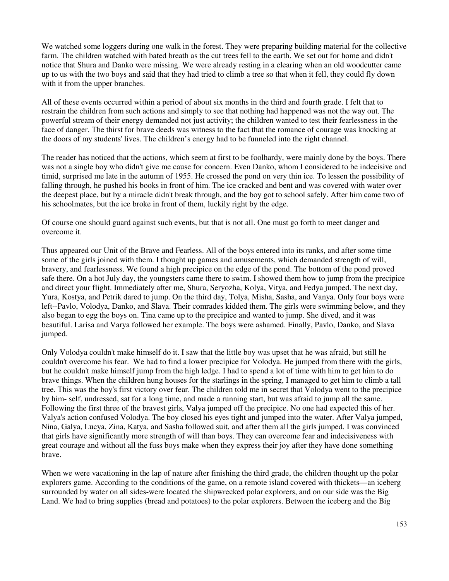We watched some loggers during one walk in the forest. They were preparing building material for the collective farm. The children watched with bated breath as the cut trees fell to the earth. We set out for home and didn't notice that Shura and Danko were missing. We were already resting in a clearing when an old woodcutter came up to us with the two boys and said that they had tried to climb a tree so that when it fell, they could fly down with it from the upper branches.

All of these events occurred within a period of about six months in the third and fourth grade. I felt that to restrain the children from such actions and simply to see that nothing had happened was not the way out. The powerful stream of their energy demanded not just activity; the children wanted to test their fearlessness in the face of danger. The thirst for brave deeds was witness to the fact that the romance of courage was knocking at the doors of my students' lives. The children's energy had to be funneled into the right channel.

The reader has noticed that the actions, which seem at first to be foolhardy, were mainly done by the boys. There was not a single boy who didn't give me cause for concern. Even Danko, whom I considered to be indecisive and timid, surprised me late in the autumn of 1955. He crossed the pond on very thin ice. To lessen the possibility of falling through, he pushed his books in front of him. The ice cracked and bent and was covered with water over the deepest place, but by a miracle didn't break through, and the boy got to school safely. After him came two of his schoolmates, but the ice broke in front of them, luckily right by the edge.

Of course one should guard against such events, but that is not all. One must go forth to meet danger and overcome it.

Thus appeared our Unit of the Brave and Fearless. All of the boys entered into its ranks, and after some time some of the girls joined with them. I thought up games and amusements, which demanded strength of will, bravery, and fearlessness. We found a high precipice on the edge of the pond. The bottom of the pond proved safe there. On a hot July day, the youngsters came there to swim. I showed them how to jump from the precipice and direct your flight. Immediately after me, Shura, Seryozha, Kolya, Vitya, and Fedya jumped. The next day, Yura, Kostya, and Petrik dared to jump. On the third day, Tolya, Misha, Sasha, and Vanya. Only four boys were left--Pavlo, Volodya, Danko, and Slava. Their comrades kidded them. The girls were swimming below, and they also began to egg the boys on. Tina came up to the precipice and wanted to jump. She dived, and it was beautiful. Larisa and Varya followed her example. The boys were ashamed. Finally, Pavlo, Danko, and Slava jumped.

Only Volodya couldn't make himself do it. I saw that the little boy was upset that he was afraid, but still he couldn't overcome his fear. We had to find a lower precipice for Volodya. He jumped from there with the girls, but he couldn't make himself jump from the high ledge. I had to spend a lot of time with him to get him to do brave things. When the children hung houses for the starlings in the spring, I managed to get him to climb a tall tree. This was the boy's first victory over fear. The children told me in secret that Volodya went to the precipice by him- self, undressed, sat for a long time, and made a running start, but was afraid to jump all the same. Following the first three of the bravest girls, Valya jumped off the precipice. No one had expected this of her. Valya's action confused Volodya. The boy closed his eyes tight and jumped into the water. After Valya jumped, Nina, Galya, Lucya, Zina, Katya, and Sasha followed suit, and after them all the girls jumped. I was convinced that girls have significantly more strength of will than boys. They can overcome fear and indecisiveness with great courage and without all the fuss boys make when they express their joy after they have done something brave.

When we were vacationing in the lap of nature after finishing the third grade, the children thought up the polar explorers game. According to the conditions of the game, on a remote island covered with thickets—an iceberg surrounded by water on all sides-were located the shipwrecked polar explorers, and on our side was the Big Land. We had to bring supplies (bread and potatoes) to the polar explorers. Between the iceberg and the Big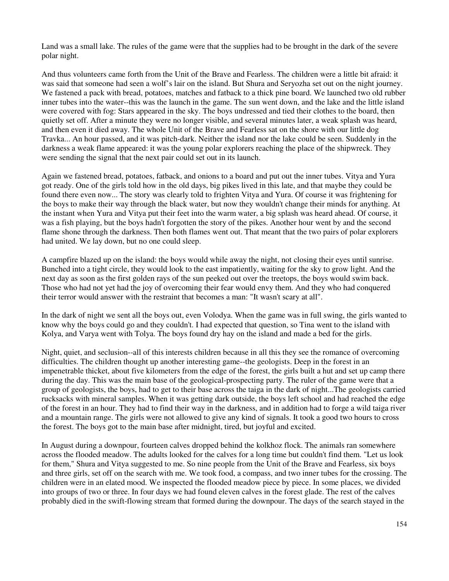Land was a small lake. The rules of the game were that the supplies had to be brought in the dark of the severe polar night.

And thus volunteers came forth from the Unit of the Brave and Fearless. The children were a little bit afraid: it was said that someone had seen a wolf's lair on the island. But Shura and Seryozha set out on the night journey. We fastened a pack with bread, potatoes, matches and fatback to a thick pine board. We launched two old rubber inner tubes into the water--this was the launch in the game. The sun went down, and the lake and the little island were covered with fog: Stars appeared in the sky. The boys undressed and tied their clothes to the board, then quietly set off. After a minute they were no longer visible, and several minutes later, a weak splash was heard, and then even it died away. The whole Unit of the Brave and Fearless sat on the shore with our little dog Travka... An hour passed, and it was pitch-dark. Neither the island nor the lake could be seen. Suddenly in the darkness a weak flame appeared: it was the young polar explorers reaching the place of the shipwreck. They were sending the signal that the next pair could set out in its launch.

Again we fastened bread, potatoes, fatback, and onions to a board and put out the inner tubes. Vitya and Yura got ready. One of the girls told how in the old days, big pikes lived in this late, and that maybe they could be found there even now... The story was clearly told to frighten Vitya and Yura. Of course it was frightening for the boys to make their way through the black water, but now they wouldn't change their minds for anything. At the instant when Yura and Vitya put their feet into the warm water, a big splash was heard ahead. Of course, it was a fish playing, but the boys hadn't forgotten the story of the pikes. Another hour went by and the second flame shone through the darkness. Then both flames went out. That meant that the two pairs of polar explorers had united. We lay down, but no one could sleep.

A campfire blazed up on the island: the boys would while away the night, not closing their eyes until sunrise. Bunched into a tight circle, they would look to the east impatiently, waiting for the sky to grow light. And the next day as soon as the first golden rays of the sun peeked out over the treetops, the boys would swim back. Those who had not yet had the joy of overcoming their fear would envy them. And they who had conquered their terror would answer with the restraint that becomes a man: "It wasn't scary at all".

In the dark of night we sent all the boys out, even Volodya. When the game was in full swing, the girls wanted to know why the boys could go and they couldn't. I had expected that question, so Tina went to the island with Kolya, and Varya went with Tolya. The boys found dry hay on the island and made a bed for the girls.

Night, quiet, and seclusion--all of this interests children because in all this they see the romance of overcoming difficulties. The children thought up another interesting game--the geologists. Deep in the forest in an impenetrable thicket, about five kilometers from the edge of the forest, the girls built a hut and set up camp there during the day. This was the main base of the geological-prospecting party. The ruler of the game were that a group of geologists, the boys, had to get to their base across the taiga in the dark of night...The geologists carried rucksacks with mineral samples. When it was getting dark outside, the boys left school and had reached the edge of the forest in an hour. They had to find their way in the darkness, and in addition had to forge a wild taiga river and a mountain range. The girls were not allowed to give any kind of signals. It took a good two hours to cross the forest. The boys got to the main base after midnight, tired, but joyful and excited.

In August during a downpour, fourteen calves dropped behind the kolkhoz flock. The animals ran somewhere across the flooded meadow. The adults looked for the calves for a long time but couldn't find them. "Let us look for them," Shura and Vitya suggested to me. So nine people from the Unit of the Brave and Fearless, six boys and three girls, set off on the search with me. We took food, a compass, and two inner tubes for the crossing. The children were in an elated mood. We inspected the flooded meadow piece by piece. In some places, we divided into groups of two or three. In four days we had found eleven calves in the forest glade. The rest of the calves probably died in the swift-flowing stream that formed during the downpour. The days of the search stayed in the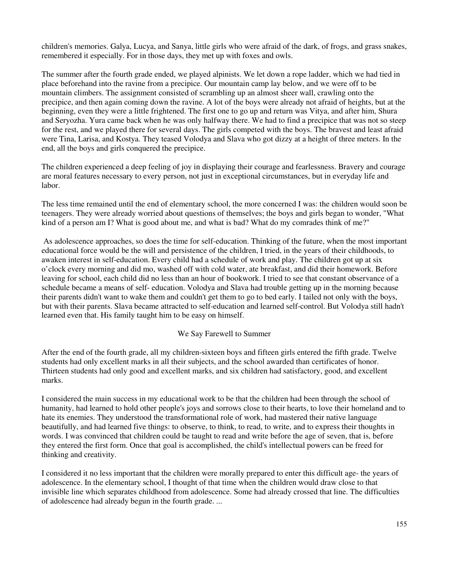children's memories. Galya, Lucya, and Sanya, little girls who were afraid of the dark, of frogs, and grass snakes, remembered it especially. For in those days, they met up with foxes and owls.

The summer after the fourth grade ended, we played alpinists. We let down a rope ladder, which we had tied in place beforehand into the ravine from a precipice. Our mountain camp lay below, and we were off to be mountain climbers. The assignment consisted of scrambling up an almost sheer wall, crawling onto the precipice, and then again coming down the ravine. A lot of the boys were already not afraid of heights, but at the beginning, even they were a little frightened. The first one to go up and return was Vitya, and after him, Shura and Seryozha. Yura came back when he was only halfway there. We had to find a precipice that was not so steep for the rest, and we played there for several days. The girls competed with the boys. The bravest and least afraid were Tina, Larisa, and Kostya. They teased Volodya and Slava who got dizzy at a height of three meters. In the end, all the boys and girls conquered the precipice.

The children experienced a deep feeling of joy in displaying their courage and fearlessness. Bravery and courage are moral features necessary to every person, not just in exceptional circumstances, but in everyday life and labor.

The less time remained until the end of elementary school, the more concerned I was: the children would soon be teenagers. They were already worried about questions of themselves; the boys and girls began to wonder, "What kind of a person am I? What is good about me, and what is bad? What do my comrades think of me?"

 As adolescence approaches, so does the time for self-education. Thinking of the future, when the most important educational force would be the will and persistence of the children, I tried, in the years of their childhoods, to awaken interest in self-education. Every child had a schedule of work and play. The children got up at six o'clock every morning and did mo, washed off with cold water, ate breakfast, and did their homework. Before leaving for school, each child did no less than an hour of bookwork. I tried to see that constant observance of a schedule became a means of self- education. Volodya and Slava had trouble getting up in the morning because their parents didn't want to wake them and couldn't get them to go to bed early. I tailed not only with the boys, but with their parents. Slava became attracted to self-education and learned self-control. But Volodya still hadn't learned even that. His family taught him to be easy on himself.

## We Say Farewell to Summer

After the end of the fourth grade, all my children-sixteen boys and fifteen girls entered the fifth grade. Twelve students had only excellent marks in all their subjects, and the school awarded than certificates of honor. Thirteen students had only good and excellent marks, and six children had satisfactory, good, and excellent marks.

I considered the main success in my educational work to be that the children had been through the school of humanity, had learned to hold other people's joys and sorrows close to their hearts, to love their homeland and to hate its enemies. They understood the transformational role of work, had mastered their native language beautifully, and had learned five things: to observe, to think, to read, to write, and to express their thoughts in words. I was convinced that children could be taught to read and write before the age of seven, that is, before they entered the first form. Once that goal is accomplished, the child's intellectual powers can be freed for thinking and creativity.

I considered it no less important that the children were morally prepared to enter this difficult age- the years of adolescence. In the elementary school, I thought of that time when the children would draw close to that invisible line which separates childhood from adolescence. Some had already crossed that line. The difficulties of adolescence had already begun in the fourth grade. ...